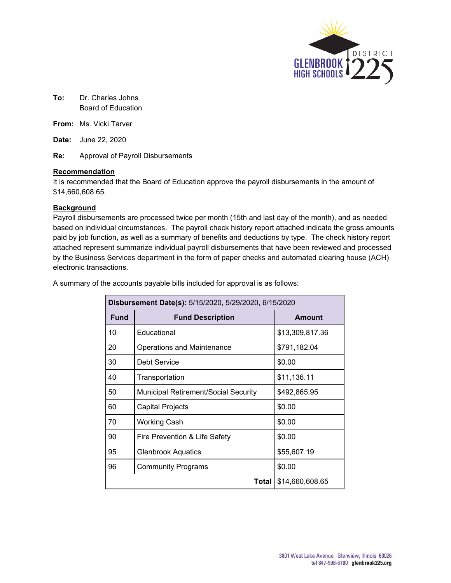

**To:** Dr. Charles Johns Board of Education

**From:** Ms. Vicki Tarver

**Date:** June 22, 2020

**Re:** Approval of Payroll Disbursements

#### **Recommendation**

It is recommended that the Board of Education approve the payroll disbursements in the amount of \$14,660,608.65.

#### **Background**

Payroll disbursements are processed twice per month (15th and last day of the month), and as needed based on individual circumstances. The payroll check history report attached indicate the gross amounts paid by job function, as well as a summary of benefits and deductions by type. The check history report attached represent summarize individual payroll disbursements that have been reviewed and processed by the Business Services department in the form of paper checks and automated clearing house (ACH) electronic transactions.

| Disbursement Date(s): 5/15/2020, 5/29/2020, 6/15/2020 |                                             |                 |  |  |  |
|-------------------------------------------------------|---------------------------------------------|-----------------|--|--|--|
| <b>Fund</b>                                           | <b>Fund Description</b>                     | <b>Amount</b>   |  |  |  |
| 10                                                    | Educational                                 | \$13,309,817.36 |  |  |  |
| 20                                                    | Operations and Maintenance                  | \$791,182.04    |  |  |  |
| 30                                                    | Debt Service                                | \$0.00          |  |  |  |
| 40                                                    | Transportation                              | \$11,136.11     |  |  |  |
| 50                                                    | <b>Municipal Retirement/Social Security</b> | \$492,865.95    |  |  |  |
| 60                                                    | Capital Projects                            | \$0.00          |  |  |  |
| 70                                                    | <b>Working Cash</b>                         | \$0.00          |  |  |  |
| 90                                                    | Fire Prevention & Life Safety               | \$0.00          |  |  |  |
| 95                                                    | <b>Glenbrook Aquatics</b>                   | \$55,607.19     |  |  |  |
| 96                                                    | <b>Community Programs</b>                   | \$0.00          |  |  |  |
|                                                       | <b>Total</b><br>\$14,660,608.65             |                 |  |  |  |

A summary of the accounts payable bills included for approval is as follows: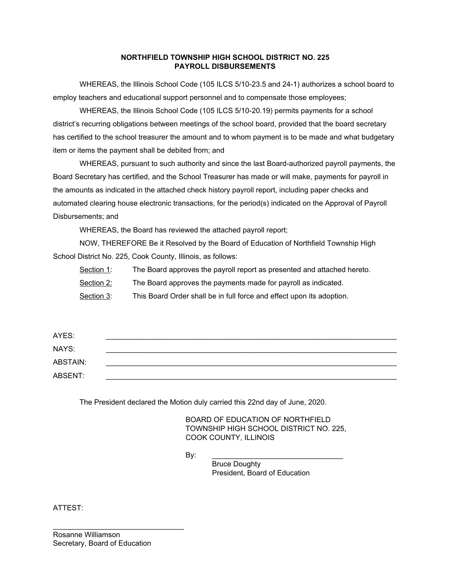#### **NORTHFIELD TOWNSHIP HIGH SCHOOL DISTRICT NO. 225 PAYROLL DISBURSEMENTS**

WHEREAS, the Illinois School Code (105 ILCS 5/10-23.5 and 24-1) authorizes a school board to employ teachers and educational support personnel and to compensate those employees;

WHEREAS, the Illinois School Code (105 ILCS 5/10-20.19) permits payments for a school district's recurring obligations between meetings of the school board, provided that the board secretary has certified to the school treasurer the amount and to whom payment is to be made and what budgetary item or items the payment shall be debited from; and

WHEREAS, pursuant to such authority and since the last Board-authorized payroll payments, the Board Secretary has certified, and the School Treasurer has made or will make, payments for payroll in the amounts as indicated in the attached check history payroll report, including paper checks and automated clearing house electronic transactions, for the period(s) indicated on the Approval of Payroll Disbursements; and

WHEREAS, the Board has reviewed the attached payroll report;

NOW, THEREFORE Be it Resolved by the Board of Education of Northfield Township High School District No. 225, Cook County, Illinois, as follows:

Section 1: The Board approves the payroll report as presented and attached hereto.

Section 2: The Board approves the payments made for payroll as indicated.

Section 3: This Board Order shall be in full force and effect upon its adoption.

| AYES:    |  |
|----------|--|
| NAYS:    |  |
| ABSTAIN: |  |
| ABSENT:  |  |

The President declared the Motion duly carried this 22nd day of June, 2020.

BOARD OF EDUCATION OF NORTHFIELD TOWNSHIP HIGH SCHOOL DISTRICT NO. 225, COOK COUNTY, ILLINOIS

By: \_\_\_\_\_\_\_\_\_\_\_\_\_\_\_\_\_\_\_\_\_\_\_\_\_\_\_\_\_\_\_\_

Bruce Doughty President, Board of Education

ATTEST:

\_\_\_\_\_\_\_\_\_\_\_\_\_\_\_\_\_\_\_\_\_\_\_\_\_\_\_\_\_\_\_\_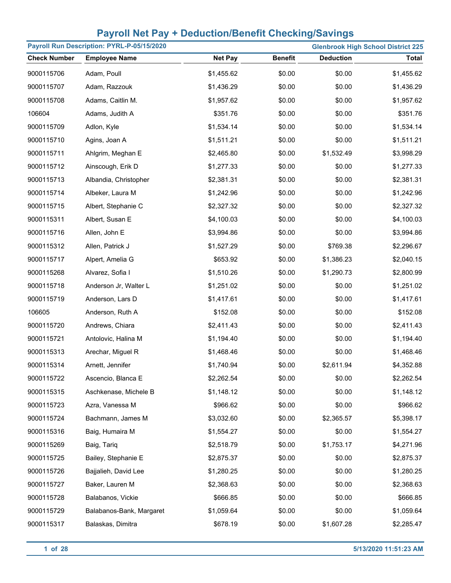| Payroll Run Description: PYRL-P-05/15/2020<br><b>Glenbrook High School District 225</b> |                          |                |                |                  |              |
|-----------------------------------------------------------------------------------------|--------------------------|----------------|----------------|------------------|--------------|
| <b>Check Number</b>                                                                     | <b>Employee Name</b>     | <b>Net Pay</b> | <b>Benefit</b> | <b>Deduction</b> | <b>Total</b> |
| 9000115706                                                                              | Adam, Poull              | \$1,455.62     | \$0.00         | \$0.00           | \$1,455.62   |
| 9000115707                                                                              | Adam, Razzouk            | \$1,436.29     | \$0.00         | \$0.00           | \$1,436.29   |
| 9000115708                                                                              | Adams, Caitlin M.        | \$1,957.62     | \$0.00         | \$0.00           | \$1,957.62   |
| 106604                                                                                  | Adams, Judith A          | \$351.76       | \$0.00         | \$0.00           | \$351.76     |
| 9000115709                                                                              | Adlon, Kyle              | \$1,534.14     | \$0.00         | \$0.00           | \$1,534.14   |
| 9000115710                                                                              | Agins, Joan A            | \$1,511.21     | \$0.00         | \$0.00           | \$1,511.21   |
| 9000115711                                                                              | Ahlgrim, Meghan E        | \$2,465.80     | \$0.00         | \$1,532.49       | \$3,998.29   |
| 9000115712                                                                              | Ainscough, Erik D        | \$1,277.33     | \$0.00         | \$0.00           | \$1,277.33   |
| 9000115713                                                                              | Albandia, Christopher    | \$2,381.31     | \$0.00         | \$0.00           | \$2,381.31   |
| 9000115714                                                                              | Albeker, Laura M         | \$1,242.96     | \$0.00         | \$0.00           | \$1,242.96   |
| 9000115715                                                                              | Albert, Stephanie C      | \$2,327.32     | \$0.00         | \$0.00           | \$2,327.32   |
| 9000115311                                                                              | Albert, Susan E          | \$4,100.03     | \$0.00         | \$0.00           | \$4,100.03   |
| 9000115716                                                                              | Allen, John E            | \$3,994.86     | \$0.00         | \$0.00           | \$3,994.86   |
| 9000115312                                                                              | Allen, Patrick J         | \$1,527.29     | \$0.00         | \$769.38         | \$2,296.67   |
| 9000115717                                                                              | Alpert, Amelia G         | \$653.92       | \$0.00         | \$1,386.23       | \$2,040.15   |
| 9000115268                                                                              | Alvarez, Sofia I         | \$1,510.26     | \$0.00         | \$1,290.73       | \$2,800.99   |
| 9000115718                                                                              | Anderson Jr, Walter L    | \$1,251.02     | \$0.00         | \$0.00           | \$1,251.02   |
| 9000115719                                                                              | Anderson, Lars D         | \$1,417.61     | \$0.00         | \$0.00           | \$1,417.61   |
| 106605                                                                                  | Anderson, Ruth A         | \$152.08       | \$0.00         | \$0.00           | \$152.08     |
| 9000115720                                                                              | Andrews, Chiara          | \$2,411.43     | \$0.00         | \$0.00           | \$2,411.43   |
| 9000115721                                                                              | Antolovic, Halina M      | \$1,194.40     | \$0.00         | \$0.00           | \$1,194.40   |
| 9000115313                                                                              | Arechar, Miguel R        | \$1,468.46     | \$0.00         | \$0.00           | \$1,468.46   |
| 9000115314                                                                              | Arnett, Jennifer         | \$1,740.94     | \$0.00         | \$2,611.94       | \$4,352.88   |
| 9000115722                                                                              | Ascencio, Blanca E       | \$2,262.54     | \$0.00         | \$0.00           | \$2,262.54   |
| 9000115315                                                                              | Aschkenase, Michele B    | \$1,148.12     | \$0.00         | \$0.00           | \$1,148.12   |
| 9000115723                                                                              | Azra, Vanessa M          | \$966.62       | \$0.00         | \$0.00           | \$966.62     |
| 9000115724                                                                              | Bachmann, James M        | \$3,032.60     | \$0.00         | \$2,365.57       | \$5,398.17   |
| 9000115316                                                                              | Baig, Humaira M          | \$1,554.27     | \$0.00         | \$0.00           | \$1,554.27   |
| 9000115269                                                                              | Baig, Tariq              | \$2,518.79     | \$0.00         | \$1,753.17       | \$4,271.96   |
| 9000115725                                                                              | Bailey, Stephanie E      | \$2,875.37     | \$0.00         | \$0.00           | \$2,875.37   |
| 9000115726                                                                              | Bajjalieh, David Lee     | \$1,280.25     | \$0.00         | \$0.00           | \$1,280.25   |
| 9000115727                                                                              | Baker, Lauren M          | \$2,368.63     | \$0.00         | \$0.00           | \$2,368.63   |
| 9000115728                                                                              | Balabanos, Vickie        | \$666.85       | \$0.00         | \$0.00           | \$666.85     |
| 9000115729                                                                              | Balabanos-Bank, Margaret | \$1,059.64     | \$0.00         | \$0.00           | \$1,059.64   |
| 9000115317                                                                              | Balaskas, Dimitra        | \$678.19       | \$0.00         | \$1,607.28       | \$2,285.47   |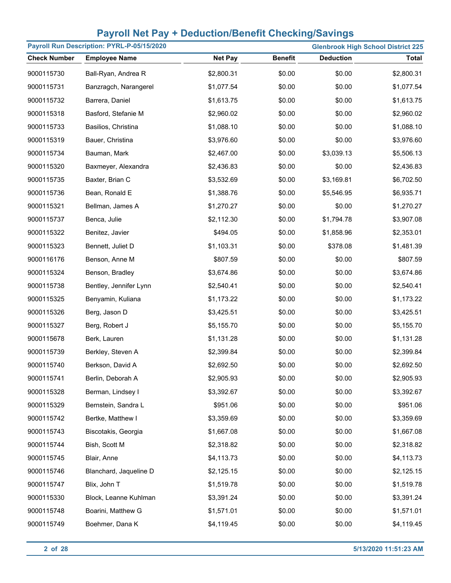| Payroll Run Description: PYRL-P-05/15/2020 |                        |                |                |                  | <b>Glenbrook High School District 225</b> |
|--------------------------------------------|------------------------|----------------|----------------|------------------|-------------------------------------------|
| <b>Check Number</b>                        | <b>Employee Name</b>   | <b>Net Pay</b> | <b>Benefit</b> | <b>Deduction</b> | <b>Total</b>                              |
| 9000115730                                 | Ball-Ryan, Andrea R    | \$2,800.31     | \$0.00         | \$0.00           | \$2,800.31                                |
| 9000115731                                 | Banzragch, Narangerel  | \$1,077.54     | \$0.00         | \$0.00           | \$1,077.54                                |
| 9000115732                                 | Barrera, Daniel        | \$1,613.75     | \$0.00         | \$0.00           | \$1,613.75                                |
| 9000115318                                 | Basford, Stefanie M    | \$2,960.02     | \$0.00         | \$0.00           | \$2,960.02                                |
| 9000115733                                 | Basilios, Christina    | \$1,088.10     | \$0.00         | \$0.00           | \$1,088.10                                |
| 9000115319                                 | Bauer, Christina       | \$3,976.60     | \$0.00         | \$0.00           | \$3,976.60                                |
| 9000115734                                 | Bauman, Mark           | \$2,467.00     | \$0.00         | \$3,039.13       | \$5,506.13                                |
| 9000115320                                 | Baxmeyer, Alexandra    | \$2,436.83     | \$0.00         | \$0.00           | \$2,436.83                                |
| 9000115735                                 | Baxter, Brian C        | \$3,532.69     | \$0.00         | \$3,169.81       | \$6,702.50                                |
| 9000115736                                 | Bean, Ronald E         | \$1,388.76     | \$0.00         | \$5,546.95       | \$6,935.71                                |
| 9000115321                                 | Bellman, James A       | \$1,270.27     | \$0.00         | \$0.00           | \$1,270.27                                |
| 9000115737                                 | Benca, Julie           | \$2,112.30     | \$0.00         | \$1,794.78       | \$3,907.08                                |
| 9000115322                                 | Benitez, Javier        | \$494.05       | \$0.00         | \$1,858.96       | \$2,353.01                                |
| 9000115323                                 | Bennett, Juliet D      | \$1,103.31     | \$0.00         | \$378.08         | \$1,481.39                                |
| 9000116176                                 | Benson, Anne M         | \$807.59       | \$0.00         | \$0.00           | \$807.59                                  |
| 9000115324                                 | Benson, Bradley        | \$3,674.86     | \$0.00         | \$0.00           | \$3,674.86                                |
| 9000115738                                 | Bentley, Jennifer Lynn | \$2,540.41     | \$0.00         | \$0.00           | \$2,540.41                                |
| 9000115325                                 | Benyamin, Kuliana      | \$1,173.22     | \$0.00         | \$0.00           | \$1,173.22                                |
| 9000115326                                 | Berg, Jason D          | \$3,425.51     | \$0.00         | \$0.00           | \$3,425.51                                |
| 9000115327                                 | Berg, Robert J         | \$5,155.70     | \$0.00         | \$0.00           | \$5,155.70                                |
| 9000115678                                 | Berk, Lauren           | \$1,131.28     | \$0.00         | \$0.00           | \$1,131.28                                |
| 9000115739                                 | Berkley, Steven A      | \$2,399.84     | \$0.00         | \$0.00           | \$2,399.84                                |
| 9000115740                                 | Berkson, David A       | \$2,692.50     | \$0.00         | \$0.00           | \$2,692.50                                |
| 9000115741                                 | Berlin, Deborah A      | \$2,905.93     | \$0.00         | \$0.00           | \$2,905.93                                |
| 9000115328                                 | Berman, Lindsey I      | \$3,392.67     | \$0.00         | \$0.00           | \$3,392.67                                |
| 9000115329                                 | Bernstein, Sandra L    | \$951.06       | \$0.00         | \$0.00           | \$951.06                                  |
| 9000115742                                 | Bertke, Matthew I      | \$3,359.69     | \$0.00         | \$0.00           | \$3,359.69                                |
| 9000115743                                 | Biscotakis, Georgia    | \$1,667.08     | \$0.00         | \$0.00           | \$1,667.08                                |
| 9000115744                                 | Bish, Scott M          | \$2,318.82     | \$0.00         | \$0.00           | \$2,318.82                                |
| 9000115745                                 | Blair, Anne            | \$4,113.73     | \$0.00         | \$0.00           | \$4,113.73                                |
| 9000115746                                 | Blanchard, Jaqueline D | \$2,125.15     | \$0.00         | \$0.00           | \$2,125.15                                |
| 9000115747                                 | Blix, John T           | \$1,519.78     | \$0.00         | \$0.00           | \$1,519.78                                |
| 9000115330                                 | Block, Leanne Kuhlman  | \$3,391.24     | \$0.00         | \$0.00           | \$3,391.24                                |
| 9000115748                                 | Boarini, Matthew G     | \$1,571.01     | \$0.00         | \$0.00           | \$1,571.01                                |
| 9000115749                                 | Boehmer, Dana K        | \$4,119.45     | \$0.00         | \$0.00           | \$4,119.45                                |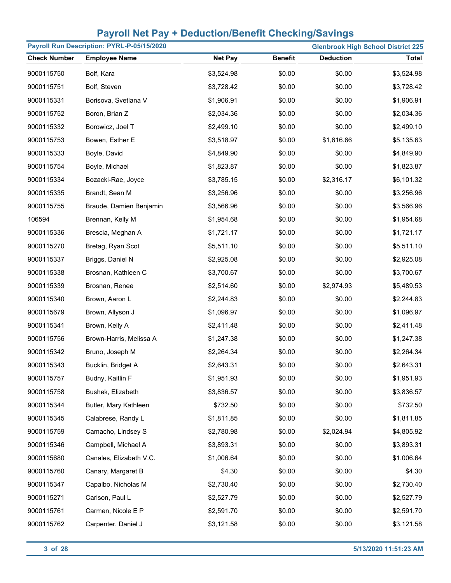| Payroll Run Description: PYRL-P-05/15/2020<br><b>Glenbrook High School District 225</b> |                         |                |                |                  |              |
|-----------------------------------------------------------------------------------------|-------------------------|----------------|----------------|------------------|--------------|
| <b>Check Number</b>                                                                     | <b>Employee Name</b>    | <b>Net Pay</b> | <b>Benefit</b> | <b>Deduction</b> | <b>Total</b> |
| 9000115750                                                                              | Bolf, Kara              | \$3,524.98     | \$0.00         | \$0.00           | \$3,524.98   |
| 9000115751                                                                              | Bolf, Steven            | \$3,728.42     | \$0.00         | \$0.00           | \$3,728.42   |
| 9000115331                                                                              | Borisova, Svetlana V    | \$1,906.91     | \$0.00         | \$0.00           | \$1,906.91   |
| 9000115752                                                                              | Boron, Brian Z          | \$2,034.36     | \$0.00         | \$0.00           | \$2,034.36   |
| 9000115332                                                                              | Borowicz, Joel T        | \$2,499.10     | \$0.00         | \$0.00           | \$2,499.10   |
| 9000115753                                                                              | Bowen, Esther E         | \$3,518.97     | \$0.00         | \$1,616.66       | \$5,135.63   |
| 9000115333                                                                              | Boyle, David            | \$4,849.90     | \$0.00         | \$0.00           | \$4,849.90   |
| 9000115754                                                                              | Boyle, Michael          | \$1,823.87     | \$0.00         | \$0.00           | \$1,823.87   |
| 9000115334                                                                              | Bozacki-Rae, Joyce      | \$3,785.15     | \$0.00         | \$2,316.17       | \$6,101.32   |
| 9000115335                                                                              | Brandt, Sean M          | \$3,256.96     | \$0.00         | \$0.00           | \$3,256.96   |
| 9000115755                                                                              | Braude, Damien Benjamin | \$3,566.96     | \$0.00         | \$0.00           | \$3,566.96   |
| 106594                                                                                  | Brennan, Kelly M        | \$1,954.68     | \$0.00         | \$0.00           | \$1,954.68   |
| 9000115336                                                                              | Brescia, Meghan A       | \$1,721.17     | \$0.00         | \$0.00           | \$1,721.17   |
| 9000115270                                                                              | Bretag, Ryan Scot       | \$5,511.10     | \$0.00         | \$0.00           | \$5,511.10   |
| 9000115337                                                                              | Briggs, Daniel N        | \$2,925.08     | \$0.00         | \$0.00           | \$2,925.08   |
| 9000115338                                                                              | Brosnan, Kathleen C     | \$3,700.67     | \$0.00         | \$0.00           | \$3,700.67   |
| 9000115339                                                                              | Brosnan, Renee          | \$2,514.60     | \$0.00         | \$2,974.93       | \$5,489.53   |
| 9000115340                                                                              | Brown, Aaron L          | \$2,244.83     | \$0.00         | \$0.00           | \$2,244.83   |
| 9000115679                                                                              | Brown, Allyson J        | \$1,096.97     | \$0.00         | \$0.00           | \$1,096.97   |
| 9000115341                                                                              | Brown, Kelly A          | \$2,411.48     | \$0.00         | \$0.00           | \$2,411.48   |
| 9000115756                                                                              | Brown-Harris, Melissa A | \$1,247.38     | \$0.00         | \$0.00           | \$1,247.38   |
| 9000115342                                                                              | Bruno, Joseph M         | \$2,264.34     | \$0.00         | \$0.00           | \$2,264.34   |
| 9000115343                                                                              | Bucklin, Bridget A      | \$2,643.31     | \$0.00         | \$0.00           | \$2,643.31   |
| 9000115757                                                                              | Budny, Kaitlin F        | \$1,951.93     | \$0.00         | \$0.00           | \$1,951.93   |
| 9000115758                                                                              | Bushek, Elizabeth       | \$3,836.57     | \$0.00         | \$0.00           | \$3,836.57   |
| 9000115344                                                                              | Butler, Mary Kathleen   | \$732.50       | \$0.00         | \$0.00           | \$732.50     |
| 9000115345                                                                              | Calabrese, Randy L      | \$1,811.85     | \$0.00         | \$0.00           | \$1,811.85   |
| 9000115759                                                                              | Camacho, Lindsey S      | \$2,780.98     | \$0.00         | \$2,024.94       | \$4,805.92   |
| 9000115346                                                                              | Campbell, Michael A     | \$3,893.31     | \$0.00         | \$0.00           | \$3,893.31   |
| 9000115680                                                                              | Canales, Elizabeth V.C. | \$1,006.64     | \$0.00         | \$0.00           | \$1,006.64   |
| 9000115760                                                                              | Canary, Margaret B      | \$4.30         | \$0.00         | \$0.00           | \$4.30       |
| 9000115347                                                                              | Capalbo, Nicholas M     | \$2,730.40     | \$0.00         | \$0.00           | \$2,730.40   |
| 9000115271                                                                              | Carlson, Paul L         | \$2,527.79     | \$0.00         | \$0.00           | \$2,527.79   |
| 9000115761                                                                              | Carmen, Nicole E P      | \$2,591.70     | \$0.00         | \$0.00           | \$2,591.70   |
| 9000115762                                                                              | Carpenter, Daniel J     | \$3,121.58     | \$0.00         | \$0.00           | \$3,121.58   |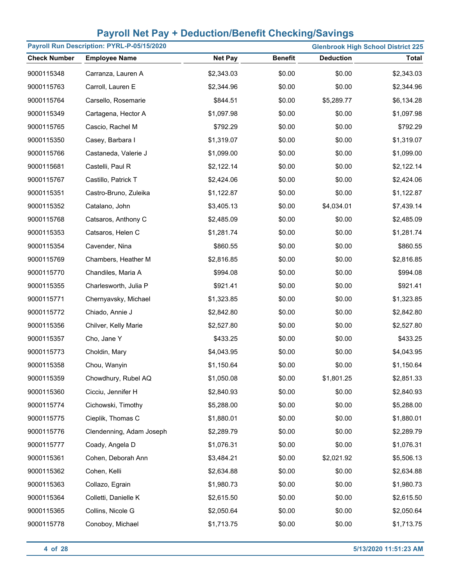| Payroll Run Description: PYRL-P-05/15/2020<br><b>Glenbrook High School District 225</b> |                          |                |                |                  |              |
|-----------------------------------------------------------------------------------------|--------------------------|----------------|----------------|------------------|--------------|
| <b>Check Number</b>                                                                     | <b>Employee Name</b>     | <b>Net Pay</b> | <b>Benefit</b> | <b>Deduction</b> | <b>Total</b> |
| 9000115348                                                                              | Carranza, Lauren A       | \$2,343.03     | \$0.00         | \$0.00           | \$2,343.03   |
| 9000115763                                                                              | Carroll, Lauren E        | \$2,344.96     | \$0.00         | \$0.00           | \$2,344.96   |
| 9000115764                                                                              | Carsello, Rosemarie      | \$844.51       | \$0.00         | \$5,289.77       | \$6,134.28   |
| 9000115349                                                                              | Cartagena, Hector A      | \$1,097.98     | \$0.00         | \$0.00           | \$1,097.98   |
| 9000115765                                                                              | Cascio, Rachel M         | \$792.29       | \$0.00         | \$0.00           | \$792.29     |
| 9000115350                                                                              | Casey, Barbara I         | \$1,319.07     | \$0.00         | \$0.00           | \$1,319.07   |
| 9000115766                                                                              | Castaneda, Valerie J     | \$1,099.00     | \$0.00         | \$0.00           | \$1,099.00   |
| 9000115681                                                                              | Castelli, Paul R         | \$2,122.14     | \$0.00         | \$0.00           | \$2,122.14   |
| 9000115767                                                                              | Castillo, Patrick T      | \$2,424.06     | \$0.00         | \$0.00           | \$2,424.06   |
| 9000115351                                                                              | Castro-Bruno, Zuleika    | \$1,122.87     | \$0.00         | \$0.00           | \$1,122.87   |
| 9000115352                                                                              | Catalano, John           | \$3,405.13     | \$0.00         | \$4,034.01       | \$7,439.14   |
| 9000115768                                                                              | Catsaros, Anthony C      | \$2,485.09     | \$0.00         | \$0.00           | \$2,485.09   |
| 9000115353                                                                              | Catsaros, Helen C        | \$1,281.74     | \$0.00         | \$0.00           | \$1,281.74   |
| 9000115354                                                                              | Cavender, Nina           | \$860.55       | \$0.00         | \$0.00           | \$860.55     |
| 9000115769                                                                              | Chambers, Heather M      | \$2,816.85     | \$0.00         | \$0.00           | \$2,816.85   |
| 9000115770                                                                              | Chandiles, Maria A       | \$994.08       | \$0.00         | \$0.00           | \$994.08     |
| 9000115355                                                                              | Charlesworth, Julia P    | \$921.41       | \$0.00         | \$0.00           | \$921.41     |
| 9000115771                                                                              | Chernyavsky, Michael     | \$1,323.85     | \$0.00         | \$0.00           | \$1,323.85   |
| 9000115772                                                                              | Chiado, Annie J          | \$2,842.80     | \$0.00         | \$0.00           | \$2,842.80   |
| 9000115356                                                                              | Chilver, Kelly Marie     | \$2,527.80     | \$0.00         | \$0.00           | \$2,527.80   |
| 9000115357                                                                              | Cho, Jane Y              | \$433.25       | \$0.00         | \$0.00           | \$433.25     |
| 9000115773                                                                              | Choldin, Mary            | \$4,043.95     | \$0.00         | \$0.00           | \$4,043.95   |
| 9000115358                                                                              | Chou, Wanyin             | \$1,150.64     | \$0.00         | \$0.00           | \$1,150.64   |
| 9000115359                                                                              | Chowdhury, Rubel AQ      | \$1,050.08     | \$0.00         | \$1,801.25       | \$2,851.33   |
| 9000115360                                                                              | Cicciu, Jennifer H       | \$2,840.93     | \$0.00         | \$0.00           | \$2,840.93   |
| 9000115774                                                                              | Cichowski, Timothy       | \$5,288.00     | \$0.00         | \$0.00           | \$5,288.00   |
| 9000115775                                                                              | Cieplik, Thomas C        | \$1,880.01     | \$0.00         | \$0.00           | \$1,880.01   |
| 9000115776                                                                              | Clendenning, Adam Joseph | \$2,289.79     | \$0.00         | \$0.00           | \$2,289.79   |
| 9000115777                                                                              | Coady, Angela D          | \$1,076.31     | \$0.00         | \$0.00           | \$1,076.31   |
| 9000115361                                                                              | Cohen, Deborah Ann       | \$3,484.21     | \$0.00         | \$2,021.92       | \$5,506.13   |
| 9000115362                                                                              | Cohen, Kelli             | \$2,634.88     | \$0.00         | \$0.00           | \$2,634.88   |
| 9000115363                                                                              | Collazo, Egrain          | \$1,980.73     | \$0.00         | \$0.00           | \$1,980.73   |
| 9000115364                                                                              | Colletti, Danielle K     | \$2,615.50     | \$0.00         | \$0.00           | \$2,615.50   |
| 9000115365                                                                              | Collins, Nicole G        | \$2,050.64     | \$0.00         | \$0.00           | \$2,050.64   |
| 9000115778                                                                              | Conoboy, Michael         | \$1,713.75     | \$0.00         | \$0.00           | \$1,713.75   |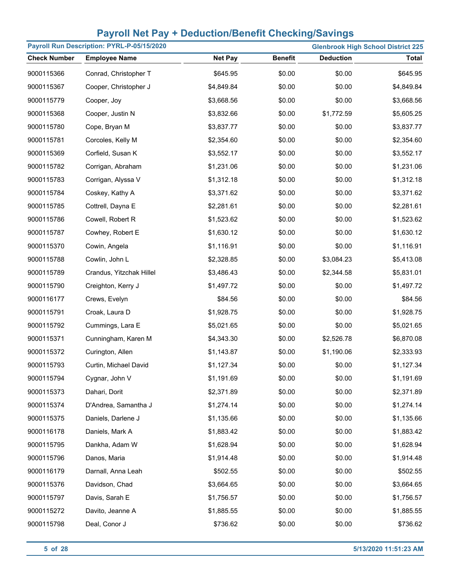| Payroll Run Description: PYRL-P-05/15/2020<br><b>Glenbrook High School District 225</b> |                          |                |                |                  |              |
|-----------------------------------------------------------------------------------------|--------------------------|----------------|----------------|------------------|--------------|
| <b>Check Number</b>                                                                     | <b>Employee Name</b>     | <b>Net Pay</b> | <b>Benefit</b> | <b>Deduction</b> | <b>Total</b> |
| 9000115366                                                                              | Conrad, Christopher T    | \$645.95       | \$0.00         | \$0.00           | \$645.95     |
| 9000115367                                                                              | Cooper, Christopher J    | \$4,849.84     | \$0.00         | \$0.00           | \$4,849.84   |
| 9000115779                                                                              | Cooper, Joy              | \$3,668.56     | \$0.00         | \$0.00           | \$3,668.56   |
| 9000115368                                                                              | Cooper, Justin N         | \$3,832.66     | \$0.00         | \$1,772.59       | \$5,605.25   |
| 9000115780                                                                              | Cope, Bryan M            | \$3,837.77     | \$0.00         | \$0.00           | \$3,837.77   |
| 9000115781                                                                              | Corcoles, Kelly M        | \$2,354.60     | \$0.00         | \$0.00           | \$2,354.60   |
| 9000115369                                                                              | Corfield, Susan K        | \$3,552.17     | \$0.00         | \$0.00           | \$3,552.17   |
| 9000115782                                                                              | Corrigan, Abraham        | \$1,231.06     | \$0.00         | \$0.00           | \$1,231.06   |
| 9000115783                                                                              | Corrigan, Alyssa V       | \$1,312.18     | \$0.00         | \$0.00           | \$1,312.18   |
| 9000115784                                                                              | Coskey, Kathy A          | \$3,371.62     | \$0.00         | \$0.00           | \$3,371.62   |
| 9000115785                                                                              | Cottrell, Dayna E        | \$2,281.61     | \$0.00         | \$0.00           | \$2,281.61   |
| 9000115786                                                                              | Cowell, Robert R         | \$1,523.62     | \$0.00         | \$0.00           | \$1,523.62   |
| 9000115787                                                                              | Cowhey, Robert E         | \$1,630.12     | \$0.00         | \$0.00           | \$1,630.12   |
| 9000115370                                                                              | Cowin, Angela            | \$1,116.91     | \$0.00         | \$0.00           | \$1,116.91   |
| 9000115788                                                                              | Cowlin, John L           | \$2,328.85     | \$0.00         | \$3,084.23       | \$5,413.08   |
| 9000115789                                                                              | Crandus, Yitzchak Hillel | \$3,486.43     | \$0.00         | \$2,344.58       | \$5,831.01   |
| 9000115790                                                                              | Creighton, Kerry J       | \$1,497.72     | \$0.00         | \$0.00           | \$1,497.72   |
| 9000116177                                                                              | Crews, Evelyn            | \$84.56        | \$0.00         | \$0.00           | \$84.56      |
| 9000115791                                                                              | Croak, Laura D           | \$1,928.75     | \$0.00         | \$0.00           | \$1,928.75   |
| 9000115792                                                                              | Cummings, Lara E         | \$5,021.65     | \$0.00         | \$0.00           | \$5,021.65   |
| 9000115371                                                                              | Cunningham, Karen M      | \$4,343.30     | \$0.00         | \$2,526.78       | \$6,870.08   |
| 9000115372                                                                              | Curington, Allen         | \$1,143.87     | \$0.00         | \$1,190.06       | \$2,333.93   |
| 9000115793                                                                              | Curtin, Michael David    | \$1,127.34     | \$0.00         | \$0.00           | \$1,127.34   |
| 9000115794                                                                              | Cygnar, John V           | \$1,191.69     | \$0.00         | \$0.00           | \$1,191.69   |
| 9000115373                                                                              | Dahari, Dorit            | \$2,371.89     | \$0.00         | \$0.00           | \$2,371.89   |
| 9000115374                                                                              | D'Andrea, Samantha J     | \$1,274.14     | \$0.00         | \$0.00           | \$1,274.14   |
| 9000115375                                                                              | Daniels, Darlene J       | \$1,135.66     | \$0.00         | \$0.00           | \$1,135.66   |
| 9000116178                                                                              | Daniels, Mark A          | \$1,883.42     | \$0.00         | \$0.00           | \$1,883.42   |
| 9000115795                                                                              | Dankha, Adam W           | \$1,628.94     | \$0.00         | \$0.00           | \$1,628.94   |
| 9000115796                                                                              | Danos, Maria             | \$1,914.48     | \$0.00         | \$0.00           | \$1,914.48   |
| 9000116179                                                                              | Darnall, Anna Leah       | \$502.55       | \$0.00         | \$0.00           | \$502.55     |
| 9000115376                                                                              | Davidson, Chad           | \$3,664.65     | \$0.00         | \$0.00           | \$3,664.65   |
| 9000115797                                                                              | Davis, Sarah E           | \$1,756.57     | \$0.00         | \$0.00           | \$1,756.57   |
| 9000115272                                                                              | Davito, Jeanne A         | \$1,885.55     | \$0.00         | \$0.00           | \$1,885.55   |
| 9000115798                                                                              | Deal, Conor J            | \$736.62       | \$0.00         | \$0.00           | \$736.62     |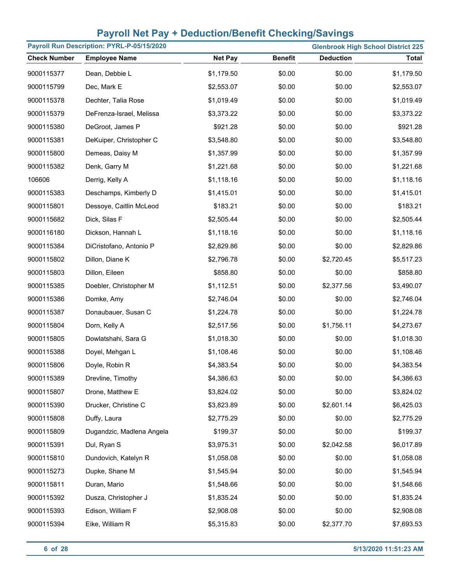| Payroll Run Description: PYRL-P-05/15/2020<br><b>Glenbrook High School District 225</b> |                           |                |                |                  |              |
|-----------------------------------------------------------------------------------------|---------------------------|----------------|----------------|------------------|--------------|
| <b>Check Number</b>                                                                     | <b>Employee Name</b>      | <b>Net Pay</b> | <b>Benefit</b> | <b>Deduction</b> | <b>Total</b> |
| 9000115377                                                                              | Dean, Debbie L            | \$1,179.50     | \$0.00         | \$0.00           | \$1,179.50   |
| 9000115799                                                                              | Dec, Mark E               | \$2,553.07     | \$0.00         | \$0.00           | \$2,553.07   |
| 9000115378                                                                              | Dechter, Talia Rose       | \$1,019.49     | \$0.00         | \$0.00           | \$1,019.49   |
| 9000115379                                                                              | DeFrenza-Israel, Melissa  | \$3,373.22     | \$0.00         | \$0.00           | \$3,373.22   |
| 9000115380                                                                              | DeGroot, James P          | \$921.28       | \$0.00         | \$0.00           | \$921.28     |
| 9000115381                                                                              | DeKuiper, Christopher C   | \$3,548.80     | \$0.00         | \$0.00           | \$3,548.80   |
| 9000115800                                                                              | Demeas, Daisy M           | \$1,357.99     | \$0.00         | \$0.00           | \$1,357.99   |
| 9000115382                                                                              | Denk, Garry M             | \$1,221.68     | \$0.00         | \$0.00           | \$1,221.68   |
| 106606                                                                                  | Derrig, Kelly A           | \$1,118.16     | \$0.00         | \$0.00           | \$1,118.16   |
| 9000115383                                                                              | Deschamps, Kimberly D     | \$1,415.01     | \$0.00         | \$0.00           | \$1,415.01   |
| 9000115801                                                                              | Dessoye, Caitlin McLeod   | \$183.21       | \$0.00         | \$0.00           | \$183.21     |
| 9000115682                                                                              | Dick, Silas F             | \$2,505.44     | \$0.00         | \$0.00           | \$2,505.44   |
| 9000116180                                                                              | Dickson, Hannah L         | \$1,118.16     | \$0.00         | \$0.00           | \$1,118.16   |
| 9000115384                                                                              | DiCristofano, Antonio P   | \$2,829.86     | \$0.00         | \$0.00           | \$2,829.86   |
| 9000115802                                                                              | Dillon, Diane K           | \$2,796.78     | \$0.00         | \$2,720.45       | \$5,517.23   |
| 9000115803                                                                              | Dillon, Eileen            | \$858.80       | \$0.00         | \$0.00           | \$858.80     |
| 9000115385                                                                              | Doebler, Christopher M    | \$1,112.51     | \$0.00         | \$2,377.56       | \$3,490.07   |
| 9000115386                                                                              | Domke, Amy                | \$2,746.04     | \$0.00         | \$0.00           | \$2,746.04   |
| 9000115387                                                                              | Donaubauer, Susan C       | \$1,224.78     | \$0.00         | \$0.00           | \$1,224.78   |
| 9000115804                                                                              | Dorn, Kelly A             | \$2,517.56     | \$0.00         | \$1,756.11       | \$4,273.67   |
| 9000115805                                                                              | Dowlatshahi, Sara G       | \$1,018.30     | \$0.00         | \$0.00           | \$1,018.30   |
| 9000115388                                                                              | Doyel, Mehgan L           | \$1,108.46     | \$0.00         | \$0.00           | \$1,108.46   |
| 9000115806                                                                              | Doyle, Robin R            | \$4,383.54     | \$0.00         | \$0.00           | \$4,383.54   |
| 9000115389                                                                              | Drevline, Timothy         | \$4,386.63     | \$0.00         | \$0.00           | \$4,386.63   |
| 9000115807                                                                              | Drone, Matthew E          | \$3,824.02     | \$0.00         | \$0.00           | \$3,824.02   |
| 9000115390                                                                              | Drucker, Christine C      | \$3,823.89     | \$0.00         | \$2,601.14       | \$6,425.03   |
| 9000115808                                                                              | Duffy, Laura              | \$2,775.29     | \$0.00         | \$0.00           | \$2,775.29   |
| 9000115809                                                                              | Dugandzic, Madlena Angela | \$199.37       | \$0.00         | \$0.00           | \$199.37     |
| 9000115391                                                                              | Dul, Ryan S               | \$3,975.31     | \$0.00         | \$2,042.58       | \$6,017.89   |
| 9000115810                                                                              | Dundovich, Katelyn R      | \$1,058.08     | \$0.00         | \$0.00           | \$1,058.08   |
| 9000115273                                                                              | Dupke, Shane M            | \$1,545.94     | \$0.00         | \$0.00           | \$1,545.94   |
| 9000115811                                                                              | Duran, Mario              | \$1,548.66     | \$0.00         | \$0.00           | \$1,548.66   |
| 9000115392                                                                              | Dusza, Christopher J      | \$1,835.24     | \$0.00         | \$0.00           | \$1,835.24   |
| 9000115393                                                                              | Edison, William F         | \$2,908.08     | \$0.00         | \$0.00           | \$2,908.08   |
| 9000115394                                                                              | Eike, William R           | \$5,315.83     | \$0.00         | \$2,377.70       | \$7,693.53   |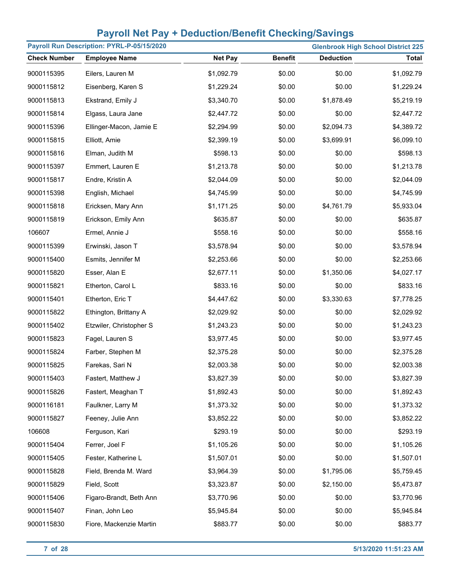| Payroll Run Description: PYRL-P-05/15/2020<br><b>Glenbrook High School District 225</b> |                         |                |                |                  |              |
|-----------------------------------------------------------------------------------------|-------------------------|----------------|----------------|------------------|--------------|
| <b>Check Number</b>                                                                     | <b>Employee Name</b>    | <b>Net Pay</b> | <b>Benefit</b> | <b>Deduction</b> | <b>Total</b> |
| 9000115395                                                                              | Eilers, Lauren M        | \$1,092.79     | \$0.00         | \$0.00           | \$1,092.79   |
| 9000115812                                                                              | Eisenberg, Karen S      | \$1,229.24     | \$0.00         | \$0.00           | \$1,229.24   |
| 9000115813                                                                              | Ekstrand, Emily J       | \$3,340.70     | \$0.00         | \$1,878.49       | \$5,219.19   |
| 9000115814                                                                              | Elgass, Laura Jane      | \$2,447.72     | \$0.00         | \$0.00           | \$2,447.72   |
| 9000115396                                                                              | Ellinger-Macon, Jamie E | \$2,294.99     | \$0.00         | \$2,094.73       | \$4,389.72   |
| 9000115815                                                                              | Elliott, Amie           | \$2,399.19     | \$0.00         | \$3,699.91       | \$6,099.10   |
| 9000115816                                                                              | Elman, Judith M         | \$598.13       | \$0.00         | \$0.00           | \$598.13     |
| 9000115397                                                                              | Emmert, Lauren E        | \$1,213.78     | \$0.00         | \$0.00           | \$1,213.78   |
| 9000115817                                                                              | Endre, Kristin A        | \$2,044.09     | \$0.00         | \$0.00           | \$2,044.09   |
| 9000115398                                                                              | English, Michael        | \$4,745.99     | \$0.00         | \$0.00           | \$4,745.99   |
| 9000115818                                                                              | Ericksen, Mary Ann      | \$1,171.25     | \$0.00         | \$4,761.79       | \$5,933.04   |
| 9000115819                                                                              | Erickson, Emily Ann     | \$635.87       | \$0.00         | \$0.00           | \$635.87     |
| 106607                                                                                  | Ermel, Annie J          | \$558.16       | \$0.00         | \$0.00           | \$558.16     |
| 9000115399                                                                              | Erwinski, Jason T       | \$3,578.94     | \$0.00         | \$0.00           | \$3,578.94   |
| 9000115400                                                                              | Esmits, Jennifer M      | \$2,253.66     | \$0.00         | \$0.00           | \$2,253.66   |
| 9000115820                                                                              | Esser, Alan E           | \$2,677.11     | \$0.00         | \$1,350.06       | \$4,027.17   |
| 9000115821                                                                              | Etherton, Carol L       | \$833.16       | \$0.00         | \$0.00           | \$833.16     |
| 9000115401                                                                              | Etherton, Eric T        | \$4,447.62     | \$0.00         | \$3,330.63       | \$7,778.25   |
| 9000115822                                                                              | Ethington, Brittany A   | \$2,029.92     | \$0.00         | \$0.00           | \$2,029.92   |
| 9000115402                                                                              | Etzwiler, Christopher S | \$1,243.23     | \$0.00         | \$0.00           | \$1,243.23   |
| 9000115823                                                                              | Fagel, Lauren S         | \$3,977.45     | \$0.00         | \$0.00           | \$3,977.45   |
| 9000115824                                                                              | Farber, Stephen M       | \$2,375.28     | \$0.00         | \$0.00           | \$2,375.28   |
| 9000115825                                                                              | Farekas, Sari N         | \$2,003.38     | \$0.00         | \$0.00           | \$2,003.38   |
| 9000115403                                                                              | Fastert, Matthew J      | \$3,827.39     | \$0.00         | \$0.00           | \$3,827.39   |
| 9000115826                                                                              | Fastert, Meaghan T      | \$1,892.43     | \$0.00         | \$0.00           | \$1,892.43   |
| 9000116181                                                                              | Faulkner, Larry M       | \$1,373.32     | \$0.00         | \$0.00           | \$1,373.32   |
| 9000115827                                                                              | Feeney, Julie Ann       | \$3,852.22     | \$0.00         | \$0.00           | \$3,852.22   |
| 106608                                                                                  | Ferguson, Kari          | \$293.19       | \$0.00         | \$0.00           | \$293.19     |
| 9000115404                                                                              | Ferrer, Joel F          | \$1,105.26     | \$0.00         | \$0.00           | \$1,105.26   |
| 9000115405                                                                              | Fester, Katherine L     | \$1,507.01     | \$0.00         | \$0.00           | \$1,507.01   |
| 9000115828                                                                              | Field, Brenda M. Ward   | \$3,964.39     | \$0.00         | \$1,795.06       | \$5,759.45   |
| 9000115829                                                                              | Field, Scott            | \$3,323.87     | \$0.00         | \$2,150.00       | \$5,473.87   |
| 9000115406                                                                              | Figaro-Brandt, Beth Ann | \$3,770.96     | \$0.00         | \$0.00           | \$3,770.96   |
| 9000115407                                                                              | Finan, John Leo         | \$5,945.84     | \$0.00         | \$0.00           | \$5,945.84   |
| 9000115830                                                                              | Fiore, Mackenzie Martin | \$883.77       | \$0.00         | \$0.00           | \$883.77     |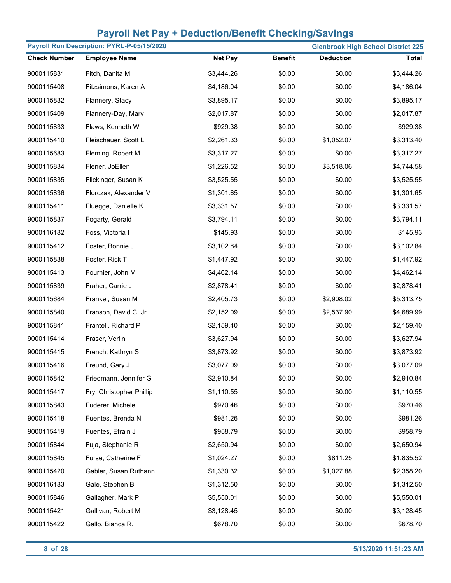|                     | Payroll Run Description: PYRL-P-05/15/2020 |                | <b>Glenbrook High School District 225</b> |                  |              |  |
|---------------------|--------------------------------------------|----------------|-------------------------------------------|------------------|--------------|--|
| <b>Check Number</b> | <b>Employee Name</b>                       | <b>Net Pay</b> | <b>Benefit</b>                            | <b>Deduction</b> | <b>Total</b> |  |
| 9000115831          | Fitch, Danita M                            | \$3,444.26     | \$0.00                                    | \$0.00           | \$3,444.26   |  |
| 9000115408          | Fitzsimons, Karen A                        | \$4,186.04     | \$0.00                                    | \$0.00           | \$4,186.04   |  |
| 9000115832          | Flannery, Stacy                            | \$3,895.17     | \$0.00                                    | \$0.00           | \$3,895.17   |  |
| 9000115409          | Flannery-Day, Mary                         | \$2,017.87     | \$0.00                                    | \$0.00           | \$2,017.87   |  |
| 9000115833          | Flaws, Kenneth W                           | \$929.38       | \$0.00                                    | \$0.00           | \$929.38     |  |
| 9000115410          | Fleischauer, Scott L                       | \$2,261.33     | \$0.00                                    | \$1,052.07       | \$3,313.40   |  |
| 9000115683          | Fleming, Robert M                          | \$3,317.27     | \$0.00                                    | \$0.00           | \$3,317.27   |  |
| 9000115834          | Flener, JoEllen                            | \$1,226.52     | \$0.00                                    | \$3,518.06       | \$4,744.58   |  |
| 9000115835          | Flickinger, Susan K                        | \$3,525.55     | \$0.00                                    | \$0.00           | \$3,525.55   |  |
| 9000115836          | Florczak, Alexander V                      | \$1,301.65     | \$0.00                                    | \$0.00           | \$1,301.65   |  |
| 9000115411          | Fluegge, Danielle K                        | \$3,331.57     | \$0.00                                    | \$0.00           | \$3,331.57   |  |
| 9000115837          | Fogarty, Gerald                            | \$3,794.11     | \$0.00                                    | \$0.00           | \$3,794.11   |  |
| 9000116182          | Foss, Victoria I                           | \$145.93       | \$0.00                                    | \$0.00           | \$145.93     |  |
| 9000115412          | Foster, Bonnie J                           | \$3,102.84     | \$0.00                                    | \$0.00           | \$3,102.84   |  |
| 9000115838          | Foster, Rick T                             | \$1,447.92     | \$0.00                                    | \$0.00           | \$1,447.92   |  |
| 9000115413          | Fournier, John M                           | \$4,462.14     | \$0.00                                    | \$0.00           | \$4,462.14   |  |
| 9000115839          | Fraher, Carrie J                           | \$2,878.41     | \$0.00                                    | \$0.00           | \$2,878.41   |  |
| 9000115684          | Frankel, Susan M                           | \$2,405.73     | \$0.00                                    | \$2,908.02       | \$5,313.75   |  |
| 9000115840          | Franson, David C, Jr                       | \$2,152.09     | \$0.00                                    | \$2,537.90       | \$4,689.99   |  |
| 9000115841          | Frantell, Richard P                        | \$2,159.40     | \$0.00                                    | \$0.00           | \$2,159.40   |  |
| 9000115414          | Fraser, Verlin                             | \$3,627.94     | \$0.00                                    | \$0.00           | \$3,627.94   |  |
| 9000115415          | French, Kathryn S                          | \$3,873.92     | \$0.00                                    | \$0.00           | \$3,873.92   |  |
| 9000115416          | Freund, Gary J                             | \$3,077.09     | \$0.00                                    | \$0.00           | \$3,077.09   |  |
| 9000115842          | Friedmann, Jennifer G                      | \$2,910.84     | \$0.00                                    | \$0.00           | \$2,910.84   |  |
| 9000115417          | Fry, Christopher Phillip                   | \$1,110.55     | \$0.00                                    | \$0.00           | \$1,110.55   |  |
| 9000115843          | Fuderer, Michele L                         | \$970.46       | \$0.00                                    | \$0.00           | \$970.46     |  |
| 9000115418          | Fuentes, Brenda N                          | \$981.26       | \$0.00                                    | \$0.00           | \$981.26     |  |
| 9000115419          | Fuentes, Efrain J                          | \$958.79       | \$0.00                                    | \$0.00           | \$958.79     |  |
| 9000115844          | Fuja, Stephanie R                          | \$2,650.94     | \$0.00                                    | \$0.00           | \$2,650.94   |  |
| 9000115845          | Furse, Catherine F                         | \$1,024.27     | \$0.00                                    | \$811.25         | \$1,835.52   |  |
| 9000115420          | Gabler, Susan Ruthann                      | \$1,330.32     | \$0.00                                    | \$1,027.88       | \$2,358.20   |  |
| 9000116183          | Gale, Stephen B                            | \$1,312.50     | \$0.00                                    | \$0.00           | \$1,312.50   |  |
| 9000115846          | Gallagher, Mark P                          | \$5,550.01     | \$0.00                                    | \$0.00           | \$5,550.01   |  |
| 9000115421          | Gallivan, Robert M                         | \$3,128.45     | \$0.00                                    | \$0.00           | \$3,128.45   |  |
| 9000115422          | Gallo, Bianca R.                           | \$678.70       | \$0.00                                    | \$0.00           | \$678.70     |  |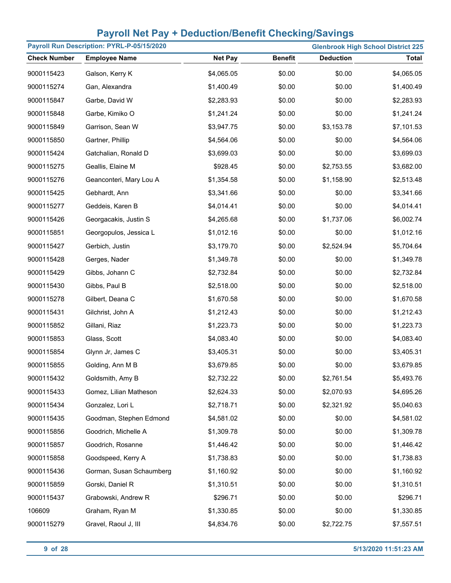| Payroll Run Description: PYRL-P-05/15/2020<br><b>Glenbrook High School District 225</b> |                          |                |                |                  |              |
|-----------------------------------------------------------------------------------------|--------------------------|----------------|----------------|------------------|--------------|
| <b>Check Number</b>                                                                     | <b>Employee Name</b>     | <b>Net Pay</b> | <b>Benefit</b> | <b>Deduction</b> | <b>Total</b> |
| 9000115423                                                                              | Galson, Kerry K          | \$4,065.05     | \$0.00         | \$0.00           | \$4,065.05   |
| 9000115274                                                                              | Gan, Alexandra           | \$1,400.49     | \$0.00         | \$0.00           | \$1,400.49   |
| 9000115847                                                                              | Garbe, David W           | \$2,283.93     | \$0.00         | \$0.00           | \$2,283.93   |
| 9000115848                                                                              | Garbe, Kimiko O          | \$1,241.24     | \$0.00         | \$0.00           | \$1,241.24   |
| 9000115849                                                                              | Garrison, Sean W         | \$3,947.75     | \$0.00         | \$3,153.78       | \$7,101.53   |
| 9000115850                                                                              | Gartner, Phillip         | \$4,564.06     | \$0.00         | \$0.00           | \$4,564.06   |
| 9000115424                                                                              | Gatchalian, Ronald D     | \$3,699.03     | \$0.00         | \$0.00           | \$3,699.03   |
| 9000115275                                                                              | Geallis, Elaine M        | \$928.45       | \$0.00         | \$2,753.55       | \$3,682.00   |
| 9000115276                                                                              | Geanconteri, Mary Lou A  | \$1,354.58     | \$0.00         | \$1,158.90       | \$2,513.48   |
| 9000115425                                                                              | Gebhardt, Ann            | \$3,341.66     | \$0.00         | \$0.00           | \$3,341.66   |
| 9000115277                                                                              | Geddeis, Karen B         | \$4,014.41     | \$0.00         | \$0.00           | \$4,014.41   |
| 9000115426                                                                              | Georgacakis, Justin S    | \$4,265.68     | \$0.00         | \$1,737.06       | \$6,002.74   |
| 9000115851                                                                              | Georgopulos, Jessica L   | \$1,012.16     | \$0.00         | \$0.00           | \$1,012.16   |
| 9000115427                                                                              | Gerbich, Justin          | \$3,179.70     | \$0.00         | \$2,524.94       | \$5,704.64   |
| 9000115428                                                                              | Gerges, Nader            | \$1,349.78     | \$0.00         | \$0.00           | \$1,349.78   |
| 9000115429                                                                              | Gibbs, Johann C          | \$2,732.84     | \$0.00         | \$0.00           | \$2,732.84   |
| 9000115430                                                                              | Gibbs, Paul B            | \$2,518.00     | \$0.00         | \$0.00           | \$2,518.00   |
| 9000115278                                                                              | Gilbert, Deana C         | \$1,670.58     | \$0.00         | \$0.00           | \$1,670.58   |
| 9000115431                                                                              | Gilchrist, John A        | \$1,212.43     | \$0.00         | \$0.00           | \$1,212.43   |
| 9000115852                                                                              | Gillani, Riaz            | \$1,223.73     | \$0.00         | \$0.00           | \$1,223.73   |
| 9000115853                                                                              | Glass, Scott             | \$4,083.40     | \$0.00         | \$0.00           | \$4,083.40   |
| 9000115854                                                                              | Glynn Jr, James C        | \$3,405.31     | \$0.00         | \$0.00           | \$3,405.31   |
| 9000115855                                                                              | Golding, Ann M B         | \$3,679.85     | \$0.00         | \$0.00           | \$3,679.85   |
| 9000115432                                                                              | Goldsmith, Amy B         | \$2,732.22     | \$0.00         | \$2,761.54       | \$5,493.76   |
| 9000115433                                                                              | Gomez, Lilian Matheson   | \$2,624.33     | \$0.00         | \$2,070.93       | \$4,695.26   |
| 9000115434                                                                              | Gonzalez, Lori L         | \$2,718.71     | \$0.00         | \$2,321.92       | \$5,040.63   |
| 9000115435                                                                              | Goodman, Stephen Edmond  | \$4,581.02     | \$0.00         | \$0.00           | \$4,581.02   |
| 9000115856                                                                              | Goodrich, Michelle A     | \$1,309.78     | \$0.00         | \$0.00           | \$1,309.78   |
| 9000115857                                                                              | Goodrich, Rosanne        | \$1,446.42     | \$0.00         | \$0.00           | \$1,446.42   |
| 9000115858                                                                              | Goodspeed, Kerry A       | \$1,738.83     | \$0.00         | \$0.00           | \$1,738.83   |
| 9000115436                                                                              | Gorman, Susan Schaumberg | \$1,160.92     | \$0.00         | \$0.00           | \$1,160.92   |
| 9000115859                                                                              | Gorski, Daniel R         | \$1,310.51     | \$0.00         | \$0.00           | \$1,310.51   |
| 9000115437                                                                              | Grabowski, Andrew R      | \$296.71       | \$0.00         | \$0.00           | \$296.71     |
| 106609                                                                                  | Graham, Ryan M           | \$1,330.85     | \$0.00         | \$0.00           | \$1,330.85   |
| 9000115279                                                                              | Gravel, Raoul J, III     | \$4,834.76     | \$0.00         | \$2,722.75       | \$7,557.51   |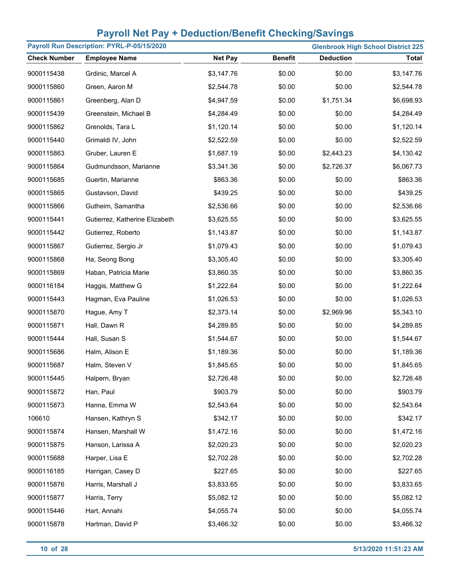| Payroll Run Description: PYRL-P-05/15/2020<br><b>Glenbrook High School District 225</b> |                                |                |                |                  |            |
|-----------------------------------------------------------------------------------------|--------------------------------|----------------|----------------|------------------|------------|
| <b>Check Number</b>                                                                     | <b>Employee Name</b>           | <b>Net Pay</b> | <b>Benefit</b> | <b>Deduction</b> | Total      |
| 9000115438                                                                              | Grdinic, Marcel A              | \$3,147.76     | \$0.00         | \$0.00           | \$3,147.76 |
| 9000115860                                                                              | Green, Aaron M                 | \$2,544.78     | \$0.00         | \$0.00           | \$2,544.78 |
| 9000115861                                                                              | Greenberg, Alan D              | \$4,947.59     | \$0.00         | \$1,751.34       | \$6,698.93 |
| 9000115439                                                                              | Greenstein, Michael B          | \$4,284.49     | \$0.00         | \$0.00           | \$4,284.49 |
| 9000115862                                                                              | Grenolds, Tara L               | \$1,120.14     | \$0.00         | \$0.00           | \$1,120.14 |
| 9000115440                                                                              | Grimaldi IV, John              | \$2,522.59     | \$0.00         | \$0.00           | \$2,522.59 |
| 9000115863                                                                              | Gruber, Lauren E               | \$1,687.19     | \$0.00         | \$2,443.23       | \$4,130.42 |
| 9000115864                                                                              | Gudmundsson, Marianne          | \$3,341.36     | \$0.00         | \$2,726.37       | \$6,067.73 |
| 9000115685                                                                              | Guertin, Marianne              | \$863.36       | \$0.00         | \$0.00           | \$863.36   |
| 9000115865                                                                              | Gustavson, David               | \$439.25       | \$0.00         | \$0.00           | \$439.25   |
| 9000115866                                                                              | Gutheim, Samantha              | \$2,536.66     | \$0.00         | \$0.00           | \$2,536.66 |
| 9000115441                                                                              | Gutierrez, Katherine Elizabeth | \$3,625.55     | \$0.00         | \$0.00           | \$3,625.55 |
| 9000115442                                                                              | Gutierrez, Roberto             | \$1,143.87     | \$0.00         | \$0.00           | \$1,143.87 |
| 9000115867                                                                              | Gutierrez, Sergio Jr           | \$1,079.43     | \$0.00         | \$0.00           | \$1,079.43 |
| 9000115868                                                                              | Ha, Seong Bong                 | \$3,305.40     | \$0.00         | \$0.00           | \$3,305.40 |
| 9000115869                                                                              | Haban, Patricia Marie          | \$3,860.35     | \$0.00         | \$0.00           | \$3,860.35 |
| 9000116184                                                                              | Haggis, Matthew G              | \$1,222.64     | \$0.00         | \$0.00           | \$1,222.64 |
| 9000115443                                                                              | Hagman, Eva Pauline            | \$1,026.53     | \$0.00         | \$0.00           | \$1,026.53 |
| 9000115870                                                                              | Hague, Amy T                   | \$2,373.14     | \$0.00         | \$2,969.96       | \$5,343.10 |
| 9000115871                                                                              | Hall, Dawn R                   | \$4,289.85     | \$0.00         | \$0.00           | \$4,289.85 |
| 9000115444                                                                              | Hall, Susan S                  | \$1,544.67     | \$0.00         | \$0.00           | \$1,544.67 |
| 9000115686                                                                              | Halm, Alison E                 | \$1,189.36     | \$0.00         | \$0.00           | \$1,189.36 |
| 9000115687                                                                              | Halm, Steven V                 | \$1,845.65     | \$0.00         | \$0.00           | \$1,845.65 |
| 9000115445                                                                              | Halpern, Bryan                 | \$2,726.48     | \$0.00         | \$0.00           | \$2,726.48 |
| 9000115872                                                                              | Han, Paul                      | \$903.79       | \$0.00         | \$0.00           | \$903.79   |
| 9000115873                                                                              | Hanna, Emma W                  | \$2,543.64     | \$0.00         | \$0.00           | \$2,543.64 |
| 106610                                                                                  | Hansen, Kathryn S              | \$342.17       | \$0.00         | \$0.00           | \$342.17   |
| 9000115874                                                                              | Hansen, Marshall W             | \$1,472.16     | \$0.00         | \$0.00           | \$1,472.16 |
| 9000115875                                                                              | Hanson, Larissa A              | \$2,020.23     | \$0.00         | \$0.00           | \$2,020.23 |
| 9000115688                                                                              | Harper, Lisa E                 | \$2,702.28     | \$0.00         | \$0.00           | \$2,702.28 |
| 9000116185                                                                              | Harrigan, Casey D              | \$227.65       | \$0.00         | \$0.00           | \$227.65   |
| 9000115876                                                                              | Harris, Marshall J             | \$3,833.65     | \$0.00         | \$0.00           | \$3,833.65 |
| 9000115877                                                                              | Harris, Terry                  | \$5,082.12     | \$0.00         | \$0.00           | \$5,082.12 |
| 9000115446                                                                              | Hart, Annahi                   | \$4,055.74     | \$0.00         | \$0.00           | \$4,055.74 |
| 9000115878                                                                              | Hartman, David P               | \$3,466.32     | \$0.00         | \$0.00           | \$3,466.32 |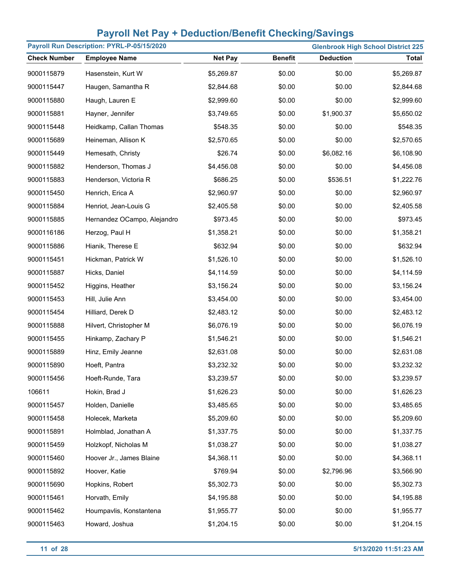| Payroll Run Description: PYRL-P-05/15/2020<br><b>Glenbrook High School District 225</b> |                             |                |                |                  |              |
|-----------------------------------------------------------------------------------------|-----------------------------|----------------|----------------|------------------|--------------|
| <b>Check Number</b>                                                                     | <b>Employee Name</b>        | <b>Net Pay</b> | <b>Benefit</b> | <b>Deduction</b> | <b>Total</b> |
| 9000115879                                                                              | Hasenstein, Kurt W          | \$5,269.87     | \$0.00         | \$0.00           | \$5,269.87   |
| 9000115447                                                                              | Haugen, Samantha R          | \$2,844.68     | \$0.00         | \$0.00           | \$2,844.68   |
| 9000115880                                                                              | Haugh, Lauren E             | \$2,999.60     | \$0.00         | \$0.00           | \$2,999.60   |
| 9000115881                                                                              | Hayner, Jennifer            | \$3,749.65     | \$0.00         | \$1,900.37       | \$5,650.02   |
| 9000115448                                                                              | Heidkamp, Callan Thomas     | \$548.35       | \$0.00         | \$0.00           | \$548.35     |
| 9000115689                                                                              | Heineman, Allison K         | \$2,570.65     | \$0.00         | \$0.00           | \$2,570.65   |
| 9000115449                                                                              | Hemesath, Christy           | \$26.74        | \$0.00         | \$6,082.16       | \$6,108.90   |
| 9000115882                                                                              | Henderson, Thomas J         | \$4,456.08     | \$0.00         | \$0.00           | \$4,456.08   |
| 9000115883                                                                              | Henderson, Victoria R       | \$686.25       | \$0.00         | \$536.51         | \$1,222.76   |
| 9000115450                                                                              | Henrich, Erica A            | \$2,960.97     | \$0.00         | \$0.00           | \$2,960.97   |
| 9000115884                                                                              | Henriot, Jean-Louis G       | \$2,405.58     | \$0.00         | \$0.00           | \$2,405.58   |
| 9000115885                                                                              | Hernandez OCampo, Alejandro | \$973.45       | \$0.00         | \$0.00           | \$973.45     |
| 9000116186                                                                              | Herzog, Paul H              | \$1,358.21     | \$0.00         | \$0.00           | \$1,358.21   |
| 9000115886                                                                              | Hianik, Therese E           | \$632.94       | \$0.00         | \$0.00           | \$632.94     |
| 9000115451                                                                              | Hickman, Patrick W          | \$1,526.10     | \$0.00         | \$0.00           | \$1,526.10   |
| 9000115887                                                                              | Hicks, Daniel               | \$4,114.59     | \$0.00         | \$0.00           | \$4,114.59   |
| 9000115452                                                                              | Higgins, Heather            | \$3,156.24     | \$0.00         | \$0.00           | \$3,156.24   |
| 9000115453                                                                              | Hill, Julie Ann             | \$3,454.00     | \$0.00         | \$0.00           | \$3,454.00   |
| 9000115454                                                                              | Hilliard, Derek D           | \$2,483.12     | \$0.00         | \$0.00           | \$2,483.12   |
| 9000115888                                                                              | Hilvert, Christopher M      | \$6,076.19     | \$0.00         | \$0.00           | \$6,076.19   |
| 9000115455                                                                              | Hinkamp, Zachary P          | \$1,546.21     | \$0.00         | \$0.00           | \$1,546.21   |
| 9000115889                                                                              | Hinz, Emily Jeanne          | \$2,631.08     | \$0.00         | \$0.00           | \$2,631.08   |
| 9000115890                                                                              | Hoeft, Pantra               | \$3,232.32     | \$0.00         | \$0.00           | \$3,232.32   |
| 9000115456                                                                              | Hoeft-Runde, Tara           | \$3,239.57     | \$0.00         | \$0.00           | \$3,239.57   |
| 106611                                                                                  | Hokin, Brad J               | \$1,626.23     | \$0.00         | \$0.00           | \$1,626.23   |
| 9000115457                                                                              | Holden, Danielle            | \$3,485.65     | \$0.00         | \$0.00           | \$3,485.65   |
| 9000115458                                                                              | Holecek, Marketa            | \$5,209.60     | \$0.00         | \$0.00           | \$5,209.60   |
| 9000115891                                                                              | Holmblad, Jonathan A        | \$1,337.75     | \$0.00         | \$0.00           | \$1,337.75   |
| 9000115459                                                                              | Holzkopf, Nicholas M        | \$1,038.27     | \$0.00         | \$0.00           | \$1,038.27   |
| 9000115460                                                                              | Hoover Jr., James Blaine    | \$4,368.11     | \$0.00         | \$0.00           | \$4,368.11   |
| 9000115892                                                                              | Hoover, Katie               | \$769.94       | \$0.00         | \$2,796.96       | \$3,566.90   |
| 9000115690                                                                              | Hopkins, Robert             | \$5,302.73     | \$0.00         | \$0.00           | \$5,302.73   |
| 9000115461                                                                              | Horvath, Emily              | \$4,195.88     | \$0.00         | \$0.00           | \$4,195.88   |
| 9000115462                                                                              | Houmpavlis, Konstantena     | \$1,955.77     | \$0.00         | \$0.00           | \$1,955.77   |
| 9000115463                                                                              | Howard, Joshua              | \$1,204.15     | \$0.00         | \$0.00           | \$1,204.15   |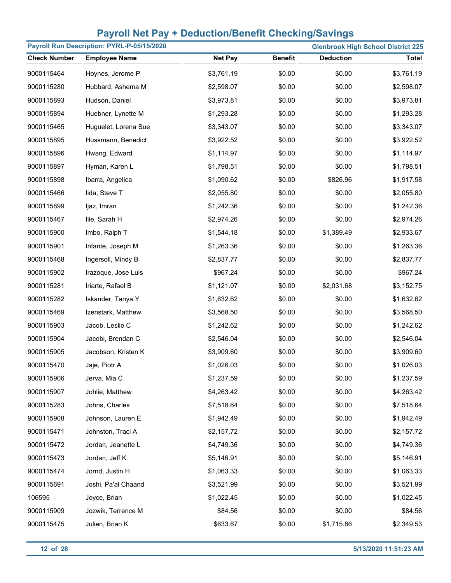| Payroll Run Description: PYRL-P-05/15/2020 |                      |                |                |                  | <b>Glenbrook High School District 225</b> |
|--------------------------------------------|----------------------|----------------|----------------|------------------|-------------------------------------------|
| <b>Check Number</b>                        | <b>Employee Name</b> | <b>Net Pay</b> | <b>Benefit</b> | <b>Deduction</b> | <b>Total</b>                              |
| 9000115464                                 | Hoynes, Jerome P     | \$3,761.19     | \$0.00         | \$0.00           | \$3,761.19                                |
| 9000115280                                 | Hubbard, Ashema M    | \$2,598.07     | \$0.00         | \$0.00           | \$2,598.07                                |
| 9000115893                                 | Hudson, Daniel       | \$3,973.81     | \$0.00         | \$0.00           | \$3,973.81                                |
| 9000115894                                 | Huebner, Lynette M   | \$1,293.28     | \$0.00         | \$0.00           | \$1,293.28                                |
| 9000115465                                 | Huguelet, Lorena Sue | \$3,343.07     | \$0.00         | \$0.00           | \$3,343.07                                |
| 9000115895                                 | Hussmann, Benedict   | \$3,922.52     | \$0.00         | \$0.00           | \$3,922.52                                |
| 9000115896                                 | Hwang, Edward        | \$1,114.97     | \$0.00         | \$0.00           | \$1,114.97                                |
| 9000115897                                 | Hyman, Karen L       | \$1,798.51     | \$0.00         | \$0.00           | \$1,798.51                                |
| 9000115898                                 | Ibarra, Angelica     | \$1,090.62     | \$0.00         | \$826.96         | \$1,917.58                                |
| 9000115466                                 | lida, Steve T        | \$2,055.80     | \$0.00         | \$0.00           | \$2,055.80                                |
| 9000115899                                 | ljaz, Imran          | \$1,242.36     | \$0.00         | \$0.00           | \$1,242.36                                |
| 9000115467                                 | Ilie, Sarah H        | \$2,974.26     | \$0.00         | \$0.00           | \$2,974.26                                |
| 9000115900                                 | Imbo, Ralph T        | \$1,544.18     | \$0.00         | \$1,389.49       | \$2,933.67                                |
| 9000115901                                 | Infante, Joseph M    | \$1,263.36     | \$0.00         | \$0.00           | \$1,263.36                                |
| 9000115468                                 | Ingersoll, Mindy B   | \$2,837.77     | \$0.00         | \$0.00           | \$2,837.77                                |
| 9000115902                                 | Irazoque, Jose Luis  | \$967.24       | \$0.00         | \$0.00           | \$967.24                                  |
| 9000115281                                 | Iriarte, Rafael B    | \$1,121.07     | \$0.00         | \$2,031.68       | \$3,152.75                                |
| 9000115282                                 | Iskander, Tanya Y    | \$1,632.62     | \$0.00         | \$0.00           | \$1,632.62                                |
| 9000115469                                 | Izenstark, Matthew   | \$3,568.50     | \$0.00         | \$0.00           | \$3,568.50                                |
| 9000115903                                 | Jacob, Leslie C      | \$1,242.62     | \$0.00         | \$0.00           | \$1,242.62                                |
| 9000115904                                 | Jacobi, Brendan C    | \$2,546.04     | \$0.00         | \$0.00           | \$2,546.04                                |
| 9000115905                                 | Jacobson, Kristen K  | \$3,909.60     | \$0.00         | \$0.00           | \$3,909.60                                |
| 9000115470                                 | Jaje, Piotr A        | \$1,026.03     | \$0.00         | \$0.00           | \$1,026.03                                |
| 9000115906                                 | Jerva, Mia C         | \$1,237.59     | \$0.00         | \$0.00           | \$1,237.59                                |
| 9000115907                                 | Johlie, Matthew      | \$4,263.42     | \$0.00         | \$0.00           | \$4,263.42                                |
| 9000115283                                 | Johns, Charles       | \$7,518.64     | \$0.00         | \$0.00           | \$7,518.64                                |
| 9000115908                                 | Johnson, Lauren E    | \$1,942.49     | \$0.00         | \$0.00           | \$1,942.49                                |
| 9000115471                                 | Johnston, Traci A    | \$2,157.72     | \$0.00         | \$0.00           | \$2,157.72                                |
| 9000115472                                 | Jordan, Jeanette L   | \$4,749.36     | \$0.00         | \$0.00           | \$4,749.36                                |
| 9000115473                                 | Jordan, Jeff K       | \$5,146.91     | \$0.00         | \$0.00           | \$5,146.91                                |
| 9000115474                                 | Jornd, Justin H      | \$1,063.33     | \$0.00         | \$0.00           | \$1,063.33                                |
| 9000115691                                 | Joshi, Pa'al Chaand  | \$3,521.99     | \$0.00         | \$0.00           | \$3,521.99                                |
| 106595                                     | Joyce, Brian         | \$1,022.45     | \$0.00         | \$0.00           | \$1,022.45                                |
| 9000115909                                 | Jozwik, Terrence M   | \$84.56        | \$0.00         | \$0.00           | \$84.56                                   |
| 9000115475                                 | Julien, Brian K      | \$633.67       | \$0.00         | \$1,715.86       | \$2,349.53                                |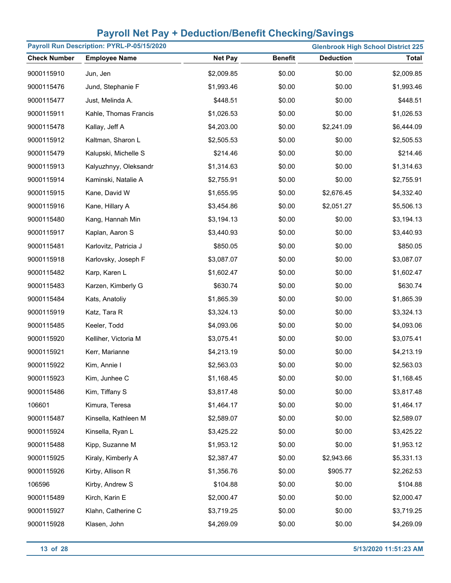| Payroll Run Description: PYRL-P-05/15/2020<br><b>Glenbrook High School District 225</b> |                       |                |                |                  |              |
|-----------------------------------------------------------------------------------------|-----------------------|----------------|----------------|------------------|--------------|
| <b>Check Number</b>                                                                     | <b>Employee Name</b>  | <b>Net Pay</b> | <b>Benefit</b> | <b>Deduction</b> | <b>Total</b> |
| 9000115910                                                                              | Jun, Jen              | \$2,009.85     | \$0.00         | \$0.00           | \$2,009.85   |
| 9000115476                                                                              | Jund, Stephanie F     | \$1,993.46     | \$0.00         | \$0.00           | \$1,993.46   |
| 9000115477                                                                              | Just, Melinda A.      | \$448.51       | \$0.00         | \$0.00           | \$448.51     |
| 9000115911                                                                              | Kahle, Thomas Francis | \$1,026.53     | \$0.00         | \$0.00           | \$1,026.53   |
| 9000115478                                                                              | Kallay, Jeff A        | \$4,203.00     | \$0.00         | \$2,241.09       | \$6,444.09   |
| 9000115912                                                                              | Kaltman, Sharon L     | \$2,505.53     | \$0.00         | \$0.00           | \$2,505.53   |
| 9000115479                                                                              | Kalupski, Michelle S  | \$214.46       | \$0.00         | \$0.00           | \$214.46     |
| 9000115913                                                                              | Kalyuzhnyy, Oleksandr | \$1,314.63     | \$0.00         | \$0.00           | \$1,314.63   |
| 9000115914                                                                              | Kaminski, Natalie A   | \$2,755.91     | \$0.00         | \$0.00           | \$2,755.91   |
| 9000115915                                                                              | Kane, David W         | \$1,655.95     | \$0.00         | \$2,676.45       | \$4,332.40   |
| 9000115916                                                                              | Kane, Hillary A       | \$3,454.86     | \$0.00         | \$2,051.27       | \$5,506.13   |
| 9000115480                                                                              | Kang, Hannah Min      | \$3,194.13     | \$0.00         | \$0.00           | \$3,194.13   |
| 9000115917                                                                              | Kaplan, Aaron S       | \$3,440.93     | \$0.00         | \$0.00           | \$3,440.93   |
| 9000115481                                                                              | Karlovitz, Patricia J | \$850.05       | \$0.00         | \$0.00           | \$850.05     |
| 9000115918                                                                              | Karlovsky, Joseph F   | \$3,087.07     | \$0.00         | \$0.00           | \$3,087.07   |
| 9000115482                                                                              | Karp, Karen L         | \$1,602.47     | \$0.00         | \$0.00           | \$1,602.47   |
| 9000115483                                                                              | Karzen, Kimberly G    | \$630.74       | \$0.00         | \$0.00           | \$630.74     |
| 9000115484                                                                              | Kats, Anatoliy        | \$1,865.39     | \$0.00         | \$0.00           | \$1,865.39   |
| 9000115919                                                                              | Katz, Tara R          | \$3,324.13     | \$0.00         | \$0.00           | \$3,324.13   |
| 9000115485                                                                              | Keeler, Todd          | \$4,093.06     | \$0.00         | \$0.00           | \$4,093.06   |
| 9000115920                                                                              | Kelliher, Victoria M  | \$3,075.41     | \$0.00         | \$0.00           | \$3,075.41   |
| 9000115921                                                                              | Kerr, Marianne        | \$4,213.19     | \$0.00         | \$0.00           | \$4,213.19   |
| 9000115922                                                                              | Kim, Annie I          | \$2,563.03     | \$0.00         | \$0.00           | \$2,563.03   |
| 9000115923                                                                              | Kim, Junhee C         | \$1,168.45     | \$0.00         | \$0.00           | \$1,168.45   |
| 9000115486                                                                              | Kim, Tiffany S        | \$3,817.48     | \$0.00         | \$0.00           | \$3,817.48   |
| 106601                                                                                  | Kimura, Teresa        | \$1,464.17     | \$0.00         | \$0.00           | \$1,464.17   |
| 9000115487                                                                              | Kinsella, Kathleen M  | \$2,589.07     | \$0.00         | \$0.00           | \$2,589.07   |
| 9000115924                                                                              | Kinsella, Ryan L      | \$3,425.22     | \$0.00         | \$0.00           | \$3,425.22   |
| 9000115488                                                                              | Kipp, Suzanne M       | \$1,953.12     | \$0.00         | \$0.00           | \$1,953.12   |
| 9000115925                                                                              | Kiraly, Kimberly A    | \$2,387.47     | \$0.00         | \$2,943.66       | \$5,331.13   |
| 9000115926                                                                              | Kirby, Allison R      | \$1,356.76     | \$0.00         | \$905.77         | \$2,262.53   |
| 106596                                                                                  | Kirby, Andrew S       | \$104.88       | \$0.00         | \$0.00           | \$104.88     |
| 9000115489                                                                              | Kirch, Karin E        | \$2,000.47     | \$0.00         | \$0.00           | \$2,000.47   |
| 9000115927                                                                              | Klahn, Catherine C    | \$3,719.25     | \$0.00         | \$0.00           | \$3,719.25   |
| 9000115928                                                                              | Klasen, John          | \$4,269.09     | \$0.00         | \$0.00           | \$4,269.09   |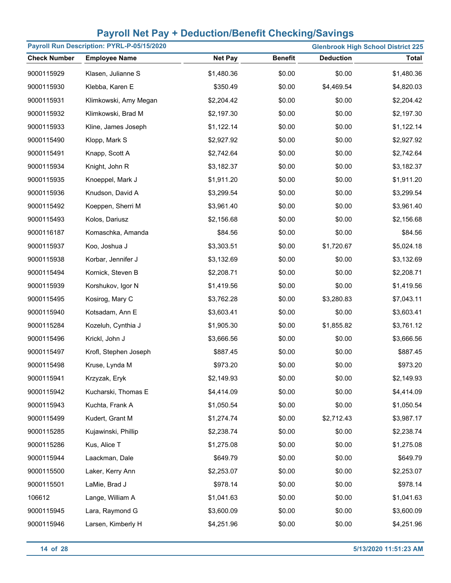| Payroll Run Description: PYRL-P-05/15/2020<br><b>Glenbrook High School District 225</b> |                       |                |                |                  |              |
|-----------------------------------------------------------------------------------------|-----------------------|----------------|----------------|------------------|--------------|
| <b>Check Number</b>                                                                     | <b>Employee Name</b>  | <b>Net Pay</b> | <b>Benefit</b> | <b>Deduction</b> | <b>Total</b> |
| 9000115929                                                                              | Klasen, Julianne S    | \$1,480.36     | \$0.00         | \$0.00           | \$1,480.36   |
| 9000115930                                                                              | Klebba, Karen E       | \$350.49       | \$0.00         | \$4,469.54       | \$4,820.03   |
| 9000115931                                                                              | Klimkowski, Amy Megan | \$2,204.42     | \$0.00         | \$0.00           | \$2,204.42   |
| 9000115932                                                                              | Klimkowski, Brad M    | \$2,197.30     | \$0.00         | \$0.00           | \$2,197.30   |
| 9000115933                                                                              | Kline, James Joseph   | \$1,122.14     | \$0.00         | \$0.00           | \$1,122.14   |
| 9000115490                                                                              | Klopp, Mark S         | \$2,927.92     | \$0.00         | \$0.00           | \$2,927.92   |
| 9000115491                                                                              | Knapp, Scott A        | \$2,742.64     | \$0.00         | \$0.00           | \$2,742.64   |
| 9000115934                                                                              | Knight, John R        | \$3,182.37     | \$0.00         | \$0.00           | \$3,182.37   |
| 9000115935                                                                              | Knoeppel, Mark J      | \$1,911.20     | \$0.00         | \$0.00           | \$1,911.20   |
| 9000115936                                                                              | Knudson, David A      | \$3,299.54     | \$0.00         | \$0.00           | \$3,299.54   |
| 9000115492                                                                              | Koeppen, Sherri M     | \$3,961.40     | \$0.00         | \$0.00           | \$3,961.40   |
| 9000115493                                                                              | Kolos, Dariusz        | \$2,156.68     | \$0.00         | \$0.00           | \$2,156.68   |
| 9000116187                                                                              | Komaschka, Amanda     | \$84.56        | \$0.00         | \$0.00           | \$84.56      |
| 9000115937                                                                              | Koo, Joshua J         | \$3,303.51     | \$0.00         | \$1,720.67       | \$5,024.18   |
| 9000115938                                                                              | Korbar, Jennifer J    | \$3,132.69     | \$0.00         | \$0.00           | \$3,132.69   |
| 9000115494                                                                              | Kornick, Steven B     | \$2,208.71     | \$0.00         | \$0.00           | \$2,208.71   |
| 9000115939                                                                              | Korshukov, Igor N     | \$1,419.56     | \$0.00         | \$0.00           | \$1,419.56   |
| 9000115495                                                                              | Kosirog, Mary C       | \$3,762.28     | \$0.00         | \$3,280.83       | \$7,043.11   |
| 9000115940                                                                              | Kotsadam, Ann E       | \$3,603.41     | \$0.00         | \$0.00           | \$3,603.41   |
| 9000115284                                                                              | Kozeluh, Cynthia J    | \$1,905.30     | \$0.00         | \$1,855.82       | \$3,761.12   |
| 9000115496                                                                              | Krickl, John J        | \$3,666.56     | \$0.00         | \$0.00           | \$3,666.56   |
| 9000115497                                                                              | Krofl, Stephen Joseph | \$887.45       | \$0.00         | \$0.00           | \$887.45     |
| 9000115498                                                                              | Kruse, Lynda M        | \$973.20       | \$0.00         | \$0.00           | \$973.20     |
| 9000115941                                                                              | Krzyzak, Eryk         | \$2,149.93     | \$0.00         | \$0.00           | \$2,149.93   |
| 9000115942                                                                              | Kucharski, Thomas E   | \$4,414.09     | \$0.00         | \$0.00           | \$4,414.09   |
| 9000115943                                                                              | Kuchta, Frank A       | \$1,050.54     | \$0.00         | \$0.00           | \$1,050.54   |
| 9000115499                                                                              | Kudert, Grant M       | \$1,274.74     | \$0.00         | \$2,712.43       | \$3,987.17   |
| 9000115285                                                                              | Kujawinski, Phillip   | \$2,238.74     | \$0.00         | \$0.00           | \$2,238.74   |
| 9000115286                                                                              | Kus, Alice T          | \$1,275.08     | \$0.00         | \$0.00           | \$1,275.08   |
| 9000115944                                                                              | Laackman, Dale        | \$649.79       | \$0.00         | \$0.00           | \$649.79     |
| 9000115500                                                                              | Laker, Kerry Ann      | \$2,253.07     | \$0.00         | \$0.00           | \$2,253.07   |
| 9000115501                                                                              | LaMie, Brad J         | \$978.14       | \$0.00         | \$0.00           | \$978.14     |
| 106612                                                                                  | Lange, William A      | \$1,041.63     | \$0.00         | \$0.00           | \$1,041.63   |
| 9000115945                                                                              | Lara, Raymond G       | \$3,600.09     | \$0.00         | \$0.00           | \$3,600.09   |
| 9000115946                                                                              | Larsen, Kimberly H    | \$4,251.96     | \$0.00         | \$0.00           | \$4,251.96   |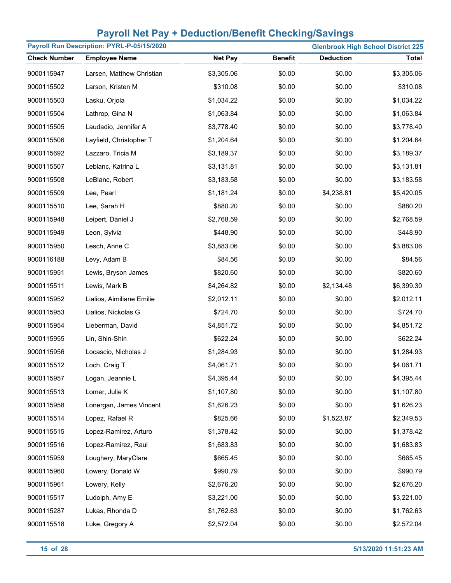| Payroll Run Description: PYRL-P-05/15/2020 |                           |                |                |                  | <b>Glenbrook High School District 225</b> |
|--------------------------------------------|---------------------------|----------------|----------------|------------------|-------------------------------------------|
| <b>Check Number</b>                        | <b>Employee Name</b>      | <b>Net Pay</b> | <b>Benefit</b> | <b>Deduction</b> | <b>Total</b>                              |
| 9000115947                                 | Larsen, Matthew Christian | \$3,305.06     | \$0.00         | \$0.00           | \$3,305.06                                |
| 9000115502                                 | Larson, Kristen M         | \$310.08       | \$0.00         | \$0.00           | \$310.08                                  |
| 9000115503                                 | Lasku, Orjola             | \$1,034.22     | \$0.00         | \$0.00           | \$1,034.22                                |
| 9000115504                                 | Lathrop, Gina N           | \$1,063.84     | \$0.00         | \$0.00           | \$1,063.84                                |
| 9000115505                                 | Laudadio, Jennifer A      | \$3,778.40     | \$0.00         | \$0.00           | \$3,778.40                                |
| 9000115506                                 | Layfield, Christopher T   | \$1,204.64     | \$0.00         | \$0.00           | \$1,204.64                                |
| 9000115692                                 | Lazzaro, Tricia M         | \$3,189.37     | \$0.00         | \$0.00           | \$3,189.37                                |
| 9000115507                                 | Leblanc, Katrina L        | \$3,131.81     | \$0.00         | \$0.00           | \$3,131.81                                |
| 9000115508                                 | LeBlanc, Robert           | \$3,183.58     | \$0.00         | \$0.00           | \$3,183.58                                |
| 9000115509                                 | Lee, Pearl                | \$1,181.24     | \$0.00         | \$4,238.81       | \$5,420.05                                |
| 9000115510                                 | Lee, Sarah H              | \$880.20       | \$0.00         | \$0.00           | \$880.20                                  |
| 9000115948                                 | Leipert, Daniel J         | \$2,768.59     | \$0.00         | \$0.00           | \$2,768.59                                |
| 9000115949                                 | Leon, Sylvia              | \$448.90       | \$0.00         | \$0.00           | \$448.90                                  |
| 9000115950                                 | Lesch, Anne C             | \$3,883.06     | \$0.00         | \$0.00           | \$3,883.06                                |
| 9000116188                                 | Levy, Adam B              | \$84.56        | \$0.00         | \$0.00           | \$84.56                                   |
| 9000115951                                 | Lewis, Bryson James       | \$820.60       | \$0.00         | \$0.00           | \$820.60                                  |
| 9000115511                                 | Lewis, Mark B             | \$4,264.82     | \$0.00         | \$2,134.48       | \$6,399.30                                |
| 9000115952                                 | Lialios, Aimiliane Emilie | \$2,012.11     | \$0.00         | \$0.00           | \$2,012.11                                |
| 9000115953                                 | Lialios, Nickolas G       | \$724.70       | \$0.00         | \$0.00           | \$724.70                                  |
| 9000115954                                 | Lieberman, David          | \$4,851.72     | \$0.00         | \$0.00           | \$4,851.72                                |
| 9000115955                                 | Lin, Shin-Shin            | \$622.24       | \$0.00         | \$0.00           | \$622.24                                  |
| 9000115956                                 | Locascio, Nicholas J      | \$1,284.93     | \$0.00         | \$0.00           | \$1,284.93                                |
| 9000115512                                 | Loch, Craig T             | \$4,061.71     | \$0.00         | \$0.00           | \$4,061.71                                |
| 9000115957                                 | Logan, Jeannie L          | \$4,395.44     | \$0.00         | \$0.00           | \$4,395.44                                |
| 9000115513                                 | Lomer, Julie K            | \$1,107.80     | \$0.00         | \$0.00           | \$1,107.80                                |
| 9000115958                                 | Lonergan, James Vincent   | \$1,626.23     | \$0.00         | \$0.00           | \$1,626.23                                |
| 9000115514                                 | Lopez, Rafael R           | \$825.66       | \$0.00         | \$1,523.87       | \$2,349.53                                |
| 9000115515                                 | Lopez-Ramirez, Arturo     | \$1,378.42     | \$0.00         | \$0.00           | \$1,378.42                                |
| 9000115516                                 | Lopez-Ramirez, Raul       | \$1,683.83     | \$0.00         | \$0.00           | \$1,683.83                                |
| 9000115959                                 | Loughery, MaryClare       | \$665.45       | \$0.00         | \$0.00           | \$665.45                                  |
| 9000115960                                 | Lowery, Donald W          | \$990.79       | \$0.00         | \$0.00           | \$990.79                                  |
| 9000115961                                 | Lowery, Kelly             | \$2,676.20     | \$0.00         | \$0.00           | \$2,676.20                                |
| 9000115517                                 | Ludolph, Amy E            | \$3,221.00     | \$0.00         | \$0.00           | \$3,221.00                                |
| 9000115287                                 | Lukas, Rhonda D           | \$1,762.63     | \$0.00         | \$0.00           | \$1,762.63                                |
| 9000115518                                 | Luke, Gregory A           | \$2,572.04     | \$0.00         | \$0.00           | \$2,572.04                                |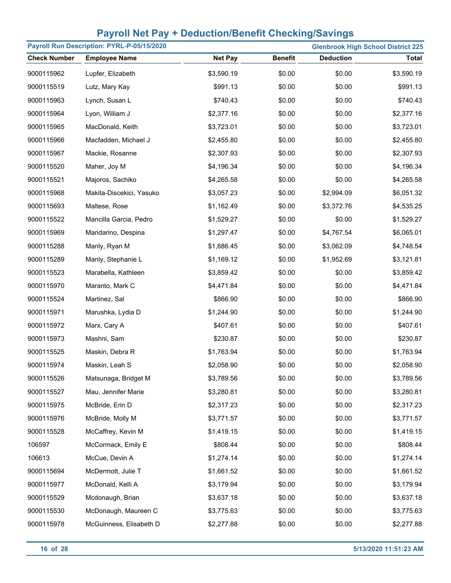| Payroll Run Description: PYRL-P-05/15/2020<br><b>Glenbrook High School District 225</b> |                          |                |                |                  |            |
|-----------------------------------------------------------------------------------------|--------------------------|----------------|----------------|------------------|------------|
| <b>Check Number</b>                                                                     | <b>Employee Name</b>     | <b>Net Pay</b> | <b>Benefit</b> | <b>Deduction</b> | Total      |
| 9000115962                                                                              | Lupfer, Elizabeth        | \$3,590.19     | \$0.00         | \$0.00           | \$3,590.19 |
| 9000115519                                                                              | Lutz, Mary Kay           | \$991.13       | \$0.00         | \$0.00           | \$991.13   |
| 9000115963                                                                              | Lynch, Susan L           | \$740.43       | \$0.00         | \$0.00           | \$740.43   |
| 9000115964                                                                              | Lyon, William J          | \$2,377.16     | \$0.00         | \$0.00           | \$2,377.16 |
| 9000115965                                                                              | MacDonald, Keith         | \$3,723.01     | \$0.00         | \$0.00           | \$3,723.01 |
| 9000115966                                                                              | Macfadden, Michael J     | \$2,455.80     | \$0.00         | \$0.00           | \$2,455.80 |
| 9000115967                                                                              | Mackie, Rosanne          | \$2,307.93     | \$0.00         | \$0.00           | \$2,307.93 |
| 9000115520                                                                              | Maher, Joy M             | \$4,196.34     | \$0.00         | \$0.00           | \$4,196.34 |
| 9000115521                                                                              | Majoros, Sachiko         | \$4,265.58     | \$0.00         | \$0.00           | \$4,265.58 |
| 9000115968                                                                              | Makita-Discekici, Yasuko | \$3,057.23     | \$0.00         | \$2,994.09       | \$6,051.32 |
| 9000115693                                                                              | Maltese, Rose            | \$1,162.49     | \$0.00         | \$3,372.76       | \$4,535.25 |
| 9000115522                                                                              | Mancilla Garcia, Pedro   | \$1,529.27     | \$0.00         | \$0.00           | \$1,529.27 |
| 9000115969                                                                              | Mandarino, Despina       | \$1,297.47     | \$0.00         | \$4,767.54       | \$6,065.01 |
| 9000115288                                                                              | Manly, Ryan M            | \$1,686.45     | \$0.00         | \$3,062.09       | \$4,748.54 |
| 9000115289                                                                              | Manly, Stephanie L       | \$1,169.12     | \$0.00         | \$1,952.69       | \$3,121.81 |
| 9000115523                                                                              | Marabella, Kathleen      | \$3,859.42     | \$0.00         | \$0.00           | \$3,859.42 |
| 9000115970                                                                              | Maranto, Mark C          | \$4,471.84     | \$0.00         | \$0.00           | \$4,471.84 |
| 9000115524                                                                              | Martinez, Sal            | \$866.90       | \$0.00         | \$0.00           | \$866.90   |
| 9000115971                                                                              | Marushka, Lydia D        | \$1,244.90     | \$0.00         | \$0.00           | \$1,244.90 |
| 9000115972                                                                              | Marx, Cary A             | \$407.61       | \$0.00         | \$0.00           | \$407.61   |
| 9000115973                                                                              | Mashni, Sam              | \$230.87       | \$0.00         | \$0.00           | \$230.87   |
| 9000115525                                                                              | Maskin, Debra R          | \$1,763.94     | \$0.00         | \$0.00           | \$1,763.94 |
| 9000115974                                                                              | Maskin, Leah S           | \$2,058.90     | \$0.00         | \$0.00           | \$2,058.90 |
| 9000115526                                                                              | Matsunaga, Bridget M     | \$3,789.56     | \$0.00         | \$0.00           | \$3,789.56 |
| 9000115527                                                                              | Mau, Jennifer Marie      | \$3,280.81     | \$0.00         | \$0.00           | \$3,280.81 |
| 9000115975                                                                              | McBride, Erin D          | \$2,317.23     | \$0.00         | \$0.00           | \$2,317.23 |
| 9000115976                                                                              | McBride, Molly M         | \$3,771.57     | \$0.00         | \$0.00           | \$3,771.57 |
| 9000115528                                                                              | McCaffrey, Kevin M       | \$1,419.15     | \$0.00         | \$0.00           | \$1,419.15 |
| 106597                                                                                  | McCormack, Emily E       | \$808.44       | \$0.00         | \$0.00           | \$808.44   |
| 106613                                                                                  | McCue, Devin A           | \$1,274.14     | \$0.00         | \$0.00           | \$1,274.14 |
| 9000115694                                                                              | McDermott, Julie T       | \$1,661.52     | \$0.00         | \$0.00           | \$1,661.52 |
| 9000115977                                                                              | McDonald, Kelli A        | \$3,179.94     | \$0.00         | \$0.00           | \$3,179.94 |
| 9000115529                                                                              | Mcdonaugh, Brian         | \$3,637.18     | \$0.00         | \$0.00           | \$3,637.18 |
| 9000115530                                                                              | McDonaugh, Maureen C     | \$3,775.63     | \$0.00         | \$0.00           | \$3,775.63 |
| 9000115978                                                                              | McGuinness, Elisabeth D  | \$2,277.88     | \$0.00         | \$0.00           | \$2,277.88 |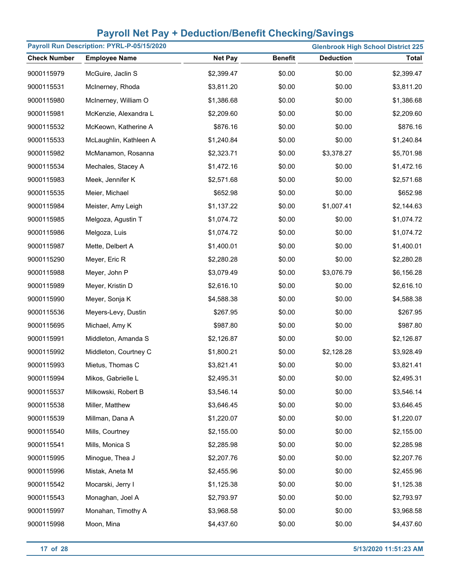| Payroll Run Description: PYRL-P-05/15/2020 |                        |                |                |                  | <b>Glenbrook High School District 225</b> |
|--------------------------------------------|------------------------|----------------|----------------|------------------|-------------------------------------------|
| <b>Check Number</b>                        | <b>Employee Name</b>   | <b>Net Pay</b> | <b>Benefit</b> | <b>Deduction</b> | <b>Total</b>                              |
| 9000115979                                 | McGuire, Jaclin S      | \$2,399.47     | \$0.00         | \$0.00           | \$2,399.47                                |
| 9000115531                                 | McInerney, Rhoda       | \$3,811.20     | \$0.00         | \$0.00           | \$3,811.20                                |
| 9000115980                                 | McInerney, William O   | \$1,386.68     | \$0.00         | \$0.00           | \$1,386.68                                |
| 9000115981                                 | McKenzie, Alexandra L  | \$2,209.60     | \$0.00         | \$0.00           | \$2,209.60                                |
| 9000115532                                 | McKeown, Katherine A   | \$876.16       | \$0.00         | \$0.00           | \$876.16                                  |
| 9000115533                                 | McLaughlin, Kathleen A | \$1,240.84     | \$0.00         | \$0.00           | \$1,240.84                                |
| 9000115982                                 | McManamon, Rosanna     | \$2,323.71     | \$0.00         | \$3,378.27       | \$5,701.98                                |
| 9000115534                                 | Mechales, Stacey A     | \$1,472.16     | \$0.00         | \$0.00           | \$1,472.16                                |
| 9000115983                                 | Meek, Jennifer K       | \$2,571.68     | \$0.00         | \$0.00           | \$2,571.68                                |
| 9000115535                                 | Meier, Michael         | \$652.98       | \$0.00         | \$0.00           | \$652.98                                  |
| 9000115984                                 | Meister, Amy Leigh     | \$1,137.22     | \$0.00         | \$1,007.41       | \$2,144.63                                |
| 9000115985                                 | Melgoza, Agustin T     | \$1,074.72     | \$0.00         | \$0.00           | \$1,074.72                                |
| 9000115986                                 | Melgoza, Luis          | \$1,074.72     | \$0.00         | \$0.00           | \$1,074.72                                |
| 9000115987                                 | Mette, Delbert A       | \$1,400.01     | \$0.00         | \$0.00           | \$1,400.01                                |
| 9000115290                                 | Meyer, Eric R          | \$2,280.28     | \$0.00         | \$0.00           | \$2,280.28                                |
| 9000115988                                 | Meyer, John P          | \$3,079.49     | \$0.00         | \$3,076.79       | \$6,156.28                                |
| 9000115989                                 | Meyer, Kristin D       | \$2,616.10     | \$0.00         | \$0.00           | \$2,616.10                                |
| 9000115990                                 | Meyer, Sonja K         | \$4,588.38     | \$0.00         | \$0.00           | \$4,588.38                                |
| 9000115536                                 | Meyers-Levy, Dustin    | \$267.95       | \$0.00         | \$0.00           | \$267.95                                  |
| 9000115695                                 | Michael, Amy K         | \$987.80       | \$0.00         | \$0.00           | \$987.80                                  |
| 9000115991                                 | Middleton, Amanda S    | \$2,126.87     | \$0.00         | \$0.00           | \$2,126.87                                |
| 9000115992                                 | Middleton, Courtney C  | \$1,800.21     | \$0.00         | \$2,128.28       | \$3,928.49                                |
| 9000115993                                 | Mietus, Thomas C       | \$3,821.41     | \$0.00         | \$0.00           | \$3,821.41                                |
| 9000115994                                 | Mikos, Gabrielle L     | \$2,495.31     | \$0.00         | \$0.00           | \$2,495.31                                |
| 9000115537                                 | Milkowski, Robert B    | \$3,546.14     | \$0.00         | \$0.00           | \$3,546.14                                |
| 9000115538                                 | Miller, Matthew        | \$3,646.45     | \$0.00         | \$0.00           | \$3,646.45                                |
| 9000115539                                 | Millman, Dana A        | \$1,220.07     | \$0.00         | \$0.00           | \$1,220.07                                |
| 9000115540                                 | Mills, Courtney        | \$2,155.00     | \$0.00         | \$0.00           | \$2,155.00                                |
| 9000115541                                 | Mills, Monica S        | \$2,285.98     | \$0.00         | \$0.00           | \$2,285.98                                |
| 9000115995                                 | Minogue, Thea J        | \$2,207.76     | \$0.00         | \$0.00           | \$2,207.76                                |
| 9000115996                                 | Mistak, Aneta M        | \$2,455.96     | \$0.00         | \$0.00           | \$2,455.96                                |
| 9000115542                                 | Mocarski, Jerry I      | \$1,125.38     | \$0.00         | \$0.00           | \$1,125.38                                |
| 9000115543                                 | Monaghan, Joel A       | \$2,793.97     | \$0.00         | \$0.00           | \$2,793.97                                |
| 9000115997                                 | Monahan, Timothy A     | \$3,968.58     | \$0.00         | \$0.00           | \$3,968.58                                |
| 9000115998                                 | Moon, Mina             | \$4,437.60     | \$0.00         | \$0.00           | \$4,437.60                                |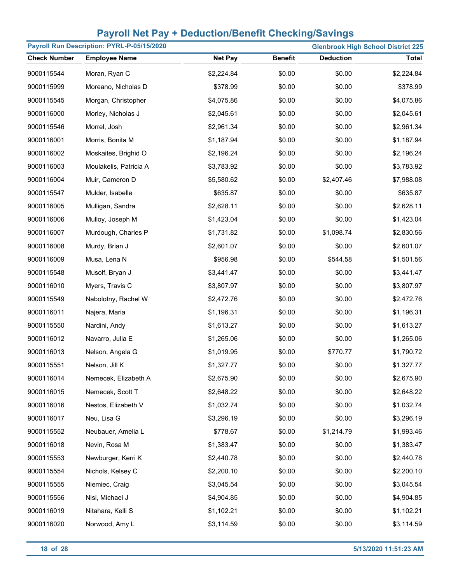| Payroll Run Description: PYRL-P-05/15/2020 |                        |                |                | <b>Glenbrook High School District 225</b> |              |  |
|--------------------------------------------|------------------------|----------------|----------------|-------------------------------------------|--------------|--|
| <b>Check Number</b>                        | <b>Employee Name</b>   | <b>Net Pay</b> | <b>Benefit</b> | <b>Deduction</b>                          | <b>Total</b> |  |
| 9000115544                                 | Moran, Ryan C          | \$2,224.84     | \$0.00         | \$0.00                                    | \$2,224.84   |  |
| 9000115999                                 | Moreano, Nicholas D    | \$378.99       | \$0.00         | \$0.00                                    | \$378.99     |  |
| 9000115545                                 | Morgan, Christopher    | \$4,075.86     | \$0.00         | \$0.00                                    | \$4,075.86   |  |
| 9000116000                                 | Morley, Nicholas J     | \$2,045.61     | \$0.00         | \$0.00                                    | \$2,045.61   |  |
| 9000115546                                 | Morrel, Josh           | \$2,961.34     | \$0.00         | \$0.00                                    | \$2,961.34   |  |
| 9000116001                                 | Morris, Bonita M       | \$1,187.94     | \$0.00         | \$0.00                                    | \$1,187.94   |  |
| 9000116002                                 | Moskaites, Brighid O   | \$2,196.24     | \$0.00         | \$0.00                                    | \$2,196.24   |  |
| 9000116003                                 | Moulakelis, Patricia A | \$3,783.92     | \$0.00         | \$0.00                                    | \$3,783.92   |  |
| 9000116004                                 | Muir, Cameron D        | \$5,580.62     | \$0.00         | \$2,407.46                                | \$7,988.08   |  |
| 9000115547                                 | Mulder, Isabelle       | \$635.87       | \$0.00         | \$0.00                                    | \$635.87     |  |
| 9000116005                                 | Mulligan, Sandra       | \$2,628.11     | \$0.00         | \$0.00                                    | \$2,628.11   |  |
| 9000116006                                 | Mulloy, Joseph M       | \$1,423.04     | \$0.00         | \$0.00                                    | \$1,423.04   |  |
| 9000116007                                 | Murdough, Charles P    | \$1,731.82     | \$0.00         | \$1,098.74                                | \$2,830.56   |  |
| 9000116008                                 | Murdy, Brian J         | \$2,601.07     | \$0.00         | \$0.00                                    | \$2,601.07   |  |
| 9000116009                                 | Musa, Lena N           | \$956.98       | \$0.00         | \$544.58                                  | \$1,501.56   |  |
| 9000115548                                 | Musolf, Bryan J        | \$3,441.47     | \$0.00         | \$0.00                                    | \$3,441.47   |  |
| 9000116010                                 | Myers, Travis C        | \$3,807.97     | \$0.00         | \$0.00                                    | \$3,807.97   |  |
| 9000115549                                 | Nabolotny, Rachel W    | \$2,472.76     | \$0.00         | \$0.00                                    | \$2,472.76   |  |
| 9000116011                                 | Najera, Maria          | \$1,196.31     | \$0.00         | \$0.00                                    | \$1,196.31   |  |
| 9000115550                                 | Nardini, Andy          | \$1,613.27     | \$0.00         | \$0.00                                    | \$1,613.27   |  |
| 9000116012                                 | Navarro, Julia E       | \$1,265.06     | \$0.00         | \$0.00                                    | \$1,265.06   |  |
| 9000116013                                 | Nelson, Angela G       | \$1,019.95     | \$0.00         | \$770.77                                  | \$1,790.72   |  |
| 9000115551                                 | Nelson, Jill K         | \$1,327.77     | \$0.00         | \$0.00                                    | \$1,327.77   |  |
| 9000116014                                 | Nemecek, Elizabeth A   | \$2,675.90     | \$0.00         | \$0.00                                    | \$2,675.90   |  |
| 9000116015                                 | Nemecek, Scott T       | \$2,648.22     | \$0.00         | \$0.00                                    | \$2,648.22   |  |
| 9000116016                                 | Nestos, Elizabeth V    | \$1,032.74     | \$0.00         | \$0.00                                    | \$1,032.74   |  |
| 9000116017                                 | Neu, Lisa G            | \$3,296.19     | \$0.00         | \$0.00                                    | \$3,296.19   |  |
| 9000115552                                 | Neubauer, Amelia L     | \$778.67       | \$0.00         | \$1,214.79                                | \$1,993.46   |  |
| 9000116018                                 | Nevin, Rosa M          | \$1,383.47     | \$0.00         | \$0.00                                    | \$1,383.47   |  |
| 9000115553                                 | Newburger, Kerri K     | \$2,440.78     | \$0.00         | \$0.00                                    | \$2,440.78   |  |
| 9000115554                                 | Nichols, Kelsey C      | \$2,200.10     | \$0.00         | \$0.00                                    | \$2,200.10   |  |
| 9000115555                                 | Niemiec, Craig         | \$3,045.54     | \$0.00         | \$0.00                                    | \$3,045.54   |  |
| 9000115556                                 | Nisi, Michael J        | \$4,904.85     | \$0.00         | \$0.00                                    | \$4,904.85   |  |
| 9000116019                                 | Nitahara, Kelli S      | \$1,102.21     | \$0.00         | \$0.00                                    | \$1,102.21   |  |
| 9000116020                                 | Norwood, Amy L         | \$3,114.59     | \$0.00         | \$0.00                                    | \$3,114.59   |  |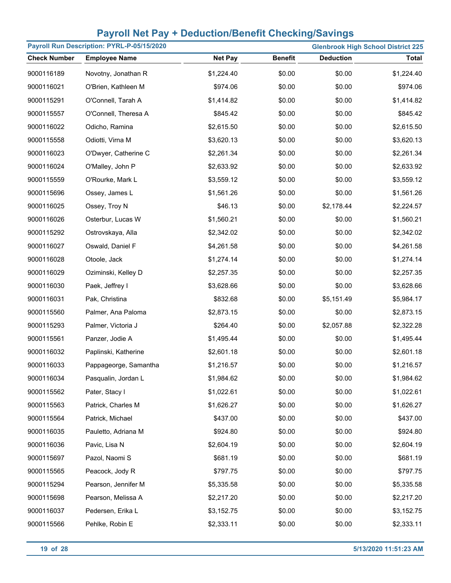| Payroll Run Description: PYRL-P-05/15/2020 |                       |                |                |                  | <b>Glenbrook High School District 225</b> |
|--------------------------------------------|-----------------------|----------------|----------------|------------------|-------------------------------------------|
| <b>Check Number</b>                        | <b>Employee Name</b>  | <b>Net Pay</b> | <b>Benefit</b> | <b>Deduction</b> | <b>Total</b>                              |
| 9000116189                                 | Novotny, Jonathan R   | \$1,224.40     | \$0.00         | \$0.00           | \$1,224.40                                |
| 9000116021                                 | O'Brien, Kathleen M   | \$974.06       | \$0.00         | \$0.00           | \$974.06                                  |
| 9000115291                                 | O'Connell, Tarah A    | \$1,414.82     | \$0.00         | \$0.00           | \$1,414.82                                |
| 9000115557                                 | O'Connell, Theresa A  | \$845.42       | \$0.00         | \$0.00           | \$845.42                                  |
| 9000116022                                 | Odicho, Ramina        | \$2,615.50     | \$0.00         | \$0.00           | \$2,615.50                                |
| 9000115558                                 | Odiotti, Virna M      | \$3,620.13     | \$0.00         | \$0.00           | \$3,620.13                                |
| 9000116023                                 | O'Dwyer, Catherine C  | \$2,261.34     | \$0.00         | \$0.00           | \$2,261.34                                |
| 9000116024                                 | O'Malley, John P      | \$2,633.92     | \$0.00         | \$0.00           | \$2,633.92                                |
| 9000115559                                 | O'Rourke, Mark L      | \$3,559.12     | \$0.00         | \$0.00           | \$3,559.12                                |
| 9000115696                                 | Ossey, James L        | \$1,561.26     | \$0.00         | \$0.00           | \$1,561.26                                |
| 9000116025                                 | Ossey, Troy N         | \$46.13        | \$0.00         | \$2,178.44       | \$2,224.57                                |
| 9000116026                                 | Osterbur, Lucas W     | \$1,560.21     | \$0.00         | \$0.00           | \$1,560.21                                |
| 9000115292                                 | Ostrovskaya, Alla     | \$2,342.02     | \$0.00         | \$0.00           | \$2,342.02                                |
| 9000116027                                 | Oswald, Daniel F      | \$4,261.58     | \$0.00         | \$0.00           | \$4,261.58                                |
| 9000116028                                 | Otoole, Jack          | \$1,274.14     | \$0.00         | \$0.00           | \$1,274.14                                |
| 9000116029                                 | Oziminski, Kelley D   | \$2,257.35     | \$0.00         | \$0.00           | \$2,257.35                                |
| 9000116030                                 | Paek, Jeffrey I       | \$3,628.66     | \$0.00         | \$0.00           | \$3,628.66                                |
| 9000116031                                 | Pak, Christina        | \$832.68       | \$0.00         | \$5,151.49       | \$5,984.17                                |
| 9000115560                                 | Palmer, Ana Paloma    | \$2,873.15     | \$0.00         | \$0.00           | \$2,873.15                                |
| 9000115293                                 | Palmer, Victoria J    | \$264.40       | \$0.00         | \$2,057.88       | \$2,322.28                                |
| 9000115561                                 | Panzer, Jodie A       | \$1,495.44     | \$0.00         | \$0.00           | \$1,495.44                                |
| 9000116032                                 | Paplinski, Katherine  | \$2,601.18     | \$0.00         | \$0.00           | \$2,601.18                                |
| 9000116033                                 | Pappageorge, Samantha | \$1,216.57     | \$0.00         | \$0.00           | \$1,216.57                                |
| 9000116034                                 | Pasqualin, Jordan L   | \$1,984.62     | \$0.00         | \$0.00           | \$1,984.62                                |
| 9000115562                                 | Pater, Stacy I        | \$1,022.61     | \$0.00         | \$0.00           | \$1,022.61                                |
| 9000115563                                 | Patrick, Charles M    | \$1,626.27     | \$0.00         | \$0.00           | \$1,626.27                                |
| 9000115564                                 | Patrick, Michael      | \$437.00       | \$0.00         | \$0.00           | \$437.00                                  |
| 9000116035                                 | Pauletto, Adriana M   | \$924.80       | \$0.00         | \$0.00           | \$924.80                                  |
| 9000116036                                 | Pavic, Lisa N         | \$2,604.19     | \$0.00         | \$0.00           | \$2,604.19                                |
| 9000115697                                 | Pazol, Naomi S        | \$681.19       | \$0.00         | \$0.00           | \$681.19                                  |
| 9000115565                                 | Peacock, Jody R       | \$797.75       | \$0.00         | \$0.00           | \$797.75                                  |
| 9000115294                                 | Pearson, Jennifer M   | \$5,335.58     | \$0.00         | \$0.00           | \$5,335.58                                |
| 9000115698                                 | Pearson, Melissa A    | \$2,217.20     | \$0.00         | \$0.00           | \$2,217.20                                |
| 9000116037                                 | Pedersen, Erika L     | \$3,152.75     | \$0.00         | \$0.00           | \$3,152.75                                |
| 9000115566                                 | Pehlke, Robin E       | \$2,333.11     | \$0.00         | \$0.00           | \$2,333.11                                |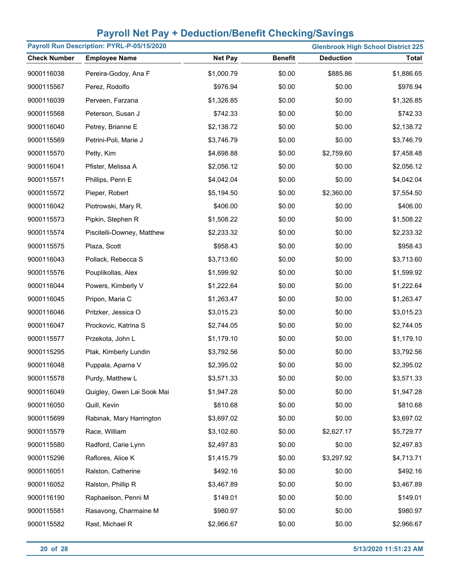| Payroll Run Description: PYRL-P-05/15/2020<br><b>Glenbrook High School District 225</b> |                            |                |                |                  |              |
|-----------------------------------------------------------------------------------------|----------------------------|----------------|----------------|------------------|--------------|
| <b>Check Number</b>                                                                     | <b>Employee Name</b>       | <b>Net Pay</b> | <b>Benefit</b> | <b>Deduction</b> | <b>Total</b> |
| 9000116038                                                                              | Pereira-Godoy, Ana F       | \$1,000.79     | \$0.00         | \$885.86         | \$1,886.65   |
| 9000115567                                                                              | Perez, Rodolfo             | \$976.94       | \$0.00         | \$0.00           | \$976.94     |
| 9000116039                                                                              | Perveen, Farzana           | \$1,326.85     | \$0.00         | \$0.00           | \$1,326.85   |
| 9000115568                                                                              | Peterson, Susan J          | \$742.33       | \$0.00         | \$0.00           | \$742.33     |
| 9000116040                                                                              | Petrey, Brianne E          | \$2,138.72     | \$0.00         | \$0.00           | \$2,138.72   |
| 9000115569                                                                              | Petrini-Poli, Marie J      | \$3,746.79     | \$0.00         | \$0.00           | \$3,746.79   |
| 9000115570                                                                              | Petty, Kim                 | \$4,698.88     | \$0.00         | \$2,759.60       | \$7,458.48   |
| 9000116041                                                                              | Pfister, Melissa A         | \$2,056.12     | \$0.00         | \$0.00           | \$2,056.12   |
| 9000115571                                                                              | Phillips, Penn E           | \$4,042.04     | \$0.00         | \$0.00           | \$4,042.04   |
| 9000115572                                                                              | Pieper, Robert             | \$5,194.50     | \$0.00         | \$2,360.00       | \$7,554.50   |
| 9000116042                                                                              | Piotrowski, Mary R.        | \$406.00       | \$0.00         | \$0.00           | \$406.00     |
| 9000115573                                                                              | Pipkin, Stephen R          | \$1,508.22     | \$0.00         | \$0.00           | \$1,508.22   |
| 9000115574                                                                              | Piscitelli-Downey, Matthew | \$2,233.32     | \$0.00         | \$0.00           | \$2,233.32   |
| 9000115575                                                                              | Plaza, Scott               | \$958.43       | \$0.00         | \$0.00           | \$958.43     |
| 9000116043                                                                              | Pollack, Rebecca S         | \$3,713.60     | \$0.00         | \$0.00           | \$3,713.60   |
| 9000115576                                                                              | Pouplikollas, Alex         | \$1,599.92     | \$0.00         | \$0.00           | \$1,599.92   |
| 9000116044                                                                              | Powers, Kimberly V         | \$1,222.64     | \$0.00         | \$0.00           | \$1,222.64   |
| 9000116045                                                                              | Pripon, Maria C            | \$1,263.47     | \$0.00         | \$0.00           | \$1,263.47   |
| 9000116046                                                                              | Pritzker, Jessica O        | \$3,015.23     | \$0.00         | \$0.00           | \$3,015.23   |
| 9000116047                                                                              | Prockovic, Katrina S       | \$2,744.05     | \$0.00         | \$0.00           | \$2,744.05   |
| 9000115577                                                                              | Przekota, John L           | \$1,179.10     | \$0.00         | \$0.00           | \$1,179.10   |
| 9000115295                                                                              | Ptak, Kimberly Lundin      | \$3,792.56     | \$0.00         | \$0.00           | \$3,792.56   |
| 9000116048                                                                              | Puppala, Aparna V          | \$2,395.02     | \$0.00         | \$0.00           | \$2,395.02   |
| 9000115578                                                                              | Purdy, Matthew L           | \$3,571.33     | \$0.00         | \$0.00           | \$3,571.33   |
| 9000116049                                                                              | Quigley, Gwen Lai Sook Mai | \$1,947.28     | \$0.00         | \$0.00           | \$1,947.28   |
| 9000116050                                                                              | Quill, Kevin               | \$810.68       | \$0.00         | \$0.00           | \$810.68     |
| 9000115699                                                                              | Rabinak, Mary Harrington   | \$3,697.02     | \$0.00         | \$0.00           | \$3,697.02   |
| 9000115579                                                                              | Race, William              | \$3,102.60     | \$0.00         | \$2,627.17       | \$5,729.77   |
| 9000115580                                                                              | Radford, Carie Lynn        | \$2,497.83     | \$0.00         | \$0.00           | \$2,497.83   |
| 9000115296                                                                              | Raflores, Alice K          | \$1,415.79     | \$0.00         | \$3,297.92       | \$4,713.71   |
| 9000116051                                                                              | Ralston, Catherine         | \$492.16       | \$0.00         | \$0.00           | \$492.16     |
| 9000116052                                                                              | Ralston, Phillip R         | \$3,467.89     | \$0.00         | \$0.00           | \$3,467.89   |
| 9000116190                                                                              | Raphaelson, Penni M        | \$149.01       | \$0.00         | \$0.00           | \$149.01     |
| 9000115581                                                                              | Rasavong, Charmaine M      | \$980.97       | \$0.00         | \$0.00           | \$980.97     |
| 9000115582                                                                              | Rast, Michael R            | \$2,966.67     | \$0.00         | \$0.00           | \$2,966.67   |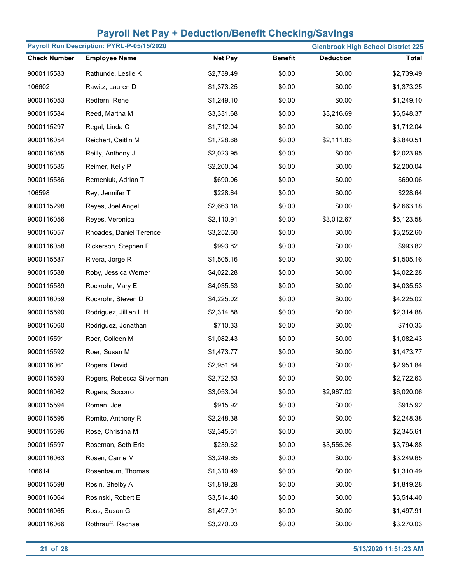| Payroll Run Description: PYRL-P-05/15/2020 |                           |                |                | <b>Glenbrook High School District 225</b> |              |
|--------------------------------------------|---------------------------|----------------|----------------|-------------------------------------------|--------------|
| <b>Check Number</b>                        | <b>Employee Name</b>      | <b>Net Pay</b> | <b>Benefit</b> | <b>Deduction</b>                          | <b>Total</b> |
| 9000115583                                 | Rathunde, Leslie K        | \$2,739.49     | \$0.00         | \$0.00                                    | \$2,739.49   |
| 106602                                     | Rawitz, Lauren D          | \$1,373.25     | \$0.00         | \$0.00                                    | \$1,373.25   |
| 9000116053                                 | Redfern, Rene             | \$1,249.10     | \$0.00         | \$0.00                                    | \$1,249.10   |
| 9000115584                                 | Reed, Martha M            | \$3,331.68     | \$0.00         | \$3,216.69                                | \$6,548.37   |
| 9000115297                                 | Regal, Linda C            | \$1,712.04     | \$0.00         | \$0.00                                    | \$1,712.04   |
| 9000116054                                 | Reichert, Caitlin M       | \$1,728.68     | \$0.00         | \$2,111.83                                | \$3,840.51   |
| 9000116055                                 | Reilly, Anthony J         | \$2,023.95     | \$0.00         | \$0.00                                    | \$2,023.95   |
| 9000115585                                 | Reimer, Kelly P           | \$2,200.04     | \$0.00         | \$0.00                                    | \$2,200.04   |
| 9000115586                                 | Remeniuk, Adrian T        | \$690.06       | \$0.00         | \$0.00                                    | \$690.06     |
| 106598                                     | Rey, Jennifer T           | \$228.64       | \$0.00         | \$0.00                                    | \$228.64     |
| 9000115298                                 | Reyes, Joel Angel         | \$2,663.18     | \$0.00         | \$0.00                                    | \$2,663.18   |
| 9000116056                                 | Reyes, Veronica           | \$2,110.91     | \$0.00         | \$3,012.67                                | \$5,123.58   |
| 9000116057                                 | Rhoades, Daniel Terence   | \$3,252.60     | \$0.00         | \$0.00                                    | \$3,252.60   |
| 9000116058                                 | Rickerson, Stephen P      | \$993.82       | \$0.00         | \$0.00                                    | \$993.82     |
| 9000115587                                 | Rivera, Jorge R           | \$1,505.16     | \$0.00         | \$0.00                                    | \$1,505.16   |
| 9000115588                                 | Roby, Jessica Werner      | \$4,022.28     | \$0.00         | \$0.00                                    | \$4,022.28   |
| 9000115589                                 | Rockrohr, Mary E          | \$4,035.53     | \$0.00         | \$0.00                                    | \$4,035.53   |
| 9000116059                                 | Rockrohr, Steven D        | \$4,225.02     | \$0.00         | \$0.00                                    | \$4,225.02   |
| 9000115590                                 | Rodriguez, Jillian L H    | \$2,314.88     | \$0.00         | \$0.00                                    | \$2,314.88   |
| 9000116060                                 | Rodriguez, Jonathan       | \$710.33       | \$0.00         | \$0.00                                    | \$710.33     |
| 9000115591                                 | Roer, Colleen M           | \$1,082.43     | \$0.00         | \$0.00                                    | \$1,082.43   |
| 9000115592                                 | Roer, Susan M             | \$1,473.77     | \$0.00         | \$0.00                                    | \$1,473.77   |
| 9000116061                                 | Rogers, David             | \$2,951.84     | \$0.00         | \$0.00                                    | \$2,951.84   |
| 9000115593                                 | Rogers, Rebecca Silverman | \$2,722.63     | \$0.00         | \$0.00                                    | \$2,722.63   |
| 9000116062                                 | Rogers, Socorro           | \$3,053.04     | \$0.00         | \$2,967.02                                | \$6,020.06   |
| 9000115594                                 | Roman, Joel               | \$915.92       | \$0.00         | \$0.00                                    | \$915.92     |
| 9000115595                                 | Romito, Anthony R         | \$2,248.38     | \$0.00         | \$0.00                                    | \$2,248.38   |
| 9000115596                                 | Rose, Christina M         | \$2,345.61     | \$0.00         | \$0.00                                    | \$2,345.61   |
| 9000115597                                 | Roseman, Seth Eric        | \$239.62       | \$0.00         | \$3,555.26                                | \$3,794.88   |
| 9000116063                                 | Rosen, Carrie M           | \$3,249.65     | \$0.00         | \$0.00                                    | \$3,249.65   |
| 106614                                     | Rosenbaum, Thomas         | \$1,310.49     | \$0.00         | \$0.00                                    | \$1,310.49   |
| 9000115598                                 | Rosin, Shelby A           | \$1,819.28     | \$0.00         | \$0.00                                    | \$1,819.28   |
| 9000116064                                 | Rosinski, Robert E        | \$3,514.40     | \$0.00         | \$0.00                                    | \$3,514.40   |
| 9000116065                                 | Ross, Susan G             | \$1,497.91     | \$0.00         | \$0.00                                    | \$1,497.91   |
| 9000116066                                 | Rothrauff, Rachael        | \$3,270.03     | \$0.00         | \$0.00                                    | \$3,270.03   |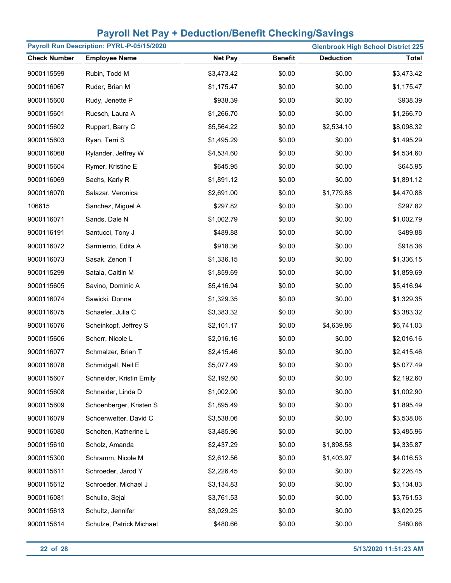| Payroll Run Description: PYRL-P-05/15/2020<br><b>Glenbrook High School District 225</b> |                          |                |                |                  |              |
|-----------------------------------------------------------------------------------------|--------------------------|----------------|----------------|------------------|--------------|
| <b>Check Number</b>                                                                     | <b>Employee Name</b>     | <b>Net Pay</b> | <b>Benefit</b> | <b>Deduction</b> | <b>Total</b> |
| 9000115599                                                                              | Rubin, Todd M            | \$3,473.42     | \$0.00         | \$0.00           | \$3,473.42   |
| 9000116067                                                                              | Ruder, Brian M           | \$1,175.47     | \$0.00         | \$0.00           | \$1,175.47   |
| 9000115600                                                                              | Rudy, Jenette P          | \$938.39       | \$0.00         | \$0.00           | \$938.39     |
| 9000115601                                                                              | Ruesch, Laura A          | \$1,266.70     | \$0.00         | \$0.00           | \$1,266.70   |
| 9000115602                                                                              | Ruppert, Barry C         | \$5,564.22     | \$0.00         | \$2,534.10       | \$8,098.32   |
| 9000115603                                                                              | Ryan, Terri S            | \$1,495.29     | \$0.00         | \$0.00           | \$1,495.29   |
| 9000116068                                                                              | Rylander, Jeffrey W      | \$4,534.60     | \$0.00         | \$0.00           | \$4,534.60   |
| 9000115604                                                                              | Rymer, Kristine E        | \$645.95       | \$0.00         | \$0.00           | \$645.95     |
| 9000116069                                                                              | Sachs, Karly R           | \$1,891.12     | \$0.00         | \$0.00           | \$1,891.12   |
| 9000116070                                                                              | Salazar, Veronica        | \$2,691.00     | \$0.00         | \$1,779.88       | \$4,470.88   |
| 106615                                                                                  | Sanchez, Miguel A        | \$297.82       | \$0.00         | \$0.00           | \$297.82     |
| 9000116071                                                                              | Sands, Dale N            | \$1,002.79     | \$0.00         | \$0.00           | \$1,002.79   |
| 9000116191                                                                              | Santucci, Tony J         | \$489.88       | \$0.00         | \$0.00           | \$489.88     |
| 9000116072                                                                              | Sarmiento, Edita A       | \$918.36       | \$0.00         | \$0.00           | \$918.36     |
| 9000116073                                                                              | Sasak, Zenon T           | \$1,336.15     | \$0.00         | \$0.00           | \$1,336.15   |
| 9000115299                                                                              | Satala, Caitlin M        | \$1,859.69     | \$0.00         | \$0.00           | \$1,859.69   |
| 9000115605                                                                              | Savino, Dominic A        | \$5,416.94     | \$0.00         | \$0.00           | \$5,416.94   |
| 9000116074                                                                              | Sawicki, Donna           | \$1,329.35     | \$0.00         | \$0.00           | \$1,329.35   |
| 9000116075                                                                              | Schaefer, Julia C        | \$3,383.32     | \$0.00         | \$0.00           | \$3,383.32   |
| 9000116076                                                                              | Scheinkopf, Jeffrey S    | \$2,101.17     | \$0.00         | \$4,639.86       | \$6,741.03   |
| 9000115606                                                                              | Scherr, Nicole L         | \$2,016.16     | \$0.00         | \$0.00           | \$2,016.16   |
| 9000116077                                                                              | Schmalzer, Brian T       | \$2,415.46     | \$0.00         | \$0.00           | \$2,415.46   |
| 9000116078                                                                              | Schmidgall, Neil E       | \$5,077.49     | \$0.00         | \$0.00           | \$5,077.49   |
| 9000115607                                                                              | Schneider, Kristin Emily | \$2,192.60     | \$0.00         | \$0.00           | \$2,192.60   |
| 9000115608                                                                              | Schneider, Linda D       | \$1,002.90     | \$0.00         | \$0.00           | \$1,002.90   |
| 9000115609                                                                              | Schoenberger, Kristen S  | \$1,895.49     | \$0.00         | \$0.00           | \$1,895.49   |
| 9000116079                                                                              | Schoenwetter, David C    | \$3,538.06     | \$0.00         | \$0.00           | \$3,538.06   |
| 9000116080                                                                              | Scholten, Katherine L    | \$3,485.96     | \$0.00         | \$0.00           | \$3,485.96   |
| 9000115610                                                                              | Scholz, Amanda           | \$2,437.29     | \$0.00         | \$1,898.58       | \$4,335.87   |
| 9000115300                                                                              | Schramm, Nicole M        | \$2,612.56     | \$0.00         | \$1,403.97       | \$4,016.53   |
| 9000115611                                                                              | Schroeder, Jarod Y       | \$2,226.45     | \$0.00         | \$0.00           | \$2,226.45   |
| 9000115612                                                                              | Schroeder, Michael J     | \$3,134.83     | \$0.00         | \$0.00           | \$3,134.83   |
| 9000116081                                                                              | Schullo, Sejal           | \$3,761.53     | \$0.00         | \$0.00           | \$3,761.53   |
| 9000115613                                                                              | Schultz, Jennifer        | \$3,029.25     | \$0.00         | \$0.00           | \$3,029.25   |
| 9000115614                                                                              | Schulze, Patrick Michael | \$480.66       | \$0.00         | \$0.00           | \$480.66     |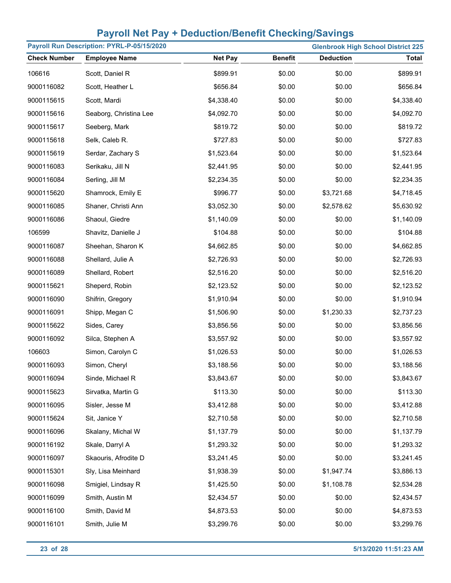| Payroll Run Description: PYRL-P-05/15/2020<br><b>Glenbrook High School District 225</b> |                        |                |                |                  |              |  |  |
|-----------------------------------------------------------------------------------------|------------------------|----------------|----------------|------------------|--------------|--|--|
| <b>Check Number</b>                                                                     | <b>Employee Name</b>   | <b>Net Pay</b> | <b>Benefit</b> | <b>Deduction</b> | <b>Total</b> |  |  |
| 106616                                                                                  | Scott, Daniel R        | \$899.91       | \$0.00         | \$0.00           | \$899.91     |  |  |
| 9000116082                                                                              | Scott, Heather L       | \$656.84       | \$0.00         | \$0.00           | \$656.84     |  |  |
| 9000115615                                                                              | Scott, Mardi           | \$4,338.40     | \$0.00         | \$0.00           | \$4,338.40   |  |  |
| 9000115616                                                                              | Seaborg, Christina Lee | \$4,092.70     | \$0.00         | \$0.00           | \$4,092.70   |  |  |
| 9000115617                                                                              | Seeberg, Mark          | \$819.72       | \$0.00         | \$0.00           | \$819.72     |  |  |
| 9000115618                                                                              | Selk, Caleb R.         | \$727.83       | \$0.00         | \$0.00           | \$727.83     |  |  |
| 9000115619                                                                              | Serdar, Zachary S      | \$1,523.64     | \$0.00         | \$0.00           | \$1,523.64   |  |  |
| 9000116083                                                                              | Serikaku, Jill N       | \$2,441.95     | \$0.00         | \$0.00           | \$2,441.95   |  |  |
| 9000116084                                                                              | Serling, Jill M        | \$2,234.35     | \$0.00         | \$0.00           | \$2,234.35   |  |  |
| 9000115620                                                                              | Shamrock, Emily E      | \$996.77       | \$0.00         | \$3,721.68       | \$4,718.45   |  |  |
| 9000116085                                                                              | Shaner, Christi Ann    | \$3,052.30     | \$0.00         | \$2,578.62       | \$5,630.92   |  |  |
| 9000116086                                                                              | Shaoul, Giedre         | \$1,140.09     | \$0.00         | \$0.00           | \$1,140.09   |  |  |
| 106599                                                                                  | Shavitz, Danielle J    | \$104.88       | \$0.00         | \$0.00           | \$104.88     |  |  |
| 9000116087                                                                              | Sheehan, Sharon K      | \$4,662.85     | \$0.00         | \$0.00           | \$4,662.85   |  |  |
| 9000116088                                                                              | Shellard, Julie A      | \$2,726.93     | \$0.00         | \$0.00           | \$2,726.93   |  |  |
| 9000116089                                                                              | Shellard, Robert       | \$2,516.20     | \$0.00         | \$0.00           | \$2,516.20   |  |  |
| 9000115621                                                                              | Sheperd, Robin         | \$2,123.52     | \$0.00         | \$0.00           | \$2,123.52   |  |  |
| 9000116090                                                                              | Shifrin, Gregory       | \$1,910.94     | \$0.00         | \$0.00           | \$1,910.94   |  |  |
| 9000116091                                                                              | Shipp, Megan C         | \$1,506.90     | \$0.00         | \$1,230.33       | \$2,737.23   |  |  |
| 9000115622                                                                              | Sides, Carey           | \$3,856.56     | \$0.00         | \$0.00           | \$3,856.56   |  |  |
| 9000116092                                                                              | Silca, Stephen A       | \$3,557.92     | \$0.00         | \$0.00           | \$3,557.92   |  |  |
| 106603                                                                                  | Simon, Carolyn C       | \$1,026.53     | \$0.00         | \$0.00           | \$1,026.53   |  |  |
| 9000116093                                                                              | Simon, Cheryl          | \$3,188.56     | \$0.00         | \$0.00           | \$3,188.56   |  |  |
| 9000116094                                                                              | Sinde, Michael R       | \$3,843.67     | \$0.00         | \$0.00           | \$3,843.67   |  |  |
| 9000115623                                                                              | Sirvatka, Martin G     | \$113.30       | \$0.00         | \$0.00           | \$113.30     |  |  |
| 9000116095                                                                              | Sisler, Jesse M        | \$3,412.88     | \$0.00         | \$0.00           | \$3,412.88   |  |  |
| 9000115624                                                                              | Sit, Janice Y          | \$2,710.58     | \$0.00         | \$0.00           | \$2,710.58   |  |  |
| 9000116096                                                                              | Skalany, Michal W      | \$1,137.79     | \$0.00         | \$0.00           | \$1,137.79   |  |  |
| 9000116192                                                                              | Skale, Darryl A        | \$1,293.32     | \$0.00         | \$0.00           | \$1,293.32   |  |  |
| 9000116097                                                                              | Skaouris, Afrodite D   | \$3,241.45     | \$0.00         | \$0.00           | \$3,241.45   |  |  |
| 9000115301                                                                              | Sly, Lisa Meinhard     | \$1,938.39     | \$0.00         | \$1,947.74       | \$3,886.13   |  |  |
| 9000116098                                                                              | Smigiel, Lindsay R     | \$1,425.50     | \$0.00         | \$1,108.78       | \$2,534.28   |  |  |
| 9000116099                                                                              | Smith, Austin M        | \$2,434.57     | \$0.00         | \$0.00           | \$2,434.57   |  |  |
| 9000116100                                                                              | Smith, David M         | \$4,873.53     | \$0.00         | \$0.00           | \$4,873.53   |  |  |
| 9000116101                                                                              | Smith, Julie M         | \$3,299.76     | \$0.00         | \$0.00           | \$3,299.76   |  |  |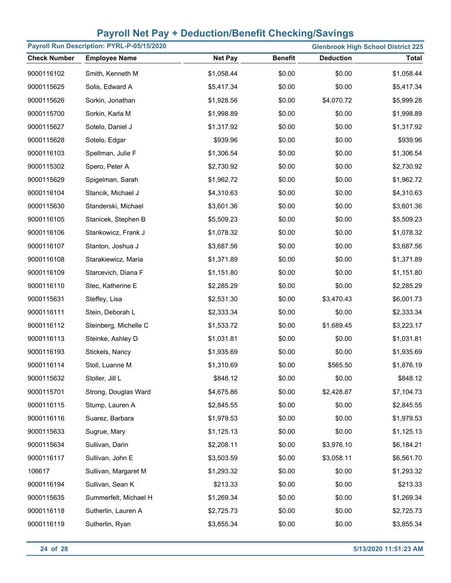|                     | Payroll Run Description: PYRL-P-05/15/2020<br><b>Glenbrook High School District 225</b> |                |                |                  |              |  |  |  |
|---------------------|-----------------------------------------------------------------------------------------|----------------|----------------|------------------|--------------|--|--|--|
| <b>Check Number</b> | <b>Employee Name</b>                                                                    | <b>Net Pay</b> | <b>Benefit</b> | <b>Deduction</b> | <b>Total</b> |  |  |  |
| 9000116102          | Smith, Kenneth M                                                                        | \$1,058.44     | \$0.00         | \$0.00           | \$1,058.44   |  |  |  |
| 9000115625          | Solis, Edward A                                                                         | \$5,417.34     | \$0.00         | \$0.00           | \$5,417.34   |  |  |  |
| 9000115626          | Sorkin, Jonathan                                                                        | \$1,928.56     | \$0.00         | \$4,070.72       | \$5,999.28   |  |  |  |
| 9000115700          | Sorkin, Karla M                                                                         | \$1,998.89     | \$0.00         | \$0.00           | \$1,998.89   |  |  |  |
| 9000115627          | Sotelo, Daniel J                                                                        | \$1,317.92     | \$0.00         | \$0.00           | \$1,317.92   |  |  |  |
| 9000115628          | Sotelo, Edgar                                                                           | \$939.96       | \$0.00         | \$0.00           | \$939.96     |  |  |  |
| 9000116103          | Spellman, Julie F                                                                       | \$1,306.54     | \$0.00         | \$0.00           | \$1,306.54   |  |  |  |
| 9000115302          | Spero, Peter A                                                                          | \$2,730.92     | \$0.00         | \$0.00           | \$2,730.92   |  |  |  |
| 9000115629          | Spigelman, Sarah                                                                        | \$1,962.72     | \$0.00         | \$0.00           | \$1,962.72   |  |  |  |
| 9000116104          | Stancik, Michael J                                                                      | \$4,310.63     | \$0.00         | \$0.00           | \$4,310.63   |  |  |  |
| 9000115630          | Standerski, Michael                                                                     | \$3,601.36     | \$0.00         | \$0.00           | \$3,601.36   |  |  |  |
| 9000116105          | Stanicek, Stephen B                                                                     | \$5,509.23     | \$0.00         | \$0.00           | \$5,509.23   |  |  |  |
| 9000116106          | Stankowicz, Frank J                                                                     | \$1,078.32     | \$0.00         | \$0.00           | \$1,078.32   |  |  |  |
| 9000116107          | Stanton, Joshua J                                                                       | \$3,687.56     | \$0.00         | \$0.00           | \$3,687.56   |  |  |  |
| 9000116108          | Starakiewicz, Maria                                                                     | \$1,371.89     | \$0.00         | \$0.00           | \$1,371.89   |  |  |  |
| 9000116109          | Starcevich, Diana F                                                                     | \$1,151.80     | \$0.00         | \$0.00           | \$1,151.80   |  |  |  |
| 9000116110          | Stec, Katherine E                                                                       | \$2,285.29     | \$0.00         | \$0.00           | \$2,285.29   |  |  |  |
| 9000115631          | Steffey, Lisa                                                                           | \$2,531.30     | \$0.00         | \$3,470.43       | \$6,001.73   |  |  |  |
| 9000116111          | Stein, Deborah L                                                                        | \$2,333.34     | \$0.00         | \$0.00           | \$2,333.34   |  |  |  |
| 9000116112          | Steinberg, Michelle C                                                                   | \$1,533.72     | \$0.00         | \$1,689.45       | \$3,223.17   |  |  |  |
| 9000116113          | Steinke, Ashley D                                                                       | \$1,031.81     | \$0.00         | \$0.00           | \$1,031.81   |  |  |  |
| 9000116193          | Stickels, Nancy                                                                         | \$1,935.69     | \$0.00         | \$0.00           | \$1,935.69   |  |  |  |
| 9000116114          | Stoll, Luanne M                                                                         | \$1,310.69     | \$0.00         | \$565.50         | \$1,876.19   |  |  |  |
| 9000115632          | Stoller, Jill L                                                                         | \$848.12       | \$0.00         | \$0.00           | \$848.12     |  |  |  |
| 9000115701          | Strong, Douglas Ward                                                                    | \$4,675.86     | \$0.00         | \$2,428.87       | \$7,104.73   |  |  |  |
| 9000116115          | Stump, Lauren A                                                                         | \$2,845.55     | \$0.00         | \$0.00           | \$2,845.55   |  |  |  |
| 9000116116          | Suarez, Barbara                                                                         | \$1,979.53     | \$0.00         | \$0.00           | \$1,979.53   |  |  |  |
| 9000115633          | Sugrue, Mary                                                                            | \$1,125.13     | \$0.00         | \$0.00           | \$1,125.13   |  |  |  |
| 9000115634          | Sullivan, Darin                                                                         | \$2,208.11     | \$0.00         | \$3,976.10       | \$6,184.21   |  |  |  |
| 9000116117          | Sullivan, John E                                                                        | \$3,503.59     | \$0.00         | \$3,058.11       | \$6,561.70   |  |  |  |
| 106617              | Sullivan, Margaret M                                                                    | \$1,293.32     | \$0.00         | \$0.00           | \$1,293.32   |  |  |  |
| 9000116194          | Sullivan, Sean K                                                                        | \$213.33       | \$0.00         | \$0.00           | \$213.33     |  |  |  |
| 9000115635          | Summerfelt, Michael H                                                                   | \$1,269.34     | \$0.00         | \$0.00           | \$1,269.34   |  |  |  |
| 9000116118          | Sutherlin, Lauren A                                                                     | \$2,725.73     | \$0.00         | \$0.00           | \$2,725.73   |  |  |  |
| 9000116119          | Sutherlin, Ryan                                                                         | \$3,855.34     | \$0.00         | \$0.00           | \$3,855.34   |  |  |  |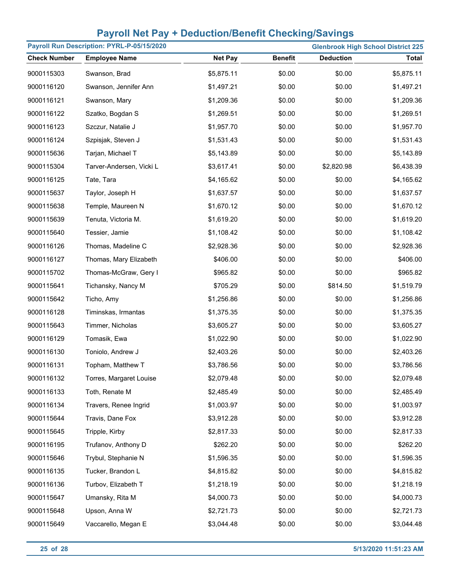|                     | Payroll Run Description: PYRL-P-05/15/2020<br><b>Glenbrook High School District 225</b> |                |                |                  |              |  |  |  |
|---------------------|-----------------------------------------------------------------------------------------|----------------|----------------|------------------|--------------|--|--|--|
| <b>Check Number</b> | <b>Employee Name</b>                                                                    | <b>Net Pay</b> | <b>Benefit</b> | <b>Deduction</b> | <b>Total</b> |  |  |  |
| 9000115303          | Swanson, Brad                                                                           | \$5,875.11     | \$0.00         | \$0.00           | \$5,875.11   |  |  |  |
| 9000116120          | Swanson, Jennifer Ann                                                                   | \$1,497.21     | \$0.00         | \$0.00           | \$1,497.21   |  |  |  |
| 9000116121          | Swanson, Mary                                                                           | \$1,209.36     | \$0.00         | \$0.00           | \$1,209.36   |  |  |  |
| 9000116122          | Szatko, Bogdan S                                                                        | \$1,269.51     | \$0.00         | \$0.00           | \$1,269.51   |  |  |  |
| 9000116123          | Szczur, Natalie J                                                                       | \$1,957.70     | \$0.00         | \$0.00           | \$1,957.70   |  |  |  |
| 9000116124          | Szpisjak, Steven J                                                                      | \$1,531.43     | \$0.00         | \$0.00           | \$1,531.43   |  |  |  |
| 9000115636          | Tarjan, Michael T                                                                       | \$5,143.89     | \$0.00         | \$0.00           | \$5,143.89   |  |  |  |
| 9000115304          | Tarver-Andersen, Vicki L                                                                | \$3,617.41     | \$0.00         | \$2,820.98       | \$6,438.39   |  |  |  |
| 9000116125          | Tate, Tara                                                                              | \$4,165.62     | \$0.00         | \$0.00           | \$4,165.62   |  |  |  |
| 9000115637          | Taylor, Joseph H                                                                        | \$1,637.57     | \$0.00         | \$0.00           | \$1,637.57   |  |  |  |
| 9000115638          | Temple, Maureen N                                                                       | \$1,670.12     | \$0.00         | \$0.00           | \$1,670.12   |  |  |  |
| 9000115639          | Tenuta, Victoria M.                                                                     | \$1,619.20     | \$0.00         | \$0.00           | \$1,619.20   |  |  |  |
| 9000115640          | Tessier, Jamie                                                                          | \$1,108.42     | \$0.00         | \$0.00           | \$1,108.42   |  |  |  |
| 9000116126          | Thomas, Madeline C                                                                      | \$2,928.36     | \$0.00         | \$0.00           | \$2,928.36   |  |  |  |
| 9000116127          | Thomas, Mary Elizabeth                                                                  | \$406.00       | \$0.00         | \$0.00           | \$406.00     |  |  |  |
| 9000115702          | Thomas-McGraw, Gery I                                                                   | \$965.82       | \$0.00         | \$0.00           | \$965.82     |  |  |  |
| 9000115641          | Tichansky, Nancy M                                                                      | \$705.29       | \$0.00         | \$814.50         | \$1,519.79   |  |  |  |
| 9000115642          | Ticho, Amy                                                                              | \$1,256.86     | \$0.00         | \$0.00           | \$1,256.86   |  |  |  |
| 9000116128          | Timinskas, Irmantas                                                                     | \$1,375.35     | \$0.00         | \$0.00           | \$1,375.35   |  |  |  |
| 9000115643          | Timmer, Nicholas                                                                        | \$3,605.27     | \$0.00         | \$0.00           | \$3,605.27   |  |  |  |
| 9000116129          | Tomasik, Ewa                                                                            | \$1,022.90     | \$0.00         | \$0.00           | \$1,022.90   |  |  |  |
| 9000116130          | Toniolo, Andrew J                                                                       | \$2,403.26     | \$0.00         | \$0.00           | \$2,403.26   |  |  |  |
| 9000116131          | Topham, Matthew T                                                                       | \$3,786.56     | \$0.00         | \$0.00           | \$3,786.56   |  |  |  |
| 9000116132          | Torres, Margaret Louise                                                                 | \$2,079.48     | \$0.00         | \$0.00           | \$2,079.48   |  |  |  |
| 9000116133          | Toth, Renate M                                                                          | \$2,485.49     | \$0.00         | \$0.00           | \$2,485.49   |  |  |  |
| 9000116134          | Travers, Renee Ingrid                                                                   | \$1,003.97     | \$0.00         | \$0.00           | \$1,003.97   |  |  |  |
| 9000115644          | Travis, Dane Fox                                                                        | \$3,912.28     | \$0.00         | \$0.00           | \$3,912.28   |  |  |  |
| 9000115645          | Tripple, Kirby                                                                          | \$2,817.33     | \$0.00         | \$0.00           | \$2,817.33   |  |  |  |
| 9000116195          | Trufanov, Anthony D                                                                     | \$262.20       | \$0.00         | \$0.00           | \$262.20     |  |  |  |
| 9000115646          | Trybul, Stephanie N                                                                     | \$1,596.35     | \$0.00         | \$0.00           | \$1,596.35   |  |  |  |
| 9000116135          | Tucker, Brandon L                                                                       | \$4,815.82     | \$0.00         | \$0.00           | \$4,815.82   |  |  |  |
| 9000116136          | Turbov, Elizabeth T                                                                     | \$1,218.19     | \$0.00         | \$0.00           | \$1,218.19   |  |  |  |
| 9000115647          | Umansky, Rita M                                                                         | \$4,000.73     | \$0.00         | \$0.00           | \$4,000.73   |  |  |  |
| 9000115648          | Upson, Anna W                                                                           | \$2,721.73     | \$0.00         | \$0.00           | \$2,721.73   |  |  |  |
| 9000115649          | Vaccarello, Megan E                                                                     | \$3,044.48     | \$0.00         | \$0.00           | \$3,044.48   |  |  |  |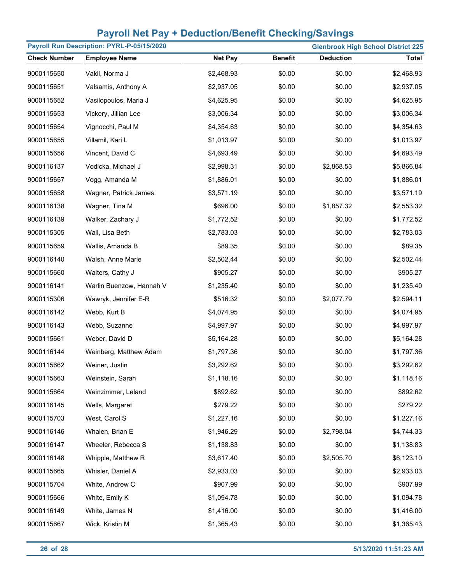|                     | Payroll Run Description: PYRL-P-05/15/2020<br><b>Glenbrook High School District 225</b> |                |                |                  |              |  |  |  |
|---------------------|-----------------------------------------------------------------------------------------|----------------|----------------|------------------|--------------|--|--|--|
| <b>Check Number</b> | <b>Employee Name</b>                                                                    | <b>Net Pay</b> | <b>Benefit</b> | <b>Deduction</b> | <b>Total</b> |  |  |  |
| 9000115650          | Vakil, Norma J                                                                          | \$2,468.93     | \$0.00         | \$0.00           | \$2,468.93   |  |  |  |
| 9000115651          | Valsamis, Anthony A                                                                     | \$2,937.05     | \$0.00         | \$0.00           | \$2,937.05   |  |  |  |
| 9000115652          | Vasilopoulos, Maria J                                                                   | \$4,625.95     | \$0.00         | \$0.00           | \$4,625.95   |  |  |  |
| 9000115653          | Vickery, Jillian Lee                                                                    | \$3,006.34     | \$0.00         | \$0.00           | \$3,006.34   |  |  |  |
| 9000115654          | Vignocchi, Paul M                                                                       | \$4,354.63     | \$0.00         | \$0.00           | \$4,354.63   |  |  |  |
| 9000115655          | Villamil, Kari L                                                                        | \$1,013.97     | \$0.00         | \$0.00           | \$1,013.97   |  |  |  |
| 9000115656          | Vincent, David C                                                                        | \$4,693.49     | \$0.00         | \$0.00           | \$4,693.49   |  |  |  |
| 9000116137          | Vodicka, Michael J                                                                      | \$2,998.31     | \$0.00         | \$2,868.53       | \$5,866.84   |  |  |  |
| 9000115657          | Vogg, Amanda M                                                                          | \$1,886.01     | \$0.00         | \$0.00           | \$1,886.01   |  |  |  |
| 9000115658          | Wagner, Patrick James                                                                   | \$3,571.19     | \$0.00         | \$0.00           | \$3,571.19   |  |  |  |
| 9000116138          | Wagner, Tina M                                                                          | \$696.00       | \$0.00         | \$1,857.32       | \$2,553.32   |  |  |  |
| 9000116139          | Walker, Zachary J                                                                       | \$1,772.52     | \$0.00         | \$0.00           | \$1,772.52   |  |  |  |
| 9000115305          | Wall, Lisa Beth                                                                         | \$2,783.03     | \$0.00         | \$0.00           | \$2,783.03   |  |  |  |
| 9000115659          | Wallis, Amanda B                                                                        | \$89.35        | \$0.00         | \$0.00           | \$89.35      |  |  |  |
| 9000116140          | Walsh, Anne Marie                                                                       | \$2,502.44     | \$0.00         | \$0.00           | \$2,502.44   |  |  |  |
| 9000115660          | Walters, Cathy J                                                                        | \$905.27       | \$0.00         | \$0.00           | \$905.27     |  |  |  |
| 9000116141          | Warlin Buenzow, Hannah V                                                                | \$1,235.40     | \$0.00         | \$0.00           | \$1,235.40   |  |  |  |
| 9000115306          | Wawryk, Jennifer E-R                                                                    | \$516.32       | \$0.00         | \$2,077.79       | \$2,594.11   |  |  |  |
| 9000116142          | Webb, Kurt B                                                                            | \$4,074.95     | \$0.00         | \$0.00           | \$4,074.95   |  |  |  |
| 9000116143          | Webb, Suzanne                                                                           | \$4,997.97     | \$0.00         | \$0.00           | \$4,997.97   |  |  |  |
| 9000115661          | Weber, David D                                                                          | \$5,164.28     | \$0.00         | \$0.00           | \$5,164.28   |  |  |  |
| 9000116144          | Weinberg, Matthew Adam                                                                  | \$1,797.36     | \$0.00         | \$0.00           | \$1,797.36   |  |  |  |
| 9000115662          | Weiner, Justin                                                                          | \$3,292.62     | \$0.00         | \$0.00           | \$3,292.62   |  |  |  |
| 9000115663          | Weinstein, Sarah                                                                        | \$1,118.16     | \$0.00         | \$0.00           | \$1,118.16   |  |  |  |
| 9000115664          | Weinzimmer, Leland                                                                      | \$892.62       | \$0.00         | \$0.00           | \$892.62     |  |  |  |
| 9000116145          | Wells, Margaret                                                                         | \$279.22       | \$0.00         | \$0.00           | \$279.22     |  |  |  |
| 9000115703          | West, Carol S                                                                           | \$1,227.16     | \$0.00         | \$0.00           | \$1,227.16   |  |  |  |
| 9000116146          | Whalen, Brian E                                                                         | \$1,946.29     | \$0.00         | \$2,798.04       | \$4,744.33   |  |  |  |
| 9000116147          | Wheeler, Rebecca S                                                                      | \$1,138.83     | \$0.00         | \$0.00           | \$1,138.83   |  |  |  |
| 9000116148          | Whipple, Matthew R                                                                      | \$3,617.40     | \$0.00         | \$2,505.70       | \$6,123.10   |  |  |  |
| 9000115665          | Whisler, Daniel A                                                                       | \$2,933.03     | \$0.00         | \$0.00           | \$2,933.03   |  |  |  |
| 9000115704          | White, Andrew C                                                                         | \$907.99       | \$0.00         | \$0.00           | \$907.99     |  |  |  |
| 9000115666          | White, Emily K                                                                          | \$1,094.78     | \$0.00         | \$0.00           | \$1,094.78   |  |  |  |
| 9000116149          | White, James N                                                                          | \$1,416.00     | \$0.00         | \$0.00           | \$1,416.00   |  |  |  |
| 9000115667          | Wick, Kristin M                                                                         | \$1,365.43     | \$0.00         | \$0.00           | \$1,365.43   |  |  |  |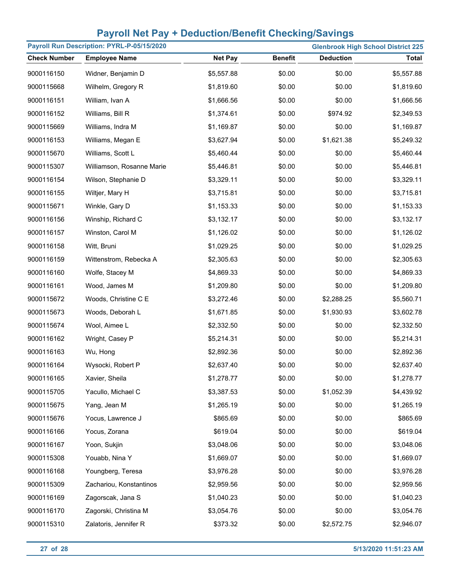|                     | Payroll Run Description: PYRL-P-05/15/2020<br><b>Glenbrook High School District 225</b> |                |                |                  |              |  |  |  |
|---------------------|-----------------------------------------------------------------------------------------|----------------|----------------|------------------|--------------|--|--|--|
| <b>Check Number</b> | <b>Employee Name</b>                                                                    | <b>Net Pay</b> | <b>Benefit</b> | <b>Deduction</b> | <b>Total</b> |  |  |  |
| 9000116150          | Widner, Benjamin D                                                                      | \$5,557.88     | \$0.00         | \$0.00           | \$5,557.88   |  |  |  |
| 9000115668          | Wilhelm, Gregory R                                                                      | \$1,819.60     | \$0.00         | \$0.00           | \$1,819.60   |  |  |  |
| 9000116151          | William, Ivan A                                                                         | \$1,666.56     | \$0.00         | \$0.00           | \$1,666.56   |  |  |  |
| 9000116152          | Williams, Bill R                                                                        | \$1,374.61     | \$0.00         | \$974.92         | \$2,349.53   |  |  |  |
| 9000115669          | Williams, Indra M                                                                       | \$1,169.87     | \$0.00         | \$0.00           | \$1,169.87   |  |  |  |
| 9000116153          | Williams, Megan E                                                                       | \$3,627.94     | \$0.00         | \$1,621.38       | \$5,249.32   |  |  |  |
| 9000115670          | Williams, Scott L                                                                       | \$5,460.44     | \$0.00         | \$0.00           | \$5,460.44   |  |  |  |
| 9000115307          | Williamson, Rosanne Marie                                                               | \$5,446.81     | \$0.00         | \$0.00           | \$5,446.81   |  |  |  |
| 9000116154          | Wilson, Stephanie D                                                                     | \$3,329.11     | \$0.00         | \$0.00           | \$3,329.11   |  |  |  |
| 9000116155          | Wiltjer, Mary H                                                                         | \$3,715.81     | \$0.00         | \$0.00           | \$3,715.81   |  |  |  |
| 9000115671          | Winkle, Gary D                                                                          | \$1,153.33     | \$0.00         | \$0.00           | \$1,153.33   |  |  |  |
| 9000116156          | Winship, Richard C                                                                      | \$3,132.17     | \$0.00         | \$0.00           | \$3,132.17   |  |  |  |
| 9000116157          | Winston, Carol M                                                                        | \$1,126.02     | \$0.00         | \$0.00           | \$1,126.02   |  |  |  |
| 9000116158          | Witt, Bruni                                                                             | \$1,029.25     | \$0.00         | \$0.00           | \$1,029.25   |  |  |  |
| 9000116159          | Wittenstrom, Rebecka A                                                                  | \$2,305.63     | \$0.00         | \$0.00           | \$2,305.63   |  |  |  |
| 9000116160          | Wolfe, Stacey M                                                                         | \$4,869.33     | \$0.00         | \$0.00           | \$4,869.33   |  |  |  |
| 9000116161          | Wood, James M                                                                           | \$1,209.80     | \$0.00         | \$0.00           | \$1,209.80   |  |  |  |
| 9000115672          | Woods, Christine C E                                                                    | \$3,272.46     | \$0.00         | \$2,288.25       | \$5,560.71   |  |  |  |
| 9000115673          | Woods, Deborah L                                                                        | \$1,671.85     | \$0.00         | \$1,930.93       | \$3,602.78   |  |  |  |
| 9000115674          | Wool, Aimee L                                                                           | \$2,332.50     | \$0.00         | \$0.00           | \$2,332.50   |  |  |  |
| 9000116162          | Wright, Casey P                                                                         | \$5,214.31     | \$0.00         | \$0.00           | \$5,214.31   |  |  |  |
| 9000116163          | Wu, Hong                                                                                | \$2,892.36     | \$0.00         | \$0.00           | \$2,892.36   |  |  |  |
| 9000116164          | Wysocki, Robert P                                                                       | \$2,637.40     | \$0.00         | \$0.00           | \$2,637.40   |  |  |  |
| 9000116165          | Xavier, Sheila                                                                          | \$1,278.77     | \$0.00         | \$0.00           | \$1,278.77   |  |  |  |
| 9000115705          | Yacullo, Michael C                                                                      | \$3,387.53     | \$0.00         | \$1,052.39       | \$4,439.92   |  |  |  |
| 9000115675          | Yang, Jean M                                                                            | \$1,265.19     | \$0.00         | \$0.00           | \$1,265.19   |  |  |  |
| 9000115676          | Yocus, Lawrence J                                                                       | \$865.69       | \$0.00         | \$0.00           | \$865.69     |  |  |  |
| 9000116166          | Yocus, Zorana                                                                           | \$619.04       | \$0.00         | \$0.00           | \$619.04     |  |  |  |
| 9000116167          | Yoon, Sukjin                                                                            | \$3,048.06     | \$0.00         | \$0.00           | \$3,048.06   |  |  |  |
| 9000115308          | Youabb, Nina Y                                                                          | \$1,669.07     | \$0.00         | \$0.00           | \$1,669.07   |  |  |  |
| 9000116168          | Youngberg, Teresa                                                                       | \$3,976.28     | \$0.00         | \$0.00           | \$3,976.28   |  |  |  |
| 9000115309          | Zachariou, Konstantinos                                                                 | \$2,959.56     | \$0.00         | \$0.00           | \$2,959.56   |  |  |  |
| 9000116169          | Zagorscak, Jana S                                                                       | \$1,040.23     | \$0.00         | \$0.00           | \$1,040.23   |  |  |  |
| 9000116170          | Zagorski, Christina M                                                                   | \$3,054.76     | \$0.00         | \$0.00           | \$3,054.76   |  |  |  |
| 9000115310          | Zalatoris, Jennifer R                                                                   | \$373.32       | \$0.00         | \$2,572.75       | \$2,946.07   |  |  |  |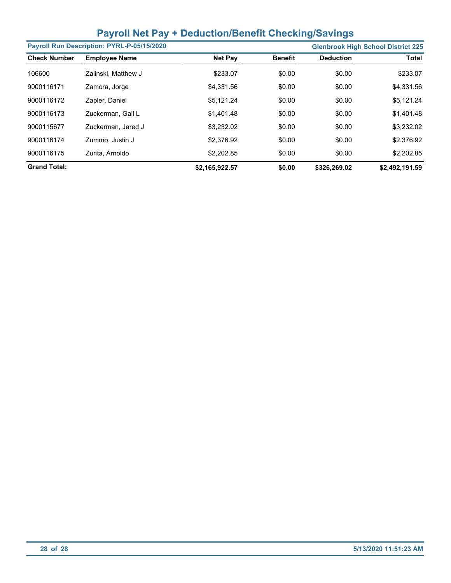|                     | Payroll Run Description: PYRL-P-05/15/2020 |                |                |                  | <b>Glenbrook High School District 225</b> |
|---------------------|--------------------------------------------|----------------|----------------|------------------|-------------------------------------------|
| <b>Check Number</b> | <b>Employee Name</b>                       | <b>Net Pay</b> | <b>Benefit</b> | <b>Deduction</b> | <b>Total</b>                              |
| 106600              | Zalinski, Matthew J                        | \$233.07       | \$0.00         | \$0.00           | \$233.07                                  |
| 9000116171          | Zamora, Jorge                              | \$4,331.56     | \$0.00         | \$0.00           | \$4,331.56                                |
| 9000116172          | Zapler, Daniel                             | \$5,121.24     | \$0.00         | \$0.00           | \$5,121.24                                |
| 9000116173          | Zuckerman, Gail L                          | \$1,401.48     | \$0.00         | \$0.00           | \$1,401.48                                |
| 9000115677          | Zuckerman, Jared J                         | \$3.232.02     | \$0.00         | \$0.00           | \$3,232.02                                |
| 9000116174          | Zummo, Justin J                            | \$2,376.92     | \$0.00         | \$0.00           | \$2,376.92                                |
| 9000116175          | Zurita, Arnoldo                            | \$2,202.85     | \$0.00         | \$0.00           | \$2,202.85                                |
| <b>Grand Total:</b> |                                            | \$2,165,922.57 | \$0.00         | \$326,269.02     | \$2,492,191.59                            |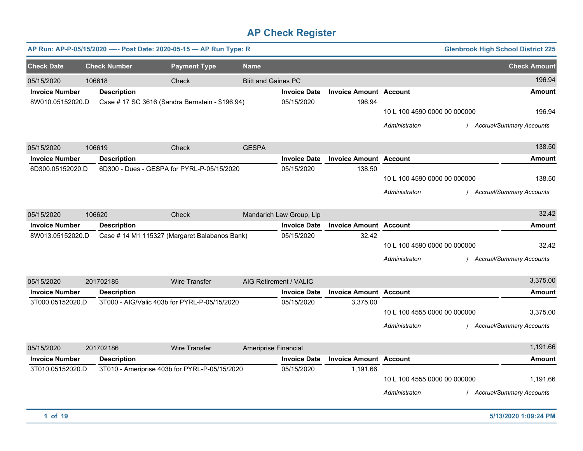|                       |        | AP Run: AP-P-05/15/2020 ---- Post Date: 2020-05-15 - AP Run Type: R |                      |                            |                          |                               |                              | <b>Glenbrook High School District 225</b> |
|-----------------------|--------|---------------------------------------------------------------------|----------------------|----------------------------|--------------------------|-------------------------------|------------------------------|-------------------------------------------|
| <b>Check Date</b>     |        | <b>Check Number</b>                                                 | <b>Payment Type</b>  | <b>Name</b>                |                          |                               |                              | <b>Check Amount</b>                       |
| 05/15/2020            | 106618 |                                                                     | Check                | <b>Blitt and Gaines PC</b> |                          |                               |                              | 196.94                                    |
| <b>Invoice Number</b> |        | <b>Description</b>                                                  |                      |                            | <b>Invoice Date</b>      | <b>Invoice Amount Account</b> |                              | <b>Amount</b>                             |
| 8W010.05152020.D      |        | Case # 17 SC 3616 (Sandra Bernstein - \$196.94)                     |                      |                            | 05/15/2020               | 196.94                        |                              |                                           |
|                       |        |                                                                     |                      |                            |                          |                               | 10 L 100 4590 0000 00 000000 | 196.94                                    |
|                       |        |                                                                     |                      |                            |                          |                               | Administraton                | <b>Accrual/Summary Accounts</b>           |
| 05/15/2020            | 106619 |                                                                     | Check                | <b>GESPA</b>               |                          |                               |                              | 138.50                                    |
| <b>Invoice Number</b> |        | <b>Description</b>                                                  |                      |                            | <b>Invoice Date</b>      | <b>Invoice Amount Account</b> |                              | <b>Amount</b>                             |
| 6D300.05152020.D      |        | 6D300 - Dues - GESPA for PYRL-P-05/15/2020                          |                      |                            | 05/15/2020               | 138.50                        |                              |                                           |
|                       |        |                                                                     |                      |                            |                          |                               | 10 L 100 4590 0000 00 000000 | 138.50                                    |
|                       |        |                                                                     |                      |                            |                          |                               | Administraton                | <b>Accrual/Summary Accounts</b>           |
| 05/15/2020            | 106620 |                                                                     | Check                |                            | Mandarich Law Group, Llp |                               |                              | 32.42                                     |
| <b>Invoice Number</b> |        | <b>Description</b>                                                  |                      |                            | <b>Invoice Date</b>      | <b>Invoice Amount Account</b> |                              | <b>Amount</b>                             |
| 8W013.05152020.D      |        | Case # 14 M1 115327 (Margaret Balabanos Bank)                       |                      |                            | 05/15/2020               | 32.42                         |                              |                                           |
|                       |        |                                                                     |                      |                            |                          |                               | 10 L 100 4590 0000 00 000000 | 32.42                                     |
|                       |        |                                                                     |                      |                            |                          |                               | Administraton                | / Accrual/Summary Accounts                |
| 05/15/2020            |        | 201702185                                                           | Wire Transfer        | AIG Retirement / VALIC     |                          |                               |                              | 3,375.00                                  |
| <b>Invoice Number</b> |        | <b>Description</b>                                                  |                      |                            | <b>Invoice Date</b>      | <b>Invoice Amount Account</b> |                              | <b>Amount</b>                             |
| 3T000.05152020.D      |        | 3T000 - AIG/Valic 403b for PYRL-P-05/15/2020                        |                      |                            | 05/15/2020               | 3,375.00                      |                              |                                           |
|                       |        |                                                                     |                      |                            |                          |                               | 10 L 100 4555 0000 00 000000 | 3,375.00                                  |
|                       |        |                                                                     |                      |                            |                          |                               | Administraton                | / Accrual/Summary Accounts                |
| 05/15/2020            |        | 201702186                                                           | <b>Wire Transfer</b> | Ameriprise Financial       |                          |                               |                              | 1,191.66                                  |
| <b>Invoice Number</b> |        | <b>Description</b>                                                  |                      |                            | <b>Invoice Date</b>      | <b>Invoice Amount Account</b> |                              | <b>Amount</b>                             |
| 3T010.05152020.D      |        | 3T010 - Ameriprise 403b for PYRL-P-05/15/2020                       |                      |                            | 05/15/2020               | 1,191.66                      |                              |                                           |
|                       |        |                                                                     |                      |                            |                          |                               | 10 L 100 4555 0000 00 000000 | 1,191.66                                  |
|                       |        |                                                                     |                      |                            |                          |                               | Administraton                | <b>Accrual/Summary Accounts</b>           |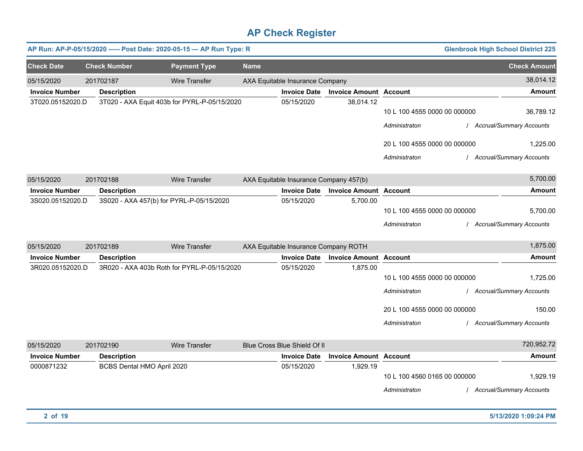|                       |                            | AP Run: AP-P-05/15/2020 ---- Post Date: 2020-05-15 - AP Run Type: R |             |                                        |                               |                              | <b>Glenbrook High School District 225</b> |
|-----------------------|----------------------------|---------------------------------------------------------------------|-------------|----------------------------------------|-------------------------------|------------------------------|-------------------------------------------|
| <b>Check Date</b>     | <b>Check Number</b>        | <b>Payment Type</b>                                                 | <b>Name</b> |                                        |                               |                              | <b>Check Amount</b>                       |
| 05/15/2020            | 201702187                  | <b>Wire Transfer</b>                                                |             | AXA Equitable Insurance Company        |                               |                              | 38,014.12                                 |
| <b>Invoice Number</b> | <b>Description</b>         |                                                                     |             | <b>Invoice Date</b>                    | <b>Invoice Amount Account</b> |                              | <b>Amount</b>                             |
| 3T020.05152020.D      |                            | 3T020 - AXA Equit 403b for PYRL-P-05/15/2020                        |             | 05/15/2020                             | 38,014.12                     | 10 L 100 4555 0000 00 000000 | 36,789.12                                 |
|                       |                            |                                                                     |             |                                        |                               | Administraton                | / Accrual/Summary Accounts                |
|                       |                            |                                                                     |             |                                        |                               | 20 L 100 4555 0000 00 000000 | 1,225.00                                  |
|                       |                            |                                                                     |             |                                        |                               | Administraton                | / Accrual/Summary Accounts                |
| 05/15/2020            | 201702188                  | <b>Wire Transfer</b>                                                |             | AXA Equitable Insurance Company 457(b) |                               |                              | 5,700.00                                  |
| <b>Invoice Number</b> | <b>Description</b>         |                                                                     |             | <b>Invoice Date</b>                    | <b>Invoice Amount Account</b> |                              | <b>Amount</b>                             |
| 3S020.05152020.D      |                            | 3S020 - AXA 457(b) for PYRL-P-05/15/2020                            |             | 05/15/2020                             | 5,700.00                      |                              |                                           |
|                       |                            |                                                                     |             |                                        |                               | 10 L 100 4555 0000 00 000000 | 5,700.00                                  |
|                       |                            |                                                                     |             |                                        |                               | Administraton                | <b>Accrual/Summary Accounts</b>           |
| 05/15/2020            | 201702189                  | <b>Wire Transfer</b>                                                |             | AXA Equitable Insurance Company ROTH   |                               |                              | 1,875.00                                  |
| <b>Invoice Number</b> | <b>Description</b>         |                                                                     |             | <b>Invoice Date</b>                    | <b>Invoice Amount Account</b> |                              | <b>Amount</b>                             |
| 3R020.05152020.D      |                            | 3R020 - AXA 403b Roth for PYRL-P-05/15/2020                         |             | 05/15/2020                             | 1.875.00                      |                              |                                           |
|                       |                            |                                                                     |             |                                        |                               | 10 L 100 4555 0000 00 000000 | 1,725.00                                  |
|                       |                            |                                                                     |             |                                        |                               | Administraton                | <b>Accrual/Summary Accounts</b>           |
|                       |                            |                                                                     |             |                                        |                               | 20 L 100 4555 0000 00 000000 | 150.00                                    |
|                       |                            |                                                                     |             |                                        |                               | Administraton                | / Accrual/Summary Accounts                |
| 05/15/2020            | 201702190                  | <b>Wire Transfer</b>                                                |             | Blue Cross Blue Shield Of II           |                               |                              | 720,952.72                                |
| <b>Invoice Number</b> | <b>Description</b>         |                                                                     |             | <b>Invoice Date</b>                    | <b>Invoice Amount Account</b> |                              | <b>Amount</b>                             |
| 0000871232            | BCBS Dental HMO April 2020 |                                                                     |             | 05/15/2020                             | 1,929.19                      | 10 L 100 4560 0165 00 000000 | 1,929.19                                  |
|                       |                            |                                                                     |             |                                        |                               | Administraton                | / Accrual/Summary Accounts                |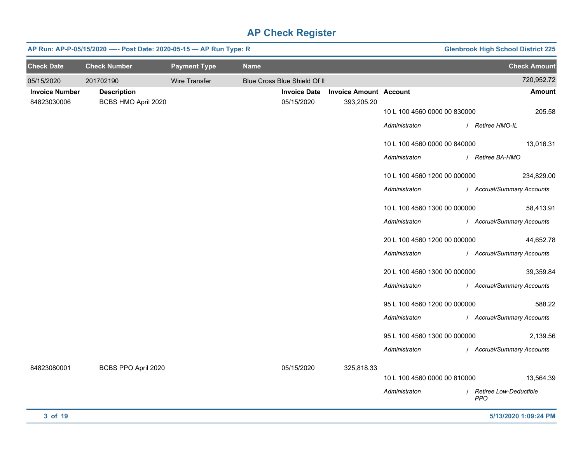|                       | <b>Glenbrook High School District 225</b><br>AP Run: AP-P-05/15/2020 ---- Post Date: 2020-05-15 - AP Run Type: R |                     |             |                              |                               |                              |                                        |  |  |
|-----------------------|------------------------------------------------------------------------------------------------------------------|---------------------|-------------|------------------------------|-------------------------------|------------------------------|----------------------------------------|--|--|
| <b>Check Date</b>     | <b>Check Number</b>                                                                                              | <b>Payment Type</b> | <b>Name</b> |                              |                               |                              | <b>Check Amount</b>                    |  |  |
| 05/15/2020            | 201702190                                                                                                        | Wire Transfer       |             | Blue Cross Blue Shield Of II |                               |                              | 720,952.72                             |  |  |
| <b>Invoice Number</b> | <b>Description</b>                                                                                               |                     |             | <b>Invoice Date</b>          | <b>Invoice Amount Account</b> |                              | Amount                                 |  |  |
| 84823030006           | BCBS HMO April 2020                                                                                              |                     |             | 05/15/2020                   | 393,205.20                    | 10 L 100 4560 0000 00 830000 | 205.58                                 |  |  |
|                       |                                                                                                                  |                     |             |                              |                               | Administraton                | / Retiree HMO-IL                       |  |  |
|                       |                                                                                                                  |                     |             |                              |                               | 10 L 100 4560 0000 00 840000 | 13,016.31                              |  |  |
|                       |                                                                                                                  |                     |             |                              |                               | Administraton                | / Retiree BA-HMO                       |  |  |
|                       |                                                                                                                  |                     |             |                              |                               | 10 L 100 4560 1200 00 000000 | 234,829.00                             |  |  |
|                       |                                                                                                                  |                     |             |                              |                               | Administraton                | / Accrual/Summary Accounts             |  |  |
|                       |                                                                                                                  |                     |             |                              |                               | 10 L 100 4560 1300 00 000000 | 58,413.91                              |  |  |
|                       |                                                                                                                  |                     |             |                              |                               | Administraton                | / Accrual/Summary Accounts             |  |  |
|                       |                                                                                                                  |                     |             |                              |                               | 20 L 100 4560 1200 00 000000 | 44,652.78                              |  |  |
|                       |                                                                                                                  |                     |             |                              |                               | Administraton                | / Accrual/Summary Accounts             |  |  |
|                       |                                                                                                                  |                     |             |                              |                               | 20 L 100 4560 1300 00 000000 | 39,359.84                              |  |  |
|                       |                                                                                                                  |                     |             |                              |                               | Administraton                | / Accrual/Summary Accounts             |  |  |
|                       |                                                                                                                  |                     |             |                              |                               | 95 L 100 4560 1200 00 000000 | 588.22                                 |  |  |
|                       |                                                                                                                  |                     |             |                              |                               | Administraton                | / Accrual/Summary Accounts             |  |  |
|                       |                                                                                                                  |                     |             |                              |                               | 95 L 100 4560 1300 00 000000 | 2,139.56                               |  |  |
|                       |                                                                                                                  |                     |             |                              |                               | Administraton                | / Accrual/Summary Accounts             |  |  |
| 84823080001           | BCBS PPO April 2020                                                                                              |                     |             | 05/15/2020                   | 325,818.33                    |                              |                                        |  |  |
|                       |                                                                                                                  |                     |             |                              |                               | 10 L 100 4560 0000 00 810000 | 13,564.39                              |  |  |
|                       |                                                                                                                  |                     |             |                              |                               | Administraton                | / Retiree Low-Deductible<br><b>PPO</b> |  |  |
| 3 of 19               |                                                                                                                  |                     |             |                              |                               |                              | 5/13/2020 1:09:24 PM                   |  |  |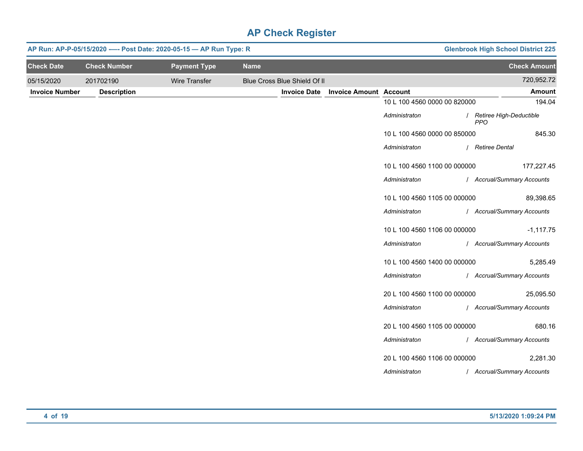|                       | AP Run: AP-P-05/15/2020 ---- Post Date: 2020-05-15 - AP Run Type: R |                      | <b>Glenbrook High School District 225</b> |                              |                               |                              |                                         |
|-----------------------|---------------------------------------------------------------------|----------------------|-------------------------------------------|------------------------------|-------------------------------|------------------------------|-----------------------------------------|
| <b>Check Date</b>     | <b>Check Number</b>                                                 | <b>Payment Type</b>  | <b>Name</b>                               |                              |                               |                              | <b>Check Amount</b>                     |
| 05/15/2020            | 201702190                                                           | <b>Wire Transfer</b> |                                           | Blue Cross Blue Shield Of II |                               |                              | 720,952.72                              |
| <b>Invoice Number</b> | <b>Description</b>                                                  |                      |                                           | <b>Invoice Date</b>          | <b>Invoice Amount Account</b> |                              | <b>Amount</b>                           |
|                       |                                                                     |                      |                                           |                              |                               | 10 L 100 4560 0000 00 820000 | 194.04                                  |
|                       |                                                                     |                      |                                           |                              |                               | Administraton                | / Retiree High-Deductible<br><b>PPO</b> |
|                       |                                                                     |                      |                                           |                              |                               | 10 L 100 4560 0000 00 850000 | 845.30                                  |
|                       |                                                                     |                      |                                           |                              |                               | Administraton                | / Retiree Dental                        |
|                       |                                                                     |                      |                                           |                              |                               | 10 L 100 4560 1100 00 000000 | 177,227.45                              |
|                       |                                                                     |                      |                                           |                              |                               | Administraton                | / Accrual/Summary Accounts              |
|                       |                                                                     |                      |                                           |                              |                               | 10 L 100 4560 1105 00 000000 | 89,398.65                               |
|                       |                                                                     |                      |                                           |                              |                               | Administraton                | / Accrual/Summary Accounts              |
|                       |                                                                     |                      |                                           |                              |                               | 10 L 100 4560 1106 00 000000 | $-1,117.75$                             |
|                       |                                                                     |                      |                                           |                              |                               | Administraton                | / Accrual/Summary Accounts              |
|                       |                                                                     |                      |                                           |                              |                               | 10 L 100 4560 1400 00 000000 | 5,285.49                                |
|                       |                                                                     |                      |                                           |                              |                               | Administraton                | / Accrual/Summary Accounts              |
|                       |                                                                     |                      |                                           |                              |                               | 20 L 100 4560 1100 00 000000 | 25,095.50                               |
|                       |                                                                     |                      |                                           |                              |                               | Administraton                | / Accrual/Summary Accounts              |
|                       |                                                                     |                      |                                           |                              |                               | 20 L 100 4560 1105 00 000000 | 680.16                                  |
|                       |                                                                     |                      |                                           |                              |                               | Administraton                | / Accrual/Summary Accounts              |
|                       |                                                                     |                      |                                           |                              |                               | 20 L 100 4560 1106 00 000000 | 2,281.30                                |
|                       |                                                                     |                      |                                           |                              |                               | Administraton                | / Accrual/Summary Accounts              |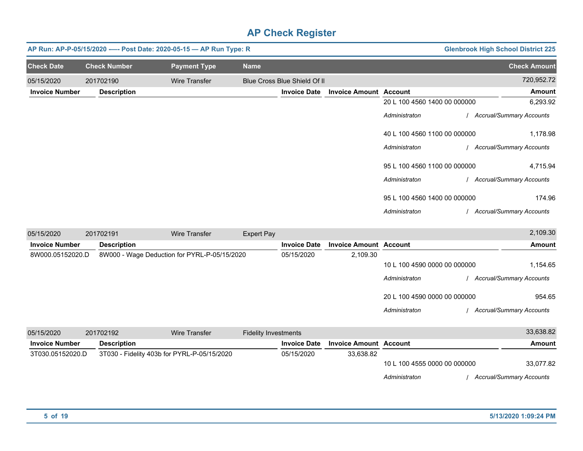|                       | AP Run: AP-P-05/15/2020 ---- Post Date: 2020-05-15 - AP Run Type: R |                     |                              |                               | <b>Glenbrook High School District 225</b> |                                 |
|-----------------------|---------------------------------------------------------------------|---------------------|------------------------------|-------------------------------|-------------------------------------------|---------------------------------|
| <b>Check Date</b>     | <b>Check Number</b>                                                 | <b>Payment Type</b> | <b>Name</b>                  |                               |                                           | <b>Check Amount</b>             |
| 05/15/2020            | 201702190                                                           | Wire Transfer       | Blue Cross Blue Shield Of II |                               |                                           | 720,952.72                      |
| <b>Invoice Number</b> | <b>Description</b>                                                  |                     | <b>Invoice Date</b>          | <b>Invoice Amount Account</b> |                                           | <b>Amount</b>                   |
|                       |                                                                     |                     |                              |                               | 20 L 100 4560 1400 00 000000              | 6,293.92                        |
|                       |                                                                     |                     |                              |                               | Administraton                             | <b>Accrual/Summary Accounts</b> |
|                       |                                                                     |                     |                              | 40 L 100 4560 1100 00 000000  |                                           | 1,178.98                        |
|                       |                                                                     |                     |                              |                               | Administraton                             | <b>Accrual/Summary Accounts</b> |
|                       |                                                                     |                     |                              |                               | 95 L 100 4560 1100 00 000000              | 4,715.94                        |
|                       |                                                                     |                     |                              |                               | Administraton                             | <b>Accrual/Summary Accounts</b> |
|                       |                                                                     |                     |                              |                               | 95 L 100 4560 1400 00 000000              | 174.96                          |
|                       |                                                                     |                     |                              |                               | Administraton                             | <b>Accrual/Summary Accounts</b> |

| 05/15/2020            | 201702191 |                    | Wire Transfer                                | Expert Pay                  |                     |                               |                              | 2,109.30                        |
|-----------------------|-----------|--------------------|----------------------------------------------|-----------------------------|---------------------|-------------------------------|------------------------------|---------------------------------|
| <b>Invoice Number</b> |           | <b>Description</b> |                                              |                             | <b>Invoice Date</b> | <b>Invoice Amount Account</b> |                              | Amount                          |
| 8W000.05152020.D      |           |                    | 8W000 - Wage Deduction for PYRL-P-05/15/2020 |                             | 05/15/2020          | 2,109.30                      |                              |                                 |
|                       |           |                    |                                              |                             |                     |                               | 10 L 100 4590 0000 00 000000 | 1,154.65                        |
|                       |           |                    |                                              |                             |                     |                               | Administraton                | <b>Accrual/Summary Accounts</b> |
|                       |           |                    |                                              |                             |                     |                               | 20 L 100 4590 0000 00 000000 | 954.65                          |
|                       |           |                    |                                              |                             |                     |                               | Administraton                | <b>Accrual/Summary Accounts</b> |
| 05/15/2020            | 201702192 |                    | Wire Transfer                                | <b>Fidelity Investments</b> |                     |                               |                              | 33,638.82                       |

|                       | .                                           |                     |                               |                              |                                 |           |
|-----------------------|---------------------------------------------|---------------------|-------------------------------|------------------------------|---------------------------------|-----------|
| <b>Invoice Number</b> | <b>Description</b>                          | <b>Invoice Date</b> | <b>Invoice Amount Account</b> |                              | Amount                          |           |
| 3T030.05152020.D      | 3T030 - Fidelity 403b for PYRL-P-05/15/2020 | 05/15/2020          | 33.638.82                     |                              |                                 |           |
|                       |                                             |                     |                               | 10 L 100 4555 0000 00 000000 |                                 | 33.077.82 |
|                       |                                             |                     |                               | Administraton                | <b>Accrual/Summary Accounts</b> |           |
|                       |                                             |                     |                               |                              |                                 |           |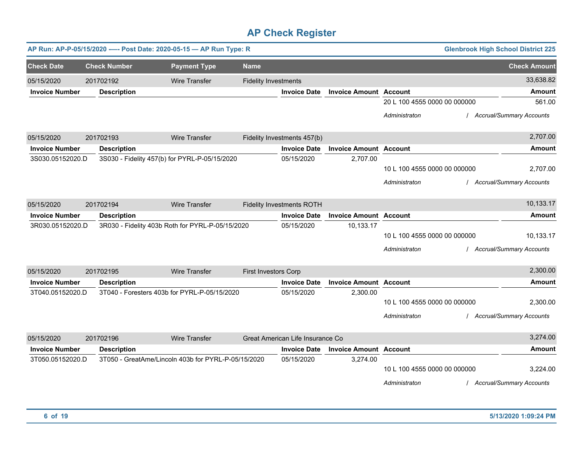|                       |  |                     | AP Run: AP-P-05/15/2020 ---- Post Date: 2020-05-15 - AP Run Type: R |                             |                                  |                               |                              | <b>Glenbrook High School District 225</b> |                                 |
|-----------------------|--|---------------------|---------------------------------------------------------------------|-----------------------------|----------------------------------|-------------------------------|------------------------------|-------------------------------------------|---------------------------------|
| <b>Check Date</b>     |  | <b>Check Number</b> | <b>Payment Type</b>                                                 | <b>Name</b>                 |                                  |                               |                              |                                           | <b>Check Amount</b>             |
| 05/15/2020            |  | 201702192           | <b>Wire Transfer</b>                                                | <b>Fidelity Investments</b> |                                  |                               |                              |                                           | 33,638.82                       |
| <b>Invoice Number</b> |  | <b>Description</b>  |                                                                     |                             | <b>Invoice Date</b>              | <b>Invoice Amount Account</b> |                              |                                           | <b>Amount</b>                   |
|                       |  |                     |                                                                     |                             |                                  |                               | 20 L 100 4555 0000 00 000000 |                                           | 561.00                          |
|                       |  |                     |                                                                     |                             |                                  |                               | Administraton                |                                           | <b>Accrual/Summary Accounts</b> |
| 05/15/2020            |  | 201702193           | <b>Wire Transfer</b>                                                |                             | Fidelity Investments 457(b)      |                               |                              |                                           | 2,707.00                        |
| <b>Invoice Number</b> |  | <b>Description</b>  |                                                                     |                             | <b>Invoice Date</b>              | <b>Invoice Amount Account</b> |                              |                                           | <b>Amount</b>                   |
| 3S030.05152020.D      |  |                     | 3S030 - Fidelity 457(b) for PYRL-P-05/15/2020                       |                             | 05/15/2020                       | 2,707.00                      |                              |                                           |                                 |
|                       |  |                     |                                                                     |                             |                                  |                               | 10 L 100 4555 0000 00 000000 |                                           | 2,707.00                        |
|                       |  |                     |                                                                     |                             |                                  |                               | Administraton                |                                           | <b>Accrual/Summary Accounts</b> |
| 05/15/2020            |  | 201702194           | <b>Wire Transfer</b>                                                |                             | <b>Fidelity Investments ROTH</b> |                               |                              |                                           | 10,133.17                       |
| <b>Invoice Number</b> |  | <b>Description</b>  |                                                                     |                             | <b>Invoice Date</b>              | <b>Invoice Amount Account</b> |                              |                                           | <b>Amount</b>                   |
| 3R030.05152020.D      |  |                     | 3R030 - Fidelity 403b Roth for PYRL-P-05/15/2020                    |                             | 05/15/2020                       | 10,133.17                     |                              |                                           |                                 |
|                       |  |                     |                                                                     |                             |                                  |                               | 10 L 100 4555 0000 00 000000 |                                           | 10,133.17                       |
|                       |  |                     |                                                                     |                             |                                  |                               | Administraton                |                                           | <b>Accrual/Summary Accounts</b> |
| 05/15/2020            |  | 201702195           | <b>Wire Transfer</b>                                                | <b>First Investors Corp</b> |                                  |                               |                              |                                           | 2,300.00                        |
| <b>Invoice Number</b> |  | <b>Description</b>  |                                                                     |                             | <b>Invoice Date</b>              | <b>Invoice Amount Account</b> |                              |                                           | <b>Amount</b>                   |
| 3T040.05152020.D      |  |                     | 3T040 - Foresters 403b for PYRL-P-05/15/2020                        |                             | 05/15/2020                       | 2,300.00                      |                              |                                           |                                 |
|                       |  |                     |                                                                     |                             |                                  |                               | 10 L 100 4555 0000 00 000000 |                                           | 2,300.00                        |
|                       |  |                     |                                                                     |                             |                                  |                               | Administraton                |                                           | <b>Accrual/Summary Accounts</b> |
| 05/15/2020            |  | 201702196           | <b>Wire Transfer</b>                                                |                             | Great American Life Insurance Co |                               |                              |                                           | 3,274.00                        |
| <b>Invoice Number</b> |  | <b>Description</b>  |                                                                     |                             | <b>Invoice Date</b>              | <b>Invoice Amount Account</b> |                              |                                           | <b>Amount</b>                   |
| 3T050.05152020.D      |  |                     | 3T050 - GreatAme/Lincoln 403b for PYRL-P-05/15/2020                 |                             | 05/15/2020                       | 3,274.00                      |                              |                                           |                                 |
|                       |  |                     |                                                                     |                             |                                  |                               | 10 L 100 4555 0000 00 000000 |                                           | 3,224.00                        |
|                       |  |                     |                                                                     |                             |                                  |                               | Administraton                |                                           | <b>Accrual/Summary Accounts</b> |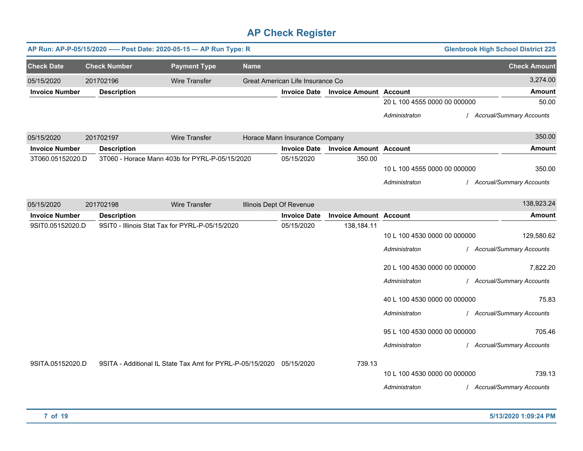|                       |                     | AP Run: AP-P-05/15/2020 ---- Post Date: 2020-05-15 - AP Run Type: R  |             |                                  |                               |                              | <b>Glenbrook High School District 225</b> |
|-----------------------|---------------------|----------------------------------------------------------------------|-------------|----------------------------------|-------------------------------|------------------------------|-------------------------------------------|
| <b>Check Date</b>     | <b>Check Number</b> | <b>Payment Type</b>                                                  | <b>Name</b> |                                  |                               |                              | <b>Check Amount</b>                       |
| 05/15/2020            | 201702196           | <b>Wire Transfer</b>                                                 |             | Great American Life Insurance Co |                               |                              | 3,274.00                                  |
| <b>Invoice Number</b> | <b>Description</b>  |                                                                      |             | <b>Invoice Date</b>              | <b>Invoice Amount Account</b> |                              | <b>Amount</b>                             |
|                       |                     |                                                                      |             |                                  |                               | 20 L 100 4555 0000 00 000000 | 50.00                                     |
|                       |                     |                                                                      |             |                                  |                               | Administraton                | / Accrual/Summary Accounts                |
| 05/15/2020            | 201702197           | <b>Wire Transfer</b>                                                 |             | Horace Mann Insurance Company    |                               |                              | 350.00                                    |
| <b>Invoice Number</b> | <b>Description</b>  |                                                                      |             | <b>Invoice Date</b>              | <b>Invoice Amount Account</b> |                              | Amount                                    |
| 3T060.05152020.D      |                     | 3T060 - Horace Mann 403b for PYRL-P-05/15/2020                       |             | 05/15/2020                       | 350.00                        |                              |                                           |
|                       |                     |                                                                      |             |                                  |                               | 10 L 100 4555 0000 00 000000 | 350.00                                    |
|                       |                     |                                                                      |             |                                  |                               | Administraton                | / Accrual/Summary Accounts                |
|                       |                     |                                                                      |             |                                  |                               |                              |                                           |
| 05/15/2020            | 201702198           | <b>Wire Transfer</b>                                                 |             | Illinois Dept Of Revenue         |                               |                              | 138,923.24                                |
| <b>Invoice Number</b> | <b>Description</b>  |                                                                      |             | <b>Invoice Date</b>              | <b>Invoice Amount Account</b> |                              | <b>Amount</b>                             |
| 9SIT0.05152020.D      |                     | 9SIT0 - Illinois Stat Tax for PYRL-P-05/15/2020                      |             | 05/15/2020                       | 138,184.11                    |                              |                                           |
|                       |                     |                                                                      |             |                                  |                               | 10 L 100 4530 0000 00 000000 | 129,580.62                                |
|                       |                     |                                                                      |             |                                  |                               | Administraton                | / Accrual/Summary Accounts                |
|                       |                     |                                                                      |             |                                  |                               | 20 L 100 4530 0000 00 000000 | 7,822.20                                  |
|                       |                     |                                                                      |             |                                  |                               | Administraton                | / Accrual/Summary Accounts                |
|                       |                     |                                                                      |             |                                  |                               |                              |                                           |
|                       |                     |                                                                      |             |                                  |                               | 40 L 100 4530 0000 00 000000 | 75.83                                     |
|                       |                     |                                                                      |             |                                  |                               | Administraton                | / Accrual/Summary Accounts                |
|                       |                     |                                                                      |             |                                  |                               | 95 L 100 4530 0000 00 000000 | 705.46                                    |
|                       |                     |                                                                      |             |                                  |                               | Administraton                | / Accrual/Summary Accounts                |
|                       |                     |                                                                      |             |                                  |                               |                              |                                           |
| 9SITA.05152020.D      |                     | 9SITA - Additional IL State Tax Amt for PYRL-P-05/15/2020 05/15/2020 |             |                                  | 739.13                        |                              |                                           |
|                       |                     |                                                                      |             |                                  |                               | 10 L 100 4530 0000 00 000000 | 739.13                                    |
|                       |                     |                                                                      |             |                                  |                               | Administraton                | / Accrual/Summary Accounts                |
|                       |                     |                                                                      |             |                                  |                               |                              |                                           |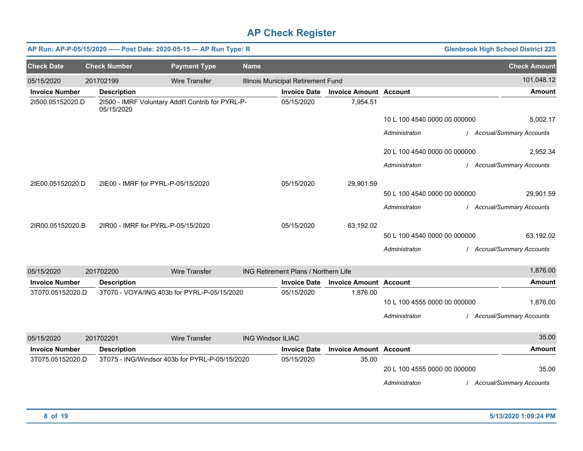|                       | AP Run: AP-P-05/15/2020 ---- Post Date: 2020-05-15 - AP Run Type: R |                      |                          |                                      |                               |                              | <b>Glenbrook High School District 225</b> |
|-----------------------|---------------------------------------------------------------------|----------------------|--------------------------|--------------------------------------|-------------------------------|------------------------------|-------------------------------------------|
| <b>Check Date</b>     | <b>Check Number</b>                                                 | <b>Payment Type</b>  | <b>Name</b>              |                                      |                               |                              | <b>Check Amount</b>                       |
| 05/15/2020            | 201702199                                                           | <b>Wire Transfer</b> |                          | Illinois Municipal Retirement Fund   |                               |                              | 101,048.12                                |
| <b>Invoice Number</b> | <b>Description</b>                                                  |                      |                          | <b>Invoice Date</b>                  | <b>Invoice Amount Account</b> |                              | <b>Amount</b>                             |
| 21500.05152020.D      | 21500 - IMRF Voluntary Addt'l Contrib for PYRL-P-<br>05/15/2020     |                      |                          | 05/15/2020                           | 7,954.51                      |                              |                                           |
|                       |                                                                     |                      |                          |                                      |                               | 10 L 100 4540 0000 00 000000 | 5,002.17                                  |
|                       |                                                                     |                      |                          |                                      |                               | Administraton                | / Accrual/Summary Accounts                |
|                       |                                                                     |                      |                          |                                      |                               | 20 L 100 4540 0000 00 000000 | 2,952.34                                  |
|                       |                                                                     |                      |                          |                                      |                               | Administraton                | / Accrual/Summary Accounts                |
| 2IE00.05152020.D      | 2IE00 - IMRF for PYRL-P-05/15/2020                                  |                      |                          | 05/15/2020                           | 29,901.59                     |                              |                                           |
|                       |                                                                     |                      |                          |                                      |                               | 50 L 100 4540 0000 00 000000 | 29,901.59                                 |
|                       |                                                                     |                      |                          |                                      |                               | Administraton                | / Accrual/Summary Accounts                |
| 2IR00.05152020.B      | 2IR00 - IMRF for PYRL-P-05/15/2020                                  |                      |                          | 05/15/2020                           | 63,192.02                     |                              |                                           |
|                       |                                                                     |                      |                          |                                      |                               | 50 L 100 4540 0000 00 000000 | 63,192.02                                 |
|                       |                                                                     |                      |                          |                                      |                               | Administraton                | / Accrual/Summary Accounts                |
| 05/15/2020            | 201702200                                                           | <b>Wire Transfer</b> |                          | ING Retirement Plans / Northern Life |                               |                              | 1,876.00                                  |
| <b>Invoice Number</b> | <b>Description</b>                                                  |                      |                          | <b>Invoice Date</b>                  | <b>Invoice Amount Account</b> |                              | <b>Amount</b>                             |
| 3T070.05152020.D      | 3T070 - VOYA/ING 403b for PYRL-P-05/15/2020                         |                      |                          | 05/15/2020                           | 1,876.00                      | 10 L 100 4555 0000 00 000000 | 1,876.00                                  |
|                       |                                                                     |                      |                          |                                      |                               | Administraton                | / Accrual/Summary Accounts                |
| 05/15/2020            | 201702201                                                           | <b>Wire Transfer</b> | <b>ING Windsor ILIAC</b> |                                      |                               |                              | 35.00                                     |
| <b>Invoice Number</b> | <b>Description</b>                                                  |                      |                          | <b>Invoice Date</b>                  | <b>Invoice Amount Account</b> |                              | <b>Amount</b>                             |
| 3T075.05152020.D      | 3T075 - ING/Windsor 403b for PYRL-P-05/15/2020                      |                      |                          | 05/15/2020                           | 35.00                         | 20 L 100 4555 0000 00 000000 | 35.00                                     |
|                       |                                                                     |                      |                          |                                      |                               | Administraton                | / Accrual/Summary Accounts                |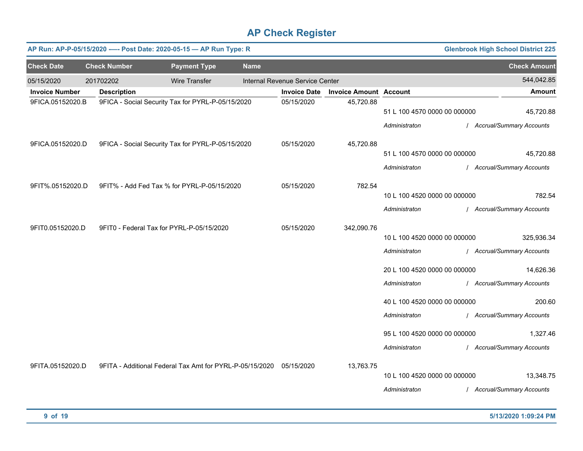|                       | <b>Glenbrook High School District 225</b><br>AP Run: AP-P-05/15/2020 ---- Post Date: 2020-05-15 - AP Run Type: R |                                                                     |                      |             |                                 |                               |                                               |  |                                          |  |  |  |
|-----------------------|------------------------------------------------------------------------------------------------------------------|---------------------------------------------------------------------|----------------------|-------------|---------------------------------|-------------------------------|-----------------------------------------------|--|------------------------------------------|--|--|--|
| <b>Check Date</b>     |                                                                                                                  | <b>Check Number</b>                                                 | <b>Payment Type</b>  | <b>Name</b> |                                 |                               |                                               |  | <b>Check Amount</b>                      |  |  |  |
| 05/15/2020            |                                                                                                                  | 201702202                                                           | <b>Wire Transfer</b> |             | Internal Revenue Service Center |                               |                                               |  | 544,042.85                               |  |  |  |
| <b>Invoice Number</b> |                                                                                                                  | <b>Description</b>                                                  |                      |             | <b>Invoice Date</b>             | <b>Invoice Amount Account</b> |                                               |  | Amount                                   |  |  |  |
| 9FICA.05152020.B      |                                                                                                                  | 9FICA - Social Security Tax for PYRL-P-05/15/2020                   |                      |             | 05/15/2020                      | 45,720.88                     | 51 L 100 4570 0000 00 000000<br>Administraton |  | 45,720.88<br>/ Accrual/Summary Accounts  |  |  |  |
| 9FICA.05152020.D      |                                                                                                                  | 9FICA - Social Security Tax for PYRL-P-05/15/2020                   |                      |             | 05/15/2020                      | 45,720.88                     |                                               |  |                                          |  |  |  |
|                       |                                                                                                                  |                                                                     |                      |             |                                 |                               | 51 L 100 4570 0000 00 000000<br>Administraton |  | 45,720.88<br>/ Accrual/Summary Accounts  |  |  |  |
| 9FIT%.05152020.D      |                                                                                                                  | 9FIT% - Add Fed Tax % for PYRL-P-05/15/2020                         |                      |             | 05/15/2020                      | 782.54                        | 10 L 100 4520 0000 00 000000<br>Administraton |  | 782.54<br>/ Accrual/Summary Accounts     |  |  |  |
| 9FIT0.05152020.D      |                                                                                                                  | 9FIT0 - Federal Tax for PYRL-P-05/15/2020                           |                      |             | 05/15/2020                      | 342,090.76                    | 10 L 100 4520 0000 00 000000<br>Administraton |  | 325,936.34<br>/ Accrual/Summary Accounts |  |  |  |
|                       |                                                                                                                  |                                                                     |                      |             |                                 |                               | 20 L 100 4520 0000 00 000000<br>Administraton |  | 14,626.36<br>/ Accrual/Summary Accounts  |  |  |  |
|                       |                                                                                                                  |                                                                     |                      |             |                                 |                               | 40 L 100 4520 0000 00 000000<br>Administraton |  | 200.60<br>/ Accrual/Summary Accounts     |  |  |  |
|                       |                                                                                                                  |                                                                     |                      |             |                                 |                               | 95 L 100 4520 0000 00 000000<br>Administraton |  | 1,327.46<br>/ Accrual/Summary Accounts   |  |  |  |
| 9FITA.05152020.D      |                                                                                                                  | 9FITA - Additional Federal Tax Amt for PYRL-P-05/15/2020 05/15/2020 |                      |             |                                 | 13,763.75                     | 10 L 100 4520 0000 00 000000<br>Administraton |  | 13,348.75<br>/ Accrual/Summary Accounts  |  |  |  |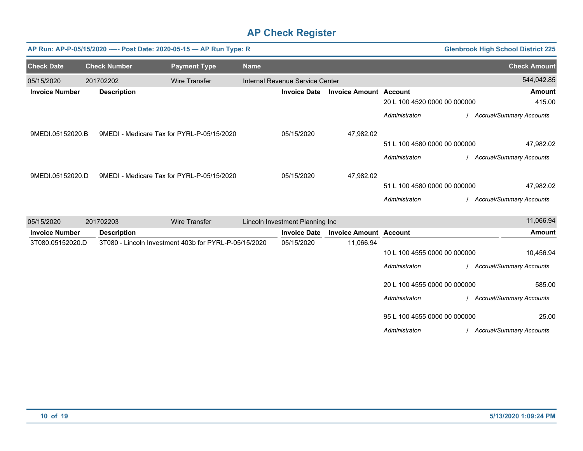|                       |                     |                    | AP Run: AP-P-05/15/2020 ---- Post Date: 2020-05-15 - AP Run Type: R |             |                                 |                               |                              | <b>Glenbrook High School District 225</b> |
|-----------------------|---------------------|--------------------|---------------------------------------------------------------------|-------------|---------------------------------|-------------------------------|------------------------------|-------------------------------------------|
| <b>Check Date</b>     | <b>Check Number</b> |                    | <b>Payment Type</b>                                                 | <b>Name</b> |                                 |                               |                              | <b>Check Amount</b>                       |
| 05/15/2020            | 201702202           |                    | <b>Wire Transfer</b>                                                |             | Internal Revenue Service Center |                               |                              | 544,042.85                                |
| <b>Invoice Number</b> |                     | <b>Description</b> |                                                                     |             | <b>Invoice Date</b>             | <b>Invoice Amount Account</b> |                              | <b>Amount</b>                             |
|                       |                     |                    |                                                                     |             |                                 |                               | 20 L 100 4520 0000 00 000000 | 415.00                                    |
|                       |                     |                    |                                                                     |             |                                 |                               | Administraton                | / Accrual/Summary Accounts                |
| 9MEDI.05152020.B      |                     |                    | 9MEDI - Medicare Tax for PYRL-P-05/15/2020                          |             | 05/15/2020                      | 47,982.02                     |                              |                                           |
|                       |                     |                    |                                                                     |             |                                 |                               | 51 L 100 4580 0000 00 000000 | 47,982.02                                 |
|                       |                     |                    |                                                                     |             |                                 |                               | Administraton                | Accrual/Summary Accounts                  |
| 9MEDI.05152020.D      |                     |                    | 9MEDI - Medicare Tax for PYRL-P-05/15/2020                          |             | 05/15/2020                      | 47,982.02                     |                              |                                           |
|                       |                     |                    |                                                                     |             |                                 |                               | 51 L 100 4580 0000 00 000000 | 47,982.02                                 |
|                       |                     |                    |                                                                     |             |                                 |                               | Administraton                | <b>Accrual/Summary Accounts</b>           |
| 05/15/2020            | 201702203           |                    | <b>Wire Transfer</b>                                                |             | Lincoln Investment Planning Inc |                               |                              | 11,066.94                                 |
| <b>Invoice Number</b> |                     | <b>Description</b> |                                                                     |             | <b>Invoice Date</b>             | <b>Invoice Amount Account</b> |                              | <b>Amount</b>                             |
| 3T080.05152020.D      |                     |                    | 3T080 - Lincoln Investment 403b for PYRL-P-05/15/2020               |             | 05/15/2020                      | 11,066.94                     | 10 L 100 4555 0000 00 000000 | 10,456.94                                 |
|                       |                     |                    |                                                                     |             |                                 |                               | Administraton                | / Accrual/Summary Accounts                |
|                       |                     |                    |                                                                     |             |                                 |                               | 20 L 100 4555 0000 00 000000 | 585.00                                    |
|                       |                     |                    |                                                                     |             |                                 |                               | Administraton                | / Accrual/Summary Accounts                |
|                       |                     |                    |                                                                     |             |                                 |                               | 95 L 100 4555 0000 00 000000 | 25.00                                     |
|                       |                     |                    |                                                                     |             |                                 |                               | Administraton                | / Accrual/Summary Accounts                |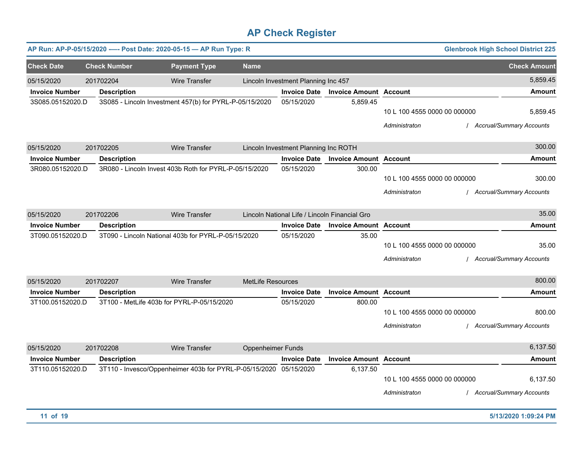|                       |                     | AP Run: AP-P-05/15/2020 ---- Post Date: 2020-05-15 - AP Run Type: R |                          |                                      |                                               |                                               | <b>Glenbrook High School District 225</b>   |
|-----------------------|---------------------|---------------------------------------------------------------------|--------------------------|--------------------------------------|-----------------------------------------------|-----------------------------------------------|---------------------------------------------|
| <b>Check Date</b>     | <b>Check Number</b> | <b>Payment Type</b>                                                 | <b>Name</b>              |                                      |                                               |                                               | <b>Check Amount</b>                         |
| 05/15/2020            | 201702204           | <b>Wire Transfer</b>                                                |                          | Lincoln Investment Planning Inc 457  |                                               |                                               | 5,859.45                                    |
| <b>Invoice Number</b> | <b>Description</b>  |                                                                     |                          | <b>Invoice Date</b>                  | <b>Invoice Amount Account</b>                 |                                               | <b>Amount</b>                               |
| 3S085.05152020.D      |                     | 3S085 - Lincoln Investment 457(b) for PYRL-P-05/15/2020             |                          | 05/15/2020                           | 5,859.45                                      | 10 L 100 4555 0000 00 000000<br>Administraton | 5,859.45<br><b>Accrual/Summary Accounts</b> |
| 05/15/2020            | 201702205           | <b>Wire Transfer</b>                                                |                          | Lincoln Investment Planning Inc ROTH |                                               |                                               | 300.00                                      |
| <b>Invoice Number</b> | <b>Description</b>  |                                                                     |                          | <b>Invoice Date</b>                  | <b>Invoice Amount Account</b>                 |                                               | Amount                                      |
| 3R080.05152020.D      |                     | 3R080 - Lincoln Invest 403b Roth for PYRL-P-05/15/2020              |                          | 05/15/2020                           | 300.00                                        | 10 L 100 4555 0000 00 000000<br>Administraton | 300.00<br><b>Accrual/Summary Accounts</b>   |
| 05/15/2020            | 201702206           | Wire Transfer                                                       |                          |                                      | Lincoln National Life / Lincoln Financial Gro |                                               | 35.00                                       |
| <b>Invoice Number</b> | <b>Description</b>  |                                                                     |                          | <b>Invoice Date</b>                  | <b>Invoice Amount Account</b>                 |                                               | Amount                                      |
| 3T090.05152020.D      |                     | 3T090 - Lincoln National 403b for PYRL-P-05/15/2020                 |                          | 05/15/2020                           | 35.00                                         | 10 L 100 4555 0000 00 000000<br>Administraton | 35.00<br><b>Accrual/Summary Accounts</b>    |
| 05/15/2020            | 201702207           | <b>Wire Transfer</b>                                                | MetLife Resources        |                                      |                                               |                                               | 800.00                                      |
| <b>Invoice Number</b> | <b>Description</b>  |                                                                     |                          | <b>Invoice Date</b>                  | <b>Invoice Amount Account</b>                 |                                               | <b>Amount</b>                               |
| 3T100.05152020.D      |                     | 3T100 - MetLife 403b for PYRL-P-05/15/2020                          |                          | 05/15/2020                           | 800.00                                        | 10 L 100 4555 0000 00 000000<br>Administraton | 800.00<br><b>Accrual/Summary Accounts</b>   |
| 05/15/2020            | 201702208           | <b>Wire Transfer</b>                                                | <b>Oppenheimer Funds</b> |                                      |                                               |                                               | 6,137.50                                    |
| <b>Invoice Number</b> | <b>Description</b>  |                                                                     |                          | <b>Invoice Date</b>                  | <b>Invoice Amount Account</b>                 |                                               | Amount                                      |
| 3T110.05152020.D      |                     | 3T110 - Invesco/Oppenheimer 403b for PYRL-P-05/15/2020 05/15/2020   |                          |                                      | 6,137.50                                      | 10 L 100 4555 0000 00 000000<br>Administraton | 6,137.50<br><b>Accrual/Summary Accounts</b> |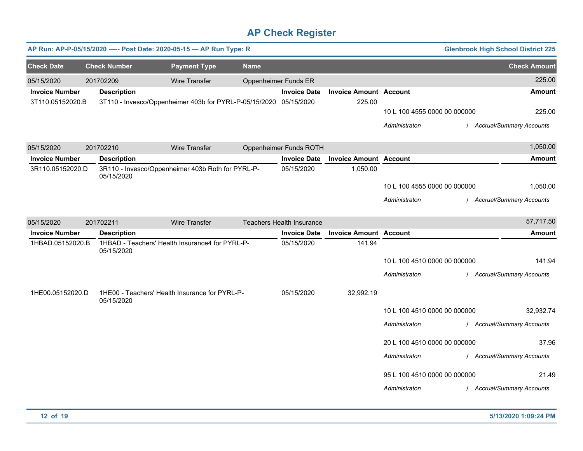|                       |                     | AP Run: AP-P-05/15/2020 ---- Post Date: 2020-05-15 - AP Run Type: R |                      |                                  |                               |                                               | <b>Glenbrook High School District 225</b> |
|-----------------------|---------------------|---------------------------------------------------------------------|----------------------|----------------------------------|-------------------------------|-----------------------------------------------|-------------------------------------------|
| <b>Check Date</b>     | <b>Check Number</b> | <b>Payment Type</b>                                                 | <b>Name</b>          |                                  |                               |                                               | <b>Check Amount</b>                       |
| 05/15/2020            | 201702209           | <b>Wire Transfer</b>                                                | Oppenheimer Funds ER |                                  |                               |                                               | 225.00                                    |
| <b>Invoice Number</b> | <b>Description</b>  |                                                                     |                      | <b>Invoice Date</b>              | <b>Invoice Amount Account</b> |                                               | <b>Amount</b>                             |
| 3T110.05152020.B      |                     | 3T110 - Invesco/Oppenheimer 403b for PYRL-P-05/15/2020 05/15/2020   |                      |                                  | 225.00                        | 10 L 100 4555 0000 00 000000<br>Administraton | 225.00<br>/ Accrual/Summary Accounts      |
|                       |                     |                                                                     |                      |                                  |                               |                                               |                                           |
| 05/15/2020            | 201702210           | <b>Wire Transfer</b>                                                |                      | Oppenheimer Funds ROTH           |                               |                                               | 1,050.00                                  |
| <b>Invoice Number</b> | <b>Description</b>  |                                                                     |                      | <b>Invoice Date</b>              | <b>Invoice Amount Account</b> |                                               | <b>Amount</b>                             |
| 3R110.05152020.D      | 05/15/2020          | 3R110 - Invesco/Oppenheimer 403b Roth for PYRL-P-                   |                      | 05/15/2020                       | 1,050.00                      |                                               |                                           |
|                       |                     |                                                                     |                      |                                  |                               | 10 L 100 4555 0000 00 000000                  | 1,050.00                                  |
|                       |                     |                                                                     |                      |                                  |                               | Administraton                                 | / Accrual/Summary Accounts                |
| 05/15/2020            | 201702211           | <b>Wire Transfer</b>                                                |                      | <b>Teachers Health Insurance</b> |                               |                                               | 57,717.50                                 |
| <b>Invoice Number</b> | <b>Description</b>  |                                                                     |                      | <b>Invoice Date</b>              | <b>Invoice Amount Account</b> |                                               | <b>Amount</b>                             |
| 1HBAD.05152020.B      | 05/15/2020          | 1HBAD - Teachers' Health Insurance4 for PYRL-P-                     |                      | 05/15/2020                       | 141.94                        |                                               |                                           |
|                       |                     |                                                                     |                      |                                  |                               | 10 L 100 4510 0000 00 000000                  | 141.94                                    |
|                       |                     |                                                                     |                      |                                  |                               | Administraton                                 | / Accrual/Summary Accounts                |
| 1HE00.05152020.D      | 05/15/2020          | 1HE00 - Teachers' Health Insurance for PYRL-P-                      |                      | 05/15/2020                       | 32,992.19                     |                                               |                                           |
|                       |                     |                                                                     |                      |                                  |                               | 10 L 100 4510 0000 00 000000                  | 32,932.74                                 |
|                       |                     |                                                                     |                      |                                  |                               | Administraton                                 | / Accrual/Summary Accounts                |
|                       |                     |                                                                     |                      |                                  |                               | 20 L 100 4510 0000 00 000000                  | 37.96                                     |
|                       |                     |                                                                     |                      |                                  |                               | Administraton                                 | / Accrual/Summary Accounts                |
|                       |                     |                                                                     |                      |                                  |                               | 95 L 100 4510 0000 00 000000                  | 21.49                                     |
|                       |                     |                                                                     |                      |                                  |                               | Administraton                                 | / Accrual/Summary Accounts                |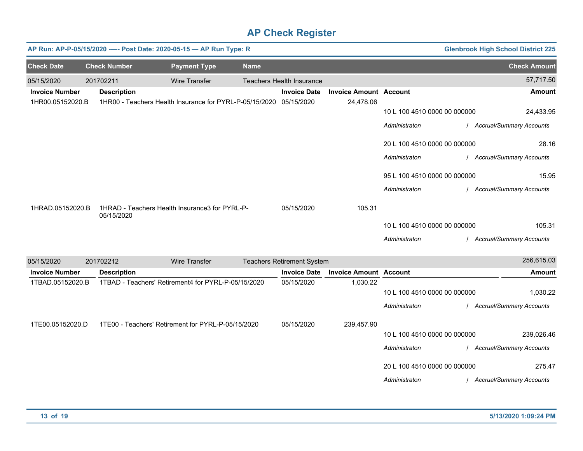|                       |                     | AP Run: AP-P-05/15/2020 ---- Post Date: 2020-05-15 - AP Run Type: R |             |                                   |                               |                                               | <b>Glenbrook High School District 225</b> |
|-----------------------|---------------------|---------------------------------------------------------------------|-------------|-----------------------------------|-------------------------------|-----------------------------------------------|-------------------------------------------|
| <b>Check Date</b>     | <b>Check Number</b> | <b>Payment Type</b>                                                 | <b>Name</b> |                                   |                               |                                               | <b>Check Amount</b>                       |
| 05/15/2020            | 201702211           | <b>Wire Transfer</b>                                                |             | <b>Teachers Health Insurance</b>  |                               |                                               | 57,717.50                                 |
| <b>Invoice Number</b> | <b>Description</b>  |                                                                     |             | <b>Invoice Date</b>               | <b>Invoice Amount Account</b> |                                               | <b>Amount</b>                             |
| 1HR00.05152020.B      |                     | 1HR00 - Teachers Health Insurance for PYRL-P-05/15/2020 05/15/2020  |             |                                   | 24,478.06                     | 10 L 100 4510 0000 00 000000<br>Administraton | 24,433.95<br>/ Accrual/Summary Accounts   |
|                       |                     |                                                                     |             |                                   |                               | 20 L 100 4510 0000 00 000000                  | 28.16                                     |
|                       |                     |                                                                     |             |                                   |                               | Administraton                                 | / Accrual/Summary Accounts                |
|                       |                     |                                                                     |             |                                   |                               | 95 L 100 4510 0000 00 000000                  | 15.95                                     |
|                       |                     |                                                                     |             |                                   |                               | Administraton                                 | / Accrual/Summary Accounts                |
| 1HRAD.05152020.B      | 05/15/2020          | 1HRAD - Teachers Health Insurance3 for PYRL-P-                      |             | 05/15/2020                        | 105.31                        |                                               |                                           |
|                       |                     |                                                                     |             |                                   |                               | 10 L 100 4510 0000 00 000000                  | 105.31                                    |
|                       |                     |                                                                     |             |                                   |                               | Administraton                                 | <b>Accrual/Summary Accounts</b>           |
| 05/15/2020            | 201702212           | <b>Wire Transfer</b>                                                |             | <b>Teachers Retirement System</b> |                               |                                               | 256,615.03                                |
| <b>Invoice Number</b> | <b>Description</b>  |                                                                     |             | <b>Invoice Date</b>               | <b>Invoice Amount Account</b> |                                               | <b>Amount</b>                             |
| 1TBAD.05152020.B      |                     | 1TBAD - Teachers' Retirement4 for PYRL-P-05/15/2020                 |             | 05/15/2020                        | 1,030.22                      |                                               |                                           |
|                       |                     |                                                                     |             |                                   |                               | 10 L 100 4510 0000 00 000000<br>Administraton | 1,030.22<br>/ Accrual/Summary Accounts    |
|                       |                     |                                                                     |             |                                   |                               |                                               |                                           |
| 1TE00.05152020.D      |                     | 1TE00 - Teachers' Retirement for PYRL-P-05/15/2020                  |             | 05/15/2020                        | 239,457.90                    |                                               |                                           |
|                       |                     |                                                                     |             |                                   |                               | 10 L 100 4510 0000 00 000000                  | 239,026.46                                |
|                       |                     |                                                                     |             |                                   |                               | Administraton                                 | / Accrual/Summary Accounts                |
|                       |                     |                                                                     |             |                                   |                               | 20 L 100 4510 0000 00 000000                  | 275.47                                    |
|                       |                     |                                                                     |             |                                   |                               | Administraton                                 | / Accrual/Summary Accounts                |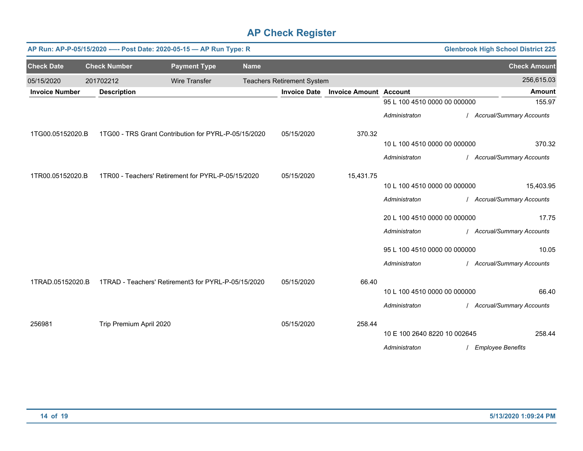|                       |                         | AP Run: AP-P-05/15/2020 ---- Post Date: 2020-05-15 - AP Run Type: R |             |                                   |                               |                              | <b>Glenbrook High School District 225</b> |                            |
|-----------------------|-------------------------|---------------------------------------------------------------------|-------------|-----------------------------------|-------------------------------|------------------------------|-------------------------------------------|----------------------------|
| <b>Check Date</b>     | <b>Check Number</b>     | <b>Payment Type</b>                                                 | <b>Name</b> |                                   |                               |                              |                                           | <b>Check Amount</b>        |
| 05/15/2020            | 201702212               | <b>Wire Transfer</b>                                                |             | <b>Teachers Retirement System</b> |                               |                              |                                           | 256,615.03                 |
| <b>Invoice Number</b> | <b>Description</b>      |                                                                     |             | <b>Invoice Date</b>               | <b>Invoice Amount Account</b> |                              |                                           | <b>Amount</b>              |
|                       |                         |                                                                     |             |                                   |                               | 95 L 100 4510 0000 00 000000 |                                           | 155.97                     |
|                       |                         |                                                                     |             |                                   |                               | Administraton                |                                           | / Accrual/Summary Accounts |
| 1TG00.05152020.B      |                         | 1TG00 - TRS Grant Contribution for PYRL-P-05/15/2020                |             | 05/15/2020                        | 370.32                        |                              |                                           |                            |
|                       |                         |                                                                     |             |                                   |                               | 10 L 100 4510 0000 00 000000 |                                           | 370.32                     |
|                       |                         |                                                                     |             |                                   |                               | Administraton                |                                           | / Accrual/Summary Accounts |
| 1TR00.05152020.B      |                         | 1TR00 - Teachers' Retirement for PYRL-P-05/15/2020                  |             | 05/15/2020                        | 15,431.75                     |                              |                                           |                            |
|                       |                         |                                                                     |             |                                   |                               | 10 L 100 4510 0000 00 000000 |                                           | 15,403.95                  |
|                       |                         |                                                                     |             |                                   |                               | Administraton                |                                           | / Accrual/Summary Accounts |
|                       |                         |                                                                     |             |                                   |                               | 20 L 100 4510 0000 00 000000 |                                           | 17.75                      |
|                       |                         |                                                                     |             |                                   |                               | Administraton                |                                           | / Accrual/Summary Accounts |
|                       |                         |                                                                     |             |                                   |                               | 95 L 100 4510 0000 00 000000 |                                           | 10.05                      |
|                       |                         |                                                                     |             |                                   |                               | Administraton                |                                           | / Accrual/Summary Accounts |
| 1TRAD.05152020.B      |                         | 1TRAD - Teachers' Retirement3 for PYRL-P-05/15/2020                 |             | 05/15/2020                        | 66.40                         |                              |                                           |                            |
|                       |                         |                                                                     |             |                                   |                               | 10 L 100 4510 0000 00 000000 |                                           | 66.40                      |
|                       |                         |                                                                     |             |                                   |                               | Administraton                |                                           | / Accrual/Summary Accounts |
| 256981                | Trip Premium April 2020 |                                                                     |             | 05/15/2020                        | 258.44                        |                              |                                           |                            |
|                       |                         |                                                                     |             |                                   |                               | 10 E 100 2640 8220 10 002645 |                                           | 258.44                     |
|                       |                         |                                                                     |             |                                   |                               | Administraton                | <b>Employee Benefits</b>                  |                            |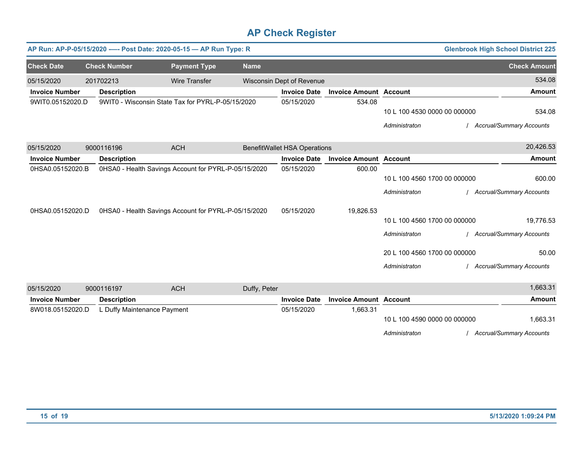|                       |                             | AP Run: AP-P-05/15/2020 ---- Post Date: 2020-05-15 - AP Run Type: R |              |                                     |                               |                              | <b>Glenbrook High School District 225</b> |
|-----------------------|-----------------------------|---------------------------------------------------------------------|--------------|-------------------------------------|-------------------------------|------------------------------|-------------------------------------------|
| <b>Check Date</b>     | <b>Check Number</b>         | <b>Payment Type</b>                                                 | <b>Name</b>  |                                     |                               |                              | <b>Check Amount</b>                       |
| 05/15/2020            | 201702213                   | <b>Wire Transfer</b>                                                |              | Wisconsin Dept of Revenue           |                               |                              | 534.08                                    |
| <b>Invoice Number</b> | <b>Description</b>          |                                                                     |              | <b>Invoice Date</b>                 | <b>Invoice Amount Account</b> |                              | <b>Amount</b>                             |
| 9WIT0.05152020.D      |                             | 9WIT0 - Wisconsin State Tax for PYRL-P-05/15/2020                   |              | 05/15/2020                          | 534.08                        |                              |                                           |
|                       |                             |                                                                     |              |                                     |                               | 10 L 100 4530 0000 00 000000 | 534.08                                    |
|                       |                             |                                                                     |              |                                     |                               | Administraton                | <b>Accrual/Summary Accounts</b>           |
|                       |                             |                                                                     |              |                                     |                               |                              |                                           |
| 05/15/2020            | 9000116196                  | <b>ACH</b>                                                          |              | <b>BenefitWallet HSA Operations</b> |                               |                              | 20,426.53                                 |
| <b>Invoice Number</b> | <b>Description</b>          |                                                                     |              | <b>Invoice Date</b>                 | <b>Invoice Amount Account</b> |                              | <b>Amount</b>                             |
| 0HSA0.05152020.B      |                             | 0HSA0 - Health Savings Account for PYRL-P-05/15/2020                |              | 05/15/2020                          | 600.00                        |                              |                                           |
|                       |                             |                                                                     |              |                                     |                               | 10 L 100 4560 1700 00 000000 | 600.00                                    |
|                       |                             |                                                                     |              |                                     |                               | Administraton                | <b>Accrual/Summary Accounts</b>           |
| 0HSA0.05152020.D      |                             | 0HSA0 - Health Savings Account for PYRL-P-05/15/2020                |              | 05/15/2020                          | 19,826.53                     |                              |                                           |
|                       |                             |                                                                     |              |                                     |                               | 10 L 100 4560 1700 00 000000 | 19,776.53                                 |
|                       |                             |                                                                     |              |                                     |                               | Administraton                | <b>Accrual/Summary Accounts</b>           |
|                       |                             |                                                                     |              |                                     |                               | 20 L 100 4560 1700 00 000000 | 50.00                                     |
|                       |                             |                                                                     |              |                                     |                               | Administraton                | <b>Accrual/Summary Accounts</b>           |
| 05/15/2020            | 9000116197                  | <b>ACH</b>                                                          | Duffy, Peter |                                     |                               |                              | 1,663.31                                  |
| <b>Invoice Number</b> | <b>Description</b>          |                                                                     |              | <b>Invoice Date</b>                 | <b>Invoice Amount Account</b> |                              | <b>Amount</b>                             |
| 8W018.05152020.D      | L Duffy Maintenance Payment |                                                                     |              | 05/15/2020                          | 1,663.31                      |                              |                                           |
|                       |                             |                                                                     |              |                                     |                               | 10 L 100 4590 0000 00 000000 | 1,663.31                                  |
|                       |                             |                                                                     |              |                                     |                               | Administraton                | <b>Accrual/Summary Accounts</b>           |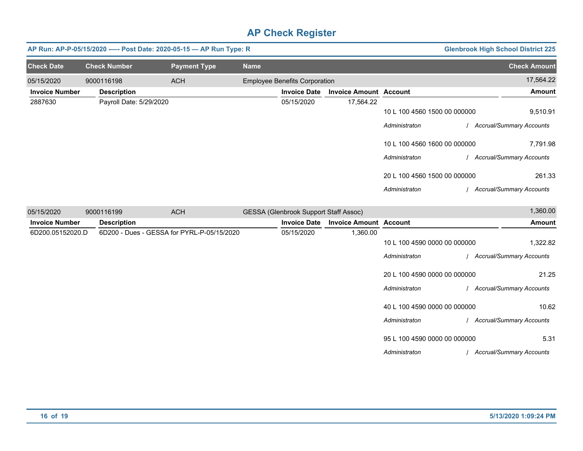|                       | AP Run: AP-P-05/15/2020 ---- Post Date: 2020-05-15 - AP Run Type: R |                                            |             |                                              |                               |                                               | <b>Glenbrook High School District 225</b> |
|-----------------------|---------------------------------------------------------------------|--------------------------------------------|-------------|----------------------------------------------|-------------------------------|-----------------------------------------------|-------------------------------------------|
| <b>Check Date</b>     | <b>Check Number</b>                                                 | <b>Payment Type</b>                        | <b>Name</b> |                                              |                               |                                               | <b>Check Amount</b>                       |
| 05/15/2020            | 9000116198                                                          | <b>ACH</b>                                 |             | <b>Employee Benefits Corporation</b>         |                               |                                               | 17,564.22                                 |
| <b>Invoice Number</b> | <b>Description</b>                                                  |                                            |             | <b>Invoice Date</b>                          | <b>Invoice Amount Account</b> |                                               | <b>Amount</b>                             |
| 2887630               | Payroll Date: 5/29/2020                                             |                                            |             | 05/15/2020                                   | 17,564.22                     | 10 L 100 4560 1500 00 000000<br>Administraton | 9,510.91<br>/ Accrual/Summary Accounts    |
|                       |                                                                     |                                            |             |                                              |                               | 10 L 100 4560 1600 00 000000                  | 7,791.98                                  |
|                       |                                                                     |                                            |             |                                              |                               | Administraton<br>20 L 100 4560 1500 00 000000 | / Accrual/Summary Accounts<br>261.33      |
|                       |                                                                     |                                            |             |                                              |                               | Administraton                                 | / Accrual/Summary Accounts                |
| 05/15/2020            | 9000116199                                                          | <b>ACH</b>                                 |             | <b>GESSA (Glenbrook Support Staff Assoc)</b> |                               |                                               | 1,360.00                                  |
| <b>Invoice Number</b> | <b>Description</b>                                                  |                                            |             | <b>Invoice Date</b>                          | <b>Invoice Amount Account</b> |                                               | <b>Amount</b>                             |
| 6D200.05152020.D      |                                                                     | 6D200 - Dues - GESSA for PYRL-P-05/15/2020 |             | 05/15/2020                                   | 1,360.00                      | 10 L 100 4590 0000 00 000000<br>Administraton | 1,322.82<br>/ Accrual/Summary Accounts    |
|                       |                                                                     |                                            |             |                                              |                               | 20 L 100 4590 0000 00 000000<br>Administraton | 21.25<br>/ Accrual/Summary Accounts       |
|                       |                                                                     |                                            |             |                                              |                               | 40 L 100 4590 0000 00 000000<br>Administraton | 10.62<br>/ Accrual/Summary Accounts       |
|                       |                                                                     |                                            |             |                                              |                               | 95 L 100 4590 0000 00 000000<br>Administraton | 5.31<br>/ Accrual/Summary Accounts        |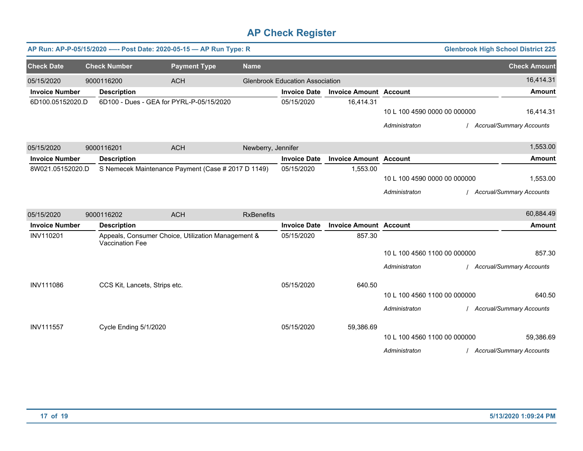|                       |                               | AP Run: AP-P-05/15/2020 - - Post Date: 2020-05-15 - AP Run Type: R |                    |                                        |                               |                              | <b>Glenbrook High School District 225</b> |
|-----------------------|-------------------------------|--------------------------------------------------------------------|--------------------|----------------------------------------|-------------------------------|------------------------------|-------------------------------------------|
| <b>Check Date</b>     | <b>Check Number</b>           | <b>Payment Type</b>                                                | <b>Name</b>        |                                        |                               |                              | <b>Check Amount</b>                       |
| 05/15/2020            | 9000116200                    | <b>ACH</b>                                                         |                    | <b>Glenbrook Education Association</b> |                               |                              | 16,414.31                                 |
| <b>Invoice Number</b> | <b>Description</b>            |                                                                    |                    | <b>Invoice Date</b>                    | <b>Invoice Amount Account</b> |                              | <b>Amount</b>                             |
| 6D100.05152020.D      |                               | 6D100 - Dues - GEA for PYRL-P-05/15/2020                           |                    | 05/15/2020                             | 16,414.31                     |                              |                                           |
|                       |                               |                                                                    |                    |                                        |                               | 10 L 100 4590 0000 00 000000 | 16,414.31                                 |
|                       |                               |                                                                    |                    |                                        |                               | Administraton                | <b>Accrual/Summary Accounts</b>           |
| 05/15/2020            | 9000116201                    | <b>ACH</b>                                                         | Newberry, Jennifer |                                        |                               |                              | 1,553.00                                  |
| <b>Invoice Number</b> | <b>Description</b>            |                                                                    |                    | <b>Invoice Date</b>                    | <b>Invoice Amount Account</b> |                              | <b>Amount</b>                             |
| 8W021.05152020.D      |                               | S Nemecek Maintenance Payment (Case # 2017 D 1149)                 |                    | 05/15/2020                             | 1,553.00                      |                              |                                           |
|                       |                               |                                                                    |                    |                                        |                               | 10 L 100 4590 0000 00 000000 | 1,553.00                                  |
|                       |                               |                                                                    |                    |                                        |                               | Administraton                | <b>Accrual/Summary Accounts</b>           |
| 05/15/2020            | 9000116202                    | <b>ACH</b>                                                         | <b>RxBenefits</b>  |                                        |                               |                              | 60,884.49                                 |
| <b>Invoice Number</b> | <b>Description</b>            |                                                                    |                    | <b>Invoice Date</b>                    | <b>Invoice Amount Account</b> |                              | <b>Amount</b>                             |
| INV110201             | Vaccination Fee               | Appeals, Consumer Choice, Utilization Management &                 |                    | 05/15/2020                             | 857.30                        |                              |                                           |
|                       |                               |                                                                    |                    |                                        |                               | 10 L 100 4560 1100 00 000000 | 857.30                                    |
|                       |                               |                                                                    |                    |                                        |                               | Administraton                | <b>Accrual/Summary Accounts</b>           |
| <b>INV111086</b>      | CCS Kit, Lancets, Strips etc. |                                                                    |                    | 05/15/2020                             | 640.50                        |                              |                                           |
|                       |                               |                                                                    |                    |                                        |                               | 10 L 100 4560 1100 00 000000 | 640.50                                    |
|                       |                               |                                                                    |                    |                                        |                               | Administraton                | <b>Accrual/Summary Accounts</b>           |
| <b>INV111557</b>      | Cycle Ending 5/1/2020         |                                                                    |                    | 05/15/2020                             | 59,386.69                     |                              |                                           |
|                       |                               |                                                                    |                    |                                        |                               | 10 L 100 4560 1100 00 000000 | 59,386.69                                 |
|                       |                               |                                                                    |                    |                                        |                               | Administraton                | <b>Accrual/Summary Accounts</b>           |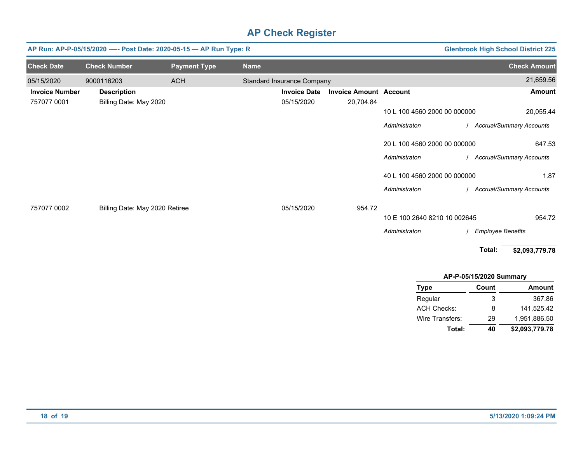|                       | AP Run: AP-P-05/15/2020 ---- Post Date: 2020-05-15 - AP Run Type: R |                     |             |                                   |                               |                              |                          | <b>Glenbrook High School District 225</b> |
|-----------------------|---------------------------------------------------------------------|---------------------|-------------|-----------------------------------|-------------------------------|------------------------------|--------------------------|-------------------------------------------|
| <b>Check Date</b>     | <b>Check Number</b>                                                 | <b>Payment Type</b> | <b>Name</b> |                                   |                               |                              |                          | <b>Check Amount</b>                       |
| 05/15/2020            | 9000116203                                                          | <b>ACH</b>          |             | <b>Standard Insurance Company</b> |                               |                              |                          | 21,659.56                                 |
| <b>Invoice Number</b> | <b>Description</b>                                                  |                     |             | <b>Invoice Date</b>               | <b>Invoice Amount Account</b> |                              |                          | Amount                                    |
| 757077 0001           | Billing Date: May 2020                                              |                     |             | 05/15/2020                        | 20,704.84                     |                              |                          |                                           |
|                       |                                                                     |                     |             |                                   |                               | 10 L 100 4560 2000 00 000000 |                          | 20,055.44                                 |
|                       |                                                                     |                     |             |                                   |                               | Administraton                |                          | <b>Accrual/Summary Accounts</b>           |
|                       |                                                                     |                     |             |                                   |                               | 20 L 100 4560 2000 00 000000 |                          | 647.53                                    |
|                       |                                                                     |                     |             |                                   |                               | Administraton                |                          | <b>Accrual/Summary Accounts</b>           |
|                       |                                                                     |                     |             |                                   |                               | 40 L 100 4560 2000 00 000000 |                          | 1.87                                      |
|                       |                                                                     |                     |             |                                   |                               | Administraton                |                          | <b>Accrual/Summary Accounts</b>           |
| 757077 0002           | Billing Date: May 2020 Retiree                                      |                     |             | 05/15/2020                        | 954.72                        |                              |                          |                                           |
|                       |                                                                     |                     |             |                                   |                               | 10 E 100 2640 8210 10 002645 |                          | 954.72                                    |
|                       |                                                                     |                     |             |                                   |                               | Administraton                | <b>Employee Benefits</b> |                                           |
|                       |                                                                     |                     |             |                                   |                               |                              | Total:                   | \$2,093,779.78                            |

| AP-P-05/15/2020 Summary |  |
|-------------------------|--|
|-------------------------|--|

| <b>Type</b>        | Count | <b>Amount</b>  |
|--------------------|-------|----------------|
| Regular            | 3     | 367.86         |
| <b>ACH Checks:</b> | 8     | 141.525.42     |
| Wire Transfers:    | 29    | 1,951,886.50   |
| Total:             | 40    | \$2,093,779.78 |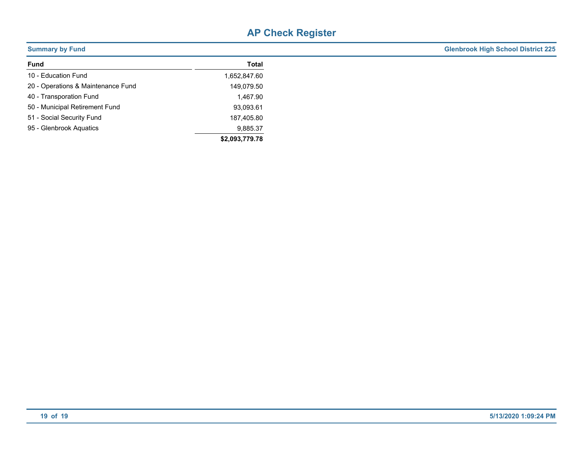| <b>Summary by Fund</b>             |                | <b>Glenbrook High School District 225</b> |
|------------------------------------|----------------|-------------------------------------------|
| Fund                               | Total          |                                           |
| 10 - Education Fund                | 1,652,847.60   |                                           |
| 20 - Operations & Maintenance Fund | 149,079.50     |                                           |
| 40 - Transporation Fund            | 1,467.90       |                                           |
| 50 - Municipal Retirement Fund     | 93,093.61      |                                           |
| 51 - Social Security Fund          | 187,405.80     |                                           |
| 95 - Glenbrook Aquatics            | 9,885.37       |                                           |
|                                    | \$2,093,779.78 |                                           |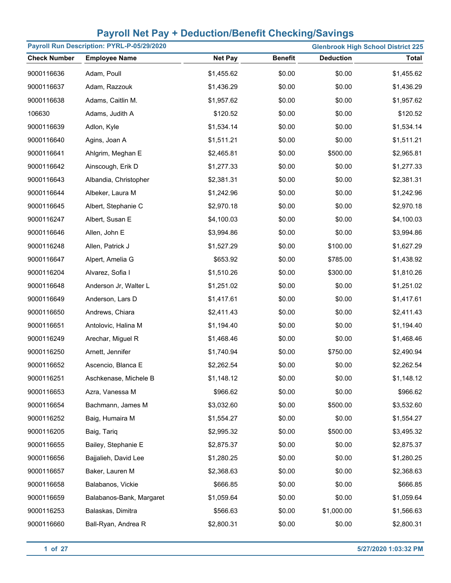| Payroll Run Description: PYRL-P-05/29/2020<br><b>Glenbrook High School District 225</b> |                          |                |                |                  |              |
|-----------------------------------------------------------------------------------------|--------------------------|----------------|----------------|------------------|--------------|
| <b>Check Number</b>                                                                     | <b>Employee Name</b>     | <b>Net Pay</b> | <b>Benefit</b> | <b>Deduction</b> | <b>Total</b> |
| 9000116636                                                                              | Adam, Poull              | \$1,455.62     | \$0.00         | \$0.00           | \$1,455.62   |
| 9000116637                                                                              | Adam, Razzouk            | \$1,436.29     | \$0.00         | \$0.00           | \$1,436.29   |
| 9000116638                                                                              | Adams, Caitlin M.        | \$1,957.62     | \$0.00         | \$0.00           | \$1,957.62   |
| 106630                                                                                  | Adams, Judith A          | \$120.52       | \$0.00         | \$0.00           | \$120.52     |
| 9000116639                                                                              | Adlon, Kyle              | \$1,534.14     | \$0.00         | \$0.00           | \$1,534.14   |
| 9000116640                                                                              | Agins, Joan A            | \$1,511.21     | \$0.00         | \$0.00           | \$1,511.21   |
| 9000116641                                                                              | Ahlgrim, Meghan E        | \$2,465.81     | \$0.00         | \$500.00         | \$2,965.81   |
| 9000116642                                                                              | Ainscough, Erik D        | \$1,277.33     | \$0.00         | \$0.00           | \$1,277.33   |
| 9000116643                                                                              | Albandia, Christopher    | \$2,381.31     | \$0.00         | \$0.00           | \$2,381.31   |
| 9000116644                                                                              | Albeker, Laura M         | \$1,242.96     | \$0.00         | \$0.00           | \$1,242.96   |
| 9000116645                                                                              | Albert, Stephanie C      | \$2,970.18     | \$0.00         | \$0.00           | \$2,970.18   |
| 9000116247                                                                              | Albert, Susan E          | \$4,100.03     | \$0.00         | \$0.00           | \$4,100.03   |
| 9000116646                                                                              | Allen, John E            | \$3,994.86     | \$0.00         | \$0.00           | \$3,994.86   |
| 9000116248                                                                              | Allen, Patrick J         | \$1,527.29     | \$0.00         | \$100.00         | \$1,627.29   |
| 9000116647                                                                              | Alpert, Amelia G         | \$653.92       | \$0.00         | \$785.00         | \$1,438.92   |
| 9000116204                                                                              | Alvarez, Sofia I         | \$1,510.26     | \$0.00         | \$300.00         | \$1,810.26   |
| 9000116648                                                                              | Anderson Jr, Walter L    | \$1,251.02     | \$0.00         | \$0.00           | \$1,251.02   |
| 9000116649                                                                              | Anderson, Lars D         | \$1,417.61     | \$0.00         | \$0.00           | \$1,417.61   |
| 9000116650                                                                              | Andrews, Chiara          | \$2,411.43     | \$0.00         | \$0.00           | \$2,411.43   |
| 9000116651                                                                              | Antolovic, Halina M      | \$1,194.40     | \$0.00         | \$0.00           | \$1,194.40   |
| 9000116249                                                                              | Arechar, Miguel R        | \$1,468.46     | \$0.00         | \$0.00           | \$1,468.46   |
| 9000116250                                                                              | Arnett, Jennifer         | \$1,740.94     | \$0.00         | \$750.00         | \$2,490.94   |
| 9000116652                                                                              | Ascencio, Blanca E       | \$2,262.54     | \$0.00         | \$0.00           | \$2,262.54   |
| 9000116251                                                                              | Aschkenase, Michele B    | \$1,148.12     | \$0.00         | \$0.00           | \$1,148.12   |
| 9000116653                                                                              | Azra, Vanessa M          | \$966.62       | \$0.00         | \$0.00           | \$966.62     |
| 9000116654                                                                              | Bachmann, James M        | \$3,032.60     | \$0.00         | \$500.00         | \$3,532.60   |
| 9000116252                                                                              | Baig, Humaira M          | \$1,554.27     | \$0.00         | \$0.00           | \$1,554.27   |
| 9000116205                                                                              | Baig, Tariq              | \$2,995.32     | \$0.00         | \$500.00         | \$3,495.32   |
| 9000116655                                                                              | Bailey, Stephanie E      | \$2,875.37     | \$0.00         | \$0.00           | \$2,875.37   |
| 9000116656                                                                              | Bajjalieh, David Lee     | \$1,280.25     | \$0.00         | \$0.00           | \$1,280.25   |
| 9000116657                                                                              | Baker, Lauren M          | \$2,368.63     | \$0.00         | \$0.00           | \$2,368.63   |
| 9000116658                                                                              | Balabanos, Vickie        | \$666.85       | \$0.00         | \$0.00           | \$666.85     |
| 9000116659                                                                              | Balabanos-Bank, Margaret | \$1,059.64     | \$0.00         | \$0.00           | \$1,059.64   |
| 9000116253                                                                              | Balaskas, Dimitra        | \$566.63       | \$0.00         | \$1,000.00       | \$1,566.63   |
| 9000116660                                                                              | Ball-Ryan, Andrea R      | \$2,800.31     | \$0.00         | \$0.00           | \$2,800.31   |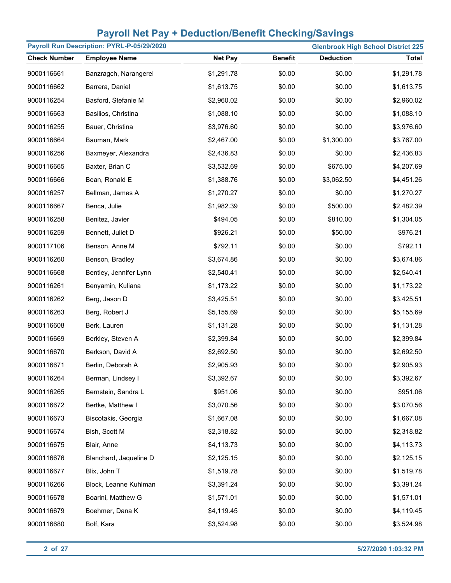| Payroll Run Description: PYRL-P-05/29/2020 |                        |                |                | <b>Glenbrook High School District 225</b> |              |
|--------------------------------------------|------------------------|----------------|----------------|-------------------------------------------|--------------|
| <b>Check Number</b>                        | <b>Employee Name</b>   | <b>Net Pay</b> | <b>Benefit</b> | <b>Deduction</b>                          | <b>Total</b> |
| 9000116661                                 | Banzragch, Narangerel  | \$1,291.78     | \$0.00         | \$0.00                                    | \$1,291.78   |
| 9000116662                                 | Barrera, Daniel        | \$1,613.75     | \$0.00         | \$0.00                                    | \$1,613.75   |
| 9000116254                                 | Basford, Stefanie M    | \$2,960.02     | \$0.00         | \$0.00                                    | \$2,960.02   |
| 9000116663                                 | Basilios, Christina    | \$1,088.10     | \$0.00         | \$0.00                                    | \$1,088.10   |
| 9000116255                                 | Bauer, Christina       | \$3,976.60     | \$0.00         | \$0.00                                    | \$3,976.60   |
| 9000116664                                 | Bauman, Mark           | \$2,467.00     | \$0.00         | \$1,300.00                                | \$3,767.00   |
| 9000116256                                 | Baxmeyer, Alexandra    | \$2,436.83     | \$0.00         | \$0.00                                    | \$2,436.83   |
| 9000116665                                 | Baxter, Brian C        | \$3,532.69     | \$0.00         | \$675.00                                  | \$4,207.69   |
| 9000116666                                 | Bean, Ronald E         | \$1,388.76     | \$0.00         | \$3,062.50                                | \$4,451.26   |
| 9000116257                                 | Bellman, James A       | \$1,270.27     | \$0.00         | \$0.00                                    | \$1,270.27   |
| 9000116667                                 | Benca, Julie           | \$1,982.39     | \$0.00         | \$500.00                                  | \$2,482.39   |
| 9000116258                                 | Benitez, Javier        | \$494.05       | \$0.00         | \$810.00                                  | \$1,304.05   |
| 9000116259                                 | Bennett, Juliet D      | \$926.21       | \$0.00         | \$50.00                                   | \$976.21     |
| 9000117106                                 | Benson, Anne M         | \$792.11       | \$0.00         | \$0.00                                    | \$792.11     |
| 9000116260                                 | Benson, Bradley        | \$3,674.86     | \$0.00         | \$0.00                                    | \$3,674.86   |
| 9000116668                                 | Bentley, Jennifer Lynn | \$2,540.41     | \$0.00         | \$0.00                                    | \$2,540.41   |
| 9000116261                                 | Benyamin, Kuliana      | \$1,173.22     | \$0.00         | \$0.00                                    | \$1,173.22   |
| 9000116262                                 | Berg, Jason D          | \$3,425.51     | \$0.00         | \$0.00                                    | \$3,425.51   |
| 9000116263                                 | Berg, Robert J         | \$5,155.69     | \$0.00         | \$0.00                                    | \$5,155.69   |
| 9000116608                                 | Berk, Lauren           | \$1,131.28     | \$0.00         | \$0.00                                    | \$1,131.28   |
| 9000116669                                 | Berkley, Steven A      | \$2,399.84     | \$0.00         | \$0.00                                    | \$2,399.84   |
| 9000116670                                 | Berkson, David A       | \$2,692.50     | \$0.00         | \$0.00                                    | \$2,692.50   |
| 9000116671                                 | Berlin, Deborah A      | \$2,905.93     | \$0.00         | \$0.00                                    | \$2,905.93   |
| 9000116264                                 | Berman, Lindsey I      | \$3,392.67     | \$0.00         | \$0.00                                    | \$3,392.67   |
| 9000116265                                 | Bernstein, Sandra L    | \$951.06       | \$0.00         | \$0.00                                    | \$951.06     |
| 9000116672                                 | Bertke, Matthew I      | \$3,070.56     | \$0.00         | \$0.00                                    | \$3,070.56   |
| 9000116673                                 | Biscotakis, Georgia    | \$1,667.08     | \$0.00         | \$0.00                                    | \$1,667.08   |
| 9000116674                                 | Bish, Scott M          | \$2,318.82     | \$0.00         | \$0.00                                    | \$2,318.82   |
| 9000116675                                 | Blair, Anne            | \$4,113.73     | \$0.00         | \$0.00                                    | \$4,113.73   |
| 9000116676                                 | Blanchard, Jaqueline D | \$2,125.15     | \$0.00         | \$0.00                                    | \$2,125.15   |
| 9000116677                                 | Blix, John T           | \$1,519.78     | \$0.00         | \$0.00                                    | \$1,519.78   |
| 9000116266                                 | Block, Leanne Kuhlman  | \$3,391.24     | \$0.00         | \$0.00                                    | \$3,391.24   |
| 9000116678                                 | Boarini, Matthew G     | \$1,571.01     | \$0.00         | \$0.00                                    | \$1,571.01   |
| 9000116679                                 | Boehmer, Dana K        | \$4,119.45     | \$0.00         | \$0.00                                    | \$4,119.45   |
| 9000116680                                 | Bolf, Kara             | \$3,524.98     | \$0.00         | \$0.00                                    | \$3,524.98   |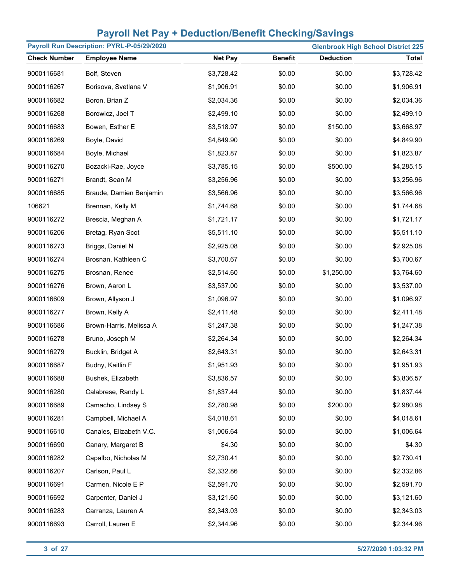| Payroll Run Description: PYRL-P-05/29/2020<br><b>Glenbrook High School District 225</b> |                         |                |                |                  |              |
|-----------------------------------------------------------------------------------------|-------------------------|----------------|----------------|------------------|--------------|
| <b>Check Number</b>                                                                     | <b>Employee Name</b>    | <b>Net Pay</b> | <b>Benefit</b> | <b>Deduction</b> | <b>Total</b> |
| 9000116681                                                                              | Bolf, Steven            | \$3,728.42     | \$0.00         | \$0.00           | \$3,728.42   |
| 9000116267                                                                              | Borisova, Svetlana V    | \$1,906.91     | \$0.00         | \$0.00           | \$1,906.91   |
| 9000116682                                                                              | Boron, Brian Z          | \$2,034.36     | \$0.00         | \$0.00           | \$2,034.36   |
| 9000116268                                                                              | Borowicz, Joel T        | \$2,499.10     | \$0.00         | \$0.00           | \$2,499.10   |
| 9000116683                                                                              | Bowen, Esther E         | \$3,518.97     | \$0.00         | \$150.00         | \$3,668.97   |
| 9000116269                                                                              | Boyle, David            | \$4,849.90     | \$0.00         | \$0.00           | \$4,849.90   |
| 9000116684                                                                              | Boyle, Michael          | \$1,823.87     | \$0.00         | \$0.00           | \$1,823.87   |
| 9000116270                                                                              | Bozacki-Rae, Joyce      | \$3,785.15     | \$0.00         | \$500.00         | \$4,285.15   |
| 9000116271                                                                              | Brandt, Sean M          | \$3,256.96     | \$0.00         | \$0.00           | \$3,256.96   |
| 9000116685                                                                              | Braude, Damien Benjamin | \$3,566.96     | \$0.00         | \$0.00           | \$3,566.96   |
| 106621                                                                                  | Brennan, Kelly M        | \$1,744.68     | \$0.00         | \$0.00           | \$1,744.68   |
| 9000116272                                                                              | Brescia, Meghan A       | \$1,721.17     | \$0.00         | \$0.00           | \$1,721.17   |
| 9000116206                                                                              | Bretag, Ryan Scot       | \$5,511.10     | \$0.00         | \$0.00           | \$5,511.10   |
| 9000116273                                                                              | Briggs, Daniel N        | \$2,925.08     | \$0.00         | \$0.00           | \$2,925.08   |
| 9000116274                                                                              | Brosnan, Kathleen C     | \$3,700.67     | \$0.00         | \$0.00           | \$3,700.67   |
| 9000116275                                                                              | Brosnan, Renee          | \$2,514.60     | \$0.00         | \$1,250.00       | \$3,764.60   |
| 9000116276                                                                              | Brown, Aaron L          | \$3,537.00     | \$0.00         | \$0.00           | \$3,537.00   |
| 9000116609                                                                              | Brown, Allyson J        | \$1,096.97     | \$0.00         | \$0.00           | \$1,096.97   |
| 9000116277                                                                              | Brown, Kelly A          | \$2,411.48     | \$0.00         | \$0.00           | \$2,411.48   |
| 9000116686                                                                              | Brown-Harris, Melissa A | \$1,247.38     | \$0.00         | \$0.00           | \$1,247.38   |
| 9000116278                                                                              | Bruno, Joseph M         | \$2,264.34     | \$0.00         | \$0.00           | \$2,264.34   |
| 9000116279                                                                              | Bucklin, Bridget A      | \$2,643.31     | \$0.00         | \$0.00           | \$2,643.31   |
| 9000116687                                                                              | Budny, Kaitlin F        | \$1,951.93     | \$0.00         | \$0.00           | \$1,951.93   |
| 9000116688                                                                              | Bushek, Elizabeth       | \$3,836.57     | \$0.00         | \$0.00           | \$3,836.57   |
| 9000116280                                                                              | Calabrese, Randy L      | \$1,837.44     | \$0.00         | \$0.00           | \$1,837.44   |
| 9000116689                                                                              | Camacho, Lindsey S      | \$2,780.98     | \$0.00         | \$200.00         | \$2,980.98   |
| 9000116281                                                                              | Campbell, Michael A     | \$4,018.61     | \$0.00         | \$0.00           | \$4,018.61   |
| 9000116610                                                                              | Canales, Elizabeth V.C. | \$1,006.64     | \$0.00         | \$0.00           | \$1,006.64   |
| 9000116690                                                                              | Canary, Margaret B      | \$4.30         | \$0.00         | \$0.00           | \$4.30       |
| 9000116282                                                                              | Capalbo, Nicholas M     | \$2,730.41     | \$0.00         | \$0.00           | \$2,730.41   |
| 9000116207                                                                              | Carlson, Paul L         | \$2,332.86     | \$0.00         | \$0.00           | \$2,332.86   |
| 9000116691                                                                              | Carmen, Nicole E P      | \$2,591.70     | \$0.00         | \$0.00           | \$2,591.70   |
| 9000116692                                                                              | Carpenter, Daniel J     | \$3,121.60     | \$0.00         | \$0.00           | \$3,121.60   |
| 9000116283                                                                              | Carranza, Lauren A      | \$2,343.03     | \$0.00         | \$0.00           | \$2,343.03   |
| 9000116693                                                                              | Carroll, Lauren E       | \$2,344.96     | \$0.00         | \$0.00           | \$2,344.96   |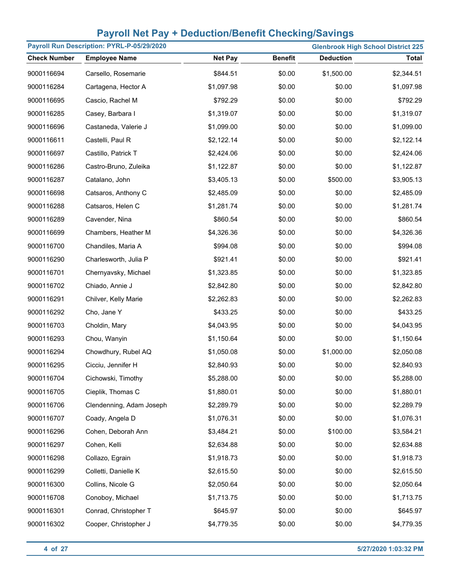| Payroll Run Description: PYRL-P-05/29/2020<br><b>Glenbrook High School District 225</b> |                          |                |                |                  |              |
|-----------------------------------------------------------------------------------------|--------------------------|----------------|----------------|------------------|--------------|
| <b>Check Number</b>                                                                     | <b>Employee Name</b>     | <b>Net Pay</b> | <b>Benefit</b> | <b>Deduction</b> | <b>Total</b> |
| 9000116694                                                                              | Carsello, Rosemarie      | \$844.51       | \$0.00         | \$1,500.00       | \$2,344.51   |
| 9000116284                                                                              | Cartagena, Hector A      | \$1,097.98     | \$0.00         | \$0.00           | \$1,097.98   |
| 9000116695                                                                              | Cascio, Rachel M         | \$792.29       | \$0.00         | \$0.00           | \$792.29     |
| 9000116285                                                                              | Casey, Barbara I         | \$1,319.07     | \$0.00         | \$0.00           | \$1,319.07   |
| 9000116696                                                                              | Castaneda, Valerie J     | \$1,099.00     | \$0.00         | \$0.00           | \$1,099.00   |
| 9000116611                                                                              | Castelli, Paul R         | \$2,122.14     | \$0.00         | \$0.00           | \$2,122.14   |
| 9000116697                                                                              | Castillo, Patrick T      | \$2,424.06     | \$0.00         | \$0.00           | \$2,424.06   |
| 9000116286                                                                              | Castro-Bruno, Zuleika    | \$1,122.87     | \$0.00         | \$0.00           | \$1,122.87   |
| 9000116287                                                                              | Catalano, John           | \$3,405.13     | \$0.00         | \$500.00         | \$3,905.13   |
| 9000116698                                                                              | Catsaros, Anthony C      | \$2,485.09     | \$0.00         | \$0.00           | \$2,485.09   |
| 9000116288                                                                              | Catsaros, Helen C        | \$1,281.74     | \$0.00         | \$0.00           | \$1,281.74   |
| 9000116289                                                                              | Cavender, Nina           | \$860.54       | \$0.00         | \$0.00           | \$860.54     |
| 9000116699                                                                              | Chambers, Heather M      | \$4,326.36     | \$0.00         | \$0.00           | \$4,326.36   |
| 9000116700                                                                              | Chandiles, Maria A       | \$994.08       | \$0.00         | \$0.00           | \$994.08     |
| 9000116290                                                                              | Charlesworth, Julia P    | \$921.41       | \$0.00         | \$0.00           | \$921.41     |
| 9000116701                                                                              | Chernyavsky, Michael     | \$1,323.85     | \$0.00         | \$0.00           | \$1,323.85   |
| 9000116702                                                                              | Chiado, Annie J          | \$2,842.80     | \$0.00         | \$0.00           | \$2,842.80   |
| 9000116291                                                                              | Chilver, Kelly Marie     | \$2,262.83     | \$0.00         | \$0.00           | \$2,262.83   |
| 9000116292                                                                              | Cho, Jane Y              | \$433.25       | \$0.00         | \$0.00           | \$433.25     |
| 9000116703                                                                              | Choldin, Mary            | \$4,043.95     | \$0.00         | \$0.00           | \$4,043.95   |
| 9000116293                                                                              | Chou, Wanyin             | \$1,150.64     | \$0.00         | \$0.00           | \$1,150.64   |
| 9000116294                                                                              | Chowdhury, Rubel AQ      | \$1,050.08     | \$0.00         | \$1,000.00       | \$2,050.08   |
| 9000116295                                                                              | Cicciu, Jennifer H       | \$2,840.93     | \$0.00         | \$0.00           | \$2,840.93   |
| 9000116704                                                                              | Cichowski, Timothy       | \$5,288.00     | \$0.00         | \$0.00           | \$5,288.00   |
| 9000116705                                                                              | Cieplik, Thomas C        | \$1,880.01     | \$0.00         | \$0.00           | \$1,880.01   |
| 9000116706                                                                              | Clendenning, Adam Joseph | \$2,289.79     | \$0.00         | \$0.00           | \$2,289.79   |
| 9000116707                                                                              | Coady, Angela D          | \$1,076.31     | \$0.00         | \$0.00           | \$1,076.31   |
| 9000116296                                                                              | Cohen, Deborah Ann       | \$3,484.21     | \$0.00         | \$100.00         | \$3,584.21   |
| 9000116297                                                                              | Cohen, Kelli             | \$2,634.88     | \$0.00         | \$0.00           | \$2,634.88   |
| 9000116298                                                                              | Collazo, Egrain          | \$1,918.73     | \$0.00         | \$0.00           | \$1,918.73   |
| 9000116299                                                                              | Colletti, Danielle K     | \$2,615.50     | \$0.00         | \$0.00           | \$2,615.50   |
| 9000116300                                                                              | Collins, Nicole G        | \$2,050.64     | \$0.00         | \$0.00           | \$2,050.64   |
| 9000116708                                                                              | Conoboy, Michael         | \$1,713.75     | \$0.00         | \$0.00           | \$1,713.75   |
| 9000116301                                                                              | Conrad, Christopher T    | \$645.97       | \$0.00         | \$0.00           | \$645.97     |
| 9000116302                                                                              | Cooper, Christopher J    | \$4,779.35     | \$0.00         | \$0.00           | \$4,779.35   |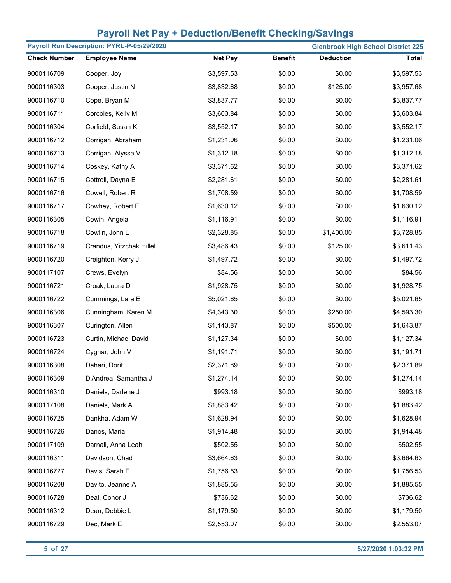| Payroll Run Description: PYRL-P-05/29/2020<br><b>Glenbrook High School District 225</b> |                          |                |                |                  |              |
|-----------------------------------------------------------------------------------------|--------------------------|----------------|----------------|------------------|--------------|
| <b>Check Number</b>                                                                     | <b>Employee Name</b>     | <b>Net Pay</b> | <b>Benefit</b> | <b>Deduction</b> | <b>Total</b> |
| 9000116709                                                                              | Cooper, Joy              | \$3,597.53     | \$0.00         | \$0.00           | \$3,597.53   |
| 9000116303                                                                              | Cooper, Justin N         | \$3,832.68     | \$0.00         | \$125.00         | \$3,957.68   |
| 9000116710                                                                              | Cope, Bryan M            | \$3,837.77     | \$0.00         | \$0.00           | \$3,837.77   |
| 9000116711                                                                              | Corcoles, Kelly M        | \$3,603.84     | \$0.00         | \$0.00           | \$3,603.84   |
| 9000116304                                                                              | Corfield, Susan K        | \$3,552.17     | \$0.00         | \$0.00           | \$3,552.17   |
| 9000116712                                                                              | Corrigan, Abraham        | \$1,231.06     | \$0.00         | \$0.00           | \$1,231.06   |
| 9000116713                                                                              | Corrigan, Alyssa V       | \$1,312.18     | \$0.00         | \$0.00           | \$1,312.18   |
| 9000116714                                                                              | Coskey, Kathy A          | \$3,371.62     | \$0.00         | \$0.00           | \$3,371.62   |
| 9000116715                                                                              | Cottrell, Dayna E        | \$2,281.61     | \$0.00         | \$0.00           | \$2,281.61   |
| 9000116716                                                                              | Cowell, Robert R         | \$1,708.59     | \$0.00         | \$0.00           | \$1,708.59   |
| 9000116717                                                                              | Cowhey, Robert E         | \$1,630.12     | \$0.00         | \$0.00           | \$1,630.12   |
| 9000116305                                                                              | Cowin, Angela            | \$1,116.91     | \$0.00         | \$0.00           | \$1,116.91   |
| 9000116718                                                                              | Cowlin, John L           | \$2,328.85     | \$0.00         | \$1,400.00       | \$3,728.85   |
| 9000116719                                                                              | Crandus, Yitzchak Hillel | \$3,486.43     | \$0.00         | \$125.00         | \$3,611.43   |
| 9000116720                                                                              | Creighton, Kerry J       | \$1,497.72     | \$0.00         | \$0.00           | \$1,497.72   |
| 9000117107                                                                              | Crews, Evelyn            | \$84.56        | \$0.00         | \$0.00           | \$84.56      |
| 9000116721                                                                              | Croak, Laura D           | \$1,928.75     | \$0.00         | \$0.00           | \$1,928.75   |
| 9000116722                                                                              | Cummings, Lara E         | \$5,021.65     | \$0.00         | \$0.00           | \$5,021.65   |
| 9000116306                                                                              | Cunningham, Karen M      | \$4,343.30     | \$0.00         | \$250.00         | \$4,593.30   |
| 9000116307                                                                              | Curington, Allen         | \$1,143.87     | \$0.00         | \$500.00         | \$1,643.87   |
| 9000116723                                                                              | Curtin, Michael David    | \$1,127.34     | \$0.00         | \$0.00           | \$1,127.34   |
| 9000116724                                                                              | Cygnar, John V           | \$1,191.71     | \$0.00         | \$0.00           | \$1,191.71   |
| 9000116308                                                                              | Dahari, Dorit            | \$2,371.89     | \$0.00         | \$0.00           | \$2,371.89   |
| 9000116309                                                                              | D'Andrea, Samantha J     | \$1,274.14     | \$0.00         | \$0.00           | \$1,274.14   |
| 9000116310                                                                              | Daniels, Darlene J       | \$993.18       | \$0.00         | \$0.00           | \$993.18     |
| 9000117108                                                                              | Daniels, Mark A          | \$1,883.42     | \$0.00         | \$0.00           | \$1,883.42   |
| 9000116725                                                                              | Dankha, Adam W           | \$1,628.94     | \$0.00         | \$0.00           | \$1,628.94   |
| 9000116726                                                                              | Danos, Maria             | \$1,914.48     | \$0.00         | \$0.00           | \$1,914.48   |
| 9000117109                                                                              | Darnall, Anna Leah       | \$502.55       | \$0.00         | \$0.00           | \$502.55     |
| 9000116311                                                                              | Davidson, Chad           | \$3,664.63     | \$0.00         | \$0.00           | \$3,664.63   |
| 9000116727                                                                              | Davis, Sarah E           | \$1,756.53     | \$0.00         | \$0.00           | \$1,756.53   |
| 9000116208                                                                              | Davito, Jeanne A         | \$1,885.55     | \$0.00         | \$0.00           | \$1,885.55   |
| 9000116728                                                                              | Deal, Conor J            | \$736.62       | \$0.00         | \$0.00           | \$736.62     |
| 9000116312                                                                              | Dean, Debbie L           | \$1,179.50     | \$0.00         | \$0.00           | \$1,179.50   |
| 9000116729                                                                              | Dec, Mark E              | \$2,553.07     | \$0.00         | \$0.00           | \$2,553.07   |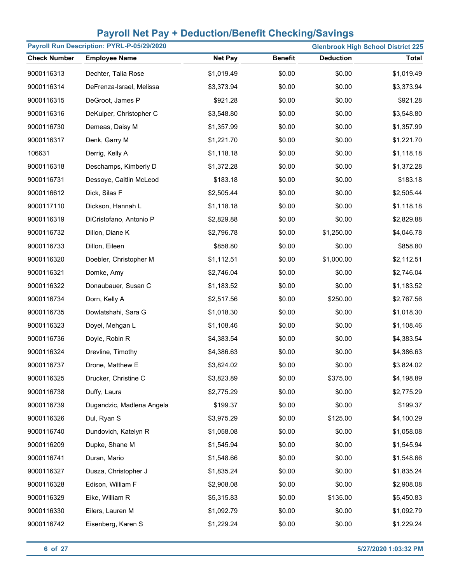| Payroll Run Description: PYRL-P-05/29/2020 |                           |                |                |                  | <b>Glenbrook High School District 225</b> |
|--------------------------------------------|---------------------------|----------------|----------------|------------------|-------------------------------------------|
| <b>Check Number</b>                        | <b>Employee Name</b>      | <b>Net Pay</b> | <b>Benefit</b> | <b>Deduction</b> | <b>Total</b>                              |
| 9000116313                                 | Dechter, Talia Rose       | \$1,019.49     | \$0.00         | \$0.00           | \$1,019.49                                |
| 9000116314                                 | DeFrenza-Israel, Melissa  | \$3,373.94     | \$0.00         | \$0.00           | \$3,373.94                                |
| 9000116315                                 | DeGroot, James P          | \$921.28       | \$0.00         | \$0.00           | \$921.28                                  |
| 9000116316                                 | DeKuiper, Christopher C   | \$3,548.80     | \$0.00         | \$0.00           | \$3,548.80                                |
| 9000116730                                 | Demeas, Daisy M           | \$1,357.99     | \$0.00         | \$0.00           | \$1,357.99                                |
| 9000116317                                 | Denk, Garry M             | \$1,221.70     | \$0.00         | \$0.00           | \$1,221.70                                |
| 106631                                     | Derrig, Kelly A           | \$1,118.18     | \$0.00         | \$0.00           | \$1,118.18                                |
| 9000116318                                 | Deschamps, Kimberly D     | \$1,372.28     | \$0.00         | \$0.00           | \$1,372.28                                |
| 9000116731                                 | Dessoye, Caitlin McLeod   | \$183.18       | \$0.00         | \$0.00           | \$183.18                                  |
| 9000116612                                 | Dick, Silas F             | \$2,505.44     | \$0.00         | \$0.00           | \$2,505.44                                |
| 9000117110                                 | Dickson, Hannah L         | \$1,118.18     | \$0.00         | \$0.00           | \$1,118.18                                |
| 9000116319                                 | DiCristofano, Antonio P   | \$2,829.88     | \$0.00         | \$0.00           | \$2,829.88                                |
| 9000116732                                 | Dillon, Diane K           | \$2,796.78     | \$0.00         | \$1,250.00       | \$4,046.78                                |
| 9000116733                                 | Dillon, Eileen            | \$858.80       | \$0.00         | \$0.00           | \$858.80                                  |
| 9000116320                                 | Doebler, Christopher M    | \$1,112.51     | \$0.00         | \$1,000.00       | \$2,112.51                                |
| 9000116321                                 | Domke, Amy                | \$2,746.04     | \$0.00         | \$0.00           | \$2,746.04                                |
| 9000116322                                 | Donaubauer, Susan C       | \$1,183.52     | \$0.00         | \$0.00           | \$1,183.52                                |
| 9000116734                                 | Dorn, Kelly A             | \$2,517.56     | \$0.00         | \$250.00         | \$2,767.56                                |
| 9000116735                                 | Dowlatshahi, Sara G       | \$1,018.30     | \$0.00         | \$0.00           | \$1,018.30                                |
| 9000116323                                 | Doyel, Mehgan L           | \$1,108.46     | \$0.00         | \$0.00           | \$1,108.46                                |
| 9000116736                                 | Doyle, Robin R            | \$4,383.54     | \$0.00         | \$0.00           | \$4,383.54                                |
| 9000116324                                 | Drevline, Timothy         | \$4,386.63     | \$0.00         | \$0.00           | \$4,386.63                                |
| 9000116737                                 | Drone, Matthew E          | \$3,824.02     | \$0.00         | \$0.00           | \$3,824.02                                |
| 9000116325                                 | Drucker, Christine C      | \$3,823.89     | \$0.00         | \$375.00         | \$4,198.89                                |
| 9000116738                                 | Duffy, Laura              | \$2,775.29     | \$0.00         | \$0.00           | \$2,775.29                                |
| 9000116739                                 | Dugandzic, Madlena Angela | \$199.37       | \$0.00         | \$0.00           | \$199.37                                  |
| 9000116326                                 | Dul, Ryan S               | \$3,975.29     | \$0.00         | \$125.00         | \$4,100.29                                |
| 9000116740                                 | Dundovich, Katelyn R      | \$1,058.08     | \$0.00         | \$0.00           | \$1,058.08                                |
| 9000116209                                 | Dupke, Shane M            | \$1,545.94     | \$0.00         | \$0.00           | \$1,545.94                                |
| 9000116741                                 | Duran, Mario              | \$1,548.66     | \$0.00         | \$0.00           | \$1,548.66                                |
| 9000116327                                 | Dusza, Christopher J      | \$1,835.24     | \$0.00         | \$0.00           | \$1,835.24                                |
| 9000116328                                 | Edison, William F         | \$2,908.08     | \$0.00         | \$0.00           | \$2,908.08                                |
| 9000116329                                 | Eike, William R           | \$5,315.83     | \$0.00         | \$135.00         | \$5,450.83                                |
| 9000116330                                 | Eilers, Lauren M          | \$1,092.79     | \$0.00         | \$0.00           | \$1,092.79                                |
| 9000116742                                 | Eisenberg, Karen S        | \$1,229.24     | \$0.00         | \$0.00           | \$1,229.24                                |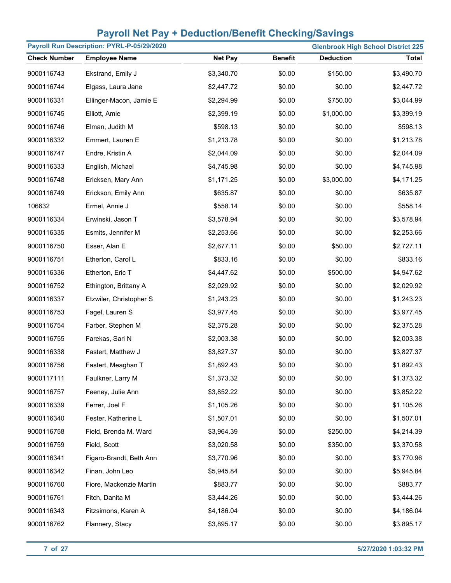| Payroll Run Description: PYRL-P-05/29/2020<br><b>Glenbrook High School District 225</b> |                         |                |                |                  |            |
|-----------------------------------------------------------------------------------------|-------------------------|----------------|----------------|------------------|------------|
| <b>Check Number</b>                                                                     | <b>Employee Name</b>    | <b>Net Pay</b> | <b>Benefit</b> | <b>Deduction</b> | Total      |
| 9000116743                                                                              | Ekstrand, Emily J       | \$3,340.70     | \$0.00         | \$150.00         | \$3,490.70 |
| 9000116744                                                                              | Elgass, Laura Jane      | \$2,447.72     | \$0.00         | \$0.00           | \$2,447.72 |
| 9000116331                                                                              | Ellinger-Macon, Jamie E | \$2,294.99     | \$0.00         | \$750.00         | \$3,044.99 |
| 9000116745                                                                              | Elliott, Amie           | \$2,399.19     | \$0.00         | \$1,000.00       | \$3,399.19 |
| 9000116746                                                                              | Elman, Judith M         | \$598.13       | \$0.00         | \$0.00           | \$598.13   |
| 9000116332                                                                              | Emmert, Lauren E        | \$1,213.78     | \$0.00         | \$0.00           | \$1,213.78 |
| 9000116747                                                                              | Endre, Kristin A        | \$2,044.09     | \$0.00         | \$0.00           | \$2,044.09 |
| 9000116333                                                                              | English, Michael        | \$4,745.98     | \$0.00         | \$0.00           | \$4,745.98 |
| 9000116748                                                                              | Ericksen, Mary Ann      | \$1,171.25     | \$0.00         | \$3,000.00       | \$4,171.25 |
| 9000116749                                                                              | Erickson, Emily Ann     | \$635.87       | \$0.00         | \$0.00           | \$635.87   |
| 106632                                                                                  | Ermel, Annie J          | \$558.14       | \$0.00         | \$0.00           | \$558.14   |
| 9000116334                                                                              | Erwinski, Jason T       | \$3,578.94     | \$0.00         | \$0.00           | \$3,578.94 |
| 9000116335                                                                              | Esmits, Jennifer M      | \$2,253.66     | \$0.00         | \$0.00           | \$2,253.66 |
| 9000116750                                                                              | Esser, Alan E           | \$2,677.11     | \$0.00         | \$50.00          | \$2,727.11 |
| 9000116751                                                                              | Etherton, Carol L       | \$833.16       | \$0.00         | \$0.00           | \$833.16   |
| 9000116336                                                                              | Etherton, Eric T        | \$4,447.62     | \$0.00         | \$500.00         | \$4,947.62 |
| 9000116752                                                                              | Ethington, Brittany A   | \$2,029.92     | \$0.00         | \$0.00           | \$2,029.92 |
| 9000116337                                                                              | Etzwiler, Christopher S | \$1,243.23     | \$0.00         | \$0.00           | \$1,243.23 |
| 9000116753                                                                              | Fagel, Lauren S         | \$3,977.45     | \$0.00         | \$0.00           | \$3,977.45 |
| 9000116754                                                                              | Farber, Stephen M       | \$2,375.28     | \$0.00         | \$0.00           | \$2,375.28 |
| 9000116755                                                                              | Farekas, Sari N         | \$2,003.38     | \$0.00         | \$0.00           | \$2,003.38 |
| 9000116338                                                                              | Fastert, Matthew J      | \$3,827.37     | \$0.00         | \$0.00           | \$3,827.37 |
| 9000116756                                                                              | Fastert, Meaghan T      | \$1,892.43     | \$0.00         | \$0.00           | \$1,892.43 |
| 9000117111                                                                              | Faulkner, Larry M       | \$1,373.32     | \$0.00         | \$0.00           | \$1,373.32 |
| 9000116757                                                                              | Feeney, Julie Ann       | \$3,852.22     | \$0.00         | \$0.00           | \$3,852.22 |
| 9000116339                                                                              | Ferrer, Joel F          | \$1,105.26     | \$0.00         | \$0.00           | \$1,105.26 |
| 9000116340                                                                              | Fester, Katherine L     | \$1,507.01     | \$0.00         | \$0.00           | \$1,507.01 |
| 9000116758                                                                              | Field, Brenda M. Ward   | \$3,964.39     | \$0.00         | \$250.00         | \$4,214.39 |
| 9000116759                                                                              | Field, Scott            | \$3,020.58     | \$0.00         | \$350.00         | \$3,370.58 |
| 9000116341                                                                              | Figaro-Brandt, Beth Ann | \$3,770.96     | \$0.00         | \$0.00           | \$3,770.96 |
| 9000116342                                                                              | Finan, John Leo         | \$5,945.84     | \$0.00         | \$0.00           | \$5,945.84 |
| 9000116760                                                                              | Fiore, Mackenzie Martin | \$883.77       | \$0.00         | \$0.00           | \$883.77   |
| 9000116761                                                                              | Fitch, Danita M         | \$3,444.26     | \$0.00         | \$0.00           | \$3,444.26 |
| 9000116343                                                                              | Fitzsimons, Karen A     | \$4,186.04     | \$0.00         | \$0.00           | \$4,186.04 |
| 9000116762                                                                              | Flannery, Stacy         | \$3,895.17     | \$0.00         | \$0.00           | \$3,895.17 |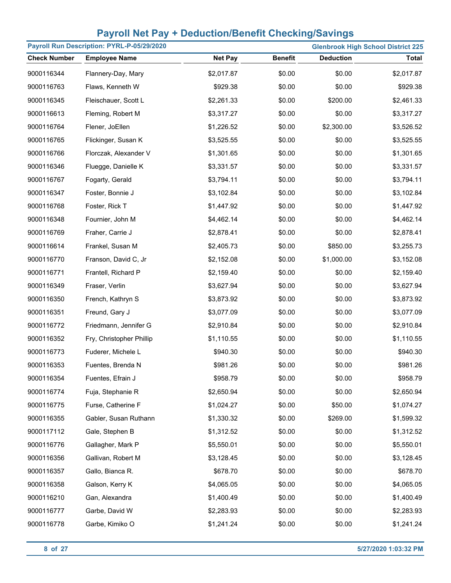| Payroll Run Description: PYRL-P-05/29/2020<br><b>Glenbrook High School District 225</b> |                          |                |                |                  |              |
|-----------------------------------------------------------------------------------------|--------------------------|----------------|----------------|------------------|--------------|
| <b>Check Number</b>                                                                     | <b>Employee Name</b>     | <b>Net Pay</b> | <b>Benefit</b> | <b>Deduction</b> | <b>Total</b> |
| 9000116344                                                                              | Flannery-Day, Mary       | \$2,017.87     | \$0.00         | \$0.00           | \$2,017.87   |
| 9000116763                                                                              | Flaws, Kenneth W         | \$929.38       | \$0.00         | \$0.00           | \$929.38     |
| 9000116345                                                                              | Fleischauer, Scott L     | \$2,261.33     | \$0.00         | \$200.00         | \$2,461.33   |
| 9000116613                                                                              | Fleming, Robert M        | \$3,317.27     | \$0.00         | \$0.00           | \$3,317.27   |
| 9000116764                                                                              | Flener, JoEllen          | \$1,226.52     | \$0.00         | \$2,300.00       | \$3,526.52   |
| 9000116765                                                                              | Flickinger, Susan K      | \$3,525.55     | \$0.00         | \$0.00           | \$3,525.55   |
| 9000116766                                                                              | Florczak, Alexander V    | \$1,301.65     | \$0.00         | \$0.00           | \$1,301.65   |
| 9000116346                                                                              | Fluegge, Danielle K      | \$3,331.57     | \$0.00         | \$0.00           | \$3,331.57   |
| 9000116767                                                                              | Fogarty, Gerald          | \$3,794.11     | \$0.00         | \$0.00           | \$3,794.11   |
| 9000116347                                                                              | Foster, Bonnie J         | \$3,102.84     | \$0.00         | \$0.00           | \$3,102.84   |
| 9000116768                                                                              | Foster, Rick T           | \$1,447.92     | \$0.00         | \$0.00           | \$1,447.92   |
| 9000116348                                                                              | Fournier, John M         | \$4,462.14     | \$0.00         | \$0.00           | \$4,462.14   |
| 9000116769                                                                              | Fraher, Carrie J         | \$2,878.41     | \$0.00         | \$0.00           | \$2,878.41   |
| 9000116614                                                                              | Frankel, Susan M         | \$2,405.73     | \$0.00         | \$850.00         | \$3,255.73   |
| 9000116770                                                                              | Franson, David C, Jr     | \$2,152.08     | \$0.00         | \$1,000.00       | \$3,152.08   |
| 9000116771                                                                              | Frantell, Richard P      | \$2,159.40     | \$0.00         | \$0.00           | \$2,159.40   |
| 9000116349                                                                              | Fraser, Verlin           | \$3,627.94     | \$0.00         | \$0.00           | \$3,627.94   |
| 9000116350                                                                              | French, Kathryn S        | \$3,873.92     | \$0.00         | \$0.00           | \$3,873.92   |
| 9000116351                                                                              | Freund, Gary J           | \$3,077.09     | \$0.00         | \$0.00           | \$3,077.09   |
| 9000116772                                                                              | Friedmann, Jennifer G    | \$2,910.84     | \$0.00         | \$0.00           | \$2,910.84   |
| 9000116352                                                                              | Fry, Christopher Phillip | \$1,110.55     | \$0.00         | \$0.00           | \$1,110.55   |
| 9000116773                                                                              | Fuderer, Michele L       | \$940.30       | \$0.00         | \$0.00           | \$940.30     |
| 9000116353                                                                              | Fuentes, Brenda N        | \$981.26       | \$0.00         | \$0.00           | \$981.26     |
| 9000116354                                                                              | Fuentes, Efrain J        | \$958.79       | \$0.00         | \$0.00           | \$958.79     |
| 9000116774                                                                              | Fuja, Stephanie R        | \$2,650.94     | \$0.00         | \$0.00           | \$2,650.94   |
| 9000116775                                                                              | Furse, Catherine F       | \$1,024.27     | \$0.00         | \$50.00          | \$1,074.27   |
| 9000116355                                                                              | Gabler, Susan Ruthann    | \$1,330.32     | \$0.00         | \$269.00         | \$1,599.32   |
| 9000117112                                                                              | Gale, Stephen B          | \$1,312.52     | \$0.00         | \$0.00           | \$1,312.52   |
| 9000116776                                                                              | Gallagher, Mark P        | \$5,550.01     | \$0.00         | \$0.00           | \$5,550.01   |
| 9000116356                                                                              | Gallivan, Robert M       | \$3,128.45     | \$0.00         | \$0.00           | \$3,128.45   |
| 9000116357                                                                              | Gallo, Bianca R.         | \$678.70       | \$0.00         | \$0.00           | \$678.70     |
| 9000116358                                                                              | Galson, Kerry K          | \$4,065.05     | \$0.00         | \$0.00           | \$4,065.05   |
| 9000116210                                                                              | Gan, Alexandra           | \$1,400.49     | \$0.00         | \$0.00           | \$1,400.49   |
| 9000116777                                                                              | Garbe, David W           | \$2,283.93     | \$0.00         | \$0.00           | \$2,283.93   |
| 9000116778                                                                              | Garbe, Kimiko O          | \$1,241.24     | \$0.00         | \$0.00           | \$1,241.24   |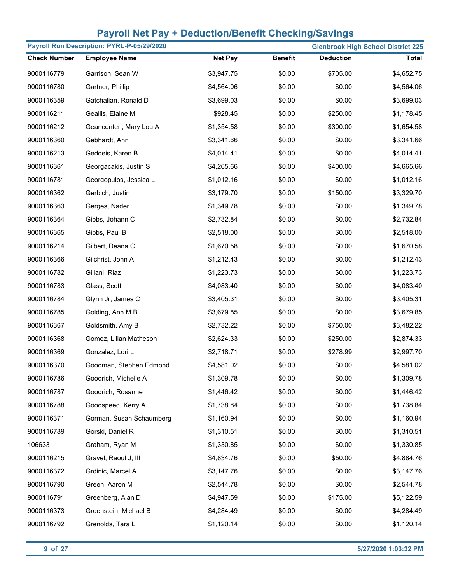| Payroll Run Description: PYRL-P-05/29/2020<br><b>Glenbrook High School District 225</b> |                          |                |                |                  |              |
|-----------------------------------------------------------------------------------------|--------------------------|----------------|----------------|------------------|--------------|
| <b>Check Number</b>                                                                     | <b>Employee Name</b>     | <b>Net Pay</b> | <b>Benefit</b> | <b>Deduction</b> | <b>Total</b> |
| 9000116779                                                                              | Garrison, Sean W         | \$3,947.75     | \$0.00         | \$705.00         | \$4,652.75   |
| 9000116780                                                                              | Gartner, Phillip         | \$4,564.06     | \$0.00         | \$0.00           | \$4,564.06   |
| 9000116359                                                                              | Gatchalian, Ronald D     | \$3,699.03     | \$0.00         | \$0.00           | \$3,699.03   |
| 9000116211                                                                              | Geallis, Elaine M        | \$928.45       | \$0.00         | \$250.00         | \$1,178.45   |
| 9000116212                                                                              | Geanconteri, Mary Lou A  | \$1,354.58     | \$0.00         | \$300.00         | \$1,654.58   |
| 9000116360                                                                              | Gebhardt, Ann            | \$3,341.66     | \$0.00         | \$0.00           | \$3,341.66   |
| 9000116213                                                                              | Geddeis, Karen B         | \$4,014.41     | \$0.00         | \$0.00           | \$4,014.41   |
| 9000116361                                                                              | Georgacakis, Justin S    | \$4,265.66     | \$0.00         | \$400.00         | \$4,665.66   |
| 9000116781                                                                              | Georgopulos, Jessica L   | \$1,012.16     | \$0.00         | \$0.00           | \$1,012.16   |
| 9000116362                                                                              | Gerbich, Justin          | \$3,179.70     | \$0.00         | \$150.00         | \$3,329.70   |
| 9000116363                                                                              | Gerges, Nader            | \$1,349.78     | \$0.00         | \$0.00           | \$1,349.78   |
| 9000116364                                                                              | Gibbs, Johann C          | \$2,732.84     | \$0.00         | \$0.00           | \$2,732.84   |
| 9000116365                                                                              | Gibbs, Paul B            | \$2,518.00     | \$0.00         | \$0.00           | \$2,518.00   |
| 9000116214                                                                              | Gilbert, Deana C         | \$1,670.58     | \$0.00         | \$0.00           | \$1,670.58   |
| 9000116366                                                                              | Gilchrist, John A        | \$1,212.43     | \$0.00         | \$0.00           | \$1,212.43   |
| 9000116782                                                                              | Gillani, Riaz            | \$1,223.73     | \$0.00         | \$0.00           | \$1,223.73   |
| 9000116783                                                                              | Glass, Scott             | \$4,083.40     | \$0.00         | \$0.00           | \$4,083.40   |
| 9000116784                                                                              | Glynn Jr, James C        | \$3,405.31     | \$0.00         | \$0.00           | \$3,405.31   |
| 9000116785                                                                              | Golding, Ann M B         | \$3,679.85     | \$0.00         | \$0.00           | \$3,679.85   |
| 9000116367                                                                              | Goldsmith, Amy B         | \$2,732.22     | \$0.00         | \$750.00         | \$3,482.22   |
| 9000116368                                                                              | Gomez, Lilian Matheson   | \$2,624.33     | \$0.00         | \$250.00         | \$2,874.33   |
| 9000116369                                                                              | Gonzalez, Lori L         | \$2,718.71     | \$0.00         | \$278.99         | \$2,997.70   |
| 9000116370                                                                              | Goodman, Stephen Edmond  | \$4,581.02     | \$0.00         | \$0.00           | \$4,581.02   |
| 9000116786                                                                              | Goodrich, Michelle A     | \$1,309.78     | \$0.00         | \$0.00           | \$1,309.78   |
| 9000116787                                                                              | Goodrich, Rosanne        | \$1,446.42     | \$0.00         | \$0.00           | \$1,446.42   |
| 9000116788                                                                              | Goodspeed, Kerry A       | \$1,738.84     | \$0.00         | \$0.00           | \$1,738.84   |
| 9000116371                                                                              | Gorman, Susan Schaumberg | \$1,160.94     | \$0.00         | \$0.00           | \$1,160.94   |
| 9000116789                                                                              | Gorski, Daniel R         | \$1,310.51     | \$0.00         | \$0.00           | \$1,310.51   |
| 106633                                                                                  | Graham, Ryan M           | \$1,330.85     | \$0.00         | \$0.00           | \$1,330.85   |
| 9000116215                                                                              | Gravel, Raoul J, III     | \$4,834.76     | \$0.00         | \$50.00          | \$4,884.76   |
| 9000116372                                                                              | Grdinic, Marcel A        | \$3,147.76     | \$0.00         | \$0.00           | \$3,147.76   |
| 9000116790                                                                              | Green, Aaron M           | \$2,544.78     | \$0.00         | \$0.00           | \$2,544.78   |
| 9000116791                                                                              | Greenberg, Alan D        | \$4,947.59     | \$0.00         | \$175.00         | \$5,122.59   |
| 9000116373                                                                              | Greenstein, Michael B    | \$4,284.49     | \$0.00         | \$0.00           | \$4,284.49   |
| 9000116792                                                                              | Grenolds, Tara L         | \$1,120.14     | \$0.00         | \$0.00           | \$1,120.14   |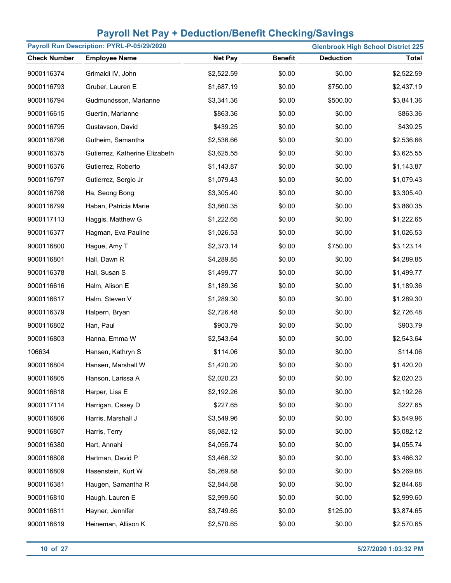| Payroll Run Description: PYRL-P-05/29/2020<br><b>Glenbrook High School District 225</b> |                                |                |                |                  |              |
|-----------------------------------------------------------------------------------------|--------------------------------|----------------|----------------|------------------|--------------|
| <b>Check Number</b>                                                                     | <b>Employee Name</b>           | <b>Net Pay</b> | <b>Benefit</b> | <b>Deduction</b> | <b>Total</b> |
| 9000116374                                                                              | Grimaldi IV, John              | \$2,522.59     | \$0.00         | \$0.00           | \$2,522.59   |
| 9000116793                                                                              | Gruber, Lauren E               | \$1,687.19     | \$0.00         | \$750.00         | \$2,437.19   |
| 9000116794                                                                              | Gudmundsson, Marianne          | \$3,341.36     | \$0.00         | \$500.00         | \$3,841.36   |
| 9000116615                                                                              | Guertin, Marianne              | \$863.36       | \$0.00         | \$0.00           | \$863.36     |
| 9000116795                                                                              | Gustavson, David               | \$439.25       | \$0.00         | \$0.00           | \$439.25     |
| 9000116796                                                                              | Gutheim, Samantha              | \$2,536.66     | \$0.00         | \$0.00           | \$2,536.66   |
| 9000116375                                                                              | Gutierrez, Katherine Elizabeth | \$3,625.55     | \$0.00         | \$0.00           | \$3,625.55   |
| 9000116376                                                                              | Gutierrez, Roberto             | \$1,143.87     | \$0.00         | \$0.00           | \$1,143.87   |
| 9000116797                                                                              | Gutierrez, Sergio Jr           | \$1,079.43     | \$0.00         | \$0.00           | \$1,079.43   |
| 9000116798                                                                              | Ha, Seong Bong                 | \$3,305.40     | \$0.00         | \$0.00           | \$3,305.40   |
| 9000116799                                                                              | Haban, Patricia Marie          | \$3,860.35     | \$0.00         | \$0.00           | \$3,860.35   |
| 9000117113                                                                              | Haggis, Matthew G              | \$1,222.65     | \$0.00         | \$0.00           | \$1,222.65   |
| 9000116377                                                                              | Hagman, Eva Pauline            | \$1,026.53     | \$0.00         | \$0.00           | \$1,026.53   |
| 9000116800                                                                              | Hague, Amy T                   | \$2,373.14     | \$0.00         | \$750.00         | \$3,123.14   |
| 9000116801                                                                              | Hall, Dawn R                   | \$4,289.85     | \$0.00         | \$0.00           | \$4,289.85   |
| 9000116378                                                                              | Hall, Susan S                  | \$1,499.77     | \$0.00         | \$0.00           | \$1,499.77   |
| 9000116616                                                                              | Halm, Alison E                 | \$1,189.36     | \$0.00         | \$0.00           | \$1,189.36   |
| 9000116617                                                                              | Halm, Steven V                 | \$1,289.30     | \$0.00         | \$0.00           | \$1,289.30   |
| 9000116379                                                                              | Halpern, Bryan                 | \$2,726.48     | \$0.00         | \$0.00           | \$2,726.48   |
| 9000116802                                                                              | Han, Paul                      | \$903.79       | \$0.00         | \$0.00           | \$903.79     |
| 9000116803                                                                              | Hanna, Emma W                  | \$2,543.64     | \$0.00         | \$0.00           | \$2,543.64   |
| 106634                                                                                  | Hansen, Kathryn S              | \$114.06       | \$0.00         | \$0.00           | \$114.06     |
| 9000116804                                                                              | Hansen, Marshall W             | \$1,420.20     | \$0.00         | \$0.00           | \$1,420.20   |
| 9000116805                                                                              | Hanson, Larissa A              | \$2,020.23     | \$0.00         | \$0.00           | \$2,020.23   |
| 9000116618                                                                              | Harper, Lisa E                 | \$2,192.26     | \$0.00         | \$0.00           | \$2,192.26   |
| 9000117114                                                                              | Harrigan, Casey D              | \$227.65       | \$0.00         | \$0.00           | \$227.65     |
| 9000116806                                                                              | Harris, Marshall J             | \$3,549.96     | \$0.00         | \$0.00           | \$3,549.96   |
| 9000116807                                                                              | Harris, Terry                  | \$5,082.12     | \$0.00         | \$0.00           | \$5,082.12   |
| 9000116380                                                                              | Hart, Annahi                   | \$4,055.74     | \$0.00         | \$0.00           | \$4,055.74   |
| 9000116808                                                                              | Hartman, David P               | \$3,466.32     | \$0.00         | \$0.00           | \$3,466.32   |
| 9000116809                                                                              | Hasenstein, Kurt W             | \$5,269.88     | \$0.00         | \$0.00           | \$5,269.88   |
| 9000116381                                                                              | Haugen, Samantha R             | \$2,844.68     | \$0.00         | \$0.00           | \$2,844.68   |
| 9000116810                                                                              | Haugh, Lauren E                | \$2,999.60     | \$0.00         | \$0.00           | \$2,999.60   |
| 9000116811                                                                              | Hayner, Jennifer               | \$3,749.65     | \$0.00         | \$125.00         | \$3,874.65   |
| 9000116619                                                                              | Heineman, Allison K            | \$2,570.65     | \$0.00         | \$0.00           | \$2,570.65   |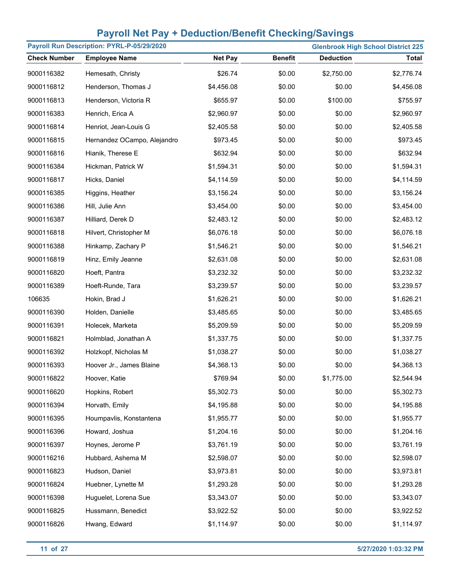| Payroll Run Description: PYRL-P-05/29/2020<br><b>Glenbrook High School District 225</b> |                             |                |                |                  |              |
|-----------------------------------------------------------------------------------------|-----------------------------|----------------|----------------|------------------|--------------|
| <b>Check Number</b>                                                                     | <b>Employee Name</b>        | <b>Net Pay</b> | <b>Benefit</b> | <b>Deduction</b> | <b>Total</b> |
| 9000116382                                                                              | Hemesath, Christy           | \$26.74        | \$0.00         | \$2,750.00       | \$2,776.74   |
| 9000116812                                                                              | Henderson, Thomas J         | \$4,456.08     | \$0.00         | \$0.00           | \$4,456.08   |
| 9000116813                                                                              | Henderson, Victoria R       | \$655.97       | \$0.00         | \$100.00         | \$755.97     |
| 9000116383                                                                              | Henrich, Erica A            | \$2,960.97     | \$0.00         | \$0.00           | \$2,960.97   |
| 9000116814                                                                              | Henriot, Jean-Louis G       | \$2,405.58     | \$0.00         | \$0.00           | \$2,405.58   |
| 9000116815                                                                              | Hernandez OCampo, Alejandro | \$973.45       | \$0.00         | \$0.00           | \$973.45     |
| 9000116816                                                                              | Hianik, Therese E           | \$632.94       | \$0.00         | \$0.00           | \$632.94     |
| 9000116384                                                                              | Hickman, Patrick W          | \$1,594.31     | \$0.00         | \$0.00           | \$1,594.31   |
| 9000116817                                                                              | Hicks, Daniel               | \$4,114.59     | \$0.00         | \$0.00           | \$4,114.59   |
| 9000116385                                                                              | Higgins, Heather            | \$3,156.24     | \$0.00         | \$0.00           | \$3,156.24   |
| 9000116386                                                                              | Hill, Julie Ann             | \$3,454.00     | \$0.00         | \$0.00           | \$3,454.00   |
| 9000116387                                                                              | Hilliard, Derek D           | \$2,483.12     | \$0.00         | \$0.00           | \$2,483.12   |
| 9000116818                                                                              | Hilvert, Christopher M      | \$6,076.18     | \$0.00         | \$0.00           | \$6,076.18   |
| 9000116388                                                                              | Hinkamp, Zachary P          | \$1,546.21     | \$0.00         | \$0.00           | \$1,546.21   |
| 9000116819                                                                              | Hinz, Emily Jeanne          | \$2,631.08     | \$0.00         | \$0.00           | \$2,631.08   |
| 9000116820                                                                              | Hoeft, Pantra               | \$3,232.32     | \$0.00         | \$0.00           | \$3,232.32   |
| 9000116389                                                                              | Hoeft-Runde, Tara           | \$3,239.57     | \$0.00         | \$0.00           | \$3,239.57   |
| 106635                                                                                  | Hokin, Brad J               | \$1,626.21     | \$0.00         | \$0.00           | \$1,626.21   |
| 9000116390                                                                              | Holden, Danielle            | \$3,485.65     | \$0.00         | \$0.00           | \$3,485.65   |
| 9000116391                                                                              | Holecek, Marketa            | \$5,209.59     | \$0.00         | \$0.00           | \$5,209.59   |
| 9000116821                                                                              | Holmblad, Jonathan A        | \$1,337.75     | \$0.00         | \$0.00           | \$1,337.75   |
| 9000116392                                                                              | Holzkopf, Nicholas M        | \$1,038.27     | \$0.00         | \$0.00           | \$1,038.27   |
| 9000116393                                                                              | Hoover Jr., James Blaine    | \$4,368.13     | \$0.00         | \$0.00           | \$4,368.13   |
| 9000116822                                                                              | Hoover, Katie               | \$769.94       | \$0.00         | \$1,775.00       | \$2,544.94   |
| 9000116620                                                                              | Hopkins, Robert             | \$5,302.73     | \$0.00         | \$0.00           | \$5,302.73   |
| 9000116394                                                                              | Horvath, Emily              | \$4,195.88     | \$0.00         | \$0.00           | \$4,195.88   |
| 9000116395                                                                              | Houmpavlis, Konstantena     | \$1,955.77     | \$0.00         | \$0.00           | \$1,955.77   |
| 9000116396                                                                              | Howard, Joshua              | \$1,204.16     | \$0.00         | \$0.00           | \$1,204.16   |
| 9000116397                                                                              | Hoynes, Jerome P            | \$3,761.19     | \$0.00         | \$0.00           | \$3,761.19   |
| 9000116216                                                                              | Hubbard, Ashema M           | \$2,598.07     | \$0.00         | \$0.00           | \$2,598.07   |
| 9000116823                                                                              | Hudson, Daniel              | \$3,973.81     | \$0.00         | \$0.00           | \$3,973.81   |
| 9000116824                                                                              | Huebner, Lynette M          | \$1,293.28     | \$0.00         | \$0.00           | \$1,293.28   |
| 9000116398                                                                              | Huguelet, Lorena Sue        | \$3,343.07     | \$0.00         | \$0.00           | \$3,343.07   |
| 9000116825                                                                              | Hussmann, Benedict          | \$3,922.52     | \$0.00         | \$0.00           | \$3,922.52   |
| 9000116826                                                                              | Hwang, Edward               | \$1,114.97     | \$0.00         | \$0.00           | \$1,114.97   |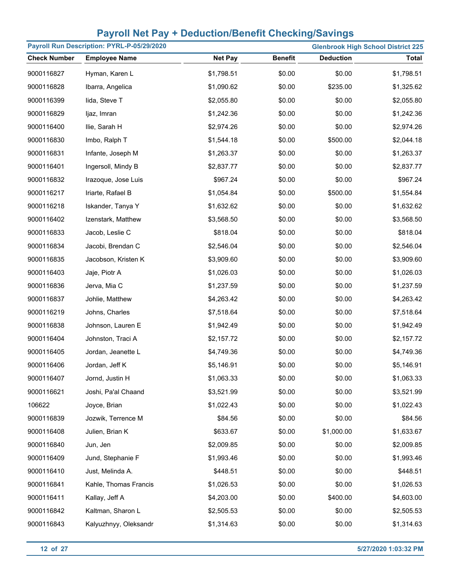| Payroll Run Description: PYRL-P-05/29/2020 |                       |                |                |                  | <b>Glenbrook High School District 225</b> |
|--------------------------------------------|-----------------------|----------------|----------------|------------------|-------------------------------------------|
| <b>Check Number</b>                        | <b>Employee Name</b>  | <b>Net Pay</b> | <b>Benefit</b> | <b>Deduction</b> | <b>Total</b>                              |
| 9000116827                                 | Hyman, Karen L        | \$1,798.51     | \$0.00         | \$0.00           | \$1,798.51                                |
| 9000116828                                 | Ibarra, Angelica      | \$1,090.62     | \$0.00         | \$235.00         | \$1,325.62                                |
| 9000116399                                 | lida, Steve T         | \$2,055.80     | \$0.00         | \$0.00           | \$2,055.80                                |
| 9000116829                                 | ljaz, Imran           | \$1,242.36     | \$0.00         | \$0.00           | \$1,242.36                                |
| 9000116400                                 | Ilie, Sarah H         | \$2,974.26     | \$0.00         | \$0.00           | \$2,974.26                                |
| 9000116830                                 | Imbo, Ralph T         | \$1,544.18     | \$0.00         | \$500.00         | \$2,044.18                                |
| 9000116831                                 | Infante, Joseph M     | \$1,263.37     | \$0.00         | \$0.00           | \$1,263.37                                |
| 9000116401                                 | Ingersoll, Mindy B    | \$2,837.77     | \$0.00         | \$0.00           | \$2,837.77                                |
| 9000116832                                 | Irazoque, Jose Luis   | \$967.24       | \$0.00         | \$0.00           | \$967.24                                  |
| 9000116217                                 | Iriarte, Rafael B     | \$1,054.84     | \$0.00         | \$500.00         | \$1,554.84                                |
| 9000116218                                 | Iskander, Tanya Y     | \$1,632.62     | \$0.00         | \$0.00           | \$1,632.62                                |
| 9000116402                                 | Izenstark, Matthew    | \$3,568.50     | \$0.00         | \$0.00           | \$3,568.50                                |
| 9000116833                                 | Jacob, Leslie C       | \$818.04       | \$0.00         | \$0.00           | \$818.04                                  |
| 9000116834                                 | Jacobi, Brendan C     | \$2,546.04     | \$0.00         | \$0.00           | \$2,546.04                                |
| 9000116835                                 | Jacobson, Kristen K   | \$3,909.60     | \$0.00         | \$0.00           | \$3,909.60                                |
| 9000116403                                 | Jaje, Piotr A         | \$1,026.03     | \$0.00         | \$0.00           | \$1,026.03                                |
| 9000116836                                 | Jerva, Mia C          | \$1,237.59     | \$0.00         | \$0.00           | \$1,237.59                                |
| 9000116837                                 | Johlie, Matthew       | \$4,263.42     | \$0.00         | \$0.00           | \$4,263.42                                |
| 9000116219                                 | Johns, Charles        | \$7,518.64     | \$0.00         | \$0.00           | \$7,518.64                                |
| 9000116838                                 | Johnson, Lauren E     | \$1,942.49     | \$0.00         | \$0.00           | \$1,942.49                                |
| 9000116404                                 | Johnston, Traci A     | \$2,157.72     | \$0.00         | \$0.00           | \$2,157.72                                |
| 9000116405                                 | Jordan, Jeanette L    | \$4,749.36     | \$0.00         | \$0.00           | \$4,749.36                                |
| 9000116406                                 | Jordan, Jeff K        | \$5,146.91     | \$0.00         | \$0.00           | \$5,146.91                                |
| 9000116407                                 | Jornd, Justin H       | \$1,063.33     | \$0.00         | \$0.00           | \$1,063.33                                |
| 9000116621                                 | Joshi, Pa'al Chaand   | \$3,521.99     | \$0.00         | \$0.00           | \$3,521.99                                |
| 106622                                     | Joyce, Brian          | \$1,022.43     | \$0.00         | \$0.00           | \$1,022.43                                |
| 9000116839                                 | Jozwik, Terrence M    | \$84.56        | \$0.00         | \$0.00           | \$84.56                                   |
| 9000116408                                 | Julien, Brian K       | \$633.67       | \$0.00         | \$1,000.00       | \$1,633.67                                |
| 9000116840                                 | Jun, Jen              | \$2,009.85     | \$0.00         | \$0.00           | \$2,009.85                                |
| 9000116409                                 | Jund, Stephanie F     | \$1,993.46     | \$0.00         | \$0.00           | \$1,993.46                                |
| 9000116410                                 | Just, Melinda A.      | \$448.51       | \$0.00         | \$0.00           | \$448.51                                  |
| 9000116841                                 | Kahle, Thomas Francis | \$1,026.53     | \$0.00         | \$0.00           | \$1,026.53                                |
| 9000116411                                 | Kallay, Jeff A        | \$4,203.00     | \$0.00         | \$400.00         | \$4,603.00                                |
| 9000116842                                 | Kaltman, Sharon L     | \$2,505.53     | \$0.00         | \$0.00           | \$2,505.53                                |
| 9000116843                                 | Kalyuzhnyy, Oleksandr | \$1,314.63     | \$0.00         | \$0.00           | \$1,314.63                                |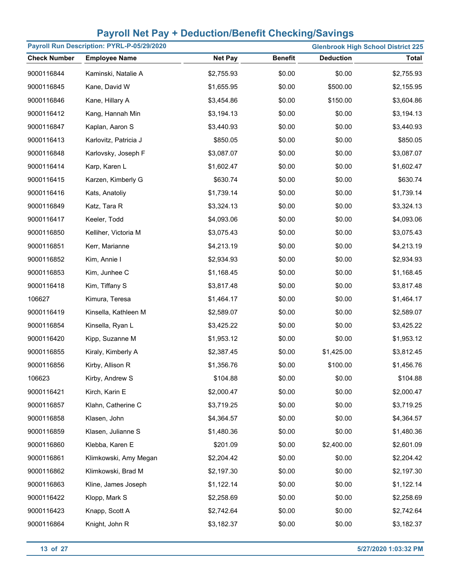| Payroll Run Description: PYRL-P-05/29/2020 |                       |                |                | <b>Glenbrook High School District 225</b> |              |
|--------------------------------------------|-----------------------|----------------|----------------|-------------------------------------------|--------------|
| <b>Check Number</b>                        | <b>Employee Name</b>  | <b>Net Pay</b> | <b>Benefit</b> | <b>Deduction</b>                          | <b>Total</b> |
| 9000116844                                 | Kaminski, Natalie A   | \$2,755.93     | \$0.00         | \$0.00                                    | \$2,755.93   |
| 9000116845                                 | Kane, David W         | \$1,655.95     | \$0.00         | \$500.00                                  | \$2,155.95   |
| 9000116846                                 | Kane, Hillary A       | \$3,454.86     | \$0.00         | \$150.00                                  | \$3,604.86   |
| 9000116412                                 | Kang, Hannah Min      | \$3,194.13     | \$0.00         | \$0.00                                    | \$3,194.13   |
| 9000116847                                 | Kaplan, Aaron S       | \$3,440.93     | \$0.00         | \$0.00                                    | \$3,440.93   |
| 9000116413                                 | Karlovitz, Patricia J | \$850.05       | \$0.00         | \$0.00                                    | \$850.05     |
| 9000116848                                 | Karlovsky, Joseph F   | \$3,087.07     | \$0.00         | \$0.00                                    | \$3,087.07   |
| 9000116414                                 | Karp, Karen L         | \$1,602.47     | \$0.00         | \$0.00                                    | \$1,602.47   |
| 9000116415                                 | Karzen, Kimberly G    | \$630.74       | \$0.00         | \$0.00                                    | \$630.74     |
| 9000116416                                 | Kats, Anatoliy        | \$1,739.14     | \$0.00         | \$0.00                                    | \$1,739.14   |
| 9000116849                                 | Katz, Tara R          | \$3,324.13     | \$0.00         | \$0.00                                    | \$3,324.13   |
| 9000116417                                 | Keeler, Todd          | \$4,093.06     | \$0.00         | \$0.00                                    | \$4,093.06   |
| 9000116850                                 | Kelliher, Victoria M  | \$3,075.43     | \$0.00         | \$0.00                                    | \$3,075.43   |
| 9000116851                                 | Kerr, Marianne        | \$4,213.19     | \$0.00         | \$0.00                                    | \$4,213.19   |
| 9000116852                                 | Kim, Annie I          | \$2,934.93     | \$0.00         | \$0.00                                    | \$2,934.93   |
| 9000116853                                 | Kim, Junhee C         | \$1,168.45     | \$0.00         | \$0.00                                    | \$1,168.45   |
| 9000116418                                 | Kim, Tiffany S        | \$3,817.48     | \$0.00         | \$0.00                                    | \$3,817.48   |
| 106627                                     | Kimura, Teresa        | \$1,464.17     | \$0.00         | \$0.00                                    | \$1,464.17   |
| 9000116419                                 | Kinsella, Kathleen M  | \$2,589.07     | \$0.00         | \$0.00                                    | \$2,589.07   |
| 9000116854                                 | Kinsella, Ryan L      | \$3,425.22     | \$0.00         | \$0.00                                    | \$3,425.22   |
| 9000116420                                 | Kipp, Suzanne M       | \$1,953.12     | \$0.00         | \$0.00                                    | \$1,953.12   |
| 9000116855                                 | Kiraly, Kimberly A    | \$2,387.45     | \$0.00         | \$1,425.00                                | \$3,812.45   |
| 9000116856                                 | Kirby, Allison R      | \$1,356.76     | \$0.00         | \$100.00                                  | \$1,456.76   |
| 106623                                     | Kirby, Andrew S       | \$104.88       | \$0.00         | \$0.00                                    | \$104.88     |
| 9000116421                                 | Kirch, Karin E        | \$2,000.47     | \$0.00         | \$0.00                                    | \$2,000.47   |
| 9000116857                                 | Klahn, Catherine C    | \$3,719.25     | \$0.00         | \$0.00                                    | \$3,719.25   |
| 9000116858                                 | Klasen, John          | \$4,364.57     | \$0.00         | \$0.00                                    | \$4,364.57   |
| 9000116859                                 | Klasen, Julianne S    | \$1,480.36     | \$0.00         | \$0.00                                    | \$1,480.36   |
| 9000116860                                 | Klebba, Karen E       | \$201.09       | \$0.00         | \$2,400.00                                | \$2,601.09   |
| 9000116861                                 | Klimkowski, Amy Megan | \$2,204.42     | \$0.00         | \$0.00                                    | \$2,204.42   |
| 9000116862                                 | Klimkowski, Brad M    | \$2,197.30     | \$0.00         | \$0.00                                    | \$2,197.30   |
| 9000116863                                 | Kline, James Joseph   | \$1,122.14     | \$0.00         | \$0.00                                    | \$1,122.14   |
| 9000116422                                 | Klopp, Mark S         | \$2,258.69     | \$0.00         | \$0.00                                    | \$2,258.69   |
| 9000116423                                 | Knapp, Scott A        | \$2,742.64     | \$0.00         | \$0.00                                    | \$2,742.64   |
| 9000116864                                 | Knight, John R        | \$3,182.37     | \$0.00         | \$0.00                                    | \$3,182.37   |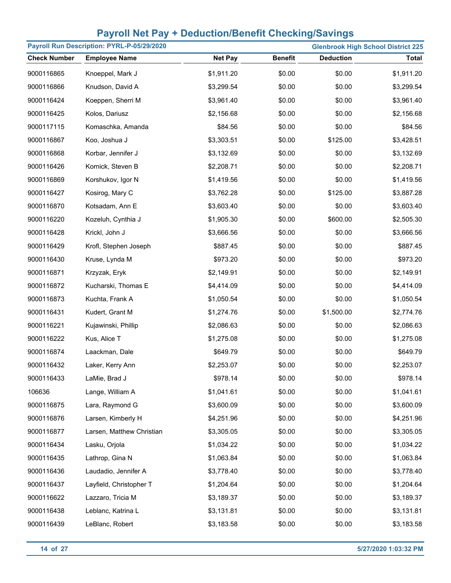| Payroll Run Description: PYRL-P-05/29/2020 |                           |                |                |                  | <b>Glenbrook High School District 225</b> |
|--------------------------------------------|---------------------------|----------------|----------------|------------------|-------------------------------------------|
| <b>Check Number</b>                        | <b>Employee Name</b>      | <b>Net Pay</b> | <b>Benefit</b> | <b>Deduction</b> | <b>Total</b>                              |
| 9000116865                                 | Knoeppel, Mark J          | \$1,911.20     | \$0.00         | \$0.00           | \$1,911.20                                |
| 9000116866                                 | Knudson, David A          | \$3,299.54     | \$0.00         | \$0.00           | \$3,299.54                                |
| 9000116424                                 | Koeppen, Sherri M         | \$3,961.40     | \$0.00         | \$0.00           | \$3,961.40                                |
| 9000116425                                 | Kolos, Dariusz            | \$2,156.68     | \$0.00         | \$0.00           | \$2,156.68                                |
| 9000117115                                 | Komaschka, Amanda         | \$84.56        | \$0.00         | \$0.00           | \$84.56                                   |
| 9000116867                                 | Koo, Joshua J             | \$3,303.51     | \$0.00         | \$125.00         | \$3,428.51                                |
| 9000116868                                 | Korbar, Jennifer J        | \$3,132.69     | \$0.00         | \$0.00           | \$3,132.69                                |
| 9000116426                                 | Kornick, Steven B         | \$2,208.71     | \$0.00         | \$0.00           | \$2,208.71                                |
| 9000116869                                 | Korshukov, Igor N         | \$1,419.56     | \$0.00         | \$0.00           | \$1,419.56                                |
| 9000116427                                 | Kosirog, Mary C           | \$3,762.28     | \$0.00         | \$125.00         | \$3,887.28                                |
| 9000116870                                 | Kotsadam, Ann E           | \$3,603.40     | \$0.00         | \$0.00           | \$3,603.40                                |
| 9000116220                                 | Kozeluh, Cynthia J        | \$1,905.30     | \$0.00         | \$600.00         | \$2,505.30                                |
| 9000116428                                 | Krickl, John J            | \$3,666.56     | \$0.00         | \$0.00           | \$3,666.56                                |
| 9000116429                                 | Krofl, Stephen Joseph     | \$887.45       | \$0.00         | \$0.00           | \$887.45                                  |
| 9000116430                                 | Kruse, Lynda M            | \$973.20       | \$0.00         | \$0.00           | \$973.20                                  |
| 9000116871                                 | Krzyzak, Eryk             | \$2,149.91     | \$0.00         | \$0.00           | \$2,149.91                                |
| 9000116872                                 | Kucharski, Thomas E       | \$4,414.09     | \$0.00         | \$0.00           | \$4,414.09                                |
| 9000116873                                 | Kuchta, Frank A           | \$1,050.54     | \$0.00         | \$0.00           | \$1,050.54                                |
| 9000116431                                 | Kudert, Grant M           | \$1,274.76     | \$0.00         | \$1,500.00       | \$2,774.76                                |
| 9000116221                                 | Kujawinski, Phillip       | \$2,086.63     | \$0.00         | \$0.00           | \$2,086.63                                |
| 9000116222                                 | Kus, Alice T              | \$1,275.08     | \$0.00         | \$0.00           | \$1,275.08                                |
| 9000116874                                 | Laackman, Dale            | \$649.79       | \$0.00         | \$0.00           | \$649.79                                  |
| 9000116432                                 | Laker, Kerry Ann          | \$2,253.07     | \$0.00         | \$0.00           | \$2,253.07                                |
| 9000116433                                 | LaMie, Brad J             | \$978.14       | \$0.00         | \$0.00           | \$978.14                                  |
| 106636                                     | Lange, William A          | \$1,041.61     | \$0.00         | \$0.00           | \$1,041.61                                |
| 9000116875                                 | Lara, Raymond G           | \$3,600.09     | \$0.00         | \$0.00           | \$3,600.09                                |
| 9000116876                                 | Larsen, Kimberly H        | \$4,251.96     | \$0.00         | \$0.00           | \$4,251.96                                |
| 9000116877                                 | Larsen, Matthew Christian | \$3,305.05     | \$0.00         | \$0.00           | \$3,305.05                                |
| 9000116434                                 | Lasku, Orjola             | \$1,034.22     | \$0.00         | \$0.00           | \$1,034.22                                |
| 9000116435                                 | Lathrop, Gina N           | \$1,063.84     | \$0.00         | \$0.00           | \$1,063.84                                |
| 9000116436                                 | Laudadio, Jennifer A      | \$3,778.40     | \$0.00         | \$0.00           | \$3,778.40                                |
| 9000116437                                 | Layfield, Christopher T   | \$1,204.64     | \$0.00         | \$0.00           | \$1,204.64                                |
| 9000116622                                 | Lazzaro, Tricia M         | \$3,189.37     | \$0.00         | \$0.00           | \$3,189.37                                |
| 9000116438                                 | Leblanc, Katrina L        | \$3,131.81     | \$0.00         | \$0.00           | \$3,131.81                                |
| 9000116439                                 | LeBlanc, Robert           | \$3,183.58     | \$0.00         | \$0.00           | \$3,183.58                                |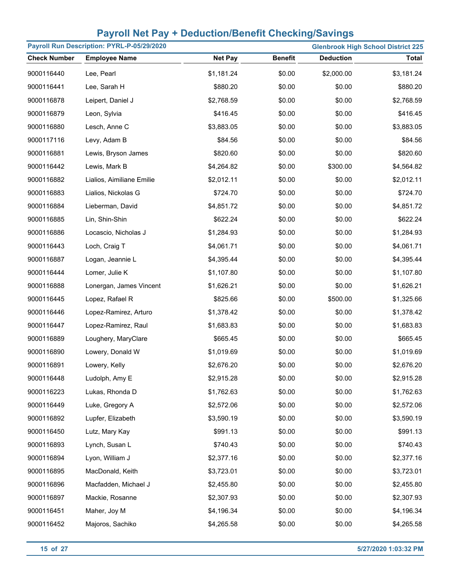| Payroll Run Description: PYRL-P-05/29/2020<br><b>Glenbrook High School District 225</b> |                           |                |                |                  |              |
|-----------------------------------------------------------------------------------------|---------------------------|----------------|----------------|------------------|--------------|
| <b>Check Number</b>                                                                     | <b>Employee Name</b>      | <b>Net Pay</b> | <b>Benefit</b> | <b>Deduction</b> | <b>Total</b> |
| 9000116440                                                                              | Lee, Pearl                | \$1,181.24     | \$0.00         | \$2,000.00       | \$3,181.24   |
| 9000116441                                                                              | Lee, Sarah H              | \$880.20       | \$0.00         | \$0.00           | \$880.20     |
| 9000116878                                                                              | Leipert, Daniel J         | \$2,768.59     | \$0.00         | \$0.00           | \$2,768.59   |
| 9000116879                                                                              | Leon, Sylvia              | \$416.45       | \$0.00         | \$0.00           | \$416.45     |
| 9000116880                                                                              | Lesch, Anne C             | \$3,883.05     | \$0.00         | \$0.00           | \$3,883.05   |
| 9000117116                                                                              | Levy, Adam B              | \$84.56        | \$0.00         | \$0.00           | \$84.56      |
| 9000116881                                                                              | Lewis, Bryson James       | \$820.60       | \$0.00         | \$0.00           | \$820.60     |
| 9000116442                                                                              | Lewis, Mark B             | \$4,264.82     | \$0.00         | \$300.00         | \$4,564.82   |
| 9000116882                                                                              | Lialios, Aimiliane Emilie | \$2,012.11     | \$0.00         | \$0.00           | \$2,012.11   |
| 9000116883                                                                              | Lialios, Nickolas G       | \$724.70       | \$0.00         | \$0.00           | \$724.70     |
| 9000116884                                                                              | Lieberman, David          | \$4,851.72     | \$0.00         | \$0.00           | \$4,851.72   |
| 9000116885                                                                              | Lin, Shin-Shin            | \$622.24       | \$0.00         | \$0.00           | \$622.24     |
| 9000116886                                                                              | Locascio, Nicholas J      | \$1,284.93     | \$0.00         | \$0.00           | \$1,284.93   |
| 9000116443                                                                              | Loch, Craig T             | \$4,061.71     | \$0.00         | \$0.00           | \$4,061.71   |
| 9000116887                                                                              | Logan, Jeannie L          | \$4,395.44     | \$0.00         | \$0.00           | \$4,395.44   |
| 9000116444                                                                              | Lomer, Julie K            | \$1,107.80     | \$0.00         | \$0.00           | \$1,107.80   |
| 9000116888                                                                              | Lonergan, James Vincent   | \$1,626.21     | \$0.00         | \$0.00           | \$1,626.21   |
| 9000116445                                                                              | Lopez, Rafael R           | \$825.66       | \$0.00         | \$500.00         | \$1,325.66   |
| 9000116446                                                                              | Lopez-Ramirez, Arturo     | \$1,378.42     | \$0.00         | \$0.00           | \$1,378.42   |
| 9000116447                                                                              | Lopez-Ramirez, Raul       | \$1,683.83     | \$0.00         | \$0.00           | \$1,683.83   |
| 9000116889                                                                              | Loughery, MaryClare       | \$665.45       | \$0.00         | \$0.00           | \$665.45     |
| 9000116890                                                                              | Lowery, Donald W          | \$1,019.69     | \$0.00         | \$0.00           | \$1,019.69   |
| 9000116891                                                                              | Lowery, Kelly             | \$2,676.20     | \$0.00         | \$0.00           | \$2,676.20   |
| 9000116448                                                                              | Ludolph, Amy E            | \$2,915.28     | \$0.00         | \$0.00           | \$2,915.28   |
| 9000116223                                                                              | Lukas, Rhonda D           | \$1,762.63     | \$0.00         | \$0.00           | \$1,762.63   |
| 9000116449                                                                              | Luke, Gregory A           | \$2,572.06     | \$0.00         | \$0.00           | \$2,572.06   |
| 9000116892                                                                              | Lupfer, Elizabeth         | \$3,590.19     | \$0.00         | \$0.00           | \$3,590.19   |
| 9000116450                                                                              | Lutz, Mary Kay            | \$991.13       | \$0.00         | \$0.00           | \$991.13     |
| 9000116893                                                                              | Lynch, Susan L            | \$740.43       | \$0.00         | \$0.00           | \$740.43     |
| 9000116894                                                                              | Lyon, William J           | \$2,377.16     | \$0.00         | \$0.00           | \$2,377.16   |
| 9000116895                                                                              | MacDonald, Keith          | \$3,723.01     | \$0.00         | \$0.00           | \$3,723.01   |
| 9000116896                                                                              | Macfadden, Michael J      | \$2,455.80     | \$0.00         | \$0.00           | \$2,455.80   |
| 9000116897                                                                              | Mackie, Rosanne           | \$2,307.93     | \$0.00         | \$0.00           | \$2,307.93   |
| 9000116451                                                                              | Maher, Joy M              | \$4,196.34     | \$0.00         | \$0.00           | \$4,196.34   |
| 9000116452                                                                              | Majoros, Sachiko          | \$4,265.58     | \$0.00         | \$0.00           | \$4,265.58   |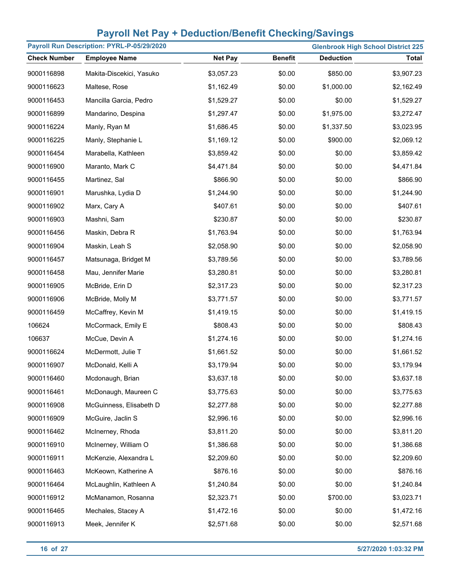| Payroll Run Description: PYRL-P-05/29/2020<br><b>Glenbrook High School District 225</b> |                          |                |                |                  |              |
|-----------------------------------------------------------------------------------------|--------------------------|----------------|----------------|------------------|--------------|
| <b>Check Number</b>                                                                     | <b>Employee Name</b>     | <b>Net Pay</b> | <b>Benefit</b> | <b>Deduction</b> | <b>Total</b> |
| 9000116898                                                                              | Makita-Discekici, Yasuko | \$3,057.23     | \$0.00         | \$850.00         | \$3,907.23   |
| 9000116623                                                                              | Maltese, Rose            | \$1,162.49     | \$0.00         | \$1,000.00       | \$2,162.49   |
| 9000116453                                                                              | Mancilla Garcia, Pedro   | \$1,529.27     | \$0.00         | \$0.00           | \$1,529.27   |
| 9000116899                                                                              | Mandarino, Despina       | \$1,297.47     | \$0.00         | \$1,975.00       | \$3,272.47   |
| 9000116224                                                                              | Manly, Ryan M            | \$1,686.45     | \$0.00         | \$1,337.50       | \$3,023.95   |
| 9000116225                                                                              | Manly, Stephanie L       | \$1,169.12     | \$0.00         | \$900.00         | \$2,069.12   |
| 9000116454                                                                              | Marabella, Kathleen      | \$3,859.42     | \$0.00         | \$0.00           | \$3,859.42   |
| 9000116900                                                                              | Maranto, Mark C          | \$4,471.84     | \$0.00         | \$0.00           | \$4,471.84   |
| 9000116455                                                                              | Martinez, Sal            | \$866.90       | \$0.00         | \$0.00           | \$866.90     |
| 9000116901                                                                              | Marushka, Lydia D        | \$1,244.90     | \$0.00         | \$0.00           | \$1,244.90   |
| 9000116902                                                                              | Marx, Cary A             | \$407.61       | \$0.00         | \$0.00           | \$407.61     |
| 9000116903                                                                              | Mashni, Sam              | \$230.87       | \$0.00         | \$0.00           | \$230.87     |
| 9000116456                                                                              | Maskin, Debra R          | \$1,763.94     | \$0.00         | \$0.00           | \$1,763.94   |
| 9000116904                                                                              | Maskin, Leah S           | \$2,058.90     | \$0.00         | \$0.00           | \$2,058.90   |
| 9000116457                                                                              | Matsunaga, Bridget M     | \$3,789.56     | \$0.00         | \$0.00           | \$3,789.56   |
| 9000116458                                                                              | Mau, Jennifer Marie      | \$3,280.81     | \$0.00         | \$0.00           | \$3,280.81   |
| 9000116905                                                                              | McBride, Erin D          | \$2,317.23     | \$0.00         | \$0.00           | \$2,317.23   |
| 9000116906                                                                              | McBride, Molly M         | \$3,771.57     | \$0.00         | \$0.00           | \$3,771.57   |
| 9000116459                                                                              | McCaffrey, Kevin M       | \$1,419.15     | \$0.00         | \$0.00           | \$1,419.15   |
| 106624                                                                                  | McCormack, Emily E       | \$808.43       | \$0.00         | \$0.00           | \$808.43     |
| 106637                                                                                  | McCue, Devin A           | \$1,274.16     | \$0.00         | \$0.00           | \$1,274.16   |
| 9000116624                                                                              | McDermott, Julie T       | \$1,661.52     | \$0.00         | \$0.00           | \$1,661.52   |
| 9000116907                                                                              | McDonald, Kelli A        | \$3,179.94     | \$0.00         | \$0.00           | \$3,179.94   |
| 9000116460                                                                              | Mcdonaugh, Brian         | \$3,637.18     | \$0.00         | \$0.00           | \$3,637.18   |
| 9000116461                                                                              | McDonaugh, Maureen C     | \$3,775.63     | \$0.00         | \$0.00           | \$3,775.63   |
| 9000116908                                                                              | McGuinness, Elisabeth D  | \$2,277.88     | \$0.00         | \$0.00           | \$2,277.88   |
| 9000116909                                                                              | McGuire, Jaclin S        | \$2,996.16     | \$0.00         | \$0.00           | \$2,996.16   |
| 9000116462                                                                              | McInerney, Rhoda         | \$3,811.20     | \$0.00         | \$0.00           | \$3,811.20   |
| 9000116910                                                                              | McInerney, William O     | \$1,386.68     | \$0.00         | \$0.00           | \$1,386.68   |
| 9000116911                                                                              | McKenzie, Alexandra L    | \$2,209.60     | \$0.00         | \$0.00           | \$2,209.60   |
| 9000116463                                                                              | McKeown, Katherine A     | \$876.16       | \$0.00         | \$0.00           | \$876.16     |
| 9000116464                                                                              | McLaughlin, Kathleen A   | \$1,240.84     | \$0.00         | \$0.00           | \$1,240.84   |
| 9000116912                                                                              | McManamon, Rosanna       | \$2,323.71     | \$0.00         | \$700.00         | \$3,023.71   |
| 9000116465                                                                              | Mechales, Stacey A       | \$1,472.16     | \$0.00         | \$0.00           | \$1,472.16   |
| 9000116913                                                                              | Meek, Jennifer K         | \$2,571.68     | \$0.00         | \$0.00           | \$2,571.68   |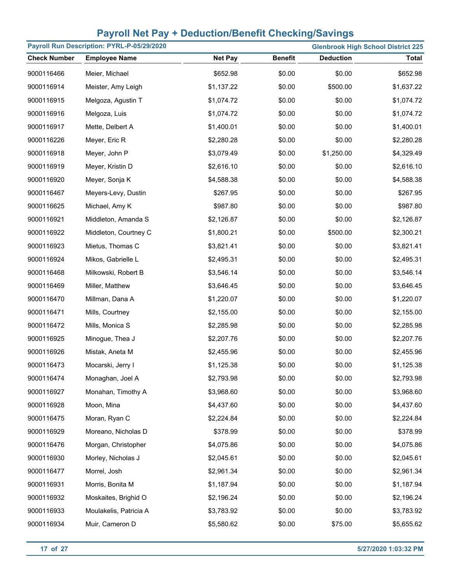| Payroll Run Description: PYRL-P-05/29/2020<br><b>Glenbrook High School District 225</b> |                        |                |                |                  |              |
|-----------------------------------------------------------------------------------------|------------------------|----------------|----------------|------------------|--------------|
| <b>Check Number</b>                                                                     | <b>Employee Name</b>   | <b>Net Pay</b> | <b>Benefit</b> | <b>Deduction</b> | <b>Total</b> |
| 9000116466                                                                              | Meier, Michael         | \$652.98       | \$0.00         | \$0.00           | \$652.98     |
| 9000116914                                                                              | Meister, Amy Leigh     | \$1,137.22     | \$0.00         | \$500.00         | \$1,637.22   |
| 9000116915                                                                              | Melgoza, Agustin T     | \$1,074.72     | \$0.00         | \$0.00           | \$1,074.72   |
| 9000116916                                                                              | Melgoza, Luis          | \$1,074.72     | \$0.00         | \$0.00           | \$1,074.72   |
| 9000116917                                                                              | Mette, Delbert A       | \$1,400.01     | \$0.00         | \$0.00           | \$1,400.01   |
| 9000116226                                                                              | Meyer, Eric R          | \$2,280.28     | \$0.00         | \$0.00           | \$2,280.28   |
| 9000116918                                                                              | Meyer, John P          | \$3,079.49     | \$0.00         | \$1,250.00       | \$4,329.49   |
| 9000116919                                                                              | Meyer, Kristin D       | \$2,616.10     | \$0.00         | \$0.00           | \$2,616.10   |
| 9000116920                                                                              | Meyer, Sonja K         | \$4,588.38     | \$0.00         | \$0.00           | \$4,588.38   |
| 9000116467                                                                              | Meyers-Levy, Dustin    | \$267.95       | \$0.00         | \$0.00           | \$267.95     |
| 9000116625                                                                              | Michael, Amy K         | \$987.80       | \$0.00         | \$0.00           | \$987.80     |
| 9000116921                                                                              | Middleton, Amanda S    | \$2,126.87     | \$0.00         | \$0.00           | \$2,126.87   |
| 9000116922                                                                              | Middleton, Courtney C  | \$1,800.21     | \$0.00         | \$500.00         | \$2,300.21   |
| 9000116923                                                                              | Mietus, Thomas C       | \$3,821.41     | \$0.00         | \$0.00           | \$3,821.41   |
| 9000116924                                                                              | Mikos, Gabrielle L     | \$2,495.31     | \$0.00         | \$0.00           | \$2,495.31   |
| 9000116468                                                                              | Milkowski, Robert B    | \$3,546.14     | \$0.00         | \$0.00           | \$3,546.14   |
| 9000116469                                                                              | Miller, Matthew        | \$3,646.45     | \$0.00         | \$0.00           | \$3,646.45   |
| 9000116470                                                                              | Millman, Dana A        | \$1,220.07     | \$0.00         | \$0.00           | \$1,220.07   |
| 9000116471                                                                              | Mills, Courtney        | \$2,155.00     | \$0.00         | \$0.00           | \$2,155.00   |
| 9000116472                                                                              | Mills, Monica S        | \$2,285.98     | \$0.00         | \$0.00           | \$2,285.98   |
| 9000116925                                                                              | Minogue, Thea J        | \$2,207.76     | \$0.00         | \$0.00           | \$2,207.76   |
| 9000116926                                                                              | Mistak, Aneta M        | \$2,455.96     | \$0.00         | \$0.00           | \$2,455.96   |
| 9000116473                                                                              | Mocarski, Jerry I      | \$1,125.38     | \$0.00         | \$0.00           | \$1,125.38   |
| 9000116474                                                                              | Monaghan, Joel A       | \$2,793.98     | \$0.00         | \$0.00           | \$2,793.98   |
| 9000116927                                                                              | Monahan, Timothy A     | \$3,968.60     | \$0.00         | \$0.00           | \$3,968.60   |
| 9000116928                                                                              | Moon, Mina             | \$4,437.60     | \$0.00         | \$0.00           | \$4,437.60   |
| 9000116475                                                                              | Moran, Ryan C          | \$2,224.84     | \$0.00         | \$0.00           | \$2,224.84   |
| 9000116929                                                                              | Moreano, Nicholas D    | \$378.99       | \$0.00         | \$0.00           | \$378.99     |
| 9000116476                                                                              | Morgan, Christopher    | \$4,075.86     | \$0.00         | \$0.00           | \$4,075.86   |
| 9000116930                                                                              | Morley, Nicholas J     | \$2,045.61     | \$0.00         | \$0.00           | \$2,045.61   |
| 9000116477                                                                              | Morrel, Josh           | \$2,961.34     | \$0.00         | \$0.00           | \$2,961.34   |
| 9000116931                                                                              | Morris, Bonita M       | \$1,187.94     | \$0.00         | \$0.00           | \$1,187.94   |
| 9000116932                                                                              | Moskaites, Brighid O   | \$2,196.24     | \$0.00         | \$0.00           | \$2,196.24   |
| 9000116933                                                                              | Moulakelis, Patricia A | \$3,783.92     | \$0.00         | \$0.00           | \$3,783.92   |
| 9000116934                                                                              | Muir, Cameron D        | \$5,580.62     | \$0.00         | \$75.00          | \$5,655.62   |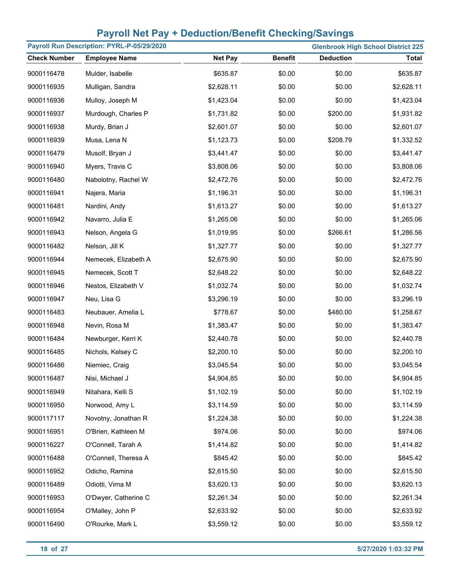| Payroll Run Description: PYRL-P-05/29/2020<br><b>Glenbrook High School District 225</b> |                      |                |                |                  |              |
|-----------------------------------------------------------------------------------------|----------------------|----------------|----------------|------------------|--------------|
| <b>Check Number</b>                                                                     | <b>Employee Name</b> | <b>Net Pay</b> | <b>Benefit</b> | <b>Deduction</b> | <b>Total</b> |
| 9000116478                                                                              | Mulder, Isabelle     | \$635.87       | \$0.00         | \$0.00           | \$635.87     |
| 9000116935                                                                              | Mulligan, Sandra     | \$2,628.11     | \$0.00         | \$0.00           | \$2,628.11   |
| 9000116936                                                                              | Mulloy, Joseph M     | \$1,423.04     | \$0.00         | \$0.00           | \$1,423.04   |
| 9000116937                                                                              | Murdough, Charles P  | \$1,731.82     | \$0.00         | \$200.00         | \$1,931.82   |
| 9000116938                                                                              | Murdy, Brian J       | \$2,601.07     | \$0.00         | \$0.00           | \$2,601.07   |
| 9000116939                                                                              | Musa, Lena N         | \$1,123.73     | \$0.00         | \$208.79         | \$1,332.52   |
| 9000116479                                                                              | Musolf, Bryan J      | \$3,441.47     | \$0.00         | \$0.00           | \$3,441.47   |
| 9000116940                                                                              | Myers, Travis C      | \$3,808.06     | \$0.00         | \$0.00           | \$3,808.06   |
| 9000116480                                                                              | Nabolotny, Rachel W  | \$2,472.76     | \$0.00         | \$0.00           | \$2,472.76   |
| 9000116941                                                                              | Najera, Maria        | \$1,196.31     | \$0.00         | \$0.00           | \$1,196.31   |
| 9000116481                                                                              | Nardini, Andy        | \$1,613.27     | \$0.00         | \$0.00           | \$1,613.27   |
| 9000116942                                                                              | Navarro, Julia E     | \$1,265.06     | \$0.00         | \$0.00           | \$1,265.06   |
| 9000116943                                                                              | Nelson, Angela G     | \$1,019.95     | \$0.00         | \$266.61         | \$1,286.56   |
| 9000116482                                                                              | Nelson, Jill K       | \$1,327.77     | \$0.00         | \$0.00           | \$1,327.77   |
| 9000116944                                                                              | Nemecek, Elizabeth A | \$2,675.90     | \$0.00         | \$0.00           | \$2,675.90   |
| 9000116945                                                                              | Nemecek, Scott T     | \$2,648.22     | \$0.00         | \$0.00           | \$2,648.22   |
| 9000116946                                                                              | Nestos, Elizabeth V  | \$1,032.74     | \$0.00         | \$0.00           | \$1,032.74   |
| 9000116947                                                                              | Neu, Lisa G          | \$3,296.19     | \$0.00         | \$0.00           | \$3,296.19   |
| 9000116483                                                                              | Neubauer, Amelia L   | \$778.67       | \$0.00         | \$480.00         | \$1,258.67   |
| 9000116948                                                                              | Nevin, Rosa M        | \$1,383.47     | \$0.00         | \$0.00           | \$1,383.47   |
| 9000116484                                                                              | Newburger, Kerri K   | \$2,440.78     | \$0.00         | \$0.00           | \$2,440.78   |
| 9000116485                                                                              | Nichols, Kelsey C    | \$2,200.10     | \$0.00         | \$0.00           | \$2,200.10   |
| 9000116486                                                                              | Niemiec, Craig       | \$3,045.54     | \$0.00         | \$0.00           | \$3,045.54   |
| 9000116487                                                                              | Nisi, Michael J      | \$4,904.85     | \$0.00         | \$0.00           | \$4,904.85   |
| 9000116949                                                                              | Nitahara, Kelli S    | \$1,102.19     | \$0.00         | \$0.00           | \$1,102.19   |
| 9000116950                                                                              | Norwood, Amy L       | \$3,114.59     | \$0.00         | \$0.00           | \$3,114.59   |
| 9000117117                                                                              | Novotny, Jonathan R  | \$1,224.38     | \$0.00         | \$0.00           | \$1,224.38   |
| 9000116951                                                                              | O'Brien, Kathleen M  | \$974.06       | \$0.00         | \$0.00           | \$974.06     |
| 9000116227                                                                              | O'Connell, Tarah A   | \$1,414.82     | \$0.00         | \$0.00           | \$1,414.82   |
| 9000116488                                                                              | O'Connell, Theresa A | \$845.42       | \$0.00         | \$0.00           | \$845.42     |
| 9000116952                                                                              | Odicho, Ramina       | \$2,615.50     | \$0.00         | \$0.00           | \$2,615.50   |
| 9000116489                                                                              | Odiotti, Virna M     | \$3,620.13     | \$0.00         | \$0.00           | \$3,620.13   |
| 9000116953                                                                              | O'Dwyer, Catherine C | \$2,261.34     | \$0.00         | \$0.00           | \$2,261.34   |
| 9000116954                                                                              | O'Malley, John P     | \$2,633.92     | \$0.00         | \$0.00           | \$2,633.92   |
| 9000116490                                                                              | O'Rourke, Mark L     | \$3,559.12     | \$0.00         | \$0.00           | \$3,559.12   |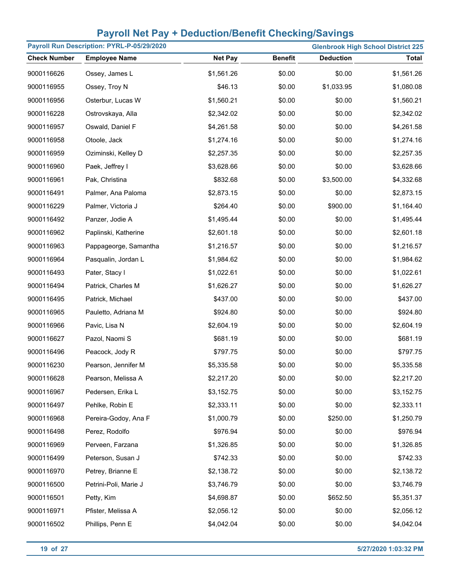| Payroll Run Description: PYRL-P-05/29/2020<br><b>Glenbrook High School District 225</b> |                       |                |                |                  |              |
|-----------------------------------------------------------------------------------------|-----------------------|----------------|----------------|------------------|--------------|
| <b>Check Number</b>                                                                     | <b>Employee Name</b>  | <b>Net Pay</b> | <b>Benefit</b> | <b>Deduction</b> | <b>Total</b> |
| 9000116626                                                                              | Ossey, James L        | \$1,561.26     | \$0.00         | \$0.00           | \$1,561.26   |
| 9000116955                                                                              | Ossey, Troy N         | \$46.13        | \$0.00         | \$1,033.95       | \$1,080.08   |
| 9000116956                                                                              | Osterbur, Lucas W     | \$1,560.21     | \$0.00         | \$0.00           | \$1,560.21   |
| 9000116228                                                                              | Ostrovskaya, Alla     | \$2,342.02     | \$0.00         | \$0.00           | \$2,342.02   |
| 9000116957                                                                              | Oswald, Daniel F      | \$4,261.58     | \$0.00         | \$0.00           | \$4,261.58   |
| 9000116958                                                                              | Otoole, Jack          | \$1,274.16     | \$0.00         | \$0.00           | \$1,274.16   |
| 9000116959                                                                              | Oziminski, Kelley D   | \$2,257.35     | \$0.00         | \$0.00           | \$2,257.35   |
| 9000116960                                                                              | Paek, Jeffrey I       | \$3,628.66     | \$0.00         | \$0.00           | \$3,628.66   |
| 9000116961                                                                              | Pak, Christina        | \$832.68       | \$0.00         | \$3,500.00       | \$4,332.68   |
| 9000116491                                                                              | Palmer, Ana Paloma    | \$2,873.15     | \$0.00         | \$0.00           | \$2,873.15   |
| 9000116229                                                                              | Palmer, Victoria J    | \$264.40       | \$0.00         | \$900.00         | \$1,164.40   |
| 9000116492                                                                              | Panzer, Jodie A       | \$1,495.44     | \$0.00         | \$0.00           | \$1,495.44   |
| 9000116962                                                                              | Paplinski, Katherine  | \$2,601.18     | \$0.00         | \$0.00           | \$2,601.18   |
| 9000116963                                                                              | Pappageorge, Samantha | \$1,216.57     | \$0.00         | \$0.00           | \$1,216.57   |
| 9000116964                                                                              | Pasqualin, Jordan L   | \$1,984.62     | \$0.00         | \$0.00           | \$1,984.62   |
| 9000116493                                                                              | Pater, Stacy I        | \$1,022.61     | \$0.00         | \$0.00           | \$1,022.61   |
| 9000116494                                                                              | Patrick, Charles M    | \$1,626.27     | \$0.00         | \$0.00           | \$1,626.27   |
| 9000116495                                                                              | Patrick, Michael      | \$437.00       | \$0.00         | \$0.00           | \$437.00     |
| 9000116965                                                                              | Pauletto, Adriana M   | \$924.80       | \$0.00         | \$0.00           | \$924.80     |
| 9000116966                                                                              | Pavic, Lisa N         | \$2,604.19     | \$0.00         | \$0.00           | \$2,604.19   |
| 9000116627                                                                              | Pazol, Naomi S        | \$681.19       | \$0.00         | \$0.00           | \$681.19     |
| 9000116496                                                                              | Peacock, Jody R       | \$797.75       | \$0.00         | \$0.00           | \$797.75     |
| 9000116230                                                                              | Pearson, Jennifer M   | \$5,335.58     | \$0.00         | \$0.00           | \$5,335.58   |
| 9000116628                                                                              | Pearson, Melissa A    | \$2,217.20     | \$0.00         | \$0.00           | \$2,217.20   |
| 9000116967                                                                              | Pedersen, Erika L     | \$3,152.75     | \$0.00         | \$0.00           | \$3,152.75   |
| 9000116497                                                                              | Pehlke, Robin E       | \$2,333.11     | \$0.00         | \$0.00           | \$2,333.11   |
| 9000116968                                                                              | Pereira-Godoy, Ana F  | \$1,000.79     | \$0.00         | \$250.00         | \$1,250.79   |
| 9000116498                                                                              | Perez, Rodolfo        | \$976.94       | \$0.00         | \$0.00           | \$976.94     |
| 9000116969                                                                              | Perveen, Farzana      | \$1,326.85     | \$0.00         | \$0.00           | \$1,326.85   |
| 9000116499                                                                              | Peterson, Susan J     | \$742.33       | \$0.00         | \$0.00           | \$742.33     |
| 9000116970                                                                              | Petrey, Brianne E     | \$2,138.72     | \$0.00         | \$0.00           | \$2,138.72   |
| 9000116500                                                                              | Petrini-Poli, Marie J | \$3,746.79     | \$0.00         | \$0.00           | \$3,746.79   |
| 9000116501                                                                              | Petty, Kim            | \$4,698.87     | \$0.00         | \$652.50         | \$5,351.37   |
| 9000116971                                                                              | Pfister, Melissa A    | \$2,056.12     | \$0.00         | \$0.00           | \$2,056.12   |
| 9000116502                                                                              | Phillips, Penn E      | \$4,042.04     | \$0.00         | \$0.00           | \$4,042.04   |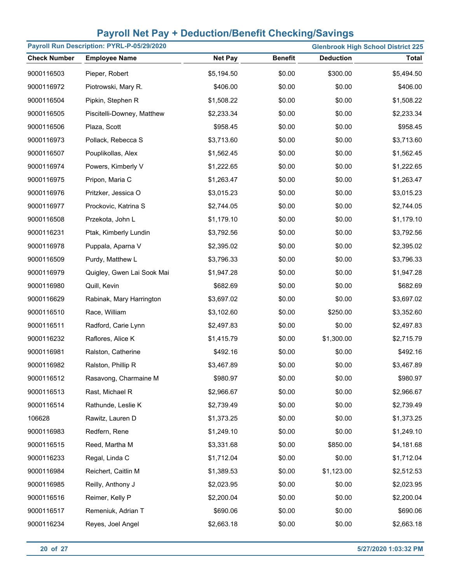| Payroll Run Description: PYRL-P-05/29/2020<br><b>Glenbrook High School District 225</b> |                            |                |                |                  |              |
|-----------------------------------------------------------------------------------------|----------------------------|----------------|----------------|------------------|--------------|
| <b>Check Number</b>                                                                     | <b>Employee Name</b>       | <b>Net Pay</b> | <b>Benefit</b> | <b>Deduction</b> | <b>Total</b> |
| 9000116503                                                                              | Pieper, Robert             | \$5,194.50     | \$0.00         | \$300.00         | \$5,494.50   |
| 9000116972                                                                              | Piotrowski, Mary R.        | \$406.00       | \$0.00         | \$0.00           | \$406.00     |
| 9000116504                                                                              | Pipkin, Stephen R          | \$1,508.22     | \$0.00         | \$0.00           | \$1,508.22   |
| 9000116505                                                                              | Piscitelli-Downey, Matthew | \$2,233.34     | \$0.00         | \$0.00           | \$2,233.34   |
| 9000116506                                                                              | Plaza, Scott               | \$958.45       | \$0.00         | \$0.00           | \$958.45     |
| 9000116973                                                                              | Pollack, Rebecca S         | \$3,713.60     | \$0.00         | \$0.00           | \$3,713.60   |
| 9000116507                                                                              | Pouplikollas, Alex         | \$1,562.45     | \$0.00         | \$0.00           | \$1,562.45   |
| 9000116974                                                                              | Powers, Kimberly V         | \$1,222.65     | \$0.00         | \$0.00           | \$1,222.65   |
| 9000116975                                                                              | Pripon, Maria C            | \$1,263.47     | \$0.00         | \$0.00           | \$1,263.47   |
| 9000116976                                                                              | Pritzker, Jessica O        | \$3,015.23     | \$0.00         | \$0.00           | \$3,015.23   |
| 9000116977                                                                              | Prockovic, Katrina S       | \$2,744.05     | \$0.00         | \$0.00           | \$2,744.05   |
| 9000116508                                                                              | Przekota, John L           | \$1,179.10     | \$0.00         | \$0.00           | \$1,179.10   |
| 9000116231                                                                              | Ptak, Kimberly Lundin      | \$3,792.56     | \$0.00         | \$0.00           | \$3,792.56   |
| 9000116978                                                                              | Puppala, Aparna V          | \$2,395.02     | \$0.00         | \$0.00           | \$2,395.02   |
| 9000116509                                                                              | Purdy, Matthew L           | \$3,796.33     | \$0.00         | \$0.00           | \$3,796.33   |
| 9000116979                                                                              | Quigley, Gwen Lai Sook Mai | \$1,947.28     | \$0.00         | \$0.00           | \$1,947.28   |
| 9000116980                                                                              | Quill, Kevin               | \$682.69       | \$0.00         | \$0.00           | \$682.69     |
| 9000116629                                                                              | Rabinak, Mary Harrington   | \$3,697.02     | \$0.00         | \$0.00           | \$3,697.02   |
| 9000116510                                                                              | Race, William              | \$3,102.60     | \$0.00         | \$250.00         | \$3,352.60   |
| 9000116511                                                                              | Radford, Carie Lynn        | \$2,497.83     | \$0.00         | \$0.00           | \$2,497.83   |
| 9000116232                                                                              | Raflores, Alice K          | \$1,415.79     | \$0.00         | \$1,300.00       | \$2,715.79   |
| 9000116981                                                                              | Ralston, Catherine         | \$492.16       | \$0.00         | \$0.00           | \$492.16     |
| 9000116982                                                                              | Ralston, Phillip R         | \$3,467.89     | \$0.00         | \$0.00           | \$3,467.89   |
| 9000116512                                                                              | Rasavong, Charmaine M      | \$980.97       | \$0.00         | \$0.00           | \$980.97     |
| 9000116513                                                                              | Rast, Michael R            | \$2,966.67     | \$0.00         | \$0.00           | \$2,966.67   |
| 9000116514                                                                              | Rathunde, Leslie K         | \$2,739.49     | \$0.00         | \$0.00           | \$2,739.49   |
| 106628                                                                                  | Rawitz, Lauren D           | \$1,373.25     | \$0.00         | \$0.00           | \$1,373.25   |
| 9000116983                                                                              | Redfern, Rene              | \$1,249.10     | \$0.00         | \$0.00           | \$1,249.10   |
| 9000116515                                                                              | Reed, Martha M             | \$3,331.68     | \$0.00         | \$850.00         | \$4,181.68   |
| 9000116233                                                                              | Regal, Linda C             | \$1,712.04     | \$0.00         | \$0.00           | \$1,712.04   |
| 9000116984                                                                              | Reichert, Caitlin M        | \$1,389.53     | \$0.00         | \$1,123.00       | \$2,512.53   |
| 9000116985                                                                              | Reilly, Anthony J          | \$2,023.95     | \$0.00         | \$0.00           | \$2,023.95   |
| 9000116516                                                                              | Reimer, Kelly P            | \$2,200.04     | \$0.00         | \$0.00           | \$2,200.04   |
| 9000116517                                                                              | Remeniuk, Adrian T         | \$690.06       | \$0.00         | \$0.00           | \$690.06     |
| 9000116234                                                                              | Reyes, Joel Angel          | \$2,663.18     | \$0.00         | \$0.00           | \$2,663.18   |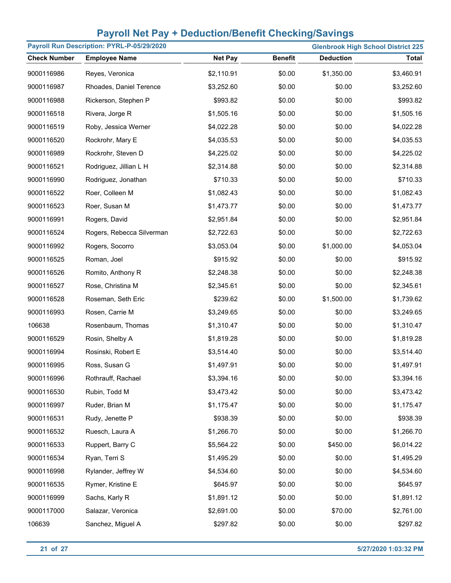| Payroll Run Description: PYRL-P-05/29/2020 |                           |                |                |                  | <b>Glenbrook High School District 225</b> |
|--------------------------------------------|---------------------------|----------------|----------------|------------------|-------------------------------------------|
| <b>Check Number</b>                        | <b>Employee Name</b>      | <b>Net Pay</b> | <b>Benefit</b> | <b>Deduction</b> | <b>Total</b>                              |
| 9000116986                                 | Reyes, Veronica           | \$2,110.91     | \$0.00         | \$1,350.00       | \$3,460.91                                |
| 9000116987                                 | Rhoades, Daniel Terence   | \$3,252.60     | \$0.00         | \$0.00           | \$3,252.60                                |
| 9000116988                                 | Rickerson, Stephen P      | \$993.82       | \$0.00         | \$0.00           | \$993.82                                  |
| 9000116518                                 | Rivera, Jorge R           | \$1,505.16     | \$0.00         | \$0.00           | \$1,505.16                                |
| 9000116519                                 | Roby, Jessica Werner      | \$4,022.28     | \$0.00         | \$0.00           | \$4,022.28                                |
| 9000116520                                 | Rockrohr, Mary E          | \$4,035.53     | \$0.00         | \$0.00           | \$4,035.53                                |
| 9000116989                                 | Rockrohr, Steven D        | \$4,225.02     | \$0.00         | \$0.00           | \$4,225.02                                |
| 9000116521                                 | Rodriguez, Jillian L H    | \$2,314.88     | \$0.00         | \$0.00           | \$2,314.88                                |
| 9000116990                                 | Rodriguez, Jonathan       | \$710.33       | \$0.00         | \$0.00           | \$710.33                                  |
| 9000116522                                 | Roer, Colleen M           | \$1,082.43     | \$0.00         | \$0.00           | \$1,082.43                                |
| 9000116523                                 | Roer, Susan M             | \$1,473.77     | \$0.00         | \$0.00           | \$1,473.77                                |
| 9000116991                                 | Rogers, David             | \$2,951.84     | \$0.00         | \$0.00           | \$2,951.84                                |
| 9000116524                                 | Rogers, Rebecca Silverman | \$2,722.63     | \$0.00         | \$0.00           | \$2,722.63                                |
| 9000116992                                 | Rogers, Socorro           | \$3,053.04     | \$0.00         | \$1,000.00       | \$4,053.04                                |
| 9000116525                                 | Roman, Joel               | \$915.92       | \$0.00         | \$0.00           | \$915.92                                  |
| 9000116526                                 | Romito, Anthony R         | \$2,248.38     | \$0.00         | \$0.00           | \$2,248.38                                |
| 9000116527                                 | Rose, Christina M         | \$2,345.61     | \$0.00         | \$0.00           | \$2,345.61                                |
| 9000116528                                 | Roseman, Seth Eric        | \$239.62       | \$0.00         | \$1,500.00       | \$1,739.62                                |
| 9000116993                                 | Rosen, Carrie M           | \$3,249.65     | \$0.00         | \$0.00           | \$3,249.65                                |
| 106638                                     | Rosenbaum, Thomas         | \$1,310.47     | \$0.00         | \$0.00           | \$1,310.47                                |
| 9000116529                                 | Rosin, Shelby A           | \$1,819.28     | \$0.00         | \$0.00           | \$1,819.28                                |
| 9000116994                                 | Rosinski, Robert E        | \$3,514.40     | \$0.00         | \$0.00           | \$3,514.40                                |
| 9000116995                                 | Ross, Susan G             | \$1,497.91     | \$0.00         | \$0.00           | \$1,497.91                                |
| 9000116996                                 | Rothrauff, Rachael        | \$3,394.16     | \$0.00         | \$0.00           | \$3,394.16                                |
| 9000116530                                 | Rubin, Todd M             | \$3,473.42     | \$0.00         | \$0.00           | \$3,473.42                                |
| 9000116997                                 | Ruder, Brian M            | \$1,175.47     | \$0.00         | \$0.00           | \$1,175.47                                |
| 9000116531                                 | Rudy, Jenette P           | \$938.39       | \$0.00         | \$0.00           | \$938.39                                  |
| 9000116532                                 | Ruesch, Laura A           | \$1,266.70     | \$0.00         | \$0.00           | \$1,266.70                                |
| 9000116533                                 | Ruppert, Barry C          | \$5,564.22     | \$0.00         | \$450.00         | \$6,014.22                                |
| 9000116534                                 | Ryan, Terri S             | \$1,495.29     | \$0.00         | \$0.00           | \$1,495.29                                |
| 9000116998                                 | Rylander, Jeffrey W       | \$4,534.60     | \$0.00         | \$0.00           | \$4,534.60                                |
| 9000116535                                 | Rymer, Kristine E         | \$645.97       | \$0.00         | \$0.00           | \$645.97                                  |
| 9000116999                                 | Sachs, Karly R            | \$1,891.12     | \$0.00         | \$0.00           | \$1,891.12                                |
| 9000117000                                 | Salazar, Veronica         | \$2,691.00     | \$0.00         | \$70.00          | \$2,761.00                                |
| 106639                                     | Sanchez, Miguel A         | \$297.82       | \$0.00         | \$0.00           | \$297.82                                  |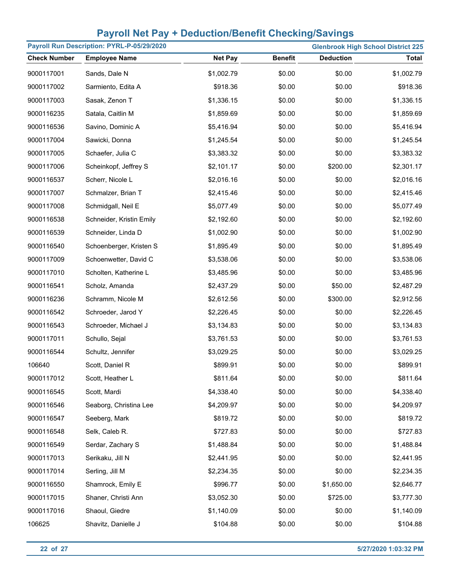| Payroll Run Description: PYRL-P-05/29/2020<br><b>Glenbrook High School District 225</b> |                          |                |                |                  |              |  |
|-----------------------------------------------------------------------------------------|--------------------------|----------------|----------------|------------------|--------------|--|
| <b>Check Number</b>                                                                     | <b>Employee Name</b>     | <b>Net Pay</b> | <b>Benefit</b> | <b>Deduction</b> | <b>Total</b> |  |
| 9000117001                                                                              | Sands, Dale N            | \$1,002.79     | \$0.00         | \$0.00           | \$1,002.79   |  |
| 9000117002                                                                              | Sarmiento, Edita A       | \$918.36       | \$0.00         | \$0.00           | \$918.36     |  |
| 9000117003                                                                              | Sasak, Zenon T           | \$1,336.15     | \$0.00         | \$0.00           | \$1,336.15   |  |
| 9000116235                                                                              | Satala, Caitlin M        | \$1,859.69     | \$0.00         | \$0.00           | \$1,859.69   |  |
| 9000116536                                                                              | Savino, Dominic A        | \$5,416.94     | \$0.00         | \$0.00           | \$5,416.94   |  |
| 9000117004                                                                              | Sawicki, Donna           | \$1,245.54     | \$0.00         | \$0.00           | \$1,245.54   |  |
| 9000117005                                                                              | Schaefer, Julia C        | \$3,383.32     | \$0.00         | \$0.00           | \$3,383.32   |  |
| 9000117006                                                                              | Scheinkopf, Jeffrey S    | \$2,101.17     | \$0.00         | \$200.00         | \$2,301.17   |  |
| 9000116537                                                                              | Scherr, Nicole L         | \$2,016.16     | \$0.00         | \$0.00           | \$2,016.16   |  |
| 9000117007                                                                              | Schmalzer, Brian T       | \$2,415.46     | \$0.00         | \$0.00           | \$2,415.46   |  |
| 9000117008                                                                              | Schmidgall, Neil E       | \$5,077.49     | \$0.00         | \$0.00           | \$5,077.49   |  |
| 9000116538                                                                              | Schneider, Kristin Emily | \$2,192.60     | \$0.00         | \$0.00           | \$2,192.60   |  |
| 9000116539                                                                              | Schneider, Linda D       | \$1,002.90     | \$0.00         | \$0.00           | \$1,002.90   |  |
| 9000116540                                                                              | Schoenberger, Kristen S  | \$1,895.49     | \$0.00         | \$0.00           | \$1,895.49   |  |
| 9000117009                                                                              | Schoenwetter, David C    | \$3,538.06     | \$0.00         | \$0.00           | \$3,538.06   |  |
| 9000117010                                                                              | Scholten, Katherine L    | \$3,485.96     | \$0.00         | \$0.00           | \$3,485.96   |  |
| 9000116541                                                                              | Scholz, Amanda           | \$2,437.29     | \$0.00         | \$50.00          | \$2,487.29   |  |
| 9000116236                                                                              | Schramm, Nicole M        | \$2,612.56     | \$0.00         | \$300.00         | \$2,912.56   |  |
| 9000116542                                                                              | Schroeder, Jarod Y       | \$2,226.45     | \$0.00         | \$0.00           | \$2,226.45   |  |
| 9000116543                                                                              | Schroeder, Michael J     | \$3,134.83     | \$0.00         | \$0.00           | \$3,134.83   |  |
| 9000117011                                                                              | Schullo, Sejal           | \$3,761.53     | \$0.00         | \$0.00           | \$3,761.53   |  |
| 9000116544                                                                              | Schultz, Jennifer        | \$3,029.25     | \$0.00         | \$0.00           | \$3,029.25   |  |
| 106640                                                                                  | Scott, Daniel R          | \$899.91       | \$0.00         | \$0.00           | \$899.91     |  |
| 9000117012                                                                              | Scott, Heather L         | \$811.64       | \$0.00         | \$0.00           | \$811.64     |  |
| 9000116545                                                                              | Scott, Mardi             | \$4,338.40     | \$0.00         | \$0.00           | \$4,338.40   |  |
| 9000116546                                                                              | Seaborg, Christina Lee   | \$4,209.97     | \$0.00         | \$0.00           | \$4,209.97   |  |
| 9000116547                                                                              | Seeberg, Mark            | \$819.72       | \$0.00         | \$0.00           | \$819.72     |  |
| 9000116548                                                                              | Selk, Caleb R.           | \$727.83       | \$0.00         | \$0.00           | \$727.83     |  |
| 9000116549                                                                              | Serdar, Zachary S        | \$1,488.84     | \$0.00         | \$0.00           | \$1,488.84   |  |
| 9000117013                                                                              | Serikaku, Jill N         | \$2,441.95     | \$0.00         | \$0.00           | \$2,441.95   |  |
| 9000117014                                                                              | Serling, Jill M          | \$2,234.35     | \$0.00         | \$0.00           | \$2,234.35   |  |
| 9000116550                                                                              | Shamrock, Emily E        | \$996.77       | \$0.00         | \$1,650.00       | \$2,646.77   |  |
| 9000117015                                                                              | Shaner, Christi Ann      | \$3,052.30     | \$0.00         | \$725.00         | \$3,777.30   |  |
| 9000117016                                                                              | Shaoul, Giedre           | \$1,140.09     | \$0.00         | \$0.00           | \$1,140.09   |  |
| 106625                                                                                  | Shavitz, Danielle J      | \$104.88       | \$0.00         | \$0.00           | \$104.88     |  |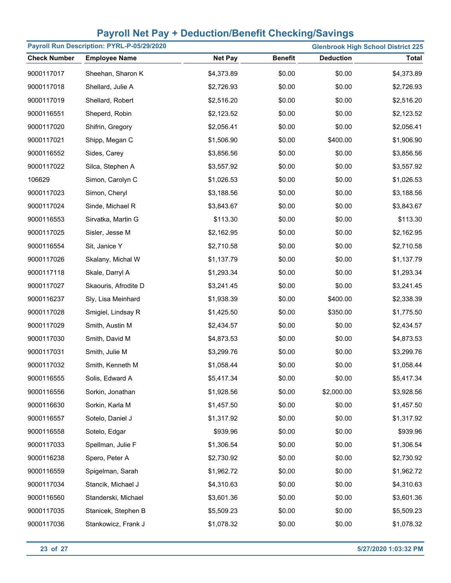| Payroll Run Description: PYRL-P-05/29/2020 |                      |                |                |                  | <b>Glenbrook High School District 225</b> |
|--------------------------------------------|----------------------|----------------|----------------|------------------|-------------------------------------------|
| <b>Check Number</b>                        | <b>Employee Name</b> | <b>Net Pay</b> | <b>Benefit</b> | <b>Deduction</b> | <b>Total</b>                              |
| 9000117017                                 | Sheehan, Sharon K    | \$4,373.89     | \$0.00         | \$0.00           | \$4,373.89                                |
| 9000117018                                 | Shellard, Julie A    | \$2,726.93     | \$0.00         | \$0.00           | \$2,726.93                                |
| 9000117019                                 | Shellard, Robert     | \$2,516.20     | \$0.00         | \$0.00           | \$2,516.20                                |
| 9000116551                                 | Sheperd, Robin       | \$2,123.52     | \$0.00         | \$0.00           | \$2,123.52                                |
| 9000117020                                 | Shifrin, Gregory     | \$2,056.41     | \$0.00         | \$0.00           | \$2,056.41                                |
| 9000117021                                 | Shipp, Megan C       | \$1,506.90     | \$0.00         | \$400.00         | \$1,906.90                                |
| 9000116552                                 | Sides, Carey         | \$3,856.56     | \$0.00         | \$0.00           | \$3,856.56                                |
| 9000117022                                 | Silca, Stephen A     | \$3,557.92     | \$0.00         | \$0.00           | \$3,557.92                                |
| 106629                                     | Simon, Carolyn C     | \$1,026.53     | \$0.00         | \$0.00           | \$1,026.53                                |
| 9000117023                                 | Simon, Cheryl        | \$3,188.56     | \$0.00         | \$0.00           | \$3,188.56                                |
| 9000117024                                 | Sinde, Michael R     | \$3,843.67     | \$0.00         | \$0.00           | \$3,843.67                                |
| 9000116553                                 | Sirvatka, Martin G   | \$113.30       | \$0.00         | \$0.00           | \$113.30                                  |
| 9000117025                                 | Sisler, Jesse M      | \$2,162.95     | \$0.00         | \$0.00           | \$2,162.95                                |
| 9000116554                                 | Sit, Janice Y        | \$2,710.58     | \$0.00         | \$0.00           | \$2,710.58                                |
| 9000117026                                 | Skalany, Michal W    | \$1,137.79     | \$0.00         | \$0.00           | \$1,137.79                                |
| 9000117118                                 | Skale, Darryl A      | \$1,293.34     | \$0.00         | \$0.00           | \$1,293.34                                |
| 9000117027                                 | Skaouris, Afrodite D | \$3,241.45     | \$0.00         | \$0.00           | \$3,241.45                                |
| 9000116237                                 | Sly, Lisa Meinhard   | \$1,938.39     | \$0.00         | \$400.00         | \$2,338.39                                |
| 9000117028                                 | Smigiel, Lindsay R   | \$1,425.50     | \$0.00         | \$350.00         | \$1,775.50                                |
| 9000117029                                 | Smith, Austin M      | \$2,434.57     | \$0.00         | \$0.00           | \$2,434.57                                |
| 9000117030                                 | Smith, David M       | \$4,873.53     | \$0.00         | \$0.00           | \$4,873.53                                |
| 9000117031                                 | Smith, Julie M       | \$3,299.76     | \$0.00         | \$0.00           | \$3,299.76                                |
| 9000117032                                 | Smith, Kenneth M     | \$1,058.44     | \$0.00         | \$0.00           | \$1,058.44                                |
| 9000116555                                 | Solis, Edward A      | \$5,417.34     | \$0.00         | \$0.00           | \$5,417.34                                |
| 9000116556                                 | Sorkin, Jonathan     | \$1,928.56     | \$0.00         | \$2,000.00       | \$3,928.56                                |
| 9000116630                                 | Sorkin, Karla M      | \$1,457.50     | \$0.00         | \$0.00           | \$1,457.50                                |
| 9000116557                                 | Sotelo, Daniel J     | \$1,317.92     | \$0.00         | \$0.00           | \$1,317.92                                |
| 9000116558                                 | Sotelo, Edgar        | \$939.96       | \$0.00         | \$0.00           | \$939.96                                  |
| 9000117033                                 | Spellman, Julie F    | \$1,306.54     | \$0.00         | \$0.00           | \$1,306.54                                |
| 9000116238                                 | Spero, Peter A       | \$2,730.92     | \$0.00         | \$0.00           | \$2,730.92                                |
| 9000116559                                 | Spigelman, Sarah     | \$1,962.72     | \$0.00         | \$0.00           | \$1,962.72                                |
| 9000117034                                 | Stancik, Michael J   | \$4,310.63     | \$0.00         | \$0.00           | \$4,310.63                                |
| 9000116560                                 | Standerski, Michael  | \$3,601.36     | \$0.00         | \$0.00           | \$3,601.36                                |
| 9000117035                                 | Stanicek, Stephen B  | \$5,509.23     | \$0.00         | \$0.00           | \$5,509.23                                |
| 9000117036                                 | Stankowicz, Frank J  | \$1,078.32     | \$0.00         | \$0.00           | \$1,078.32                                |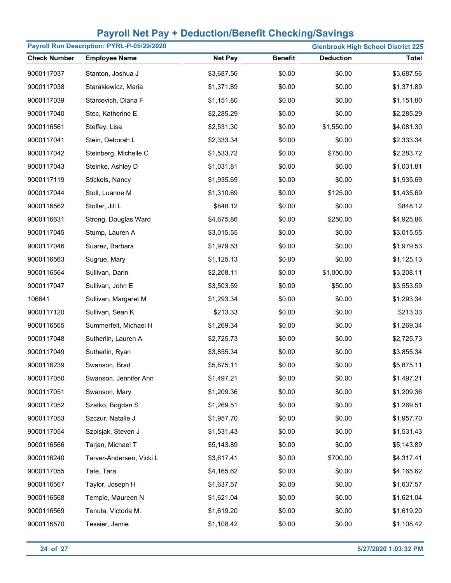|                     | Payroll Run Description: PYRL-P-05/29/2020 |                |                |                  | <b>Glenbrook High School District 225</b> |
|---------------------|--------------------------------------------|----------------|----------------|------------------|-------------------------------------------|
| <b>Check Number</b> | <b>Employee Name</b>                       | <b>Net Pay</b> | <b>Benefit</b> | <b>Deduction</b> | <b>Total</b>                              |
| 9000117037          | Stanton, Joshua J                          | \$3,687.56     | \$0.00         | \$0.00           | \$3,687.56                                |
| 9000117038          | Starakiewicz, Maria                        | \$1,371.89     | \$0.00         | \$0.00           | \$1,371.89                                |
| 9000117039          | Starcevich, Diana F                        | \$1,151.80     | \$0.00         | \$0.00           | \$1,151.80                                |
| 9000117040          | Stec, Katherine E                          | \$2,285.29     | \$0.00         | \$0.00           | \$2,285.29                                |
| 9000116561          | Steffey, Lisa                              | \$2,531.30     | \$0.00         | \$1,550.00       | \$4,081.30                                |
| 9000117041          | Stein, Deborah L                           | \$2,333.34     | \$0.00         | \$0.00           | \$2,333.34                                |
| 9000117042          | Steinberg, Michelle C                      | \$1,533.72     | \$0.00         | \$750.00         | \$2,283.72                                |
| 9000117043          | Steinke, Ashley D                          | \$1,031.81     | \$0.00         | \$0.00           | \$1,031.81                                |
| 9000117119          | Stickels, Nancy                            | \$1,935.69     | \$0.00         | \$0.00           | \$1,935.69                                |
| 9000117044          | Stoll, Luanne M                            | \$1,310.69     | \$0.00         | \$125.00         | \$1,435.69                                |
| 9000116562          | Stoller, Jill L                            | \$848.12       | \$0.00         | \$0.00           | \$848.12                                  |
| 9000116631          | Strong, Douglas Ward                       | \$4,675.86     | \$0.00         | \$250.00         | \$4,925.86                                |
| 9000117045          | Stump, Lauren A                            | \$3,015.55     | \$0.00         | \$0.00           | \$3,015.55                                |
| 9000117046          | Suarez, Barbara                            | \$1,979.53     | \$0.00         | \$0.00           | \$1,979.53                                |
| 9000116563          | Sugrue, Mary                               | \$1,125.13     | \$0.00         | \$0.00           | \$1,125.13                                |
| 9000116564          | Sullivan, Darin                            | \$2,208.11     | \$0.00         | \$1,000.00       | \$3,208.11                                |
| 9000117047          | Sullivan, John E                           | \$3,503.59     | \$0.00         | \$50.00          | \$3,553.59                                |
| 106641              | Sullivan, Margaret M                       | \$1,293.34     | \$0.00         | \$0.00           | \$1,293.34                                |
| 9000117120          | Sullivan, Sean K                           | \$213.33       | \$0.00         | \$0.00           | \$213.33                                  |
| 9000116565          | Summerfelt, Michael H                      | \$1,269.34     | \$0.00         | \$0.00           | \$1,269.34                                |
| 9000117048          | Sutherlin, Lauren A                        | \$2,725.73     | \$0.00         | \$0.00           | \$2,725.73                                |
| 9000117049          | Sutherlin, Ryan                            | \$3,855.34     | \$0.00         | \$0.00           | \$3,855.34                                |
| 9000116239          | Swanson, Brad                              | \$5,875.11     | \$0.00         | \$0.00           | \$5,875.11                                |
| 9000117050          | Swanson, Jennifer Ann                      | \$1,497.21     | \$0.00         | \$0.00           | \$1,497.21                                |
| 9000117051          | Swanson, Mary                              | \$1,209.36     | \$0.00         | \$0.00           | \$1,209.36                                |
| 9000117052          | Szatko, Bogdan S                           | \$1,269.51     | \$0.00         | \$0.00           | \$1,269.51                                |
| 9000117053          | Szczur, Natalie J                          | \$1,957.70     | \$0.00         | \$0.00           | \$1,957.70                                |
| 9000117054          | Szpisjak, Steven J                         | \$1,531.43     | \$0.00         | \$0.00           | \$1,531.43                                |
| 9000116566          | Tarjan, Michael T                          | \$5,143.89     | \$0.00         | \$0.00           | \$5,143.89                                |
| 9000116240          | Tarver-Andersen, Vicki L                   | \$3,617.41     | \$0.00         | \$700.00         | \$4,317.41                                |
| 9000117055          | Tate, Tara                                 | \$4,165.62     | \$0.00         | \$0.00           | \$4,165.62                                |
| 9000116567          | Taylor, Joseph H                           | \$1,637.57     | \$0.00         | \$0.00           | \$1,637.57                                |
| 9000116568          | Temple, Maureen N                          | \$1,621.04     | \$0.00         | \$0.00           | \$1,621.04                                |
| 9000116569          | Tenuta, Victoria M.                        | \$1,619.20     | \$0.00         | \$0.00           | \$1,619.20                                |
| 9000116570          | Tessier, Jamie                             | \$1,108.42     | \$0.00         | \$0.00           | \$1,108.42                                |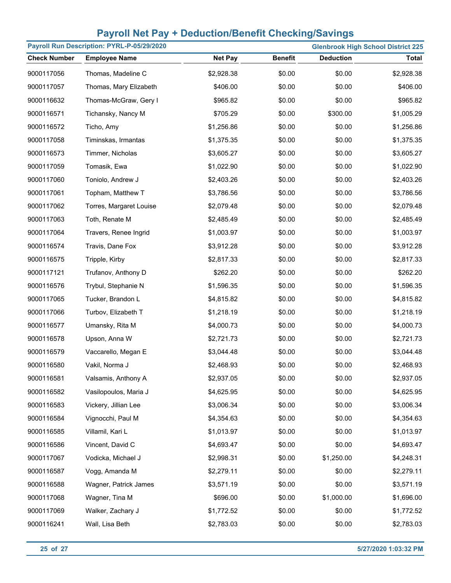| Payroll Run Description: PYRL-P-05/29/2020<br><b>Glenbrook High School District 225</b> |                         |                |                |                  |              |  |  |  |
|-----------------------------------------------------------------------------------------|-------------------------|----------------|----------------|------------------|--------------|--|--|--|
| <b>Check Number</b>                                                                     | <b>Employee Name</b>    | <b>Net Pay</b> | <b>Benefit</b> | <b>Deduction</b> | <b>Total</b> |  |  |  |
| 9000117056                                                                              | Thomas, Madeline C      | \$2,928.38     | \$0.00         | \$0.00           | \$2,928.38   |  |  |  |
| 9000117057                                                                              | Thomas, Mary Elizabeth  | \$406.00       | \$0.00         | \$0.00           | \$406.00     |  |  |  |
| 9000116632                                                                              | Thomas-McGraw, Gery I   | \$965.82       | \$0.00         | \$0.00           | \$965.82     |  |  |  |
| 9000116571                                                                              | Tichansky, Nancy M      | \$705.29       | \$0.00         | \$300.00         | \$1,005.29   |  |  |  |
| 9000116572                                                                              | Ticho, Amy              | \$1,256.86     | \$0.00         | \$0.00           | \$1,256.86   |  |  |  |
| 9000117058                                                                              | Timinskas, Irmantas     | \$1,375.35     | \$0.00         | \$0.00           | \$1,375.35   |  |  |  |
| 9000116573                                                                              | Timmer, Nicholas        | \$3,605.27     | \$0.00         | \$0.00           | \$3,605.27   |  |  |  |
| 9000117059                                                                              | Tomasik, Ewa            | \$1,022.90     | \$0.00         | \$0.00           | \$1,022.90   |  |  |  |
| 9000117060                                                                              | Toniolo, Andrew J       | \$2,403.26     | \$0.00         | \$0.00           | \$2,403.26   |  |  |  |
| 9000117061                                                                              | Topham, Matthew T       | \$3,786.56     | \$0.00         | \$0.00           | \$3,786.56   |  |  |  |
| 9000117062                                                                              | Torres, Margaret Louise | \$2,079.48     | \$0.00         | \$0.00           | \$2,079.48   |  |  |  |
| 9000117063                                                                              | Toth, Renate M          | \$2,485.49     | \$0.00         | \$0.00           | \$2,485.49   |  |  |  |
| 9000117064                                                                              | Travers, Renee Ingrid   | \$1,003.97     | \$0.00         | \$0.00           | \$1,003.97   |  |  |  |
| 9000116574                                                                              | Travis, Dane Fox        | \$3,912.28     | \$0.00         | \$0.00           | \$3,912.28   |  |  |  |
| 9000116575                                                                              | Tripple, Kirby          | \$2,817.33     | \$0.00         | \$0.00           | \$2,817.33   |  |  |  |
| 9000117121                                                                              | Trufanov, Anthony D     | \$262.20       | \$0.00         | \$0.00           | \$262.20     |  |  |  |
| 9000116576                                                                              | Trybul, Stephanie N     | \$1,596.35     | \$0.00         | \$0.00           | \$1,596.35   |  |  |  |
| 9000117065                                                                              | Tucker, Brandon L       | \$4,815.82     | \$0.00         | \$0.00           | \$4,815.82   |  |  |  |
| 9000117066                                                                              | Turbov, Elizabeth T     | \$1,218.19     | \$0.00         | \$0.00           | \$1,218.19   |  |  |  |
| 9000116577                                                                              | Umansky, Rita M         | \$4,000.73     | \$0.00         | \$0.00           | \$4,000.73   |  |  |  |
| 9000116578                                                                              | Upson, Anna W           | \$2,721.73     | \$0.00         | \$0.00           | \$2,721.73   |  |  |  |
| 9000116579                                                                              | Vaccarello, Megan E     | \$3,044.48     | \$0.00         | \$0.00           | \$3,044.48   |  |  |  |
| 9000116580                                                                              | Vakil, Norma J          | \$2,468.93     | \$0.00         | \$0.00           | \$2,468.93   |  |  |  |
| 9000116581                                                                              | Valsamis, Anthony A     | \$2,937.05     | \$0.00         | \$0.00           | \$2,937.05   |  |  |  |
| 9000116582                                                                              | Vasilopoulos, Maria J   | \$4,625.95     | \$0.00         | \$0.00           | \$4,625.95   |  |  |  |
| 9000116583                                                                              | Vickery, Jillian Lee    | \$3,006.34     | \$0.00         | \$0.00           | \$3,006.34   |  |  |  |
| 9000116584                                                                              | Vignocchi, Paul M       | \$4,354.63     | \$0.00         | \$0.00           | \$4,354.63   |  |  |  |
| 9000116585                                                                              | Villamil, Kari L        | \$1,013.97     | \$0.00         | \$0.00           | \$1,013.97   |  |  |  |
| 9000116586                                                                              | Vincent, David C        | \$4,693.47     | \$0.00         | \$0.00           | \$4,693.47   |  |  |  |
| 9000117067                                                                              | Vodicka, Michael J      | \$2,998.31     | \$0.00         | \$1,250.00       | \$4,248.31   |  |  |  |
| 9000116587                                                                              | Vogg, Amanda M          | \$2,279.11     | \$0.00         | \$0.00           | \$2,279.11   |  |  |  |
| 9000116588                                                                              | Wagner, Patrick James   | \$3,571.19     | \$0.00         | \$0.00           | \$3,571.19   |  |  |  |
| 9000117068                                                                              | Wagner, Tina M          | \$696.00       | \$0.00         | \$1,000.00       | \$1,696.00   |  |  |  |
| 9000117069                                                                              | Walker, Zachary J       | \$1,772.52     | \$0.00         | \$0.00           | \$1,772.52   |  |  |  |
| 9000116241                                                                              | Wall, Lisa Beth         | \$2,783.03     | \$0.00         | \$0.00           | \$2,783.03   |  |  |  |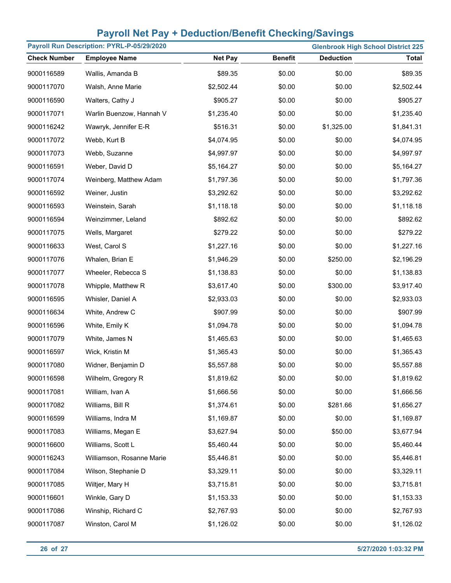| Payroll Run Description: PYRL-P-05/29/2020<br><b>Glenbrook High School District 225</b> |                           |                |                |                  |              |  |  |  |
|-----------------------------------------------------------------------------------------|---------------------------|----------------|----------------|------------------|--------------|--|--|--|
| <b>Check Number</b>                                                                     | <b>Employee Name</b>      | <b>Net Pay</b> | <b>Benefit</b> | <b>Deduction</b> | <b>Total</b> |  |  |  |
| 9000116589                                                                              | Wallis, Amanda B          | \$89.35        | \$0.00         | \$0.00           | \$89.35      |  |  |  |
| 9000117070                                                                              | Walsh, Anne Marie         | \$2,502.44     | \$0.00         | \$0.00           | \$2,502.44   |  |  |  |
| 9000116590                                                                              | Walters, Cathy J          | \$905.27       | \$0.00         | \$0.00           | \$905.27     |  |  |  |
| 9000117071                                                                              | Warlin Buenzow, Hannah V  | \$1,235.40     | \$0.00         | \$0.00           | \$1,235.40   |  |  |  |
| 9000116242                                                                              | Wawryk, Jennifer E-R      | \$516.31       | \$0.00         | \$1,325.00       | \$1,841.31   |  |  |  |
| 9000117072                                                                              | Webb, Kurt B              | \$4,074.95     | \$0.00         | \$0.00           | \$4,074.95   |  |  |  |
| 9000117073                                                                              | Webb, Suzanne             | \$4,997.97     | \$0.00         | \$0.00           | \$4,997.97   |  |  |  |
| 9000116591                                                                              | Weber, David D            | \$5,164.27     | \$0.00         | \$0.00           | \$5,164.27   |  |  |  |
| 9000117074                                                                              | Weinberg, Matthew Adam    | \$1,797.36     | \$0.00         | \$0.00           | \$1,797.36   |  |  |  |
| 9000116592                                                                              | Weiner, Justin            | \$3,292.62     | \$0.00         | \$0.00           | \$3,292.62   |  |  |  |
| 9000116593                                                                              | Weinstein, Sarah          | \$1,118.18     | \$0.00         | \$0.00           | \$1,118.18   |  |  |  |
| 9000116594                                                                              | Weinzimmer, Leland        | \$892.62       | \$0.00         | \$0.00           | \$892.62     |  |  |  |
| 9000117075                                                                              | Wells, Margaret           | \$279.22       | \$0.00         | \$0.00           | \$279.22     |  |  |  |
| 9000116633                                                                              | West, Carol S             | \$1,227.16     | \$0.00         | \$0.00           | \$1,227.16   |  |  |  |
| 9000117076                                                                              | Whalen, Brian E           | \$1,946.29     | \$0.00         | \$250.00         | \$2,196.29   |  |  |  |
| 9000117077                                                                              | Wheeler, Rebecca S        | \$1,138.83     | \$0.00         | \$0.00           | \$1,138.83   |  |  |  |
| 9000117078                                                                              | Whipple, Matthew R        | \$3,617.40     | \$0.00         | \$300.00         | \$3,917.40   |  |  |  |
| 9000116595                                                                              | Whisler, Daniel A         | \$2,933.03     | \$0.00         | \$0.00           | \$2,933.03   |  |  |  |
| 9000116634                                                                              | White, Andrew C           | \$907.99       | \$0.00         | \$0.00           | \$907.99     |  |  |  |
| 9000116596                                                                              | White, Emily K            | \$1,094.78     | \$0.00         | \$0.00           | \$1,094.78   |  |  |  |
| 9000117079                                                                              | White, James N            | \$1,465.63     | \$0.00         | \$0.00           | \$1,465.63   |  |  |  |
| 9000116597                                                                              | Wick, Kristin M           | \$1,365.43     | \$0.00         | \$0.00           | \$1,365.43   |  |  |  |
| 9000117080                                                                              | Widner, Benjamin D        | \$5,557.88     | \$0.00         | \$0.00           | \$5,557.88   |  |  |  |
| 9000116598                                                                              | Wilhelm, Gregory R        | \$1,819.62     | \$0.00         | \$0.00           | \$1,819.62   |  |  |  |
| 9000117081                                                                              | William, Ivan A           | \$1,666.56     | \$0.00         | \$0.00           | \$1,666.56   |  |  |  |
| 9000117082                                                                              | Williams, Bill R          | \$1,374.61     | \$0.00         | \$281.66         | \$1,656.27   |  |  |  |
| 9000116599                                                                              | Williams, Indra M         | \$1,169.87     | \$0.00         | \$0.00           | \$1,169.87   |  |  |  |
| 9000117083                                                                              | Williams, Megan E         | \$3,627.94     | \$0.00         | \$50.00          | \$3,677.94   |  |  |  |
| 9000116600                                                                              | Williams, Scott L         | \$5,460.44     | \$0.00         | \$0.00           | \$5,460.44   |  |  |  |
| 9000116243                                                                              | Williamson, Rosanne Marie | \$5,446.81     | \$0.00         | \$0.00           | \$5,446.81   |  |  |  |
| 9000117084                                                                              | Wilson, Stephanie D       | \$3,329.11     | \$0.00         | \$0.00           | \$3,329.11   |  |  |  |
| 9000117085                                                                              | Wiltjer, Mary H           | \$3,715.81     | \$0.00         | \$0.00           | \$3,715.81   |  |  |  |
| 9000116601                                                                              | Winkle, Gary D            | \$1,153.33     | \$0.00         | \$0.00           | \$1,153.33   |  |  |  |
| 9000117086                                                                              | Winship, Richard C        | \$2,767.93     | \$0.00         | \$0.00           | \$2,767.93   |  |  |  |
| 9000117087                                                                              | Winston, Carol M          | \$1,126.02     | \$0.00         | \$0.00           | \$1,126.02   |  |  |  |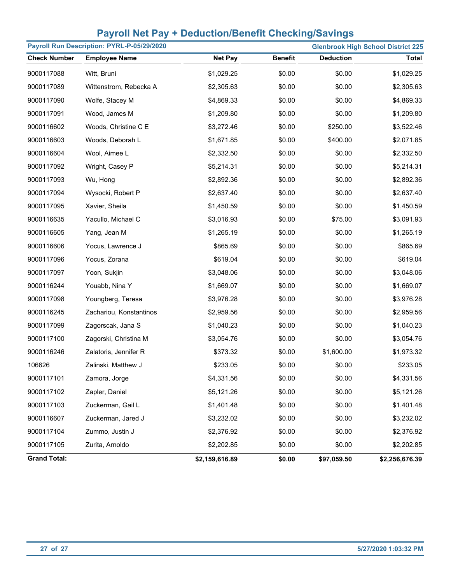| Payroll Run Description: PYRL-P-05/29/2020<br><b>Glenbrook High School District 225</b> |                         |                |                |                  |                |  |  |  |
|-----------------------------------------------------------------------------------------|-------------------------|----------------|----------------|------------------|----------------|--|--|--|
| <b>Check Number</b>                                                                     | <b>Employee Name</b>    | <b>Net Pay</b> | <b>Benefit</b> | <b>Deduction</b> | <b>Total</b>   |  |  |  |
| 9000117088                                                                              | Witt, Bruni             | \$1,029.25     | \$0.00         | \$0.00           | \$1,029.25     |  |  |  |
| 9000117089                                                                              | Wittenstrom, Rebecka A  | \$2,305.63     | \$0.00         | \$0.00           | \$2,305.63     |  |  |  |
| 9000117090                                                                              | Wolfe, Stacey M         | \$4,869.33     | \$0.00         | \$0.00           | \$4,869.33     |  |  |  |
| 9000117091                                                                              | Wood, James M           | \$1,209.80     | \$0.00         | \$0.00           | \$1,209.80     |  |  |  |
| 9000116602                                                                              | Woods, Christine C E    | \$3,272.46     | \$0.00         | \$250.00         | \$3,522.46     |  |  |  |
| 9000116603                                                                              | Woods, Deborah L        | \$1,671.85     | \$0.00         | \$400.00         | \$2,071.85     |  |  |  |
| 9000116604                                                                              | Wool, Aimee L           | \$2,332.50     | \$0.00         | \$0.00           | \$2,332.50     |  |  |  |
| 9000117092                                                                              | Wright, Casey P         | \$5,214.31     | \$0.00         | \$0.00           | \$5,214.31     |  |  |  |
| 9000117093                                                                              | Wu, Hong                | \$2,892.36     | \$0.00         | \$0.00           | \$2,892.36     |  |  |  |
| 9000117094                                                                              | Wysocki, Robert P       | \$2,637.40     | \$0.00         | \$0.00           | \$2,637.40     |  |  |  |
| 9000117095                                                                              | Xavier, Sheila          | \$1,450.59     | \$0.00         | \$0.00           | \$1,450.59     |  |  |  |
| 9000116635                                                                              | Yacullo, Michael C      | \$3,016.93     | \$0.00         | \$75.00          | \$3,091.93     |  |  |  |
| 9000116605                                                                              | Yang, Jean M            | \$1,265.19     | \$0.00         | \$0.00           | \$1,265.19     |  |  |  |
| 9000116606                                                                              | Yocus, Lawrence J       | \$865.69       | \$0.00         | \$0.00           | \$865.69       |  |  |  |
| 9000117096                                                                              | Yocus, Zorana           | \$619.04       | \$0.00         | \$0.00           | \$619.04       |  |  |  |
| 9000117097                                                                              | Yoon, Sukjin            | \$3,048.06     | \$0.00         | \$0.00           | \$3,048.06     |  |  |  |
| 9000116244                                                                              | Youabb, Nina Y          | \$1,669.07     | \$0.00         | \$0.00           | \$1,669.07     |  |  |  |
| 9000117098                                                                              | Youngberg, Teresa       | \$3,976.28     | \$0.00         | \$0.00           | \$3,976.28     |  |  |  |
| 9000116245                                                                              | Zachariou, Konstantinos | \$2,959.56     | \$0.00         | \$0.00           | \$2,959.56     |  |  |  |
| 9000117099                                                                              | Zagorscak, Jana S       | \$1,040.23     | \$0.00         | \$0.00           | \$1,040.23     |  |  |  |
| 9000117100                                                                              | Zagorski, Christina M   | \$3,054.76     | \$0.00         | \$0.00           | \$3,054.76     |  |  |  |
| 9000116246                                                                              | Zalatoris, Jennifer R   | \$373.32       | \$0.00         | \$1,600.00       | \$1,973.32     |  |  |  |
| 106626                                                                                  | Zalinski, Matthew J     | \$233.05       | \$0.00         | \$0.00           | \$233.05       |  |  |  |
| 9000117101                                                                              | Zamora, Jorge           | \$4,331.56     | \$0.00         | \$0.00           | \$4,331.56     |  |  |  |
| 9000117102                                                                              | Zapler, Daniel          | \$5,121.26     | \$0.00         | \$0.00           | \$5,121.26     |  |  |  |
| 9000117103                                                                              | Zuckerman, Gail L       | \$1,401.48     | \$0.00         | \$0.00           | \$1,401.48     |  |  |  |
| 9000116607                                                                              | Zuckerman, Jared J      | \$3,232.02     | \$0.00         | \$0.00           | \$3,232.02     |  |  |  |
| 9000117104                                                                              | Zummo, Justin J         | \$2,376.92     | \$0.00         | \$0.00           | \$2,376.92     |  |  |  |
| 9000117105                                                                              | Zurita, Arnoldo         | \$2,202.85     | \$0.00         | \$0.00           | \$2,202.85     |  |  |  |
| <b>Grand Total:</b>                                                                     |                         | \$2,159,616.89 | \$0.00         | \$97,059.50      | \$2,256,676.39 |  |  |  |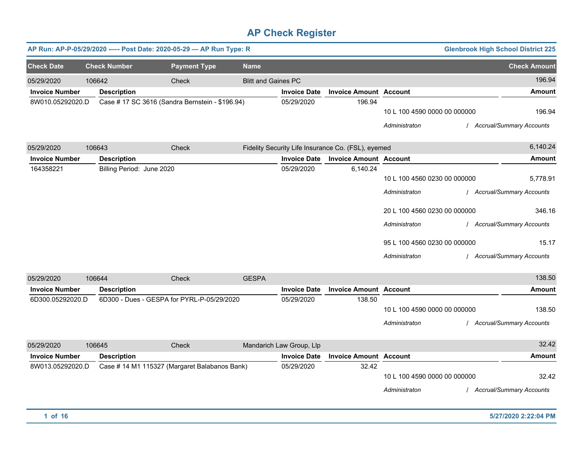|                       |                           | AP Run: AP-P-05/29/2020 ---- Post Date: 2020-05-29 - AP Run Type: R |                            |                          |                                                    |                                                                                                                                                 | <b>Glenbrook High School District 225</b>                                                                           |
|-----------------------|---------------------------|---------------------------------------------------------------------|----------------------------|--------------------------|----------------------------------------------------|-------------------------------------------------------------------------------------------------------------------------------------------------|---------------------------------------------------------------------------------------------------------------------|
| <b>Check Date</b>     | <b>Check Number</b>       | <b>Payment Type</b>                                                 | <b>Name</b>                |                          |                                                    |                                                                                                                                                 | <b>Check Amount</b>                                                                                                 |
| 05/29/2020            | 106642                    | Check                                                               | <b>Blitt and Gaines PC</b> |                          |                                                    |                                                                                                                                                 | 196.94                                                                                                              |
| <b>Invoice Number</b> | <b>Description</b>        |                                                                     |                            | <b>Invoice Date</b>      | <b>Invoice Amount Account</b>                      |                                                                                                                                                 | Amount                                                                                                              |
| 8W010.05292020.D      |                           | Case # 17 SC 3616 (Sandra Bernstein - \$196.94)                     |                            | 05/29/2020               | 196.94                                             | 10 L 100 4590 0000 00 000000<br>Administraton                                                                                                   | 196.94<br>/ Accrual/Summary Accounts                                                                                |
| 05/29/2020            | 106643                    | <b>Check</b>                                                        |                            |                          | Fidelity Security Life Insurance Co. (FSL), eyemed |                                                                                                                                                 | 6,140.24                                                                                                            |
| <b>Invoice Number</b> | <b>Description</b>        |                                                                     |                            | <b>Invoice Date</b>      | <b>Invoice Amount Account</b>                      |                                                                                                                                                 | <b>Amount</b>                                                                                                       |
| 164358221             | Billing Period: June 2020 |                                                                     |                            | 05/29/2020               | 6,140.24                                           | 10 L 100 4560 0230 00 000000<br>Administraton<br>20 L 100 4560 0230 00 000000<br>Administraton<br>95 L 100 4560 0230 00 000000<br>Administraton | 5,778.91<br>/ Accrual/Summary Accounts<br>346.16<br>/ Accrual/Summary Accounts<br>15.17<br>Accrual/Summary Accounts |
| 05/29/2020            | 106644                    | Check                                                               | <b>GESPA</b>               |                          |                                                    |                                                                                                                                                 | 138.50                                                                                                              |
| <b>Invoice Number</b> | <b>Description</b>        |                                                                     |                            | <b>Invoice Date</b>      | <b>Invoice Amount Account</b>                      |                                                                                                                                                 | <b>Amount</b>                                                                                                       |
| 6D300.05292020.D      |                           | 6D300 - Dues - GESPA for PYRL-P-05/29/2020                          |                            | 05/29/2020               | 138.50                                             | 10 L 100 4590 0000 00 000000<br>Administraton                                                                                                   | 138.50<br>/ Accrual/Summary Accounts                                                                                |
| 05/29/2020            | 106645                    | <b>Check</b>                                                        |                            | Mandarich Law Group, Llp |                                                    |                                                                                                                                                 | 32.42                                                                                                               |
| <b>Invoice Number</b> | <b>Description</b>        |                                                                     |                            | <b>Invoice Date</b>      | <b>Invoice Amount Account</b>                      |                                                                                                                                                 | Amount                                                                                                              |
| 8W013.05292020.D      |                           | Case # 14 M1 115327 (Margaret Balabanos Bank)                       |                            | 05/29/2020               | 32.42                                              | 10 L 100 4590 0000 00 000000<br>Administraton                                                                                                   | 32.42<br>/ Accrual/Summary Accounts                                                                                 |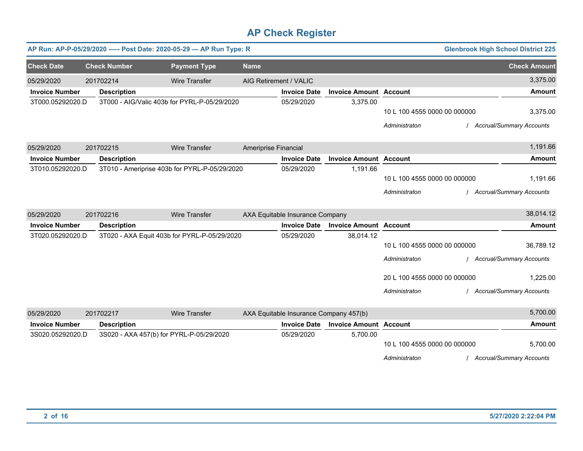|                       |                     | AP Run: AP-P-05/29/2020 ---- Post Date: 2020-05-29 - AP Run Type: R |                        |                                        |                               |                              | <b>Glenbrook High School District 225</b> |
|-----------------------|---------------------|---------------------------------------------------------------------|------------------------|----------------------------------------|-------------------------------|------------------------------|-------------------------------------------|
| <b>Check Date</b>     | <b>Check Number</b> | <b>Payment Type</b>                                                 | <b>Name</b>            |                                        |                               |                              | <b>Check Amount</b>                       |
| 05/29/2020            | 201702214           | <b>Wire Transfer</b>                                                | AIG Retirement / VALIC |                                        |                               |                              | 3,375.00                                  |
| <b>Invoice Number</b> | <b>Description</b>  |                                                                     |                        | <b>Invoice Date</b>                    | <b>Invoice Amount Account</b> |                              | <b>Amount</b>                             |
| 3T000.05292020.D      |                     | 3T000 - AIG/Valic 403b for PYRL-P-05/29/2020                        |                        | 05/29/2020                             | 3,375.00                      |                              |                                           |
|                       |                     |                                                                     |                        |                                        |                               | 10 L 100 4555 0000 00 000000 | 3,375.00                                  |
|                       |                     |                                                                     |                        |                                        |                               | Administraton                | Accrual/Summary Accounts                  |
| 05/29/2020            | 201702215           | <b>Wire Transfer</b>                                                | Ameriprise Financial   |                                        |                               |                              | 1,191.66                                  |
| <b>Invoice Number</b> | <b>Description</b>  |                                                                     |                        | <b>Invoice Date</b>                    | <b>Invoice Amount Account</b> |                              | <b>Amount</b>                             |
| 3T010.05292020.D      |                     | 3T010 - Ameriprise 403b for PYRL-P-05/29/2020                       |                        | 05/29/2020                             | 1,191.66                      |                              |                                           |
|                       |                     |                                                                     |                        |                                        |                               | 10 L 100 4555 0000 00 000000 | 1,191.66                                  |
|                       |                     |                                                                     |                        |                                        |                               | Administraton                | <b>Accrual/Summary Accounts</b>           |
| 05/29/2020            | 201702216           | <b>Wire Transfer</b>                                                |                        | AXA Equitable Insurance Company        |                               |                              | 38,014.12                                 |
| <b>Invoice Number</b> | <b>Description</b>  |                                                                     |                        | <b>Invoice Date</b>                    | <b>Invoice Amount Account</b> |                              | <b>Amount</b>                             |
| 3T020.05292020.D      |                     | 3T020 - AXA Equit 403b for PYRL-P-05/29/2020                        |                        | 05/29/2020                             | 38,014.12                     |                              |                                           |
|                       |                     |                                                                     |                        |                                        |                               | 10 L 100 4555 0000 00 000000 | 36,789.12                                 |
|                       |                     |                                                                     |                        |                                        |                               | Administraton                | <b>Accrual/Summary Accounts</b>           |
|                       |                     |                                                                     |                        |                                        |                               | 20 L 100 4555 0000 00 000000 | 1,225.00                                  |
|                       |                     |                                                                     |                        |                                        |                               | Administraton                | <b>Accrual/Summary Accounts</b>           |
| 05/29/2020            | 201702217           | <b>Wire Transfer</b>                                                |                        | AXA Equitable Insurance Company 457(b) |                               |                              | 5,700.00                                  |
| <b>Invoice Number</b> | <b>Description</b>  |                                                                     |                        | <b>Invoice Date</b>                    | <b>Invoice Amount Account</b> |                              | <b>Amount</b>                             |
| 3S020.05292020.D      |                     | 3S020 - AXA 457(b) for PYRL-P-05/29/2020                            |                        | 05/29/2020                             | 5,700.00                      |                              |                                           |
|                       |                     |                                                                     |                        |                                        |                               | 10 L 100 4555 0000 00 000000 | 5,700.00                                  |
|                       |                     |                                                                     |                        |                                        |                               | Administraton                | <b>Accrual/Summary Accounts</b>           |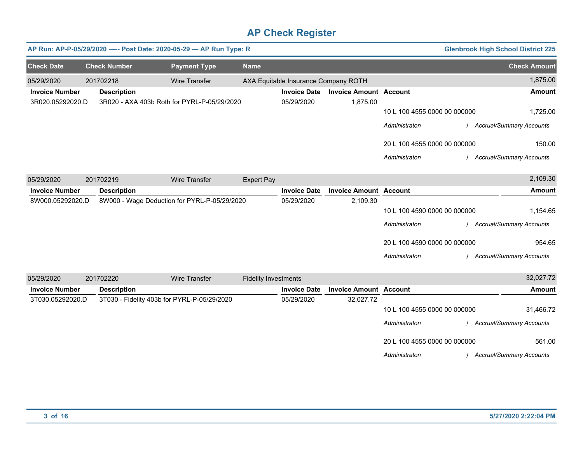|                       |                     | AP Run: AP-P-05/29/2020 ---- Post Date: 2020-05-29 - AP Run Type: R |                             |                                      |                               |                              | <b>Glenbrook High School District 225</b> |
|-----------------------|---------------------|---------------------------------------------------------------------|-----------------------------|--------------------------------------|-------------------------------|------------------------------|-------------------------------------------|
| <b>Check Date</b>     | <b>Check Number</b> | <b>Payment Type</b>                                                 | <b>Name</b>                 |                                      |                               |                              | <b>Check Amount</b>                       |
| 05/29/2020            | 201702218           | <b>Wire Transfer</b>                                                |                             | AXA Equitable Insurance Company ROTH |                               |                              | 1,875.00                                  |
| <b>Invoice Number</b> | <b>Description</b>  |                                                                     |                             | <b>Invoice Date</b>                  | <b>Invoice Amount Account</b> |                              | <b>Amount</b>                             |
| 3R020.05292020.D      |                     | 3R020 - AXA 403b Roth for PYRL-P-05/29/2020                         |                             | 05/29/2020                           | 1,875.00                      |                              |                                           |
|                       |                     |                                                                     |                             |                                      |                               | 10 L 100 4555 0000 00 000000 | 1,725.00                                  |
|                       |                     |                                                                     |                             |                                      |                               | Administraton                | / Accrual/Summary Accounts                |
|                       |                     |                                                                     |                             |                                      |                               | 20 L 100 4555 0000 00 000000 | 150.00                                    |
|                       |                     |                                                                     |                             |                                      |                               | Administraton                | <b>Accrual/Summary Accounts</b>           |
| 05/29/2020            | 201702219           | <b>Wire Transfer</b>                                                | <b>Expert Pay</b>           |                                      |                               |                              | 2,109.30                                  |
| <b>Invoice Number</b> | <b>Description</b>  |                                                                     |                             | <b>Invoice Date</b>                  | <b>Invoice Amount Account</b> |                              | Amount                                    |
| 8W000.05292020.D      |                     | 8W000 - Wage Deduction for PYRL-P-05/29/2020                        |                             | 05/29/2020                           | 2,109.30                      |                              |                                           |
|                       |                     |                                                                     |                             |                                      |                               | 10 L 100 4590 0000 00 000000 | 1,154.65                                  |
|                       |                     |                                                                     |                             |                                      |                               | Administraton                | / Accrual/Summary Accounts                |
|                       |                     |                                                                     |                             |                                      |                               | 20 L 100 4590 0000 00 000000 | 954.65                                    |
|                       |                     |                                                                     |                             |                                      |                               | Administraton                | <b>Accrual/Summary Accounts</b>           |
| 05/29/2020            | 201702220           | <b>Wire Transfer</b>                                                | <b>Fidelity Investments</b> |                                      |                               |                              | 32,027.72                                 |
| <b>Invoice Number</b> | <b>Description</b>  |                                                                     |                             | <b>Invoice Date</b>                  | <b>Invoice Amount Account</b> |                              | Amount                                    |
| 3T030.05292020.D      |                     | 3T030 - Fidelity 403b for PYRL-P-05/29/2020                         |                             | 05/29/2020                           | 32,027.72                     |                              |                                           |
|                       |                     |                                                                     |                             |                                      |                               | 10 L 100 4555 0000 00 000000 | 31,466.72                                 |
|                       |                     |                                                                     |                             |                                      |                               | Administraton                | / Accrual/Summary Accounts                |
|                       |                     |                                                                     |                             |                                      |                               | 20 L 100 4555 0000 00 000000 | 561.00                                    |
|                       |                     |                                                                     |                             |                                      |                               | Administraton                | / Accrual/Summary Accounts                |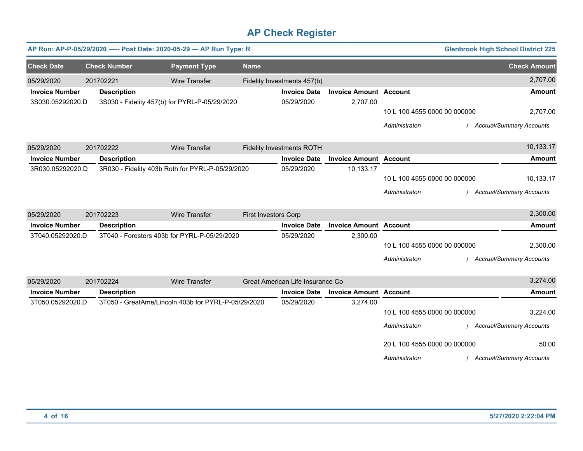|                       | <b>Glenbrook High School District 225</b><br>AP Run: AP-P-05/29/2020 ---- Post Date: 2020-05-29 - AP Run Type: R |                     |                                                     |                             |                                  |                               |                              |                                 |  |
|-----------------------|------------------------------------------------------------------------------------------------------------------|---------------------|-----------------------------------------------------|-----------------------------|----------------------------------|-------------------------------|------------------------------|---------------------------------|--|
| <b>Check Date</b>     |                                                                                                                  | <b>Check Number</b> | <b>Payment Type</b>                                 | <b>Name</b>                 |                                  |                               |                              | <b>Check Amount</b>             |  |
| 05/29/2020            |                                                                                                                  | 201702221           | <b>Wire Transfer</b>                                |                             | Fidelity Investments 457(b)      |                               |                              | 2,707.00                        |  |
| <b>Invoice Number</b> |                                                                                                                  | <b>Description</b>  |                                                     |                             | <b>Invoice Date</b>              | <b>Invoice Amount Account</b> |                              | <b>Amount</b>                   |  |
| 3S030.05292020.D      |                                                                                                                  |                     | 3S030 - Fidelity 457(b) for PYRL-P-05/29/2020       |                             | 05/29/2020                       | 2,707.00                      |                              |                                 |  |
|                       |                                                                                                                  |                     |                                                     |                             |                                  |                               | 10 L 100 4555 0000 00 000000 | 2,707.00                        |  |
|                       |                                                                                                                  |                     |                                                     |                             |                                  |                               | Administraton                | <b>Accrual/Summary Accounts</b> |  |
| 05/29/2020            |                                                                                                                  | 201702222           | <b>Wire Transfer</b>                                |                             | <b>Fidelity Investments ROTH</b> |                               |                              | 10,133.17                       |  |
| <b>Invoice Number</b> |                                                                                                                  | <b>Description</b>  |                                                     |                             | <b>Invoice Date</b>              | <b>Invoice Amount Account</b> |                              | <b>Amount</b>                   |  |
| 3R030.05292020.D      |                                                                                                                  |                     | 3R030 - Fidelity 403b Roth for PYRL-P-05/29/2020    |                             | 05/29/2020                       | 10,133.17                     |                              |                                 |  |
|                       |                                                                                                                  |                     |                                                     |                             |                                  |                               | 10 L 100 4555 0000 00 000000 | 10,133.17                       |  |
|                       |                                                                                                                  |                     |                                                     |                             |                                  |                               | Administraton                | / Accrual/Summary Accounts      |  |
| 05/29/2020            |                                                                                                                  | 201702223           | <b>Wire Transfer</b>                                | <b>First Investors Corp</b> |                                  |                               |                              | 2,300.00                        |  |
| <b>Invoice Number</b> |                                                                                                                  | <b>Description</b>  |                                                     |                             | <b>Invoice Date</b>              | <b>Invoice Amount Account</b> |                              | <b>Amount</b>                   |  |
| 3T040.05292020.D      |                                                                                                                  |                     | 3T040 - Foresters 403b for PYRL-P-05/29/2020        |                             | 05/29/2020                       | 2,300.00                      |                              |                                 |  |
|                       |                                                                                                                  |                     |                                                     |                             |                                  |                               | 10 L 100 4555 0000 00 000000 | 2,300.00                        |  |
|                       |                                                                                                                  |                     |                                                     |                             |                                  |                               | Administraton                | <b>Accrual/Summary Accounts</b> |  |
| 05/29/2020            |                                                                                                                  | 201702224           | <b>Wire Transfer</b>                                |                             | Great American Life Insurance Co |                               |                              | 3,274.00                        |  |
| <b>Invoice Number</b> |                                                                                                                  | <b>Description</b>  |                                                     |                             | <b>Invoice Date</b>              | <b>Invoice Amount Account</b> |                              | <b>Amount</b>                   |  |
| 3T050.05292020.D      |                                                                                                                  |                     | 3T050 - GreatAme/Lincoln 403b for PYRL-P-05/29/2020 |                             | 05/29/2020                       | 3,274.00                      |                              |                                 |  |
|                       |                                                                                                                  |                     |                                                     |                             |                                  |                               | 10 L 100 4555 0000 00 000000 | 3,224.00                        |  |
|                       |                                                                                                                  |                     |                                                     |                             |                                  |                               | Administraton                | <b>Accrual/Summary Accounts</b> |  |
|                       |                                                                                                                  |                     |                                                     |                             |                                  |                               | 20 L 100 4555 0000 00 000000 | 50.00                           |  |
|                       |                                                                                                                  |                     |                                                     |                             |                                  |                               | Administraton                | / Accrual/Summary Accounts      |  |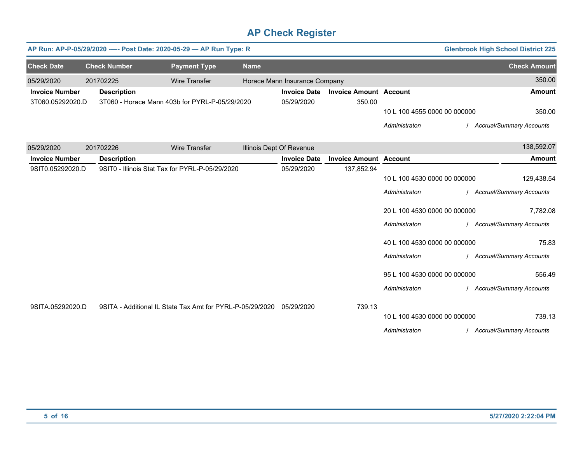|                       |                     | AP Run: AP-P-05/29/2020 ---- Post Date: 2020-05-29 - AP Run Type: R |             |                               | <b>Glenbrook High School District 225</b> |                              |                                 |
|-----------------------|---------------------|---------------------------------------------------------------------|-------------|-------------------------------|-------------------------------------------|------------------------------|---------------------------------|
| <b>Check Date</b>     | <b>Check Number</b> | <b>Payment Type</b>                                                 | <b>Name</b> |                               |                                           |                              | <b>Check Amount</b>             |
| 05/29/2020            | 201702225           | <b>Wire Transfer</b>                                                |             | Horace Mann Insurance Company |                                           |                              | 350.00                          |
| <b>Invoice Number</b> | <b>Description</b>  |                                                                     |             | <b>Invoice Date</b>           | <b>Invoice Amount Account</b>             |                              | <b>Amount</b>                   |
| 3T060.05292020.D      |                     | 3T060 - Horace Mann 403b for PYRL-P-05/29/2020                      |             | 05/29/2020                    | 350.00                                    |                              |                                 |
|                       |                     |                                                                     |             |                               |                                           | 10 L 100 4555 0000 00 000000 | 350.00                          |
|                       |                     |                                                                     |             |                               |                                           | Administraton                | <b>Accrual/Summary Accounts</b> |
| 05/29/2020            | 201702226           | <b>Wire Transfer</b>                                                |             | Illinois Dept Of Revenue      |                                           |                              | 138,592.07                      |
| <b>Invoice Number</b> | <b>Description</b>  |                                                                     |             | <b>Invoice Date</b>           | <b>Invoice Amount Account</b>             |                              | <b>Amount</b>                   |
| 9SIT0.05292020.D      |                     | 9SIT0 - Illinois Stat Tax for PYRL-P-05/29/2020                     |             | 05/29/2020                    | 137,852.94                                |                              |                                 |
|                       |                     |                                                                     |             |                               |                                           | 10 L 100 4530 0000 00 000000 | 129,438.54                      |
|                       |                     |                                                                     |             |                               |                                           | Administraton                | <b>Accrual/Summary Accounts</b> |
|                       |                     |                                                                     |             |                               |                                           | 20 L 100 4530 0000 00 000000 | 7,782.08                        |
|                       |                     |                                                                     |             |                               |                                           | Administraton                | <b>Accrual/Summary Accounts</b> |
|                       |                     |                                                                     |             |                               |                                           | 40 L 100 4530 0000 00 000000 | 75.83                           |
|                       |                     |                                                                     |             |                               |                                           | Administraton                | Accrual/Summary Accounts        |
|                       |                     |                                                                     |             |                               |                                           | 95 L 100 4530 0000 00 000000 | 556.49                          |
|                       |                     |                                                                     |             |                               |                                           | Administraton                | Accrual/Summary Accounts        |
| 9SITA.05292020.D      |                     | 9SITA - Additional IL State Tax Amt for PYRL-P-05/29/2020           |             | 05/29/2020                    | 739.13                                    |                              |                                 |
|                       |                     |                                                                     |             |                               |                                           | 10 L 100 4530 0000 00 000000 | 739.13                          |
|                       |                     |                                                                     |             |                               |                                           | Administraton                | / Accrual/Summary Accounts      |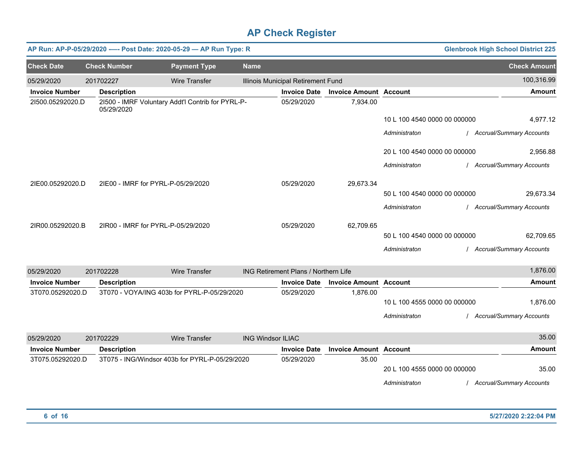|                       |                                    | AP Run: AP-P-05/29/2020 ---- Post Date: 2020-05-29 - AP Run Type: R |                          |                                      |                               |                              | <b>Glenbrook High School District 225</b> |
|-----------------------|------------------------------------|---------------------------------------------------------------------|--------------------------|--------------------------------------|-------------------------------|------------------------------|-------------------------------------------|
| <b>Check Date</b>     | <b>Check Number</b>                | <b>Payment Type</b>                                                 | <b>Name</b>              |                                      |                               |                              | <b>Check Amount</b>                       |
| 05/29/2020            | 201702227                          | <b>Wire Transfer</b>                                                |                          | Illinois Municipal Retirement Fund   |                               |                              | 100,316.99                                |
| <b>Invoice Number</b> | <b>Description</b>                 |                                                                     |                          | <b>Invoice Date</b>                  | <b>Invoice Amount Account</b> |                              | <b>Amount</b>                             |
| 21500.05292020.D      | 05/29/2020                         | 21500 - IMRF Voluntary Addt'l Contrib for PYRL-P-                   |                          | 05/29/2020                           | 7,934.00                      |                              |                                           |
|                       |                                    |                                                                     |                          |                                      |                               | 10 L 100 4540 0000 00 000000 | 4,977.12                                  |
|                       |                                    |                                                                     |                          |                                      |                               | Administraton                | / Accrual/Summary Accounts                |
|                       |                                    |                                                                     |                          |                                      |                               | 20 L 100 4540 0000 00 000000 | 2,956.88                                  |
|                       |                                    |                                                                     |                          |                                      |                               | Administraton                | / Accrual/Summary Accounts                |
| 2IE00.05292020.D      | 2IE00 - IMRF for PYRL-P-05/29/2020 |                                                                     |                          | 05/29/2020                           | 29,673.34                     |                              |                                           |
|                       |                                    |                                                                     |                          |                                      |                               | 50 L 100 4540 0000 00 000000 | 29,673.34                                 |
|                       |                                    |                                                                     |                          |                                      |                               | Administraton                | / Accrual/Summary Accounts                |
| 2IR00.05292020.B      | 2IR00 - IMRF for PYRL-P-05/29/2020 |                                                                     |                          | 05/29/2020                           | 62,709.65                     |                              |                                           |
|                       |                                    |                                                                     |                          |                                      |                               | 50 L 100 4540 0000 00 000000 | 62,709.65                                 |
|                       |                                    |                                                                     |                          |                                      |                               | Administraton                | / Accrual/Summary Accounts                |
| 05/29/2020            | 201702228                          | <b>Wire Transfer</b>                                                |                          | ING Retirement Plans / Northern Life |                               |                              | 1,876.00                                  |
| <b>Invoice Number</b> | <b>Description</b>                 |                                                                     |                          | <b>Invoice Date</b>                  | <b>Invoice Amount Account</b> |                              | <b>Amount</b>                             |
| 3T070.05292020.D      |                                    | 3T070 - VOYA/ING 403b for PYRL-P-05/29/2020                         |                          | 05/29/2020                           | 1,876.00                      | 10 L 100 4555 0000 00 000000 | 1,876.00                                  |
|                       |                                    |                                                                     |                          |                                      |                               | Administraton                | / Accrual/Summary Accounts                |
| 05/29/2020            | 201702229                          | <b>Wire Transfer</b>                                                | <b>ING Windsor ILIAC</b> |                                      |                               |                              | 35.00                                     |
| <b>Invoice Number</b> | <b>Description</b>                 |                                                                     |                          | <b>Invoice Date</b>                  | <b>Invoice Amount Account</b> |                              | <b>Amount</b>                             |
| 3T075.05292020.D      |                                    | 3T075 - ING/Windsor 403b for PYRL-P-05/29/2020                      |                          | 05/29/2020                           | 35.00                         | 20 L 100 4555 0000 00 000000 | 35.00                                     |
|                       |                                    |                                                                     |                          |                                      |                               | Administraton                | / Accrual/Summary Accounts                |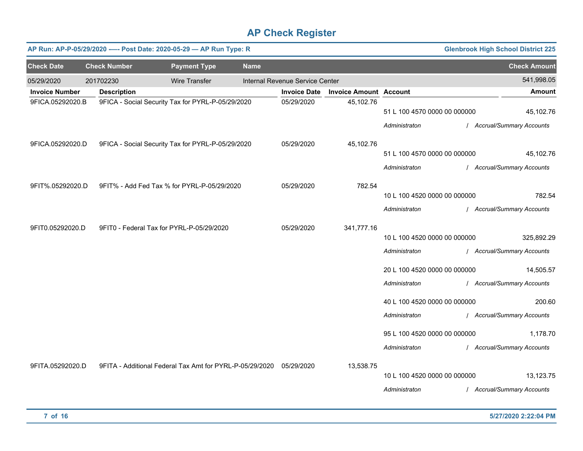|                       | AP Run: AP-P-05/29/2020 ---- Post Date: 2020-05-29 - AP Run Type: R |                      |             |                                 |                               |                              | <b>Glenbrook High School District 225</b> |
|-----------------------|---------------------------------------------------------------------|----------------------|-------------|---------------------------------|-------------------------------|------------------------------|-------------------------------------------|
| <b>Check Date</b>     | <b>Check Number</b>                                                 | <b>Payment Type</b>  | <b>Name</b> |                                 |                               |                              | <b>Check Amount</b>                       |
| 05/29/2020            | 201702230                                                           | <b>Wire Transfer</b> |             | Internal Revenue Service Center |                               |                              | 541,998.05                                |
| <b>Invoice Number</b> | <b>Description</b>                                                  |                      |             | <b>Invoice Date</b>             | <b>Invoice Amount Account</b> |                              | <b>Amount</b>                             |
| 9FICA.05292020.B      | 9FICA - Social Security Tax for PYRL-P-05/29/2020                   |                      |             | 05/29/2020                      | 45,102.76                     | 51 L 100 4570 0000 00 000000 | 45,102.76                                 |
|                       |                                                                     |                      |             |                                 |                               | Administraton                | / Accrual/Summary Accounts                |
| 9FICA.05292020.D      | 9FICA - Social Security Tax for PYRL-P-05/29/2020                   |                      |             | 05/29/2020                      | 45,102.76                     |                              |                                           |
|                       |                                                                     |                      |             |                                 |                               | 51 L 100 4570 0000 00 000000 | 45,102.76                                 |
|                       |                                                                     |                      |             |                                 |                               | Administraton                | / Accrual/Summary Accounts                |
| 9FIT%.05292020.D      | 9FIT% - Add Fed Tax % for PYRL-P-05/29/2020                         |                      |             | 05/29/2020                      | 782.54                        |                              |                                           |
|                       |                                                                     |                      |             |                                 |                               | 10 L 100 4520 0000 00 000000 | 782.54                                    |
|                       |                                                                     |                      |             |                                 |                               | Administraton                | / Accrual/Summary Accounts                |
| 9FIT0.05292020.D      | 9FIT0 - Federal Tax for PYRL-P-05/29/2020                           |                      |             | 05/29/2020                      | 341,777.16                    |                              |                                           |
|                       |                                                                     |                      |             |                                 |                               | 10 L 100 4520 0000 00 000000 | 325,892.29                                |
|                       |                                                                     |                      |             |                                 |                               | Administraton                | / Accrual/Summary Accounts                |
|                       |                                                                     |                      |             |                                 |                               | 20 L 100 4520 0000 00 000000 | 14,505.57                                 |
|                       |                                                                     |                      |             |                                 |                               | Administraton                | / Accrual/Summary Accounts                |
|                       |                                                                     |                      |             |                                 |                               | 40 L 100 4520 0000 00 000000 | 200.60                                    |
|                       |                                                                     |                      |             |                                 |                               | Administraton                | / Accrual/Summary Accounts                |
|                       |                                                                     |                      |             |                                 |                               | 95 L 100 4520 0000 00 000000 | 1,178.70                                  |
|                       |                                                                     |                      |             |                                 |                               |                              |                                           |
|                       |                                                                     |                      |             |                                 |                               | Administraton                | / Accrual/Summary Accounts                |
| 9FITA.05292020.D      | 9FITA - Additional Federal Tax Amt for PYRL-P-05/29/2020 05/29/2020 |                      |             |                                 | 13,538.75                     |                              |                                           |
|                       |                                                                     |                      |             |                                 |                               | 10 L 100 4520 0000 00 000000 | 13,123.75                                 |
|                       |                                                                     |                      |             |                                 |                               | Administraton                | / Accrual/Summary Accounts                |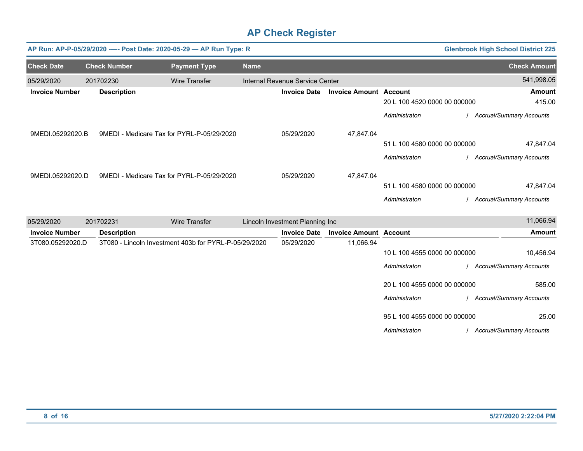|                       |                     | AP Run: AP-P-05/29/2020 ---- Post Date: 2020-05-29 - AP Run Type: R |             |                                 |                               |                              | <b>Glenbrook High School District 225</b> |
|-----------------------|---------------------|---------------------------------------------------------------------|-------------|---------------------------------|-------------------------------|------------------------------|-------------------------------------------|
| <b>Check Date</b>     | <b>Check Number</b> | <b>Payment Type</b>                                                 | <b>Name</b> |                                 |                               |                              | <b>Check Amount</b>                       |
| 05/29/2020            | 201702230           | <b>Wire Transfer</b>                                                |             | Internal Revenue Service Center |                               |                              | 541,998.05                                |
| <b>Invoice Number</b> | <b>Description</b>  |                                                                     |             | <b>Invoice Date</b>             | <b>Invoice Amount Account</b> |                              | Amount                                    |
|                       |                     |                                                                     |             |                                 |                               | 20 L 100 4520 0000 00 000000 | 415.00                                    |
|                       |                     |                                                                     |             |                                 |                               | Administraton                | / Accrual/Summary Accounts                |
| 9MEDI.05292020.B      |                     | 9MEDI - Medicare Tax for PYRL-P-05/29/2020                          |             | 05/29/2020                      | 47,847.04                     |                              |                                           |
|                       |                     |                                                                     |             |                                 |                               | 51 L 100 4580 0000 00 000000 | 47,847.04                                 |
|                       |                     |                                                                     |             |                                 |                               | Administraton                | <b>Accrual/Summary Accounts</b>           |
| 9MEDI.05292020.D      |                     | 9MEDI - Medicare Tax for PYRL-P-05/29/2020                          |             | 05/29/2020                      | 47,847.04                     |                              |                                           |
|                       |                     |                                                                     |             |                                 |                               | 51 L 100 4580 0000 00 000000 | 47,847.04                                 |
|                       |                     |                                                                     |             |                                 |                               | Administraton                | <b>Accrual/Summary Accounts</b>           |
| 05/29/2020            | 201702231           | <b>Wire Transfer</b>                                                |             | Lincoln Investment Planning Inc |                               |                              | 11,066.94                                 |
| <b>Invoice Number</b> | <b>Description</b>  |                                                                     |             | <b>Invoice Date</b>             | <b>Invoice Amount Account</b> |                              | <b>Amount</b>                             |
| 3T080.05292020.D      |                     | 3T080 - Lincoln Investment 403b for PYRL-P-05/29/2020               |             | 05/29/2020                      | 11,066.94                     | 10 L 100 4555 0000 00 000000 | 10,456.94                                 |
|                       |                     |                                                                     |             |                                 |                               | Administraton                | / Accrual/Summary Accounts                |
|                       |                     |                                                                     |             |                                 |                               | 20 L 100 4555 0000 00 000000 | 585.00                                    |
|                       |                     |                                                                     |             |                                 |                               | Administraton                | / Accrual/Summary Accounts                |
|                       |                     |                                                                     |             |                                 |                               | 95 L 100 4555 0000 00 000000 | 25.00                                     |
|                       |                     |                                                                     |             |                                 |                               | Administraton                | / Accrual/Summary Accounts                |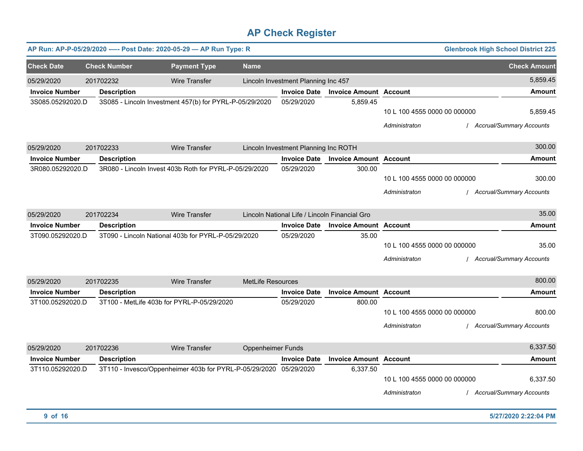|                       |                     | AP Run: AP-P-05/29/2020 ---- Post Date: 2020-05-29 - AP Run Type: R |                          |                                               |                               |                                               | <b>Glenbrook High School District 225</b>   |
|-----------------------|---------------------|---------------------------------------------------------------------|--------------------------|-----------------------------------------------|-------------------------------|-----------------------------------------------|---------------------------------------------|
| <b>Check Date</b>     | <b>Check Number</b> | <b>Payment Type</b>                                                 | <b>Name</b>              |                                               |                               |                                               | <b>Check Amount</b>                         |
| 05/29/2020            | 201702232           | Wire Transfer                                                       |                          | Lincoln Investment Planning Inc 457           |                               |                                               | 5,859.45                                    |
| <b>Invoice Number</b> | <b>Description</b>  |                                                                     |                          | <b>Invoice Date</b>                           | <b>Invoice Amount Account</b> |                                               | Amount                                      |
| 3S085.05292020.D      |                     | 3S085 - Lincoln Investment 457(b) for PYRL-P-05/29/2020             |                          | 05/29/2020                                    | 5,859.45                      | 10 L 100 4555 0000 00 000000<br>Administraton | 5,859.45<br><b>Accrual/Summary Accounts</b> |
| 05/29/2020            | 201702233           | <b>Wire Transfer</b>                                                |                          | Lincoln Investment Planning Inc ROTH          |                               |                                               | 300.00                                      |
| <b>Invoice Number</b> | <b>Description</b>  |                                                                     |                          | <b>Invoice Date</b>                           | <b>Invoice Amount Account</b> |                                               | <b>Amount</b>                               |
| 3R080.05292020.D      |                     | 3R080 - Lincoln Invest 403b Roth for PYRL-P-05/29/2020              |                          | 05/29/2020                                    | 300.00                        | 10 L 100 4555 0000 00 000000<br>Administraton | 300.00<br><b>Accrual/Summary Accounts</b>   |
| 05/29/2020            | 201702234           | Wire Transfer                                                       |                          | Lincoln National Life / Lincoln Financial Gro |                               |                                               | 35.00                                       |
| <b>Invoice Number</b> | <b>Description</b>  |                                                                     |                          | <b>Invoice Date</b>                           | <b>Invoice Amount Account</b> |                                               | Amount                                      |
| 3T090.05292020.D      |                     | 3T090 - Lincoln National 403b for PYRL-P-05/29/2020                 |                          | 05/29/2020                                    | 35.00                         | 10 L 100 4555 0000 00 000000<br>Administraton | 35.00<br><b>Accrual/Summary Accounts</b>    |
| 05/29/2020            | 201702235           | <b>Wire Transfer</b>                                                | <b>MetLife Resources</b> |                                               |                               |                                               | 800.00                                      |
| <b>Invoice Number</b> | <b>Description</b>  |                                                                     |                          | <b>Invoice Date</b>                           | <b>Invoice Amount Account</b> |                                               | Amount                                      |
| 3T100.05292020.D      |                     | 3T100 - MetLife 403b for PYRL-P-05/29/2020                          |                          | 05/29/2020                                    | 800.00                        | 10 L 100 4555 0000 00 000000<br>Administraton | 800.00<br><b>Accrual/Summary Accounts</b>   |
| 05/29/2020            | 201702236           | <b>Wire Transfer</b>                                                | <b>Oppenheimer Funds</b> |                                               |                               |                                               | 6,337.50                                    |
| <b>Invoice Number</b> | <b>Description</b>  |                                                                     |                          | <b>Invoice Date</b>                           | <b>Invoice Amount Account</b> |                                               | Amount                                      |
| 3T110.05292020.D      |                     | 3T110 - Invesco/Oppenheimer 403b for PYRL-P-05/29/2020 05/29/2020   |                          |                                               | 6,337.50                      | 10 L 100 4555 0000 00 000000<br>Administraton | 6,337.50<br><b>Accrual/Summary Accounts</b> |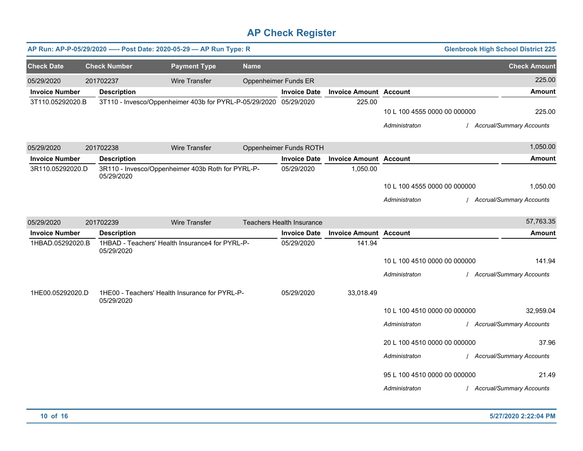|                       | AP Run: AP-P-05/29/2020 ---- Post Date: 2020-05-29 - AP Run Type: R<br><b>Glenbrook High School District 225</b> |                                                                   |             |                                  |                               |                              |  |                            |  |
|-----------------------|------------------------------------------------------------------------------------------------------------------|-------------------------------------------------------------------|-------------|----------------------------------|-------------------------------|------------------------------|--|----------------------------|--|
| <b>Check Date</b>     | <b>Check Number</b>                                                                                              | <b>Payment Type</b>                                               | <b>Name</b> |                                  |                               |                              |  | <b>Check Amount</b>        |  |
| 05/29/2020            | 201702237                                                                                                        | <b>Wire Transfer</b>                                              |             | <b>Oppenheimer Funds ER</b>      |                               |                              |  | 225.00                     |  |
| <b>Invoice Number</b> | <b>Description</b>                                                                                               |                                                                   |             | <b>Invoice Date</b>              | <b>Invoice Amount Account</b> |                              |  | <b>Amount</b>              |  |
| 3T110.05292020.B      |                                                                                                                  | 3T110 - Invesco/Oppenheimer 403b for PYRL-P-05/29/2020 05/29/2020 |             |                                  | 225.00                        |                              |  |                            |  |
|                       |                                                                                                                  |                                                                   |             |                                  |                               | 10 L 100 4555 0000 00 000000 |  | 225.00                     |  |
|                       |                                                                                                                  |                                                                   |             |                                  |                               | Administraton                |  | / Accrual/Summary Accounts |  |
| 05/29/2020            | 201702238                                                                                                        | Wire Transfer                                                     |             | Oppenheimer Funds ROTH           |                               |                              |  | 1,050.00                   |  |
| <b>Invoice Number</b> | <b>Description</b>                                                                                               |                                                                   |             | <b>Invoice Date</b>              | <b>Invoice Amount Account</b> |                              |  | Amount                     |  |
| 3R110.05292020.D      | 05/29/2020                                                                                                       | 3R110 - Invesco/Oppenheimer 403b Roth for PYRL-P-                 |             | 05/29/2020                       | 1,050.00                      |                              |  |                            |  |
|                       |                                                                                                                  |                                                                   |             |                                  |                               | 10 L 100 4555 0000 00 000000 |  | 1,050.00                   |  |
|                       |                                                                                                                  |                                                                   |             |                                  |                               | Administraton                |  | / Accrual/Summary Accounts |  |
| 05/29/2020            | 201702239                                                                                                        | <b>Wire Transfer</b>                                              |             | <b>Teachers Health Insurance</b> |                               |                              |  | 57,763.35                  |  |
| <b>Invoice Number</b> | <b>Description</b>                                                                                               |                                                                   |             | <b>Invoice Date</b>              | <b>Invoice Amount Account</b> |                              |  | <b>Amount</b>              |  |
| 1HBAD.05292020.B      | 05/29/2020                                                                                                       | 1HBAD - Teachers' Health Insurance4 for PYRL-P-                   |             | 05/29/2020                       | 141.94                        |                              |  |                            |  |
|                       |                                                                                                                  |                                                                   |             |                                  |                               | 10 L 100 4510 0000 00 000000 |  | 141.94                     |  |
|                       |                                                                                                                  |                                                                   |             |                                  |                               | Administraton                |  | / Accrual/Summary Accounts |  |
| 1HE00.05292020.D      | 05/29/2020                                                                                                       | 1HE00 - Teachers' Health Insurance for PYRL-P-                    |             | 05/29/2020                       | 33,018.49                     |                              |  |                            |  |
|                       |                                                                                                                  |                                                                   |             |                                  |                               | 10 L 100 4510 0000 00 000000 |  | 32,959.04                  |  |
|                       |                                                                                                                  |                                                                   |             |                                  |                               | Administraton                |  | / Accrual/Summary Accounts |  |
|                       |                                                                                                                  |                                                                   |             |                                  |                               | 20 L 100 4510 0000 00 000000 |  | 37.96                      |  |
|                       |                                                                                                                  |                                                                   |             |                                  |                               | Administraton                |  | / Accrual/Summary Accounts |  |
|                       |                                                                                                                  |                                                                   |             |                                  |                               | 95 L 100 4510 0000 00 000000 |  | 21.49                      |  |
|                       |                                                                                                                  |                                                                   |             |                                  |                               | Administraton                |  | / Accrual/Summary Accounts |  |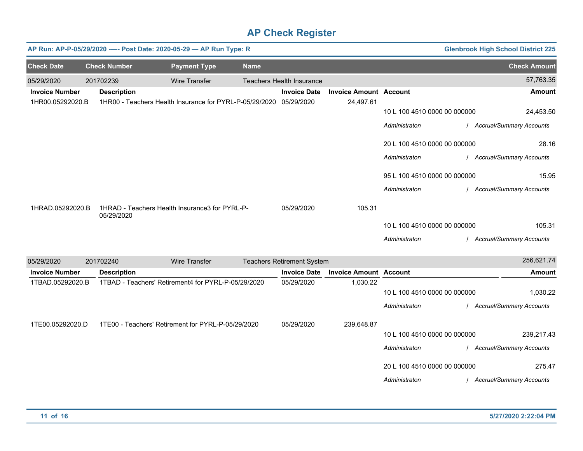|                       | AP Run: AP-P-05/29/2020 ---- Post Date: 2020-05-29 - AP Run Type: R<br><b>Glenbrook High School District 225</b> |                                                                    |             |                                   |                               |                                               |  |                                         |
|-----------------------|------------------------------------------------------------------------------------------------------------------|--------------------------------------------------------------------|-------------|-----------------------------------|-------------------------------|-----------------------------------------------|--|-----------------------------------------|
| <b>Check Date</b>     | <b>Check Number</b>                                                                                              | <b>Payment Type</b>                                                | <b>Name</b> |                                   |                               |                                               |  | <b>Check Amount</b>                     |
| 05/29/2020            | 201702239                                                                                                        | <b>Wire Transfer</b>                                               |             | <b>Teachers Health Insurance</b>  |                               |                                               |  | 57,763.35                               |
| <b>Invoice Number</b> | <b>Description</b>                                                                                               |                                                                    |             | <b>Invoice Date</b>               | <b>Invoice Amount Account</b> |                                               |  | <b>Amount</b>                           |
| 1HR00.05292020.B      |                                                                                                                  | 1HR00 - Teachers Health Insurance for PYRL-P-05/29/2020 05/29/2020 |             |                                   | 24,497.61                     | 10 L 100 4510 0000 00 000000<br>Administraton |  | 24,453.50<br>/ Accrual/Summary Accounts |
|                       |                                                                                                                  |                                                                    |             |                                   |                               | 20 L 100 4510 0000 00 000000                  |  | 28.16                                   |
|                       |                                                                                                                  |                                                                    |             |                                   |                               | Administraton                                 |  | / Accrual/Summary Accounts              |
|                       |                                                                                                                  |                                                                    |             |                                   |                               | 95 L 100 4510 0000 00 000000                  |  | 15.95                                   |
|                       |                                                                                                                  |                                                                    |             |                                   |                               | Administraton                                 |  | / Accrual/Summary Accounts              |
| 1HRAD.05292020.B      | 05/29/2020                                                                                                       | 1HRAD - Teachers Health Insurance3 for PYRL-P-                     |             | 05/29/2020                        | 105.31                        |                                               |  |                                         |
|                       |                                                                                                                  |                                                                    |             |                                   |                               | 10 L 100 4510 0000 00 000000                  |  | 105.31                                  |
|                       |                                                                                                                  |                                                                    |             |                                   |                               | Administraton                                 |  | Accrual/Summary Accounts                |
| 05/29/2020            | 201702240                                                                                                        | <b>Wire Transfer</b>                                               |             | <b>Teachers Retirement System</b> |                               |                                               |  | 256,621.74                              |
| <b>Invoice Number</b> | <b>Description</b>                                                                                               |                                                                    |             | <b>Invoice Date</b>               | <b>Invoice Amount Account</b> |                                               |  | <b>Amount</b>                           |
| 1TBAD.05292020.B      |                                                                                                                  | 1TBAD - Teachers' Retirement4 for PYRL-P-05/29/2020                |             | 05/29/2020                        | 1,030.22                      | 10 L 100 4510 0000 00 000000                  |  | 1,030.22                                |
|                       |                                                                                                                  |                                                                    |             |                                   |                               | Administraton                                 |  | / Accrual/Summary Accounts              |
| 1TE00.05292020.D      |                                                                                                                  | 1TE00 - Teachers' Retirement for PYRL-P-05/29/2020                 |             | 05/29/2020                        | 239,648.87                    |                                               |  |                                         |
|                       |                                                                                                                  |                                                                    |             |                                   |                               | 10 L 100 4510 0000 00 000000                  |  | 239,217.43                              |
|                       |                                                                                                                  |                                                                    |             |                                   |                               | Administraton                                 |  | / Accrual/Summary Accounts              |
|                       |                                                                                                                  |                                                                    |             |                                   |                               | 20 L 100 4510 0000 00 000000                  |  | 275.47                                  |
|                       |                                                                                                                  |                                                                    |             |                                   |                               | Administraton                                 |  | / Accrual/Summary Accounts              |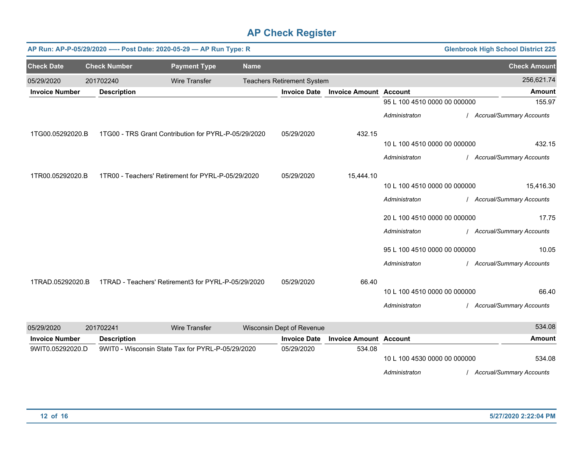|                       | AP Run: AP-P-05/29/2020 ---- Post Date: 2020-05-29 - AP Run Type: R<br><b>Glenbrook High School District 225</b> |                                                      |             |                                   |                               |                              |                                 |  |  |
|-----------------------|------------------------------------------------------------------------------------------------------------------|------------------------------------------------------|-------------|-----------------------------------|-------------------------------|------------------------------|---------------------------------|--|--|
| <b>Check Date</b>     | <b>Check Number</b>                                                                                              | <b>Payment Type</b>                                  | <b>Name</b> |                                   |                               |                              | <b>Check Amount</b>             |  |  |
| 05/29/2020            | 201702240                                                                                                        | <b>Wire Transfer</b>                                 |             | <b>Teachers Retirement System</b> |                               |                              | 256,621.74                      |  |  |
| <b>Invoice Number</b> | <b>Description</b>                                                                                               |                                                      |             | <b>Invoice Date</b>               | <b>Invoice Amount Account</b> |                              | <b>Amount</b>                   |  |  |
|                       |                                                                                                                  |                                                      |             |                                   |                               | 95 L 100 4510 0000 00 000000 | 155.97                          |  |  |
|                       |                                                                                                                  |                                                      |             |                                   |                               | Administraton                | <b>Accrual/Summary Accounts</b> |  |  |
| 1TG00.05292020.B      |                                                                                                                  | 1TG00 - TRS Grant Contribution for PYRL-P-05/29/2020 |             | 05/29/2020                        | 432.15                        |                              |                                 |  |  |
|                       |                                                                                                                  |                                                      |             |                                   |                               | 10 L 100 4510 0000 00 000000 | 432.15                          |  |  |
|                       |                                                                                                                  |                                                      |             |                                   |                               | Administraton                | <b>Accrual/Summary Accounts</b> |  |  |
| 1TR00.05292020.B      |                                                                                                                  | 1TR00 - Teachers' Retirement for PYRL-P-05/29/2020   |             | 05/29/2020                        | 15,444.10                     |                              |                                 |  |  |
|                       |                                                                                                                  |                                                      |             |                                   |                               | 10 L 100 4510 0000 00 000000 | 15,416.30                       |  |  |
|                       |                                                                                                                  |                                                      |             |                                   |                               | Administraton                | <b>Accrual/Summary Accounts</b> |  |  |
|                       |                                                                                                                  |                                                      |             |                                   |                               | 20 L 100 4510 0000 00 000000 | 17.75                           |  |  |
|                       |                                                                                                                  |                                                      |             |                                   |                               | Administraton                | <b>Accrual/Summary Accounts</b> |  |  |
|                       |                                                                                                                  |                                                      |             |                                   |                               | 95 L 100 4510 0000 00 000000 | 10.05                           |  |  |
|                       |                                                                                                                  |                                                      |             |                                   |                               | Administraton                | Accrual/Summary Accounts        |  |  |
| 1TRAD.05292020.B      |                                                                                                                  | 1TRAD - Teachers' Retirement3 for PYRL-P-05/29/2020  |             | 05/29/2020                        | 66.40                         |                              |                                 |  |  |
|                       |                                                                                                                  |                                                      |             |                                   |                               | 10 L 100 4510 0000 00 000000 | 66.40                           |  |  |
|                       |                                                                                                                  |                                                      |             |                                   |                               | Administraton                | <b>Accrual/Summary Accounts</b> |  |  |
| 05/29/2020            | 201702241                                                                                                        | <b>Wire Transfer</b>                                 |             | Wisconsin Dept of Revenue         |                               |                              | 534.08                          |  |  |

| <b>Invoice Number</b> | <b>Description</b>                                | <b>Invoice Date</b> | <b>Invoice Amount Account</b> |                              | Amount                          |
|-----------------------|---------------------------------------------------|---------------------|-------------------------------|------------------------------|---------------------------------|
| 9WIT0.05292020.D      | 9WIT0 - Wisconsin State Tax for PYRL-P-05/29/2020 | 05/29/2020          | 534.08                        |                              |                                 |
|                       |                                                   |                     |                               | 10 L 100 4530 0000 00 000000 | 534.08                          |
|                       |                                                   |                     |                               | Administraton                | <b>Accrual/Summary Accounts</b> |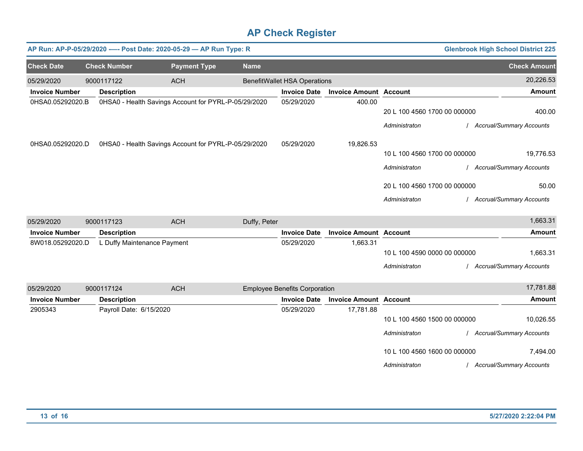|                       |                             | AP Run: AP-P-05/29/2020 ---- Post Date: 2020-05-29 - AP Run Type: R |              |                                      |                               |                              | <b>Glenbrook High School District 225</b> |                                 |
|-----------------------|-----------------------------|---------------------------------------------------------------------|--------------|--------------------------------------|-------------------------------|------------------------------|-------------------------------------------|---------------------------------|
| <b>Check Date</b>     | <b>Check Number</b>         | <b>Payment Type</b>                                                 | <b>Name</b>  |                                      |                               |                              |                                           | <b>Check Amount</b>             |
| 05/29/2020            | 9000117122                  | <b>ACH</b>                                                          |              | <b>BenefitWallet HSA Operations</b>  |                               |                              |                                           | 20,226.53                       |
| <b>Invoice Number</b> | <b>Description</b>          |                                                                     |              | <b>Invoice Date</b>                  | <b>Invoice Amount Account</b> |                              |                                           | <b>Amount</b>                   |
| 0HSA0.05292020.B      |                             | 0HSA0 - Health Savings Account for PYRL-P-05/29/2020                |              | 05/29/2020                           | 400.00                        | 20 L 100 4560 1700 00 000000 |                                           | 400.00                          |
|                       |                             |                                                                     |              |                                      |                               | Administraton                |                                           | <b>Accrual/Summary Accounts</b> |
| 0HSA0.05292020.D      |                             | 0HSA0 - Health Savings Account for PYRL-P-05/29/2020                |              | 05/29/2020                           | 19,826.53                     |                              |                                           |                                 |
|                       |                             |                                                                     |              |                                      |                               | 10 L 100 4560 1700 00 000000 |                                           | 19,776.53                       |
|                       |                             |                                                                     |              |                                      |                               | Administraton                |                                           | <b>Accrual/Summary Accounts</b> |
|                       |                             |                                                                     |              |                                      |                               | 20 L 100 4560 1700 00 000000 |                                           | 50.00                           |
|                       |                             |                                                                     |              |                                      |                               | Administraton                |                                           | <b>Accrual/Summary Accounts</b> |
| 05/29/2020            | 9000117123                  | <b>ACH</b>                                                          | Duffy, Peter |                                      |                               |                              |                                           | 1,663.31                        |
| <b>Invoice Number</b> | <b>Description</b>          |                                                                     |              | <b>Invoice Date</b>                  | <b>Invoice Amount Account</b> |                              |                                           | <b>Amount</b>                   |
| 8W018.05292020.D      | L Duffy Maintenance Payment |                                                                     |              | 05/29/2020                           | 1,663.31                      |                              |                                           |                                 |
|                       |                             |                                                                     |              |                                      |                               | 10 L 100 4590 0000 00 000000 |                                           | 1,663.31                        |
|                       |                             |                                                                     |              |                                      |                               | Administraton                |                                           | <b>Accrual/Summary Accounts</b> |
| 05/29/2020            | 9000117124                  | <b>ACH</b>                                                          |              | <b>Employee Benefits Corporation</b> |                               |                              |                                           | 17,781.88                       |
| <b>Invoice Number</b> | <b>Description</b>          |                                                                     |              | <b>Invoice Date</b>                  | <b>Invoice Amount Account</b> |                              |                                           | <b>Amount</b>                   |
| 2905343               | Payroll Date: 6/15/2020     |                                                                     |              | 05/29/2020                           | 17,781.88                     |                              |                                           |                                 |
|                       |                             |                                                                     |              |                                      |                               | 10 L 100 4560 1500 00 000000 |                                           | 10,026.55                       |
|                       |                             |                                                                     |              |                                      |                               | Administraton                |                                           | <b>Accrual/Summary Accounts</b> |
|                       |                             |                                                                     |              |                                      |                               | 10 L 100 4560 1600 00 000000 |                                           | 7,494.00                        |
|                       |                             |                                                                     |              |                                      |                               | Administraton                |                                           | <b>Accrual/Summary Accounts</b> |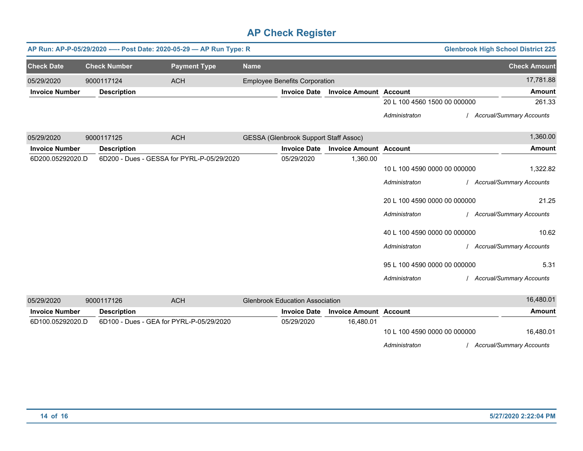|                       |                     | AP Run: AP-P-05/29/2020 ---- Post Date: 2020-05-29 - AP Run Type: R |             |                                              |                               |                                                                                                | <b>Glenbrook High School District 225</b>                                               |
|-----------------------|---------------------|---------------------------------------------------------------------|-------------|----------------------------------------------|-------------------------------|------------------------------------------------------------------------------------------------|-----------------------------------------------------------------------------------------|
| <b>Check Date</b>     | <b>Check Number</b> | <b>Payment Type</b>                                                 | <b>Name</b> |                                              |                               |                                                                                                | <b>Check Amount</b>                                                                     |
| 05/29/2020            | 9000117124          | <b>ACH</b>                                                          |             | <b>Employee Benefits Corporation</b>         |                               |                                                                                                | 17,781.88                                                                               |
| <b>Invoice Number</b> | <b>Description</b>  |                                                                     |             | <b>Invoice Date</b>                          | <b>Invoice Amount Account</b> |                                                                                                | <b>Amount</b>                                                                           |
|                       |                     |                                                                     |             |                                              |                               | 20 L 100 4560 1500 00 000000                                                                   | 261.33                                                                                  |
|                       |                     |                                                                     |             |                                              |                               | Administraton                                                                                  | <b>Accrual/Summary Accounts</b>                                                         |
| 05/29/2020            | 9000117125          | <b>ACH</b>                                                          |             | <b>GESSA (Glenbrook Support Staff Assoc)</b> |                               |                                                                                                | 1,360.00                                                                                |
| <b>Invoice Number</b> | <b>Description</b>  |                                                                     |             | <b>Invoice Date</b>                          | <b>Invoice Amount Account</b> |                                                                                                | <b>Amount</b>                                                                           |
| 6D200.05292020.D      |                     | 6D200 - Dues - GESSA for PYRL-P-05/29/2020                          |             | 05/29/2020                                   | 1,360.00                      | 10 L 100 4590 0000 00 000000<br>Administraton<br>20 L 100 4590 0000 00 000000<br>Administraton | 1,322.82<br><b>Accrual/Summary Accounts</b><br>21.25<br><b>Accrual/Summary Accounts</b> |
|                       |                     |                                                                     |             |                                              |                               | 40 L 100 4590 0000 00 000000<br>Administraton<br>95 L 100 4590 0000 00 000000<br>Administraton | 10.62<br><b>Accrual/Summary Accounts</b><br>5.31<br><b>Accrual/Summary Accounts</b>     |
| 05/29/2020            | 9000117126          | <b>ACH</b>                                                          |             | <b>Glenbrook Education Association</b>       |                               |                                                                                                | 16,480.01                                                                               |
| <b>Invoice Number</b> | <b>Description</b>  |                                                                     |             | <b>Invoice Date</b>                          | <b>Invoice Amount Account</b> |                                                                                                | <b>Amount</b>                                                                           |

| Invoice Number   | <b>Description</b>                       | <b>Invoice Date</b> | <b>Invoice Amount Account</b> |                              | Amount                   |
|------------------|------------------------------------------|---------------------|-------------------------------|------------------------------|--------------------------|
| 6D100.05292020.D | 6D100 - Dues - GEA for PYRL-P-05/29/2020 | 05/29/2020          | 16.480.01                     |                              |                          |
|                  |                                          |                     |                               | 10 L 100 4590 0000 00 000000 | 16,480.01                |
|                  |                                          |                     |                               | Administraton                | Accrual/Summary Accounts |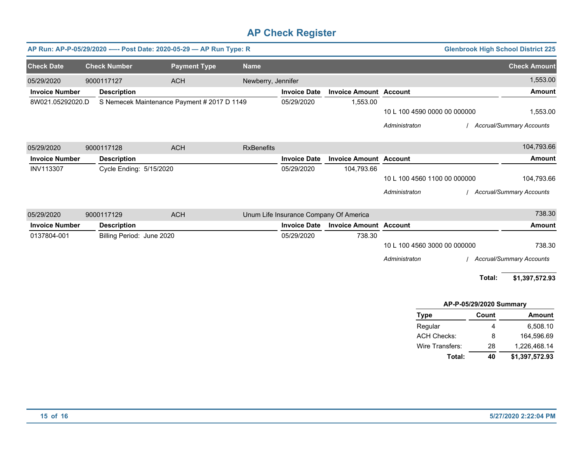|                       | AP Run: AP-P-05/29/2020 ---- Post Date: 2020-05-29 - AP Run Type: R |                           |                                             |                    |                                        |                               |                              |                         | <b>Glenbrook High School District 225</b> |
|-----------------------|---------------------------------------------------------------------|---------------------------|---------------------------------------------|--------------------|----------------------------------------|-------------------------------|------------------------------|-------------------------|-------------------------------------------|
| <b>Check Date</b>     |                                                                     | <b>Check Number</b>       | <b>Payment Type</b>                         | <b>Name</b>        |                                        |                               |                              |                         | <b>Check Amount</b>                       |
| 05/29/2020            |                                                                     | 9000117127                | <b>ACH</b>                                  | Newberry, Jennifer |                                        |                               |                              |                         | 1,553.00                                  |
| <b>Invoice Number</b> |                                                                     | <b>Description</b>        |                                             |                    | <b>Invoice Date</b>                    | <b>Invoice Amount Account</b> |                              |                         | <b>Amount</b>                             |
| 8W021.05292020.D      |                                                                     |                           | S Nemecek Maintenance Payment # 2017 D 1149 |                    | 05/29/2020                             | 1,553.00                      |                              |                         |                                           |
|                       |                                                                     |                           |                                             |                    |                                        |                               | 10 L 100 4590 0000 00 000000 |                         | 1,553.00                                  |
|                       |                                                                     |                           |                                             |                    |                                        |                               | Administraton                |                         | / Accrual/Summary Accounts                |
| 05/29/2020            |                                                                     | 9000117128                | <b>ACH</b>                                  | <b>RxBenefits</b>  |                                        |                               |                              |                         | 104,793.66                                |
| <b>Invoice Number</b> |                                                                     | <b>Description</b>        |                                             |                    | <b>Invoice Date</b>                    | <b>Invoice Amount Account</b> |                              |                         | <b>Amount</b>                             |
| <b>INV113307</b>      |                                                                     | Cycle Ending: 5/15/2020   |                                             |                    | 05/29/2020                             | 104,793.66                    |                              |                         |                                           |
|                       |                                                                     |                           |                                             |                    |                                        |                               | 10 L 100 4560 1100 00 000000 |                         | 104,793.66                                |
|                       |                                                                     |                           |                                             |                    |                                        |                               | Administraton                |                         | <b>Accrual/Summary Accounts</b>           |
| 05/29/2020            |                                                                     | 9000117129                | <b>ACH</b>                                  |                    | Unum Life Insurance Company Of America |                               |                              |                         | 738.30                                    |
| <b>Invoice Number</b> |                                                                     | <b>Description</b>        |                                             |                    | <b>Invoice Date</b>                    | <b>Invoice Amount Account</b> |                              |                         | <b>Amount</b>                             |
| 0137804-001           |                                                                     | Billing Period: June 2020 |                                             |                    | 05/29/2020                             | 738.30                        |                              |                         |                                           |
|                       |                                                                     |                           |                                             |                    |                                        |                               | 10 L 100 4560 3000 00 000000 |                         | 738.30                                    |
|                       |                                                                     |                           |                                             |                    |                                        |                               | Administraton                |                         | <b>Accrual/Summary Accounts</b>           |
|                       |                                                                     |                           |                                             |                    |                                        |                               |                              | Total:                  | \$1,397,572.93                            |
|                       |                                                                     |                           |                                             |                    |                                        |                               |                              | AP-P-05/29/2020 Summary |                                           |
|                       |                                                                     |                           |                                             |                    |                                        |                               | <b>Type</b>                  | Count                   | <b>Amount</b>                             |
|                       |                                                                     |                           |                                             |                    |                                        |                               | Regular                      | 4                       | 6,508.10                                  |
|                       |                                                                     |                           |                                             |                    |                                        |                               | <b>ACH Checks:</b>           | 8                       | 164,596.69                                |
|                       |                                                                     |                           |                                             |                    |                                        |                               | Wire Transfers:              | 28                      | 1,226,468.14                              |
|                       |                                                                     |                           |                                             |                    |                                        |                               | Total:                       | 40                      | \$1,397,572.93                            |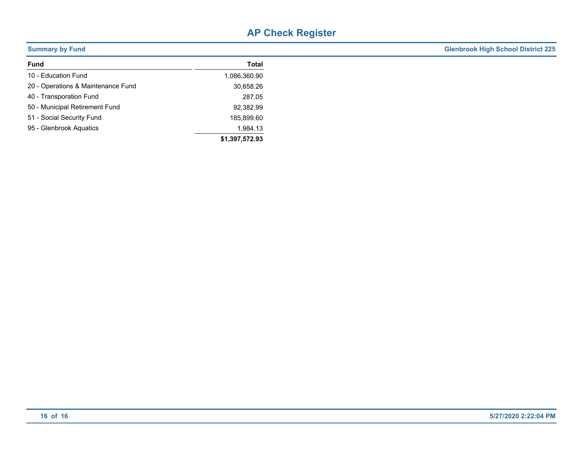| <b>Summary by Fund</b>             |                | <b>Glenbrook High School District 225</b> |
|------------------------------------|----------------|-------------------------------------------|
| <b>Fund</b>                        | Total          |                                           |
| 10 - Education Fund                | 1,086,360.90   |                                           |
| 20 - Operations & Maintenance Fund | 30,658.26      |                                           |
| 40 - Transporation Fund            | 287.05         |                                           |
| 50 - Municipal Retirement Fund     | 92,382.99      |                                           |
| 51 - Social Security Fund          | 185,899.60     |                                           |
| 95 - Glenbrook Aquatics            | 1,984.13       |                                           |
|                                    | \$1,397,572.93 |                                           |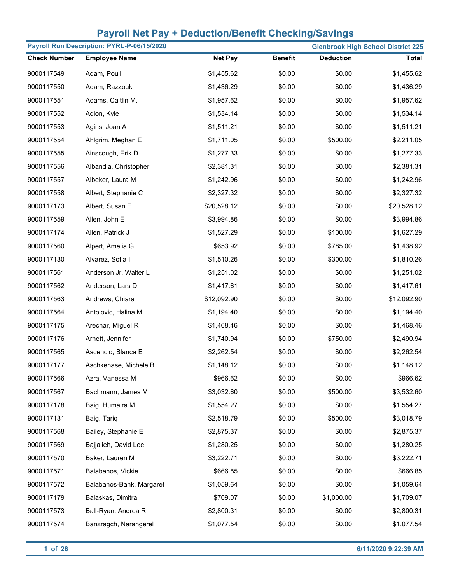|                     | Payroll Run Description: PYRL-P-06/15/2020 |                |                |                  | <b>Glenbrook High School District 225</b> |
|---------------------|--------------------------------------------|----------------|----------------|------------------|-------------------------------------------|
| <b>Check Number</b> | <b>Employee Name</b>                       | <b>Net Pay</b> | <b>Benefit</b> | <b>Deduction</b> | <b>Total</b>                              |
| 9000117549          | Adam, Poull                                | \$1,455.62     | \$0.00         | \$0.00           | \$1,455.62                                |
| 9000117550          | Adam, Razzouk                              | \$1,436.29     | \$0.00         | \$0.00           | \$1,436.29                                |
| 9000117551          | Adams, Caitlin M.                          | \$1,957.62     | \$0.00         | \$0.00           | \$1,957.62                                |
| 9000117552          | Adlon, Kyle                                | \$1,534.14     | \$0.00         | \$0.00           | \$1,534.14                                |
| 9000117553          | Agins, Joan A                              | \$1,511.21     | \$0.00         | \$0.00           | \$1,511.21                                |
| 9000117554          | Ahlgrim, Meghan E                          | \$1,711.05     | \$0.00         | \$500.00         | \$2,211.05                                |
| 9000117555          | Ainscough, Erik D                          | \$1,277.33     | \$0.00         | \$0.00           | \$1,277.33                                |
| 9000117556          | Albandia, Christopher                      | \$2,381.31     | \$0.00         | \$0.00           | \$2,381.31                                |
| 9000117557          | Albeker, Laura M                           | \$1,242.96     | \$0.00         | \$0.00           | \$1,242.96                                |
| 9000117558          | Albert, Stephanie C                        | \$2,327.32     | \$0.00         | \$0.00           | \$2,327.32                                |
| 9000117173          | Albert, Susan E                            | \$20,528.12    | \$0.00         | \$0.00           | \$20,528.12                               |
| 9000117559          | Allen, John E                              | \$3,994.86     | \$0.00         | \$0.00           | \$3,994.86                                |
| 9000117174          | Allen, Patrick J                           | \$1,527.29     | \$0.00         | \$100.00         | \$1,627.29                                |
| 9000117560          | Alpert, Amelia G                           | \$653.92       | \$0.00         | \$785.00         | \$1,438.92                                |
| 9000117130          | Alvarez, Sofia I                           | \$1,510.26     | \$0.00         | \$300.00         | \$1,810.26                                |
| 9000117561          | Anderson Jr, Walter L                      | \$1,251.02     | \$0.00         | \$0.00           | \$1,251.02                                |
| 9000117562          | Anderson, Lars D                           | \$1,417.61     | \$0.00         | \$0.00           | \$1,417.61                                |
| 9000117563          | Andrews, Chiara                            | \$12,092.90    | \$0.00         | \$0.00           | \$12,092.90                               |
| 9000117564          | Antolovic, Halina M                        | \$1,194.40     | \$0.00         | \$0.00           | \$1,194.40                                |
| 9000117175          | Arechar, Miguel R                          | \$1,468.46     | \$0.00         | \$0.00           | \$1,468.46                                |
| 9000117176          | Arnett, Jennifer                           | \$1,740.94     | \$0.00         | \$750.00         | \$2,490.94                                |
| 9000117565          | Ascencio, Blanca E                         | \$2,262.54     | \$0.00         | \$0.00           | \$2,262.54                                |
| 9000117177          | Aschkenase, Michele B                      | \$1,148.12     | \$0.00         | \$0.00           | \$1,148.12                                |
| 9000117566          | Azra, Vanessa M                            | \$966.62       | \$0.00         | \$0.00           | \$966.62                                  |
| 9000117567          | Bachmann, James M                          | \$3,032.60     | \$0.00         | \$500.00         | \$3,532.60                                |
| 9000117178          | Baig, Humaira M                            | \$1,554.27     | \$0.00         | \$0.00           | \$1,554.27                                |
| 9000117131          | Baig, Tariq                                | \$2,518.79     | \$0.00         | \$500.00         | \$3,018.79                                |
| 9000117568          | Bailey, Stephanie E                        | \$2,875.37     | \$0.00         | \$0.00           | \$2,875.37                                |
| 9000117569          | Bajjalieh, David Lee                       | \$1,280.25     | \$0.00         | \$0.00           | \$1,280.25                                |
| 9000117570          | Baker, Lauren M                            | \$3,222.71     | \$0.00         | \$0.00           | \$3,222.71                                |
| 9000117571          | Balabanos, Vickie                          | \$666.85       | \$0.00         | \$0.00           | \$666.85                                  |
| 9000117572          | Balabanos-Bank, Margaret                   | \$1,059.64     | \$0.00         | \$0.00           | \$1,059.64                                |
| 9000117179          | Balaskas, Dimitra                          | \$709.07       | \$0.00         | \$1,000.00       | \$1,709.07                                |
| 9000117573          | Ball-Ryan, Andrea R                        | \$2,800.31     | \$0.00         | \$0.00           | \$2,800.31                                |
| 9000117574          | Banzragch, Narangerel                      | \$1,077.54     | \$0.00         | \$0.00           | \$1,077.54                                |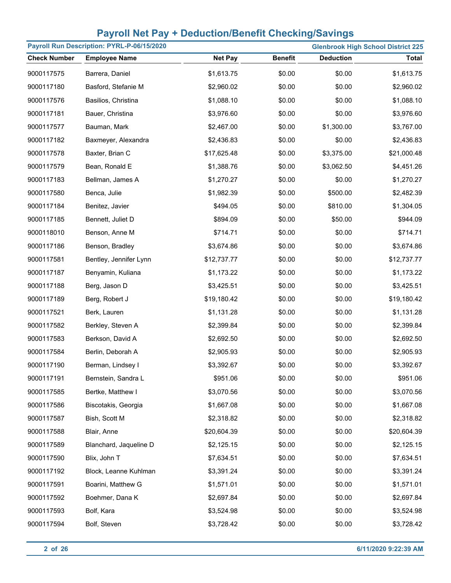| Payroll Run Description: PYRL-P-06/15/2020<br><b>Glenbrook High School District 225</b> |                        |                |                |                  |              |
|-----------------------------------------------------------------------------------------|------------------------|----------------|----------------|------------------|--------------|
| <b>Check Number</b>                                                                     | <b>Employee Name</b>   | <b>Net Pay</b> | <b>Benefit</b> | <b>Deduction</b> | <b>Total</b> |
| 9000117575                                                                              | Barrera, Daniel        | \$1,613.75     | \$0.00         | \$0.00           | \$1,613.75   |
| 9000117180                                                                              | Basford, Stefanie M    | \$2,960.02     | \$0.00         | \$0.00           | \$2,960.02   |
| 9000117576                                                                              | Basilios, Christina    | \$1,088.10     | \$0.00         | \$0.00           | \$1,088.10   |
| 9000117181                                                                              | Bauer, Christina       | \$3,976.60     | \$0.00         | \$0.00           | \$3,976.60   |
| 9000117577                                                                              | Bauman, Mark           | \$2,467.00     | \$0.00         | \$1,300.00       | \$3,767.00   |
| 9000117182                                                                              | Baxmeyer, Alexandra    | \$2,436.83     | \$0.00         | \$0.00           | \$2,436.83   |
| 9000117578                                                                              | Baxter, Brian C        | \$17,625.48    | \$0.00         | \$3,375.00       | \$21,000.48  |
| 9000117579                                                                              | Bean, Ronald E         | \$1,388.76     | \$0.00         | \$3,062.50       | \$4,451.26   |
| 9000117183                                                                              | Bellman, James A       | \$1,270.27     | \$0.00         | \$0.00           | \$1,270.27   |
| 9000117580                                                                              | Benca, Julie           | \$1,982.39     | \$0.00         | \$500.00         | \$2,482.39   |
| 9000117184                                                                              | Benitez, Javier        | \$494.05       | \$0.00         | \$810.00         | \$1,304.05   |
| 9000117185                                                                              | Bennett, Juliet D      | \$894.09       | \$0.00         | \$50.00          | \$944.09     |
| 9000118010                                                                              | Benson, Anne M         | \$714.71       | \$0.00         | \$0.00           | \$714.71     |
| 9000117186                                                                              | Benson, Bradley        | \$3,674.86     | \$0.00         | \$0.00           | \$3,674.86   |
| 9000117581                                                                              | Bentley, Jennifer Lynn | \$12,737.77    | \$0.00         | \$0.00           | \$12,737.77  |
| 9000117187                                                                              | Benyamin, Kuliana      | \$1,173.22     | \$0.00         | \$0.00           | \$1,173.22   |
| 9000117188                                                                              | Berg, Jason D          | \$3,425.51     | \$0.00         | \$0.00           | \$3,425.51   |
| 9000117189                                                                              | Berg, Robert J         | \$19,180.42    | \$0.00         | \$0.00           | \$19,180.42  |
| 9000117521                                                                              | Berk, Lauren           | \$1,131.28     | \$0.00         | \$0.00           | \$1,131.28   |
| 9000117582                                                                              | Berkley, Steven A      | \$2,399.84     | \$0.00         | \$0.00           | \$2,399.84   |
| 9000117583                                                                              | Berkson, David A       | \$2,692.50     | \$0.00         | \$0.00           | \$2,692.50   |
| 9000117584                                                                              | Berlin, Deborah A      | \$2,905.93     | \$0.00         | \$0.00           | \$2,905.93   |
| 9000117190                                                                              | Berman, Lindsey I      | \$3,392.67     | \$0.00         | \$0.00           | \$3,392.67   |
| 9000117191                                                                              | Bernstein, Sandra L    | \$951.06       | \$0.00         | \$0.00           | \$951.06     |
| 9000117585                                                                              | Bertke, Matthew I      | \$3,070.56     | \$0.00         | \$0.00           | \$3,070.56   |
| 9000117586                                                                              | Biscotakis, Georgia    | \$1,667.08     | \$0.00         | \$0.00           | \$1,667.08   |
| 9000117587                                                                              | Bish, Scott M          | \$2,318.82     | \$0.00         | \$0.00           | \$2,318.82   |
| 9000117588                                                                              | Blair, Anne            | \$20,604.39    | \$0.00         | \$0.00           | \$20,604.39  |
| 9000117589                                                                              | Blanchard, Jaqueline D | \$2,125.15     | \$0.00         | \$0.00           | \$2,125.15   |
| 9000117590                                                                              | Blix, John T           | \$7,634.51     | \$0.00         | \$0.00           | \$7,634.51   |
| 9000117192                                                                              | Block, Leanne Kuhlman  | \$3,391.24     | \$0.00         | \$0.00           | \$3,391.24   |
| 9000117591                                                                              | Boarini, Matthew G     | \$1,571.01     | \$0.00         | \$0.00           | \$1,571.01   |
| 9000117592                                                                              | Boehmer, Dana K        | \$2,697.84     | \$0.00         | \$0.00           | \$2,697.84   |
| 9000117593                                                                              | Bolf, Kara             | \$3,524.98     | \$0.00         | \$0.00           | \$3,524.98   |
| 9000117594                                                                              | Bolf, Steven           | \$3,728.42     | \$0.00         | \$0.00           | \$3,728.42   |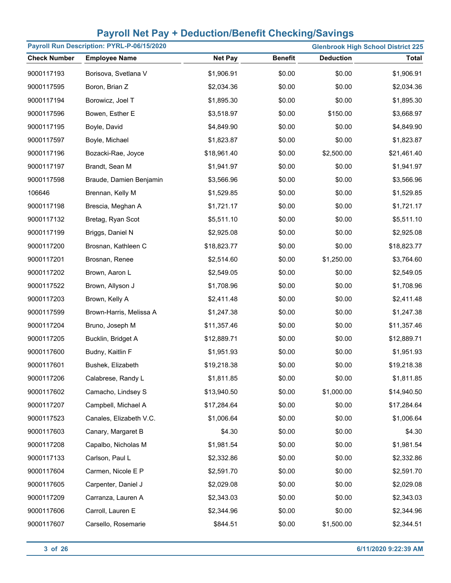| Payroll Run Description: PYRL-P-06/15/2020<br><b>Glenbrook High School District 225</b> |                         |                |                |                  |              |
|-----------------------------------------------------------------------------------------|-------------------------|----------------|----------------|------------------|--------------|
| <b>Check Number</b>                                                                     | <b>Employee Name</b>    | <b>Net Pay</b> | <b>Benefit</b> | <b>Deduction</b> | <b>Total</b> |
| 9000117193                                                                              | Borisova, Svetlana V    | \$1,906.91     | \$0.00         | \$0.00           | \$1,906.91   |
| 9000117595                                                                              | Boron, Brian Z          | \$2,034.36     | \$0.00         | \$0.00           | \$2,034.36   |
| 9000117194                                                                              | Borowicz, Joel T        | \$1,895.30     | \$0.00         | \$0.00           | \$1,895.30   |
| 9000117596                                                                              | Bowen, Esther E         | \$3,518.97     | \$0.00         | \$150.00         | \$3,668.97   |
| 9000117195                                                                              | Boyle, David            | \$4,849.90     | \$0.00         | \$0.00           | \$4,849.90   |
| 9000117597                                                                              | Boyle, Michael          | \$1,823.87     | \$0.00         | \$0.00           | \$1,823.87   |
| 9000117196                                                                              | Bozacki-Rae, Joyce      | \$18,961.40    | \$0.00         | \$2,500.00       | \$21,461.40  |
| 9000117197                                                                              | Brandt, Sean M          | \$1,941.97     | \$0.00         | \$0.00           | \$1,941.97   |
| 9000117598                                                                              | Braude, Damien Benjamin | \$3,566.96     | \$0.00         | \$0.00           | \$3,566.96   |
| 106646                                                                                  | Brennan, Kelly M        | \$1,529.85     | \$0.00         | \$0.00           | \$1,529.85   |
| 9000117198                                                                              | Brescia, Meghan A       | \$1,721.17     | \$0.00         | \$0.00           | \$1,721.17   |
| 9000117132                                                                              | Bretag, Ryan Scot       | \$5,511.10     | \$0.00         | \$0.00           | \$5,511.10   |
| 9000117199                                                                              | Briggs, Daniel N        | \$2,925.08     | \$0.00         | \$0.00           | \$2,925.08   |
| 9000117200                                                                              | Brosnan, Kathleen C     | \$18,823.77    | \$0.00         | \$0.00           | \$18,823.77  |
| 9000117201                                                                              | Brosnan, Renee          | \$2,514.60     | \$0.00         | \$1,250.00       | \$3,764.60   |
| 9000117202                                                                              | Brown, Aaron L          | \$2,549.05     | \$0.00         | \$0.00           | \$2,549.05   |
| 9000117522                                                                              | Brown, Allyson J        | \$1,708.96     | \$0.00         | \$0.00           | \$1,708.96   |
| 9000117203                                                                              | Brown, Kelly A          | \$2,411.48     | \$0.00         | \$0.00           | \$2,411.48   |
| 9000117599                                                                              | Brown-Harris, Melissa A | \$1,247.38     | \$0.00         | \$0.00           | \$1,247.38   |
| 9000117204                                                                              | Bruno, Joseph M         | \$11,357.46    | \$0.00         | \$0.00           | \$11,357.46  |
| 9000117205                                                                              | Bucklin, Bridget A      | \$12,889.71    | \$0.00         | \$0.00           | \$12,889.71  |
| 9000117600                                                                              | Budny, Kaitlin F        | \$1,951.93     | \$0.00         | \$0.00           | \$1,951.93   |
| 9000117601                                                                              | Bushek, Elizabeth       | \$19,218.38    | \$0.00         | \$0.00           | \$19,218.38  |
| 9000117206                                                                              | Calabrese, Randy L      | \$1,811.85     | \$0.00         | \$0.00           | \$1,811.85   |
| 9000117602                                                                              | Camacho, Lindsey S      | \$13,940.50    | \$0.00         | \$1,000.00       | \$14,940.50  |
| 9000117207                                                                              | Campbell, Michael A     | \$17,284.64    | \$0.00         | \$0.00           | \$17,284.64  |
| 9000117523                                                                              | Canales, Elizabeth V.C. | \$1,006.64     | \$0.00         | \$0.00           | \$1,006.64   |
| 9000117603                                                                              | Canary, Margaret B      | \$4.30         | \$0.00         | \$0.00           | \$4.30       |
| 9000117208                                                                              | Capalbo, Nicholas M     | \$1,981.54     | \$0.00         | \$0.00           | \$1,981.54   |
| 9000117133                                                                              | Carlson, Paul L         | \$2,332.86     | \$0.00         | \$0.00           | \$2,332.86   |
| 9000117604                                                                              | Carmen, Nicole E P      | \$2,591.70     | \$0.00         | \$0.00           | \$2,591.70   |
| 9000117605                                                                              | Carpenter, Daniel J     | \$2,029.08     | \$0.00         | \$0.00           | \$2,029.08   |
| 9000117209                                                                              | Carranza, Lauren A      | \$2,343.03     | \$0.00         | \$0.00           | \$2,343.03   |
| 9000117606                                                                              | Carroll, Lauren E       | \$2,344.96     | \$0.00         | \$0.00           | \$2,344.96   |
| 9000117607                                                                              | Carsello, Rosemarie     | \$844.51       | \$0.00         | \$1,500.00       | \$2,344.51   |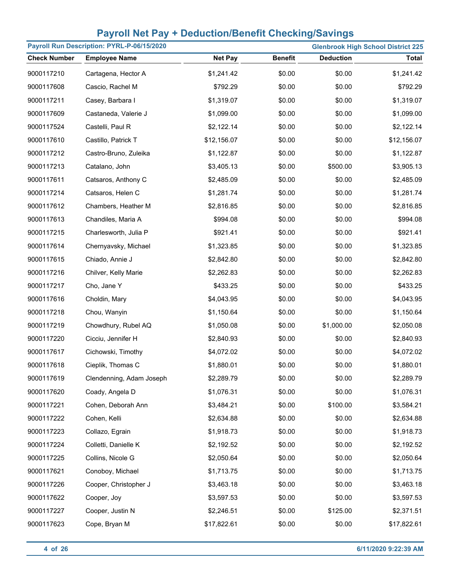| Payroll Run Description: PYRL-P-06/15/2020 |                          |                |                |                  | <b>Glenbrook High School District 225</b> |
|--------------------------------------------|--------------------------|----------------|----------------|------------------|-------------------------------------------|
| <b>Check Number</b>                        | <b>Employee Name</b>     | <b>Net Pay</b> | <b>Benefit</b> | <b>Deduction</b> | <b>Total</b>                              |
| 9000117210                                 | Cartagena, Hector A      | \$1,241.42     | \$0.00         | \$0.00           | \$1,241.42                                |
| 9000117608                                 | Cascio, Rachel M         | \$792.29       | \$0.00         | \$0.00           | \$792.29                                  |
| 9000117211                                 | Casey, Barbara I         | \$1,319.07     | \$0.00         | \$0.00           | \$1,319.07                                |
| 9000117609                                 | Castaneda, Valerie J     | \$1,099.00     | \$0.00         | \$0.00           | \$1,099.00                                |
| 9000117524                                 | Castelli, Paul R         | \$2,122.14     | \$0.00         | \$0.00           | \$2,122.14                                |
| 9000117610                                 | Castillo, Patrick T      | \$12,156.07    | \$0.00         | \$0.00           | \$12,156.07                               |
| 9000117212                                 | Castro-Bruno, Zuleika    | \$1,122.87     | \$0.00         | \$0.00           | \$1,122.87                                |
| 9000117213                                 | Catalano, John           | \$3,405.13     | \$0.00         | \$500.00         | \$3,905.13                                |
| 9000117611                                 | Catsaros, Anthony C      | \$2,485.09     | \$0.00         | \$0.00           | \$2,485.09                                |
| 9000117214                                 | Catsaros, Helen C        | \$1,281.74     | \$0.00         | \$0.00           | \$1,281.74                                |
| 9000117612                                 | Chambers, Heather M      | \$2,816.85     | \$0.00         | \$0.00           | \$2,816.85                                |
| 9000117613                                 | Chandiles, Maria A       | \$994.08       | \$0.00         | \$0.00           | \$994.08                                  |
| 9000117215                                 | Charlesworth, Julia P    | \$921.41       | \$0.00         | \$0.00           | \$921.41                                  |
| 9000117614                                 | Chernyavsky, Michael     | \$1,323.85     | \$0.00         | \$0.00           | \$1,323.85                                |
| 9000117615                                 | Chiado, Annie J          | \$2,842.80     | \$0.00         | \$0.00           | \$2,842.80                                |
| 9000117216                                 | Chilver, Kelly Marie     | \$2,262.83     | \$0.00         | \$0.00           | \$2,262.83                                |
| 9000117217                                 | Cho, Jane Y              | \$433.25       | \$0.00         | \$0.00           | \$433.25                                  |
| 9000117616                                 | Choldin, Mary            | \$4,043.95     | \$0.00         | \$0.00           | \$4,043.95                                |
| 9000117218                                 | Chou, Wanyin             | \$1,150.64     | \$0.00         | \$0.00           | \$1,150.64                                |
| 9000117219                                 | Chowdhury, Rubel AQ      | \$1,050.08     | \$0.00         | \$1,000.00       | \$2,050.08                                |
| 9000117220                                 | Cicciu, Jennifer H       | \$2,840.93     | \$0.00         | \$0.00           | \$2,840.93                                |
| 9000117617                                 | Cichowski, Timothy       | \$4,072.02     | \$0.00         | \$0.00           | \$4,072.02                                |
| 9000117618                                 | Cieplik, Thomas C        | \$1,880.01     | \$0.00         | \$0.00           | \$1,880.01                                |
| 9000117619                                 | Clendenning, Adam Joseph | \$2,289.79     | \$0.00         | \$0.00           | \$2,289.79                                |
| 9000117620                                 | Coady, Angela D          | \$1,076.31     | \$0.00         | \$0.00           | \$1,076.31                                |
| 9000117221                                 | Cohen, Deborah Ann       | \$3,484.21     | \$0.00         | \$100.00         | \$3,584.21                                |
| 9000117222                                 | Cohen, Kelli             | \$2,634.88     | \$0.00         | \$0.00           | \$2,634.88                                |
| 9000117223                                 | Collazo, Egrain          | \$1,918.73     | \$0.00         | \$0.00           | \$1,918.73                                |
| 9000117224                                 | Colletti, Danielle K     | \$2,192.52     | \$0.00         | \$0.00           | \$2,192.52                                |
| 9000117225                                 | Collins, Nicole G        | \$2,050.64     | \$0.00         | \$0.00           | \$2,050.64                                |
| 9000117621                                 | Conoboy, Michael         | \$1,713.75     | \$0.00         | \$0.00           | \$1,713.75                                |
| 9000117226                                 | Cooper, Christopher J    | \$3,463.18     | \$0.00         | \$0.00           | \$3,463.18                                |
| 9000117622                                 | Cooper, Joy              | \$3,597.53     | \$0.00         | \$0.00           | \$3,597.53                                |
| 9000117227                                 | Cooper, Justin N         | \$2,246.51     | \$0.00         | \$125.00         | \$2,371.51                                |
| 9000117623                                 | Cope, Bryan M            | \$17,822.61    | \$0.00         | \$0.00           | \$17,822.61                               |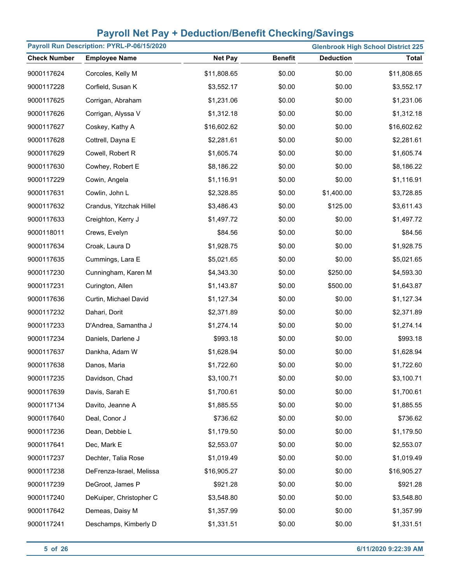| Payroll Run Description: PYRL-P-06/15/2020<br><b>Glenbrook High School District 225</b> |                          |                |                |                  |              |
|-----------------------------------------------------------------------------------------|--------------------------|----------------|----------------|------------------|--------------|
| <b>Check Number</b>                                                                     | <b>Employee Name</b>     | <b>Net Pay</b> | <b>Benefit</b> | <b>Deduction</b> | <b>Total</b> |
| 9000117624                                                                              | Corcoles, Kelly M        | \$11,808.65    | \$0.00         | \$0.00           | \$11,808.65  |
| 9000117228                                                                              | Corfield, Susan K        | \$3,552.17     | \$0.00         | \$0.00           | \$3,552.17   |
| 9000117625                                                                              | Corrigan, Abraham        | \$1,231.06     | \$0.00         | \$0.00           | \$1,231.06   |
| 9000117626                                                                              | Corrigan, Alyssa V       | \$1,312.18     | \$0.00         | \$0.00           | \$1,312.18   |
| 9000117627                                                                              | Coskey, Kathy A          | \$16,602.62    | \$0.00         | \$0.00           | \$16,602.62  |
| 9000117628                                                                              | Cottrell, Dayna E        | \$2,281.61     | \$0.00         | \$0.00           | \$2,281.61   |
| 9000117629                                                                              | Cowell, Robert R         | \$1,605.74     | \$0.00         | \$0.00           | \$1,605.74   |
| 9000117630                                                                              | Cowhey, Robert E         | \$8,186.22     | \$0.00         | \$0.00           | \$8,186.22   |
| 9000117229                                                                              | Cowin, Angela            | \$1,116.91     | \$0.00         | \$0.00           | \$1,116.91   |
| 9000117631                                                                              | Cowlin, John L           | \$2,328.85     | \$0.00         | \$1,400.00       | \$3,728.85   |
| 9000117632                                                                              | Crandus, Yitzchak Hillel | \$3,486.43     | \$0.00         | \$125.00         | \$3,611.43   |
| 9000117633                                                                              | Creighton, Kerry J       | \$1,497.72     | \$0.00         | \$0.00           | \$1,497.72   |
| 9000118011                                                                              | Crews, Evelyn            | \$84.56        | \$0.00         | \$0.00           | \$84.56      |
| 9000117634                                                                              | Croak, Laura D           | \$1,928.75     | \$0.00         | \$0.00           | \$1,928.75   |
| 9000117635                                                                              | Cummings, Lara E         | \$5,021.65     | \$0.00         | \$0.00           | \$5,021.65   |
| 9000117230                                                                              | Cunningham, Karen M      | \$4,343.30     | \$0.00         | \$250.00         | \$4,593.30   |
| 9000117231                                                                              | Curington, Allen         | \$1,143.87     | \$0.00         | \$500.00         | \$1,643.87   |
| 9000117636                                                                              | Curtin, Michael David    | \$1,127.34     | \$0.00         | \$0.00           | \$1,127.34   |
| 9000117232                                                                              | Dahari, Dorit            | \$2,371.89     | \$0.00         | \$0.00           | \$2,371.89   |
| 9000117233                                                                              | D'Andrea, Samantha J     | \$1,274.14     | \$0.00         | \$0.00           | \$1,274.14   |
| 9000117234                                                                              | Daniels, Darlene J       | \$993.18       | \$0.00         | \$0.00           | \$993.18     |
| 9000117637                                                                              | Dankha, Adam W           | \$1,628.94     | \$0.00         | \$0.00           | \$1,628.94   |
| 9000117638                                                                              | Danos, Maria             | \$1,722.60     | \$0.00         | \$0.00           | \$1,722.60   |
| 9000117235                                                                              | Davidson, Chad           | \$3,100.71     | \$0.00         | \$0.00           | \$3,100.71   |
| 9000117639                                                                              | Davis, Sarah E           | \$1,700.61     | \$0.00         | \$0.00           | \$1,700.61   |
| 9000117134                                                                              | Davito, Jeanne A         | \$1,885.55     | \$0.00         | \$0.00           | \$1,885.55   |
| 9000117640                                                                              | Deal, Conor J            | \$736.62       | \$0.00         | \$0.00           | \$736.62     |
| 9000117236                                                                              | Dean, Debbie L           | \$1,179.50     | \$0.00         | \$0.00           | \$1,179.50   |
| 9000117641                                                                              | Dec, Mark E              | \$2,553.07     | \$0.00         | \$0.00           | \$2,553.07   |
| 9000117237                                                                              | Dechter, Talia Rose      | \$1,019.49     | \$0.00         | \$0.00           | \$1,019.49   |
| 9000117238                                                                              | DeFrenza-Israel, Melissa | \$16,905.27    | \$0.00         | \$0.00           | \$16,905.27  |
| 9000117239                                                                              | DeGroot, James P         | \$921.28       | \$0.00         | \$0.00           | \$921.28     |
| 9000117240                                                                              | DeKuiper, Christopher C  | \$3,548.80     | \$0.00         | \$0.00           | \$3,548.80   |
| 9000117642                                                                              | Demeas, Daisy M          | \$1,357.99     | \$0.00         | \$0.00           | \$1,357.99   |
| 9000117241                                                                              | Deschamps, Kimberly D    | \$1,331.51     | \$0.00         | \$0.00           | \$1,331.51   |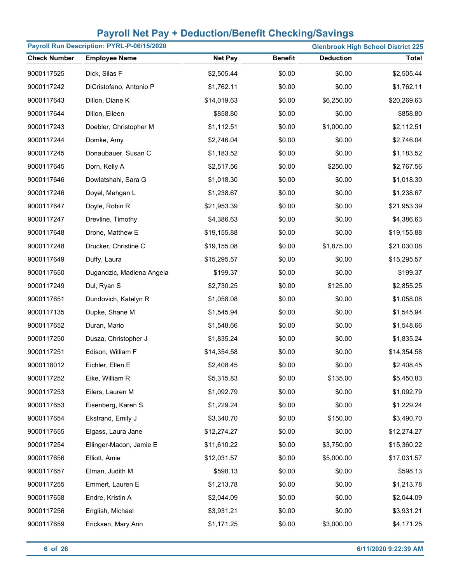| Payroll Run Description: PYRL-P-06/15/2020<br><b>Glenbrook High School District 225</b> |                           |                |                |                  |              |
|-----------------------------------------------------------------------------------------|---------------------------|----------------|----------------|------------------|--------------|
| <b>Check Number</b>                                                                     | <b>Employee Name</b>      | <b>Net Pay</b> | <b>Benefit</b> | <b>Deduction</b> | <b>Total</b> |
| 9000117525                                                                              | Dick, Silas F             | \$2,505.44     | \$0.00         | \$0.00           | \$2,505.44   |
| 9000117242                                                                              | DiCristofano, Antonio P   | \$1,762.11     | \$0.00         | \$0.00           | \$1,762.11   |
| 9000117643                                                                              | Dillon, Diane K           | \$14,019.63    | \$0.00         | \$6,250.00       | \$20,269.63  |
| 9000117644                                                                              | Dillon, Eileen            | \$858.80       | \$0.00         | \$0.00           | \$858.80     |
| 9000117243                                                                              | Doebler, Christopher M    | \$1,112.51     | \$0.00         | \$1,000.00       | \$2,112.51   |
| 9000117244                                                                              | Domke, Amy                | \$2,746.04     | \$0.00         | \$0.00           | \$2,746.04   |
| 9000117245                                                                              | Donaubauer, Susan C       | \$1,183.52     | \$0.00         | \$0.00           | \$1,183.52   |
| 9000117645                                                                              | Dorn, Kelly A             | \$2,517.56     | \$0.00         | \$250.00         | \$2,767.56   |
| 9000117646                                                                              | Dowlatshahi, Sara G       | \$1,018.30     | \$0.00         | \$0.00           | \$1,018.30   |
| 9000117246                                                                              | Doyel, Mehgan L           | \$1,238.67     | \$0.00         | \$0.00           | \$1,238.67   |
| 9000117647                                                                              | Doyle, Robin R            | \$21,953.39    | \$0.00         | \$0.00           | \$21,953.39  |
| 9000117247                                                                              | Drevline, Timothy         | \$4,386.63     | \$0.00         | \$0.00           | \$4,386.63   |
| 9000117648                                                                              | Drone, Matthew E          | \$19,155.88    | \$0.00         | \$0.00           | \$19,155.88  |
| 9000117248                                                                              | Drucker, Christine C      | \$19,155.08    | \$0.00         | \$1,875.00       | \$21,030.08  |
| 9000117649                                                                              | Duffy, Laura              | \$15,295.57    | \$0.00         | \$0.00           | \$15,295.57  |
| 9000117650                                                                              | Dugandzic, Madlena Angela | \$199.37       | \$0.00         | \$0.00           | \$199.37     |
| 9000117249                                                                              | Dul, Ryan S               | \$2,730.25     | \$0.00         | \$125.00         | \$2,855.25   |
| 9000117651                                                                              | Dundovich, Katelyn R      | \$1,058.08     | \$0.00         | \$0.00           | \$1,058.08   |
| 9000117135                                                                              | Dupke, Shane M            | \$1,545.94     | \$0.00         | \$0.00           | \$1,545.94   |
| 9000117652                                                                              | Duran, Mario              | \$1,548.66     | \$0.00         | \$0.00           | \$1,548.66   |
| 9000117250                                                                              | Dusza, Christopher J      | \$1,835.24     | \$0.00         | \$0.00           | \$1,835.24   |
| 9000117251                                                                              | Edison, William F         | \$14,354.58    | \$0.00         | \$0.00           | \$14,354.58  |
| 9000118012                                                                              | Eichler, Ellen E          | \$2,408.45     | \$0.00         | \$0.00           | \$2,408.45   |
| 9000117252                                                                              | Eike, William R           | \$5,315.83     | \$0.00         | \$135.00         | \$5,450.83   |
| 9000117253                                                                              | Eilers, Lauren M          | \$1,092.79     | \$0.00         | \$0.00           | \$1,092.79   |
| 9000117653                                                                              | Eisenberg, Karen S        | \$1,229.24     | \$0.00         | \$0.00           | \$1,229.24   |
| 9000117654                                                                              | Ekstrand, Emily J         | \$3,340.70     | \$0.00         | \$150.00         | \$3,490.70   |
| 9000117655                                                                              | Elgass, Laura Jane        | \$12,274.27    | \$0.00         | \$0.00           | \$12,274.27  |
| 9000117254                                                                              | Ellinger-Macon, Jamie E   | \$11,610.22    | \$0.00         | \$3,750.00       | \$15,360.22  |
| 9000117656                                                                              | Elliott, Amie             | \$12,031.57    | \$0.00         | \$5,000.00       | \$17,031.57  |
| 9000117657                                                                              | Elman, Judith M           | \$598.13       | \$0.00         | \$0.00           | \$598.13     |
| 9000117255                                                                              | Emmert, Lauren E          | \$1,213.78     | \$0.00         | \$0.00           | \$1,213.78   |
| 9000117658                                                                              | Endre, Kristin A          | \$2,044.09     | \$0.00         | \$0.00           | \$2,044.09   |
| 9000117256                                                                              | English, Michael          | \$3,931.21     | \$0.00         | \$0.00           | \$3,931.21   |
| 9000117659                                                                              | Ericksen, Mary Ann        | \$1,171.25     | \$0.00         | \$3,000.00       | \$4,171.25   |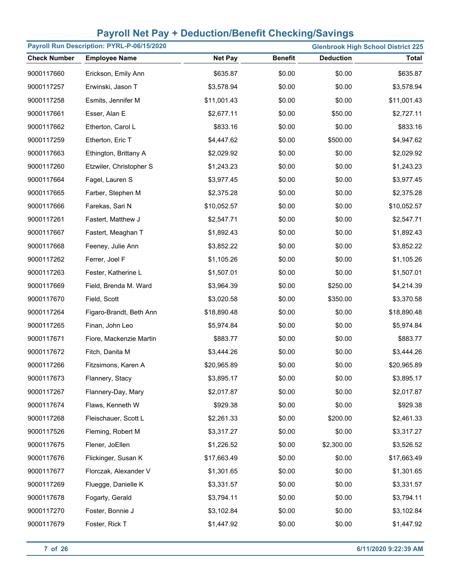| Payroll Run Description: PYRL-P-06/15/2020<br><b>Glenbrook High School District 225</b> |                         |                |                |                  |              |
|-----------------------------------------------------------------------------------------|-------------------------|----------------|----------------|------------------|--------------|
| <b>Check Number</b>                                                                     | <b>Employee Name</b>    | <b>Net Pay</b> | <b>Benefit</b> | <b>Deduction</b> | <b>Total</b> |
| 9000117660                                                                              | Erickson, Emily Ann     | \$635.87       | \$0.00         | \$0.00           | \$635.87     |
| 9000117257                                                                              | Erwinski, Jason T       | \$3,578.94     | \$0.00         | \$0.00           | \$3,578.94   |
| 9000117258                                                                              | Esmits, Jennifer M      | \$11,001.43    | \$0.00         | \$0.00           | \$11,001.43  |
| 9000117661                                                                              | Esser, Alan E           | \$2,677.11     | \$0.00         | \$50.00          | \$2,727.11   |
| 9000117662                                                                              | Etherton, Carol L       | \$833.16       | \$0.00         | \$0.00           | \$833.16     |
| 9000117259                                                                              | Etherton, Eric T        | \$4,447.62     | \$0.00         | \$500.00         | \$4,947.62   |
| 9000117663                                                                              | Ethington, Brittany A   | \$2,029.92     | \$0.00         | \$0.00           | \$2,029.92   |
| 9000117260                                                                              | Etzwiler, Christopher S | \$1,243.23     | \$0.00         | \$0.00           | \$1,243.23   |
| 9000117664                                                                              | Fagel, Lauren S         | \$3,977.45     | \$0.00         | \$0.00           | \$3,977.45   |
| 9000117665                                                                              | Farber, Stephen M       | \$2,375.28     | \$0.00         | \$0.00           | \$2,375.28   |
| 9000117666                                                                              | Farekas, Sari N         | \$10,052.57    | \$0.00         | \$0.00           | \$10,052.57  |
| 9000117261                                                                              | Fastert, Matthew J      | \$2,547.71     | \$0.00         | \$0.00           | \$2,547.71   |
| 9000117667                                                                              | Fastert, Meaghan T      | \$1,892.43     | \$0.00         | \$0.00           | \$1,892.43   |
| 9000117668                                                                              | Feeney, Julie Ann       | \$3,852.22     | \$0.00         | \$0.00           | \$3,852.22   |
| 9000117262                                                                              | Ferrer, Joel F          | \$1,105.26     | \$0.00         | \$0.00           | \$1,105.26   |
| 9000117263                                                                              | Fester, Katherine L     | \$1,507.01     | \$0.00         | \$0.00           | \$1,507.01   |
| 9000117669                                                                              | Field, Brenda M. Ward   | \$3,964.39     | \$0.00         | \$250.00         | \$4,214.39   |
| 9000117670                                                                              | Field, Scott            | \$3,020.58     | \$0.00         | \$350.00         | \$3,370.58   |
| 9000117264                                                                              | Figaro-Brandt, Beth Ann | \$18,890.48    | \$0.00         | \$0.00           | \$18,890.48  |
| 9000117265                                                                              | Finan, John Leo         | \$5,974.84     | \$0.00         | \$0.00           | \$5,974.84   |
| 9000117671                                                                              | Fiore, Mackenzie Martin | \$883.77       | \$0.00         | \$0.00           | \$883.77     |
| 9000117672                                                                              | Fitch, Danita M         | \$3,444.26     | \$0.00         | \$0.00           | \$3,444.26   |
| 9000117266                                                                              | Fitzsimons, Karen A     | \$20,965.89    | \$0.00         | \$0.00           | \$20,965.89  |
| 9000117673                                                                              | Flannery, Stacy         | \$3,895.17     | \$0.00         | \$0.00           | \$3,895.17   |
| 9000117267                                                                              | Flannery-Day, Mary      | \$2,017.87     | \$0.00         | \$0.00           | \$2,017.87   |
| 9000117674                                                                              | Flaws, Kenneth W        | \$929.38       | \$0.00         | \$0.00           | \$929.38     |
| 9000117268                                                                              | Fleischauer, Scott L    | \$2,261.33     | \$0.00         | \$200.00         | \$2,461.33   |
| 9000117526                                                                              | Fleming, Robert M       | \$3,317.27     | \$0.00         | \$0.00           | \$3,317.27   |
| 9000117675                                                                              | Flener, JoEllen         | \$1,226.52     | \$0.00         | \$2,300.00       | \$3,526.52   |
| 9000117676                                                                              | Flickinger, Susan K     | \$17,663.49    | \$0.00         | \$0.00           | \$17,663.49  |
| 9000117677                                                                              | Florczak, Alexander V   | \$1,301.65     | \$0.00         | \$0.00           | \$1,301.65   |
| 9000117269                                                                              | Fluegge, Danielle K     | \$3,331.57     | \$0.00         | \$0.00           | \$3,331.57   |
| 9000117678                                                                              | Fogarty, Gerald         | \$3,794.11     | \$0.00         | \$0.00           | \$3,794.11   |
| 9000117270                                                                              | Foster, Bonnie J        | \$3,102.84     | \$0.00         | \$0.00           | \$3,102.84   |
| 9000117679                                                                              | Foster, Rick T          | \$1,447.92     | \$0.00         | \$0.00           | \$1,447.92   |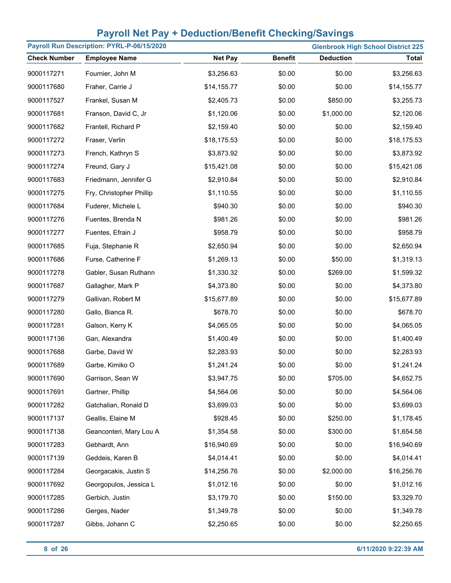| Payroll Run Description: PYRL-P-06/15/2020<br><b>Glenbrook High School District 225</b> |                          |                |                |                  |              |
|-----------------------------------------------------------------------------------------|--------------------------|----------------|----------------|------------------|--------------|
| <b>Check Number</b>                                                                     | <b>Employee Name</b>     | <b>Net Pay</b> | <b>Benefit</b> | <b>Deduction</b> | <b>Total</b> |
| 9000117271                                                                              | Fournier, John M         | \$3,256.63     | \$0.00         | \$0.00           | \$3,256.63   |
| 9000117680                                                                              | Fraher, Carrie J         | \$14,155.77    | \$0.00         | \$0.00           | \$14,155.77  |
| 9000117527                                                                              | Frankel, Susan M         | \$2,405.73     | \$0.00         | \$850.00         | \$3,255.73   |
| 9000117681                                                                              | Franson, David C, Jr     | \$1,120.06     | \$0.00         | \$1,000.00       | \$2,120.06   |
| 9000117682                                                                              | Frantell, Richard P      | \$2,159.40     | \$0.00         | \$0.00           | \$2,159.40   |
| 9000117272                                                                              | Fraser, Verlin           | \$18,175.53    | \$0.00         | \$0.00           | \$18,175.53  |
| 9000117273                                                                              | French, Kathryn S        | \$3,873.92     | \$0.00         | \$0.00           | \$3,873.92   |
| 9000117274                                                                              | Freund, Gary J           | \$15,421.08    | \$0.00         | \$0.00           | \$15,421.08  |
| 9000117683                                                                              | Friedmann, Jennifer G    | \$2,910.84     | \$0.00         | \$0.00           | \$2,910.84   |
| 9000117275                                                                              | Fry, Christopher Phillip | \$1,110.55     | \$0.00         | \$0.00           | \$1,110.55   |
| 9000117684                                                                              | Fuderer, Michele L       | \$940.30       | \$0.00         | \$0.00           | \$940.30     |
| 9000117276                                                                              | Fuentes, Brenda N        | \$981.26       | \$0.00         | \$0.00           | \$981.26     |
| 9000117277                                                                              | Fuentes, Efrain J        | \$958.79       | \$0.00         | \$0.00           | \$958.79     |
| 9000117685                                                                              | Fuja, Stephanie R        | \$2,650.94     | \$0.00         | \$0.00           | \$2,650.94   |
| 9000117686                                                                              | Furse, Catherine F       | \$1,269.13     | \$0.00         | \$50.00          | \$1,319.13   |
| 9000117278                                                                              | Gabler, Susan Ruthann    | \$1,330.32     | \$0.00         | \$269.00         | \$1,599.32   |
| 9000117687                                                                              | Gallagher, Mark P        | \$4,373.80     | \$0.00         | \$0.00           | \$4,373.80   |
| 9000117279                                                                              | Gallivan, Robert M       | \$15,677.89    | \$0.00         | \$0.00           | \$15,677.89  |
| 9000117280                                                                              | Gallo, Bianca R.         | \$678.70       | \$0.00         | \$0.00           | \$678.70     |
| 9000117281                                                                              | Galson, Kerry K          | \$4,065.05     | \$0.00         | \$0.00           | \$4,065.05   |
| 9000117136                                                                              | Gan, Alexandra           | \$1,400.49     | \$0.00         | \$0.00           | \$1,400.49   |
| 9000117688                                                                              | Garbe, David W           | \$2,283.93     | \$0.00         | \$0.00           | \$2,283.93   |
| 9000117689                                                                              | Garbe, Kimiko O          | \$1,241.24     | \$0.00         | \$0.00           | \$1,241.24   |
| 9000117690                                                                              | Garrison, Sean W         | \$3,947.75     | \$0.00         | \$705.00         | \$4,652.75   |
| 9000117691                                                                              | Gartner, Phillip         | \$4,564.06     | \$0.00         | \$0.00           | \$4,564.06   |
| 9000117282                                                                              | Gatchalian, Ronald D     | \$3,699.03     | \$0.00         | \$0.00           | \$3,699.03   |
| 9000117137                                                                              | Geallis, Elaine M        | \$928.45       | \$0.00         | \$250.00         | \$1,178.45   |
| 9000117138                                                                              | Geanconteri, Mary Lou A  | \$1,354.58     | \$0.00         | \$300.00         | \$1,654.58   |
| 9000117283                                                                              | Gebhardt, Ann            | \$16,940.69    | \$0.00         | \$0.00           | \$16,940.69  |
| 9000117139                                                                              | Geddeis, Karen B         | \$4,014.41     | \$0.00         | \$0.00           | \$4,014.41   |
| 9000117284                                                                              | Georgacakis, Justin S    | \$14,256.76    | \$0.00         | \$2,000.00       | \$16,256.76  |
| 9000117692                                                                              | Georgopulos, Jessica L   | \$1,012.16     | \$0.00         | \$0.00           | \$1,012.16   |
| 9000117285                                                                              | Gerbich, Justin          | \$3,179.70     | \$0.00         | \$150.00         | \$3,329.70   |
| 9000117286                                                                              | Gerges, Nader            | \$1,349.78     | \$0.00         | \$0.00           | \$1,349.78   |
| 9000117287                                                                              | Gibbs, Johann C          | \$2,250.65     | \$0.00         | \$0.00           | \$2,250.65   |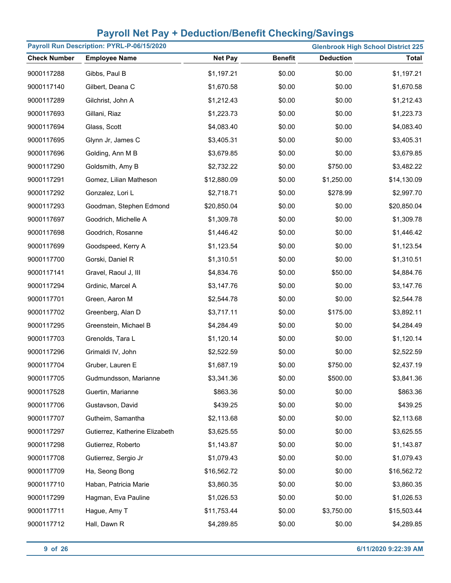| Payroll Run Description: PYRL-P-06/15/2020<br><b>Glenbrook High School District 225</b> |                                |                |                |                  |              |
|-----------------------------------------------------------------------------------------|--------------------------------|----------------|----------------|------------------|--------------|
| <b>Check Number</b>                                                                     | <b>Employee Name</b>           | <b>Net Pay</b> | <b>Benefit</b> | <b>Deduction</b> | <b>Total</b> |
| 9000117288                                                                              | Gibbs, Paul B                  | \$1,197.21     | \$0.00         | \$0.00           | \$1,197.21   |
| 9000117140                                                                              | Gilbert, Deana C               | \$1,670.58     | \$0.00         | \$0.00           | \$1,670.58   |
| 9000117289                                                                              | Gilchrist, John A              | \$1,212.43     | \$0.00         | \$0.00           | \$1,212.43   |
| 9000117693                                                                              | Gillani, Riaz                  | \$1,223.73     | \$0.00         | \$0.00           | \$1,223.73   |
| 9000117694                                                                              | Glass, Scott                   | \$4,083.40     | \$0.00         | \$0.00           | \$4,083.40   |
| 9000117695                                                                              | Glynn Jr, James C              | \$3,405.31     | \$0.00         | \$0.00           | \$3,405.31   |
| 9000117696                                                                              | Golding, Ann M B               | \$3,679.85     | \$0.00         | \$0.00           | \$3,679.85   |
| 9000117290                                                                              | Goldsmith, Amy B               | \$2,732.22     | \$0.00         | \$750.00         | \$3,482.22   |
| 9000117291                                                                              | Gomez, Lilian Matheson         | \$12,880.09    | \$0.00         | \$1,250.00       | \$14,130.09  |
| 9000117292                                                                              | Gonzalez, Lori L               | \$2,718.71     | \$0.00         | \$278.99         | \$2,997.70   |
| 9000117293                                                                              | Goodman, Stephen Edmond        | \$20,850.04    | \$0.00         | \$0.00           | \$20,850.04  |
| 9000117697                                                                              | Goodrich, Michelle A           | \$1,309.78     | \$0.00         | \$0.00           | \$1,309.78   |
| 9000117698                                                                              | Goodrich, Rosanne              | \$1,446.42     | \$0.00         | \$0.00           | \$1,446.42   |
| 9000117699                                                                              | Goodspeed, Kerry A             | \$1,123.54     | \$0.00         | \$0.00           | \$1,123.54   |
| 9000117700                                                                              | Gorski, Daniel R               | \$1,310.51     | \$0.00         | \$0.00           | \$1,310.51   |
| 9000117141                                                                              | Gravel, Raoul J, III           | \$4,834.76     | \$0.00         | \$50.00          | \$4,884.76   |
| 9000117294                                                                              | Grdinic, Marcel A              | \$3,147.76     | \$0.00         | \$0.00           | \$3,147.76   |
| 9000117701                                                                              | Green, Aaron M                 | \$2,544.78     | \$0.00         | \$0.00           | \$2,544.78   |
| 9000117702                                                                              | Greenberg, Alan D              | \$3,717.11     | \$0.00         | \$175.00         | \$3,892.11   |
| 9000117295                                                                              | Greenstein, Michael B          | \$4,284.49     | \$0.00         | \$0.00           | \$4,284.49   |
| 9000117703                                                                              | Grenolds, Tara L               | \$1,120.14     | \$0.00         | \$0.00           | \$1,120.14   |
| 9000117296                                                                              | Grimaldi IV, John              | \$2,522.59     | \$0.00         | \$0.00           | \$2,522.59   |
| 9000117704                                                                              | Gruber, Lauren E               | \$1,687.19     | \$0.00         | \$750.00         | \$2,437.19   |
| 9000117705                                                                              | Gudmundsson, Marianne          | \$3,341.36     | \$0.00         | \$500.00         | \$3,841.36   |
| 9000117528                                                                              | Guertin, Marianne              | \$863.36       | \$0.00         | \$0.00           | \$863.36     |
| 9000117706                                                                              | Gustavson, David               | \$439.25       | \$0.00         | \$0.00           | \$439.25     |
| 9000117707                                                                              | Gutheim, Samantha              | \$2,113.68     | \$0.00         | \$0.00           | \$2,113.68   |
| 9000117297                                                                              | Gutierrez, Katherine Elizabeth | \$3,625.55     | \$0.00         | \$0.00           | \$3,625.55   |
| 9000117298                                                                              | Gutierrez, Roberto             | \$1,143.87     | \$0.00         | \$0.00           | \$1,143.87   |
| 9000117708                                                                              | Gutierrez, Sergio Jr           | \$1,079.43     | \$0.00         | \$0.00           | \$1,079.43   |
| 9000117709                                                                              | Ha, Seong Bong                 | \$16,562.72    | \$0.00         | \$0.00           | \$16,562.72  |
| 9000117710                                                                              | Haban, Patricia Marie          | \$3,860.35     | \$0.00         | \$0.00           | \$3,860.35   |
| 9000117299                                                                              | Hagman, Eva Pauline            | \$1,026.53     | \$0.00         | \$0.00           | \$1,026.53   |
| 9000117711                                                                              | Hague, Amy T                   | \$11,753.44    | \$0.00         | \$3,750.00       | \$15,503.44  |
| 9000117712                                                                              | Hall, Dawn R                   | \$4,289.85     | \$0.00         | \$0.00           | \$4,289.85   |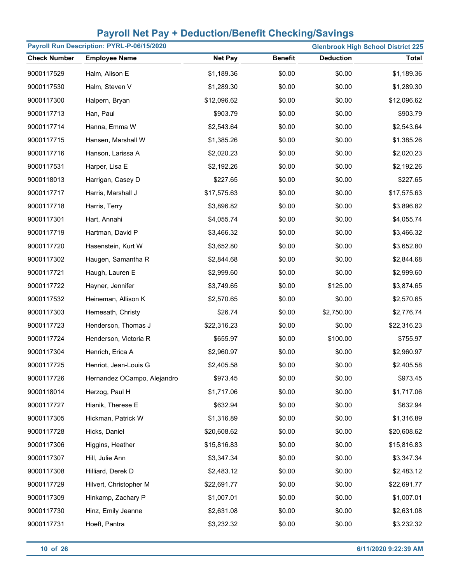| Payroll Run Description: PYRL-P-06/15/2020<br><b>Glenbrook High School District 225</b> |                             |                |                |                  |              |
|-----------------------------------------------------------------------------------------|-----------------------------|----------------|----------------|------------------|--------------|
| <b>Check Number</b>                                                                     | <b>Employee Name</b>        | <b>Net Pay</b> | <b>Benefit</b> | <b>Deduction</b> | <b>Total</b> |
| 9000117529                                                                              | Halm, Alison E              | \$1,189.36     | \$0.00         | \$0.00           | \$1,189.36   |
| 9000117530                                                                              | Halm, Steven V              | \$1,289.30     | \$0.00         | \$0.00           | \$1,289.30   |
| 9000117300                                                                              | Halpern, Bryan              | \$12,096.62    | \$0.00         | \$0.00           | \$12,096.62  |
| 9000117713                                                                              | Han, Paul                   | \$903.79       | \$0.00         | \$0.00           | \$903.79     |
| 9000117714                                                                              | Hanna, Emma W               | \$2,543.64     | \$0.00         | \$0.00           | \$2,543.64   |
| 9000117715                                                                              | Hansen, Marshall W          | \$1,385.26     | \$0.00         | \$0.00           | \$1,385.26   |
| 9000117716                                                                              | Hanson, Larissa A           | \$2,020.23     | \$0.00         | \$0.00           | \$2,020.23   |
| 9000117531                                                                              | Harper, Lisa E              | \$2,192.26     | \$0.00         | \$0.00           | \$2,192.26   |
| 9000118013                                                                              | Harrigan, Casey D           | \$227.65       | \$0.00         | \$0.00           | \$227.65     |
| 9000117717                                                                              | Harris, Marshall J          | \$17,575.63    | \$0.00         | \$0.00           | \$17,575.63  |
| 9000117718                                                                              | Harris, Terry               | \$3,896.82     | \$0.00         | \$0.00           | \$3,896.82   |
| 9000117301                                                                              | Hart, Annahi                | \$4,055.74     | \$0.00         | \$0.00           | \$4,055.74   |
| 9000117719                                                                              | Hartman, David P            | \$3,466.32     | \$0.00         | \$0.00           | \$3,466.32   |
| 9000117720                                                                              | Hasenstein, Kurt W          | \$3,652.80     | \$0.00         | \$0.00           | \$3,652.80   |
| 9000117302                                                                              | Haugen, Samantha R          | \$2,844.68     | \$0.00         | \$0.00           | \$2,844.68   |
| 9000117721                                                                              | Haugh, Lauren E             | \$2,999.60     | \$0.00         | \$0.00           | \$2,999.60   |
| 9000117722                                                                              | Hayner, Jennifer            | \$3,749.65     | \$0.00         | \$125.00         | \$3,874.65   |
| 9000117532                                                                              | Heineman, Allison K         | \$2,570.65     | \$0.00         | \$0.00           | \$2,570.65   |
| 9000117303                                                                              | Hemesath, Christy           | \$26.74        | \$0.00         | \$2,750.00       | \$2,776.74   |
| 9000117723                                                                              | Henderson, Thomas J         | \$22,316.23    | \$0.00         | \$0.00           | \$22,316.23  |
| 9000117724                                                                              | Henderson, Victoria R       | \$655.97       | \$0.00         | \$100.00         | \$755.97     |
| 9000117304                                                                              | Henrich, Erica A            | \$2,960.97     | \$0.00         | \$0.00           | \$2,960.97   |
| 9000117725                                                                              | Henriot, Jean-Louis G       | \$2,405.58     | \$0.00         | \$0.00           | \$2,405.58   |
| 9000117726                                                                              | Hernandez OCampo, Alejandro | \$973.45       | \$0.00         | \$0.00           | \$973.45     |
| 9000118014                                                                              | Herzog, Paul H              | \$1,717.06     | \$0.00         | \$0.00           | \$1,717.06   |
| 9000117727                                                                              | Hianik, Therese E           | \$632.94       | \$0.00         | \$0.00           | \$632.94     |
| 9000117305                                                                              | Hickman, Patrick W          | \$1,316.89     | \$0.00         | \$0.00           | \$1,316.89   |
| 9000117728                                                                              | Hicks, Daniel               | \$20,608.62    | \$0.00         | \$0.00           | \$20,608.62  |
| 9000117306                                                                              | Higgins, Heather            | \$15,816.83    | \$0.00         | \$0.00           | \$15,816.83  |
| 9000117307                                                                              | Hill, Julie Ann             | \$3,347.34     | \$0.00         | \$0.00           | \$3,347.34   |
| 9000117308                                                                              | Hilliard, Derek D           | \$2,483.12     | \$0.00         | \$0.00           | \$2,483.12   |
| 9000117729                                                                              | Hilvert, Christopher M      | \$22,691.77    | \$0.00         | \$0.00           | \$22,691.77  |
| 9000117309                                                                              | Hinkamp, Zachary P          | \$1,007.01     | \$0.00         | \$0.00           | \$1,007.01   |
| 9000117730                                                                              | Hinz, Emily Jeanne          | \$2,631.08     | \$0.00         | \$0.00           | \$2,631.08   |
| 9000117731                                                                              | Hoeft, Pantra               | \$3,232.32     | \$0.00         | \$0.00           | \$3,232.32   |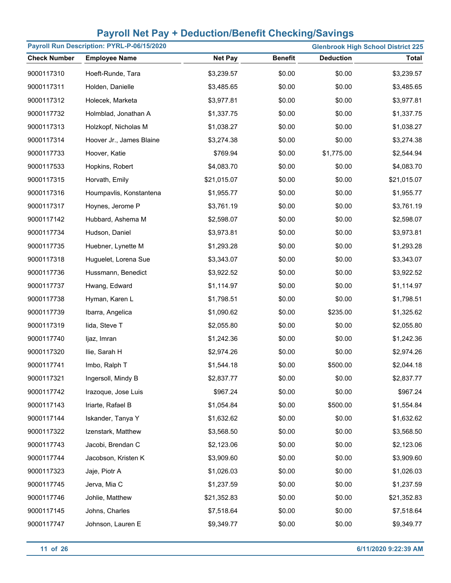| Payroll Run Description: PYRL-P-06/15/2020 |                          |                |                | <b>Glenbrook High School District 225</b> |              |
|--------------------------------------------|--------------------------|----------------|----------------|-------------------------------------------|--------------|
| <b>Check Number</b>                        | <b>Employee Name</b>     | <b>Net Pay</b> | <b>Benefit</b> | <b>Deduction</b>                          | <b>Total</b> |
| 9000117310                                 | Hoeft-Runde, Tara        | \$3,239.57     | \$0.00         | \$0.00                                    | \$3,239.57   |
| 9000117311                                 | Holden, Danielle         | \$3,485.65     | \$0.00         | \$0.00                                    | \$3,485.65   |
| 9000117312                                 | Holecek, Marketa         | \$3,977.81     | \$0.00         | \$0.00                                    | \$3,977.81   |
| 9000117732                                 | Holmblad, Jonathan A     | \$1,337.75     | \$0.00         | \$0.00                                    | \$1,337.75   |
| 9000117313                                 | Holzkopf, Nicholas M     | \$1,038.27     | \$0.00         | \$0.00                                    | \$1,038.27   |
| 9000117314                                 | Hoover Jr., James Blaine | \$3,274.38     | \$0.00         | \$0.00                                    | \$3,274.38   |
| 9000117733                                 | Hoover, Katie            | \$769.94       | \$0.00         | \$1,775.00                                | \$2,544.94   |
| 9000117533                                 | Hopkins, Robert          | \$4,083.70     | \$0.00         | \$0.00                                    | \$4,083.70   |
| 9000117315                                 | Horvath, Emily           | \$21,015.07    | \$0.00         | \$0.00                                    | \$21,015.07  |
| 9000117316                                 | Houmpavlis, Konstantena  | \$1,955.77     | \$0.00         | \$0.00                                    | \$1,955.77   |
| 9000117317                                 | Hoynes, Jerome P         | \$3,761.19     | \$0.00         | \$0.00                                    | \$3,761.19   |
| 9000117142                                 | Hubbard, Ashema M        | \$2,598.07     | \$0.00         | \$0.00                                    | \$2,598.07   |
| 9000117734                                 | Hudson, Daniel           | \$3,973.81     | \$0.00         | \$0.00                                    | \$3,973.81   |
| 9000117735                                 | Huebner, Lynette M       | \$1,293.28     | \$0.00         | \$0.00                                    | \$1,293.28   |
| 9000117318                                 | Huguelet, Lorena Sue     | \$3,343.07     | \$0.00         | \$0.00                                    | \$3,343.07   |
| 9000117736                                 | Hussmann, Benedict       | \$3,922.52     | \$0.00         | \$0.00                                    | \$3,922.52   |
| 9000117737                                 | Hwang, Edward            | \$1,114.97     | \$0.00         | \$0.00                                    | \$1,114.97   |
| 9000117738                                 | Hyman, Karen L           | \$1,798.51     | \$0.00         | \$0.00                                    | \$1,798.51   |
| 9000117739                                 | Ibarra, Angelica         | \$1,090.62     | \$0.00         | \$235.00                                  | \$1,325.62   |
| 9000117319                                 | lida, Steve T            | \$2,055.80     | \$0.00         | \$0.00                                    | \$2,055.80   |
| 9000117740                                 | ljaz, Imran              | \$1,242.36     | \$0.00         | \$0.00                                    | \$1,242.36   |
| 9000117320                                 | Ilie, Sarah H            | \$2,974.26     | \$0.00         | \$0.00                                    | \$2,974.26   |
| 9000117741                                 | Imbo, Ralph T            | \$1,544.18     | \$0.00         | \$500.00                                  | \$2,044.18   |
| 9000117321                                 | Ingersoll, Mindy B       | \$2,837.77     | \$0.00         | \$0.00                                    | \$2,837.77   |
| 9000117742                                 | Irazoque, Jose Luis      | \$967.24       | \$0.00         | \$0.00                                    | \$967.24     |
| 9000117143                                 | Iriarte, Rafael B        | \$1,054.84     | \$0.00         | \$500.00                                  | \$1,554.84   |
| 9000117144                                 | Iskander, Tanya Y        | \$1,632.62     | \$0.00         | \$0.00                                    | \$1,632.62   |
| 9000117322                                 | Izenstark, Matthew       | \$3,568.50     | \$0.00         | \$0.00                                    | \$3,568.50   |
| 9000117743                                 | Jacobi, Brendan C        | \$2,123.06     | \$0.00         | \$0.00                                    | \$2,123.06   |
| 9000117744                                 | Jacobson, Kristen K      | \$3,909.60     | \$0.00         | \$0.00                                    | \$3,909.60   |
| 9000117323                                 | Jaje, Piotr A            | \$1,026.03     | \$0.00         | \$0.00                                    | \$1,026.03   |
| 9000117745                                 | Jerva, Mia C             | \$1,237.59     | \$0.00         | \$0.00                                    | \$1,237.59   |
| 9000117746                                 | Johlie, Matthew          | \$21,352.83    | \$0.00         | \$0.00                                    | \$21,352.83  |
| 9000117145                                 | Johns, Charles           | \$7,518.64     | \$0.00         | \$0.00                                    | \$7,518.64   |
| 9000117747                                 | Johnson, Lauren E        | \$9,349.77     | \$0.00         | \$0.00                                    | \$9,349.77   |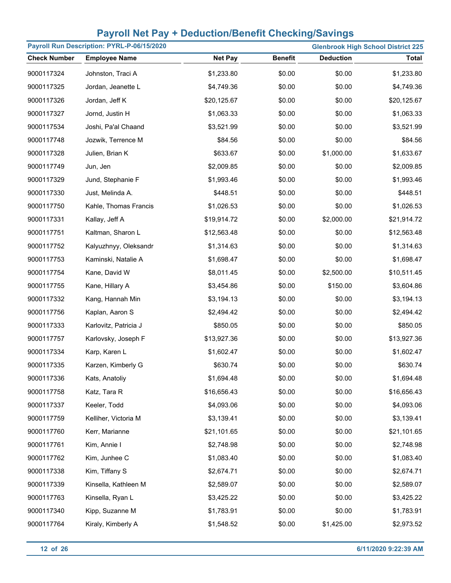| Payroll Run Description: PYRL-P-06/15/2020 |                       |                |                | <b>Glenbrook High School District 225</b> |              |
|--------------------------------------------|-----------------------|----------------|----------------|-------------------------------------------|--------------|
| <b>Check Number</b>                        | <b>Employee Name</b>  | <b>Net Pay</b> | <b>Benefit</b> | <b>Deduction</b>                          | <b>Total</b> |
| 9000117324                                 | Johnston, Traci A     | \$1,233.80     | \$0.00         | \$0.00                                    | \$1,233.80   |
| 9000117325                                 | Jordan, Jeanette L    | \$4,749.36     | \$0.00         | \$0.00                                    | \$4,749.36   |
| 9000117326                                 | Jordan, Jeff K        | \$20,125.67    | \$0.00         | \$0.00                                    | \$20,125.67  |
| 9000117327                                 | Jornd, Justin H       | \$1,063.33     | \$0.00         | \$0.00                                    | \$1,063.33   |
| 9000117534                                 | Joshi, Pa'al Chaand   | \$3,521.99     | \$0.00         | \$0.00                                    | \$3,521.99   |
| 9000117748                                 | Jozwik, Terrence M    | \$84.56        | \$0.00         | \$0.00                                    | \$84.56      |
| 9000117328                                 | Julien, Brian K       | \$633.67       | \$0.00         | \$1,000.00                                | \$1,633.67   |
| 9000117749                                 | Jun, Jen              | \$2,009.85     | \$0.00         | \$0.00                                    | \$2,009.85   |
| 9000117329                                 | Jund, Stephanie F     | \$1,993.46     | \$0.00         | \$0.00                                    | \$1,993.46   |
| 9000117330                                 | Just, Melinda A.      | \$448.51       | \$0.00         | \$0.00                                    | \$448.51     |
| 9000117750                                 | Kahle, Thomas Francis | \$1,026.53     | \$0.00         | \$0.00                                    | \$1,026.53   |
| 9000117331                                 | Kallay, Jeff A        | \$19,914.72    | \$0.00         | \$2,000.00                                | \$21,914.72  |
| 9000117751                                 | Kaltman, Sharon L     | \$12,563.48    | \$0.00         | \$0.00                                    | \$12,563.48  |
| 9000117752                                 | Kalyuzhnyy, Oleksandr | \$1,314.63     | \$0.00         | \$0.00                                    | \$1,314.63   |
| 9000117753                                 | Kaminski, Natalie A   | \$1,698.47     | \$0.00         | \$0.00                                    | \$1,698.47   |
| 9000117754                                 | Kane, David W         | \$8,011.45     | \$0.00         | \$2,500.00                                | \$10,511.45  |
| 9000117755                                 | Kane, Hillary A       | \$3,454.86     | \$0.00         | \$150.00                                  | \$3,604.86   |
| 9000117332                                 | Kang, Hannah Min      | \$3,194.13     | \$0.00         | \$0.00                                    | \$3,194.13   |
| 9000117756                                 | Kaplan, Aaron S       | \$2,494.42     | \$0.00         | \$0.00                                    | \$2,494.42   |
| 9000117333                                 | Karlovitz, Patricia J | \$850.05       | \$0.00         | \$0.00                                    | \$850.05     |
| 9000117757                                 | Karlovsky, Joseph F   | \$13,927.36    | \$0.00         | \$0.00                                    | \$13,927.36  |
| 9000117334                                 | Karp, Karen L         | \$1,602.47     | \$0.00         | \$0.00                                    | \$1,602.47   |
| 9000117335                                 | Karzen, Kimberly G    | \$630.74       | \$0.00         | \$0.00                                    | \$630.74     |
| 9000117336                                 | Kats, Anatoliy        | \$1,694.48     | \$0.00         | \$0.00                                    | \$1,694.48   |
| 9000117758                                 | Katz, Tara R          | \$16,656.43    | \$0.00         | \$0.00                                    | \$16,656.43  |
| 9000117337                                 | Keeler, Todd          | \$4,093.06     | \$0.00         | \$0.00                                    | \$4,093.06   |
| 9000117759                                 | Kelliher, Victoria M  | \$3,139.41     | \$0.00         | \$0.00                                    | \$3,139.41   |
| 9000117760                                 | Kerr, Marianne        | \$21,101.65    | \$0.00         | \$0.00                                    | \$21,101.65  |
| 9000117761                                 | Kim, Annie I          | \$2,748.98     | \$0.00         | \$0.00                                    | \$2,748.98   |
| 9000117762                                 | Kim, Junhee C         | \$1,083.40     | \$0.00         | \$0.00                                    | \$1,083.40   |
| 9000117338                                 | Kim, Tiffany S        | \$2,674.71     | \$0.00         | \$0.00                                    | \$2,674.71   |
| 9000117339                                 | Kinsella, Kathleen M  | \$2,589.07     | \$0.00         | \$0.00                                    | \$2,589.07   |
| 9000117763                                 | Kinsella, Ryan L      | \$3,425.22     | \$0.00         | \$0.00                                    | \$3,425.22   |
| 9000117340                                 | Kipp, Suzanne M       | \$1,783.91     | \$0.00         | \$0.00                                    | \$1,783.91   |
| 9000117764                                 | Kiraly, Kimberly A    | \$1,548.52     | \$0.00         | \$1,425.00                                | \$2,973.52   |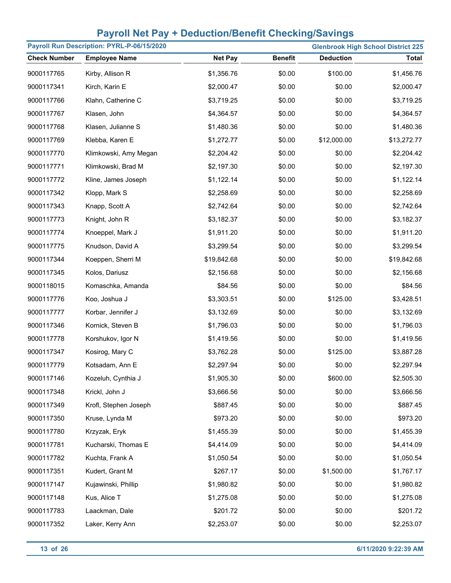| Payroll Run Description: PYRL-P-06/15/2020<br><b>Glenbrook High School District 225</b> |                       |                |                |                  |              |
|-----------------------------------------------------------------------------------------|-----------------------|----------------|----------------|------------------|--------------|
| <b>Check Number</b>                                                                     | <b>Employee Name</b>  | <b>Net Pay</b> | <b>Benefit</b> | <b>Deduction</b> | <b>Total</b> |
| 9000117765                                                                              | Kirby, Allison R      | \$1,356.76     | \$0.00         | \$100.00         | \$1,456.76   |
| 9000117341                                                                              | Kirch, Karin E        | \$2,000.47     | \$0.00         | \$0.00           | \$2,000.47   |
| 9000117766                                                                              | Klahn, Catherine C    | \$3,719.25     | \$0.00         | \$0.00           | \$3,719.25   |
| 9000117767                                                                              | Klasen, John          | \$4,364.57     | \$0.00         | \$0.00           | \$4,364.57   |
| 9000117768                                                                              | Klasen, Julianne S    | \$1,480.36     | \$0.00         | \$0.00           | \$1,480.36   |
| 9000117769                                                                              | Klebba, Karen E       | \$1,272.77     | \$0.00         | \$12,000.00      | \$13,272.77  |
| 9000117770                                                                              | Klimkowski, Amy Megan | \$2,204.42     | \$0.00         | \$0.00           | \$2,204.42   |
| 9000117771                                                                              | Klimkowski, Brad M    | \$2,197.30     | \$0.00         | \$0.00           | \$2,197.30   |
| 9000117772                                                                              | Kline, James Joseph   | \$1,122.14     | \$0.00         | \$0.00           | \$1,122.14   |
| 9000117342                                                                              | Klopp, Mark S         | \$2,258.69     | \$0.00         | \$0.00           | \$2,258.69   |
| 9000117343                                                                              | Knapp, Scott A        | \$2,742.64     | \$0.00         | \$0.00           | \$2,742.64   |
| 9000117773                                                                              | Knight, John R        | \$3,182.37     | \$0.00         | \$0.00           | \$3,182.37   |
| 9000117774                                                                              | Knoeppel, Mark J      | \$1,911.20     | \$0.00         | \$0.00           | \$1,911.20   |
| 9000117775                                                                              | Knudson, David A      | \$3,299.54     | \$0.00         | \$0.00           | \$3,299.54   |
| 9000117344                                                                              | Koeppen, Sherri M     | \$19,842.68    | \$0.00         | \$0.00           | \$19,842.68  |
| 9000117345                                                                              | Kolos, Dariusz        | \$2,156.68     | \$0.00         | \$0.00           | \$2,156.68   |
| 9000118015                                                                              | Komaschka, Amanda     | \$84.56        | \$0.00         | \$0.00           | \$84.56      |
| 9000117776                                                                              | Koo, Joshua J         | \$3,303.51     | \$0.00         | \$125.00         | \$3,428.51   |
| 9000117777                                                                              | Korbar, Jennifer J    | \$3,132.69     | \$0.00         | \$0.00           | \$3,132.69   |
| 9000117346                                                                              | Kornick, Steven B     | \$1,796.03     | \$0.00         | \$0.00           | \$1,796.03   |
| 9000117778                                                                              | Korshukov, Igor N     | \$1,419.56     | \$0.00         | \$0.00           | \$1,419.56   |
| 9000117347                                                                              | Kosirog, Mary C       | \$3,762.28     | \$0.00         | \$125.00         | \$3,887.28   |
| 9000117779                                                                              | Kotsadam, Ann E       | \$2,297.94     | \$0.00         | \$0.00           | \$2,297.94   |
| 9000117146                                                                              | Kozeluh, Cynthia J    | \$1,905.30     | \$0.00         | \$600.00         | \$2,505.30   |
| 9000117348                                                                              | Krickl, John J        | \$3,666.56     | \$0.00         | \$0.00           | \$3,666.56   |
| 9000117349                                                                              | Krofl, Stephen Joseph | \$887.45       | \$0.00         | \$0.00           | \$887.45     |
| 9000117350                                                                              | Kruse, Lynda M        | \$973.20       | \$0.00         | \$0.00           | \$973.20     |
| 9000117780                                                                              | Krzyzak, Eryk         | \$1,455.39     | \$0.00         | \$0.00           | \$1,455.39   |
| 9000117781                                                                              | Kucharski, Thomas E   | \$4,414.09     | \$0.00         | \$0.00           | \$4,414.09   |
| 9000117782                                                                              | Kuchta, Frank A       | \$1,050.54     | \$0.00         | \$0.00           | \$1,050.54   |
| 9000117351                                                                              | Kudert, Grant M       | \$267.17       | \$0.00         | \$1,500.00       | \$1,767.17   |
| 9000117147                                                                              | Kujawinski, Phillip   | \$1,980.82     | \$0.00         | \$0.00           | \$1,980.82   |
| 9000117148                                                                              | Kus, Alice T          | \$1,275.08     | \$0.00         | \$0.00           | \$1,275.08   |
| 9000117783                                                                              | Laackman, Dale        | \$201.72       | \$0.00         | \$0.00           | \$201.72     |
| 9000117352                                                                              | Laker, Kerry Ann      | \$2,253.07     | \$0.00         | \$0.00           | \$2,253.07   |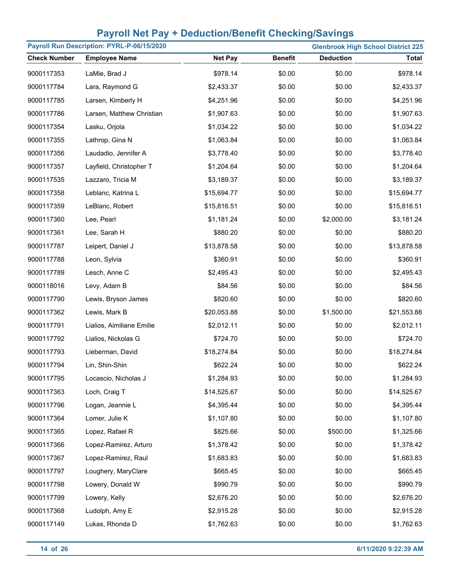| Payroll Run Description: PYRL-P-06/15/2020<br><b>Glenbrook High School District 225</b> |                           |                |                |                  |              |
|-----------------------------------------------------------------------------------------|---------------------------|----------------|----------------|------------------|--------------|
| <b>Check Number</b>                                                                     | <b>Employee Name</b>      | <b>Net Pay</b> | <b>Benefit</b> | <b>Deduction</b> | <b>Total</b> |
| 9000117353                                                                              | LaMie, Brad J             | \$978.14       | \$0.00         | \$0.00           | \$978.14     |
| 9000117784                                                                              | Lara, Raymond G           | \$2,433.37     | \$0.00         | \$0.00           | \$2,433.37   |
| 9000117785                                                                              | Larsen, Kimberly H        | \$4,251.96     | \$0.00         | \$0.00           | \$4,251.96   |
| 9000117786                                                                              | Larsen, Matthew Christian | \$1,907.63     | \$0.00         | \$0.00           | \$1,907.63   |
| 9000117354                                                                              | Lasku, Orjola             | \$1,034.22     | \$0.00         | \$0.00           | \$1,034.22   |
| 9000117355                                                                              | Lathrop, Gina N           | \$1,063.84     | \$0.00         | \$0.00           | \$1,063.84   |
| 9000117356                                                                              | Laudadio, Jennifer A      | \$3,778.40     | \$0.00         | \$0.00           | \$3,778.40   |
| 9000117357                                                                              | Layfield, Christopher T   | \$1,204.64     | \$0.00         | \$0.00           | \$1,204.64   |
| 9000117535                                                                              | Lazzaro, Tricia M         | \$3,189.37     | \$0.00         | \$0.00           | \$3,189.37   |
| 9000117358                                                                              | Leblanc, Katrina L        | \$15,694.77    | \$0.00         | \$0.00           | \$15,694.77  |
| 9000117359                                                                              | LeBlanc, Robert           | \$15,816.51    | \$0.00         | \$0.00           | \$15,816.51  |
| 9000117360                                                                              | Lee, Pearl                | \$1,181.24     | \$0.00         | \$2,000.00       | \$3,181.24   |
| 9000117361                                                                              | Lee, Sarah H              | \$880.20       | \$0.00         | \$0.00           | \$880.20     |
| 9000117787                                                                              | Leipert, Daniel J         | \$13,878.58    | \$0.00         | \$0.00           | \$13,878.58  |
| 9000117788                                                                              | Leon, Sylvia              | \$360.91       | \$0.00         | \$0.00           | \$360.91     |
| 9000117789                                                                              | Lesch, Anne C             | \$2,495.43     | \$0.00         | \$0.00           | \$2,495.43   |
| 9000118016                                                                              | Levy, Adam B              | \$84.56        | \$0.00         | \$0.00           | \$84.56      |
| 9000117790                                                                              | Lewis, Bryson James       | \$820.60       | \$0.00         | \$0.00           | \$820.60     |
| 9000117362                                                                              | Lewis, Mark B             | \$20,053.88    | \$0.00         | \$1,500.00       | \$21,553.88  |
| 9000117791                                                                              | Lialios, Aimiliane Emilie | \$2,012.11     | \$0.00         | \$0.00           | \$2,012.11   |
| 9000117792                                                                              | Lialios, Nickolas G       | \$724.70       | \$0.00         | \$0.00           | \$724.70     |
| 9000117793                                                                              | Lieberman, David          | \$18,274.84    | \$0.00         | \$0.00           | \$18,274.84  |
| 9000117794                                                                              | Lin, Shin-Shin            | \$622.24       | \$0.00         | \$0.00           | \$622.24     |
| 9000117795                                                                              | Locascio, Nicholas J      | \$1,284.93     | \$0.00         | \$0.00           | \$1,284.93   |
| 9000117363                                                                              | Loch, Craig T             | \$14,525.67    | \$0.00         | \$0.00           | \$14,525.67  |
| 9000117796                                                                              | Logan, Jeannie L          | \$4,395.44     | \$0.00         | \$0.00           | \$4,395.44   |
| 9000117364                                                                              | Lomer, Julie K            | \$1,107.80     | \$0.00         | \$0.00           | \$1,107.80   |
| 9000117365                                                                              | Lopez, Rafael R           | \$825.66       | \$0.00         | \$500.00         | \$1,325.66   |
| 9000117366                                                                              | Lopez-Ramirez, Arturo     | \$1,378.42     | \$0.00         | \$0.00           | \$1,378.42   |
| 9000117367                                                                              | Lopez-Ramirez, Raul       | \$1,683.83     | \$0.00         | \$0.00           | \$1,683.83   |
| 9000117797                                                                              | Loughery, MaryClare       | \$665.45       | \$0.00         | \$0.00           | \$665.45     |
| 9000117798                                                                              | Lowery, Donald W          | \$990.79       | \$0.00         | \$0.00           | \$990.79     |
| 9000117799                                                                              | Lowery, Kelly             | \$2,676.20     | \$0.00         | \$0.00           | \$2,676.20   |
| 9000117368                                                                              | Ludolph, Amy E            | \$2,915.28     | \$0.00         | \$0.00           | \$2,915.28   |
| 9000117149                                                                              | Lukas, Rhonda D           | \$1,762.63     | \$0.00         | \$0.00           | \$1,762.63   |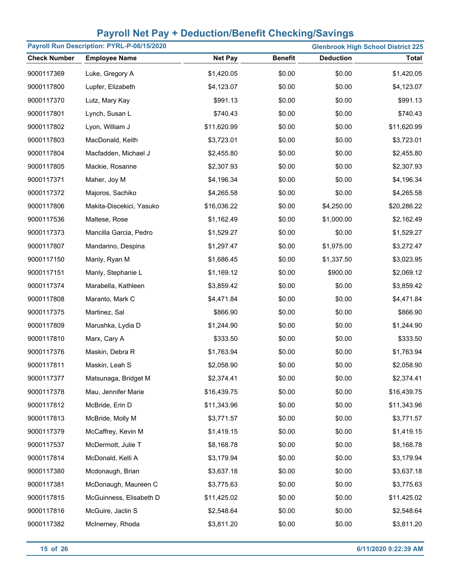| Payroll Run Description: PYRL-P-06/15/2020<br><b>Glenbrook High School District 225</b> |                          |                |                |                  |              |  |
|-----------------------------------------------------------------------------------------|--------------------------|----------------|----------------|------------------|--------------|--|
| <b>Check Number</b>                                                                     | <b>Employee Name</b>     | <b>Net Pay</b> | <b>Benefit</b> | <b>Deduction</b> | <b>Total</b> |  |
| 9000117369                                                                              | Luke, Gregory A          | \$1,420.05     | \$0.00         | \$0.00           | \$1,420.05   |  |
| 9000117800                                                                              | Lupfer, Elizabeth        | \$4,123.07     | \$0.00         | \$0.00           | \$4,123.07   |  |
| 9000117370                                                                              | Lutz, Mary Kay           | \$991.13       | \$0.00         | \$0.00           | \$991.13     |  |
| 9000117801                                                                              | Lynch, Susan L           | \$740.43       | \$0.00         | \$0.00           | \$740.43     |  |
| 9000117802                                                                              | Lyon, William J          | \$11,620.99    | \$0.00         | \$0.00           | \$11,620.99  |  |
| 9000117803                                                                              | MacDonald, Keith         | \$3,723.01     | \$0.00         | \$0.00           | \$3,723.01   |  |
| 9000117804                                                                              | Macfadden, Michael J     | \$2,455.80     | \$0.00         | \$0.00           | \$2,455.80   |  |
| 9000117805                                                                              | Mackie, Rosanne          | \$2,307.93     | \$0.00         | \$0.00           | \$2,307.93   |  |
| 9000117371                                                                              | Maher, Joy M             | \$4,196.34     | \$0.00         | \$0.00           | \$4,196.34   |  |
| 9000117372                                                                              | Majoros, Sachiko         | \$4,265.58     | \$0.00         | \$0.00           | \$4,265.58   |  |
| 9000117806                                                                              | Makita-Discekici, Yasuko | \$16,036.22    | \$0.00         | \$4,250.00       | \$20,286.22  |  |
| 9000117536                                                                              | Maltese, Rose            | \$1,162.49     | \$0.00         | \$1,000.00       | \$2,162.49   |  |
| 9000117373                                                                              | Mancilla Garcia, Pedro   | \$1,529.27     | \$0.00         | \$0.00           | \$1,529.27   |  |
| 9000117807                                                                              | Mandarino, Despina       | \$1,297.47     | \$0.00         | \$1,975.00       | \$3,272.47   |  |
| 9000117150                                                                              | Manly, Ryan M            | \$1,686.45     | \$0.00         | \$1,337.50       | \$3,023.95   |  |
| 9000117151                                                                              | Manly, Stephanie L       | \$1,169.12     | \$0.00         | \$900.00         | \$2,069.12   |  |
| 9000117374                                                                              | Marabella, Kathleen      | \$3,859.42     | \$0.00         | \$0.00           | \$3,859.42   |  |
| 9000117808                                                                              | Maranto, Mark C          | \$4,471.84     | \$0.00         | \$0.00           | \$4,471.84   |  |
| 9000117375                                                                              | Martinez, Sal            | \$866.90       | \$0.00         | \$0.00           | \$866.90     |  |
| 9000117809                                                                              | Marushka, Lydia D        | \$1,244.90     | \$0.00         | \$0.00           | \$1,244.90   |  |
| 9000117810                                                                              | Marx, Cary A             | \$333.50       | \$0.00         | \$0.00           | \$333.50     |  |
| 9000117376                                                                              | Maskin, Debra R          | \$1,763.94     | \$0.00         | \$0.00           | \$1,763.94   |  |
| 9000117811                                                                              | Maskin, Leah S           | \$2,058.90     | \$0.00         | \$0.00           | \$2,058.90   |  |
| 9000117377                                                                              | Matsunaga, Bridget M     | \$2,374.41     | \$0.00         | \$0.00           | \$2,374.41   |  |
| 9000117378                                                                              | Mau, Jennifer Marie      | \$16,439.75    | \$0.00         | \$0.00           | \$16,439.75  |  |
| 9000117812                                                                              | McBride, Erin D          | \$11,343.96    | \$0.00         | \$0.00           | \$11,343.96  |  |
| 9000117813                                                                              | McBride, Molly M         | \$3,771.57     | \$0.00         | \$0.00           | \$3,771.57   |  |
| 9000117379                                                                              | McCaffrey, Kevin M       | \$1,419.15     | \$0.00         | \$0.00           | \$1,419.15   |  |
| 9000117537                                                                              | McDermott, Julie T       | \$8,168.78     | \$0.00         | \$0.00           | \$8,168.78   |  |
| 9000117814                                                                              | McDonald, Kelli A        | \$3,179.94     | \$0.00         | \$0.00           | \$3,179.94   |  |
| 9000117380                                                                              | Mcdonaugh, Brian         | \$3,637.18     | \$0.00         | \$0.00           | \$3,637.18   |  |
| 9000117381                                                                              | McDonaugh, Maureen C     | \$3,775.63     | \$0.00         | \$0.00           | \$3,775.63   |  |
| 9000117815                                                                              | McGuinness, Elisabeth D  | \$11,425.02    | \$0.00         | \$0.00           | \$11,425.02  |  |
| 9000117816                                                                              | McGuire, Jaclin S        | \$2,548.64     | \$0.00         | \$0.00           | \$2,548.64   |  |
| 9000117382                                                                              | McInerney, Rhoda         | \$3,811.20     | \$0.00         | \$0.00           | \$3,811.20   |  |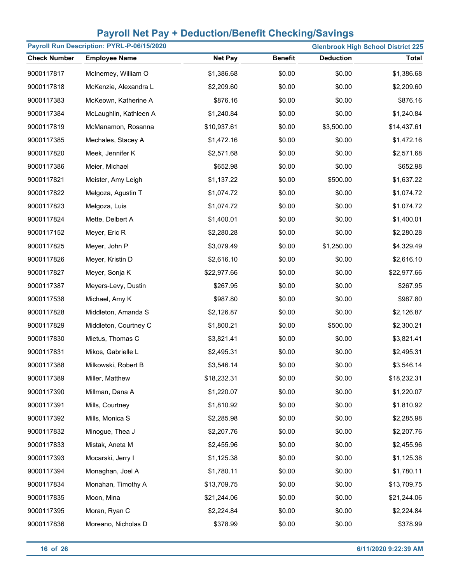| Payroll Run Description: PYRL-P-06/15/2020<br><b>Glenbrook High School District 225</b> |                        |                |                |                  |              |  |
|-----------------------------------------------------------------------------------------|------------------------|----------------|----------------|------------------|--------------|--|
| <b>Check Number</b>                                                                     | <b>Employee Name</b>   | <b>Net Pay</b> | <b>Benefit</b> | <b>Deduction</b> | <b>Total</b> |  |
| 9000117817                                                                              | McInerney, William O   | \$1,386.68     | \$0.00         | \$0.00           | \$1,386.68   |  |
| 9000117818                                                                              | McKenzie, Alexandra L  | \$2,209.60     | \$0.00         | \$0.00           | \$2,209.60   |  |
| 9000117383                                                                              | McKeown, Katherine A   | \$876.16       | \$0.00         | \$0.00           | \$876.16     |  |
| 9000117384                                                                              | McLaughlin, Kathleen A | \$1,240.84     | \$0.00         | \$0.00           | \$1,240.84   |  |
| 9000117819                                                                              | McManamon, Rosanna     | \$10,937.61    | \$0.00         | \$3,500.00       | \$14,437.61  |  |
| 9000117385                                                                              | Mechales, Stacey A     | \$1,472.16     | \$0.00         | \$0.00           | \$1,472.16   |  |
| 9000117820                                                                              | Meek, Jennifer K       | \$2,571.68     | \$0.00         | \$0.00           | \$2,571.68   |  |
| 9000117386                                                                              | Meier, Michael         | \$652.98       | \$0.00         | \$0.00           | \$652.98     |  |
| 9000117821                                                                              | Meister, Amy Leigh     | \$1,137.22     | \$0.00         | \$500.00         | \$1,637.22   |  |
| 9000117822                                                                              | Melgoza, Agustin T     | \$1,074.72     | \$0.00         | \$0.00           | \$1,074.72   |  |
| 9000117823                                                                              | Melgoza, Luis          | \$1,074.72     | \$0.00         | \$0.00           | \$1,074.72   |  |
| 9000117824                                                                              | Mette, Delbert A       | \$1,400.01     | \$0.00         | \$0.00           | \$1,400.01   |  |
| 9000117152                                                                              | Meyer, Eric R          | \$2,280.28     | \$0.00         | \$0.00           | \$2,280.28   |  |
| 9000117825                                                                              | Meyer, John P          | \$3,079.49     | \$0.00         | \$1,250.00       | \$4,329.49   |  |
| 9000117826                                                                              | Meyer, Kristin D       | \$2,616.10     | \$0.00         | \$0.00           | \$2,616.10   |  |
| 9000117827                                                                              | Meyer, Sonja K         | \$22,977.66    | \$0.00         | \$0.00           | \$22,977.66  |  |
| 9000117387                                                                              | Meyers-Levy, Dustin    | \$267.95       | \$0.00         | \$0.00           | \$267.95     |  |
| 9000117538                                                                              | Michael, Amy K         | \$987.80       | \$0.00         | \$0.00           | \$987.80     |  |
| 9000117828                                                                              | Middleton, Amanda S    | \$2,126.87     | \$0.00         | \$0.00           | \$2,126.87   |  |
| 9000117829                                                                              | Middleton, Courtney C  | \$1,800.21     | \$0.00         | \$500.00         | \$2,300.21   |  |
| 9000117830                                                                              | Mietus, Thomas C       | \$3,821.41     | \$0.00         | \$0.00           | \$3,821.41   |  |
| 9000117831                                                                              | Mikos, Gabrielle L     | \$2,495.31     | \$0.00         | \$0.00           | \$2,495.31   |  |
| 9000117388                                                                              | Milkowski, Robert B    | \$3,546.14     | \$0.00         | \$0.00           | \$3,546.14   |  |
| 9000117389                                                                              | Miller, Matthew        | \$18,232.31    | \$0.00         | \$0.00           | \$18,232.31  |  |
| 9000117390                                                                              | Millman, Dana A        | \$1,220.07     | \$0.00         | \$0.00           | \$1,220.07   |  |
| 9000117391                                                                              | Mills, Courtney        | \$1,810.92     | \$0.00         | \$0.00           | \$1,810.92   |  |
| 9000117392                                                                              | Mills, Monica S        | \$2,285.98     | \$0.00         | \$0.00           | \$2,285.98   |  |
| 9000117832                                                                              | Minogue, Thea J        | \$2,207.76     | \$0.00         | \$0.00           | \$2,207.76   |  |
| 9000117833                                                                              | Mistak, Aneta M        | \$2,455.96     | \$0.00         | \$0.00           | \$2,455.96   |  |
| 9000117393                                                                              | Mocarski, Jerry I      | \$1,125.38     | \$0.00         | \$0.00           | \$1,125.38   |  |
| 9000117394                                                                              | Monaghan, Joel A       | \$1,780.11     | \$0.00         | \$0.00           | \$1,780.11   |  |
| 9000117834                                                                              | Monahan, Timothy A     | \$13,709.75    | \$0.00         | \$0.00           | \$13,709.75  |  |
| 9000117835                                                                              | Moon, Mina             | \$21,244.06    | \$0.00         | \$0.00           | \$21,244.06  |  |
| 9000117395                                                                              | Moran, Ryan C          | \$2,224.84     | \$0.00         | \$0.00           | \$2,224.84   |  |
| 9000117836                                                                              | Moreano, Nicholas D    | \$378.99       | \$0.00         | \$0.00           | \$378.99     |  |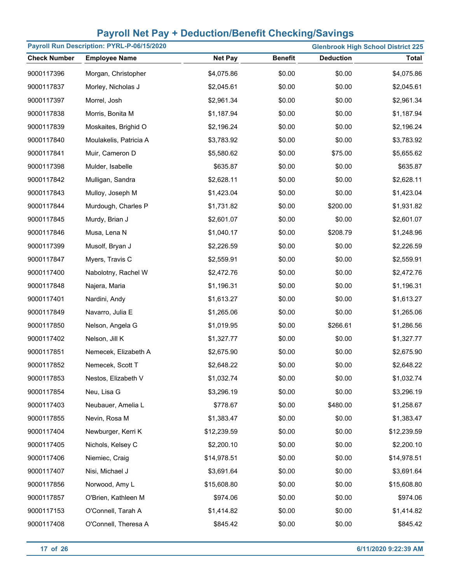| Payroll Run Description: PYRL-P-06/15/2020<br><b>Glenbrook High School District 225</b> |                        |                |                |                  |              |
|-----------------------------------------------------------------------------------------|------------------------|----------------|----------------|------------------|--------------|
| <b>Check Number</b>                                                                     | <b>Employee Name</b>   | <b>Net Pay</b> | <b>Benefit</b> | <b>Deduction</b> | <b>Total</b> |
| 9000117396                                                                              | Morgan, Christopher    | \$4,075.86     | \$0.00         | \$0.00           | \$4,075.86   |
| 9000117837                                                                              | Morley, Nicholas J     | \$2,045.61     | \$0.00         | \$0.00           | \$2,045.61   |
| 9000117397                                                                              | Morrel, Josh           | \$2,961.34     | \$0.00         | \$0.00           | \$2,961.34   |
| 9000117838                                                                              | Morris, Bonita M       | \$1,187.94     | \$0.00         | \$0.00           | \$1,187.94   |
| 9000117839                                                                              | Moskaites, Brighid O   | \$2,196.24     | \$0.00         | \$0.00           | \$2,196.24   |
| 9000117840                                                                              | Moulakelis, Patricia A | \$3,783.92     | \$0.00         | \$0.00           | \$3,783.92   |
| 9000117841                                                                              | Muir, Cameron D        | \$5,580.62     | \$0.00         | \$75.00          | \$5,655.62   |
| 9000117398                                                                              | Mulder, Isabelle       | \$635.87       | \$0.00         | \$0.00           | \$635.87     |
| 9000117842                                                                              | Mulligan, Sandra       | \$2,628.11     | \$0.00         | \$0.00           | \$2,628.11   |
| 9000117843                                                                              | Mulloy, Joseph M       | \$1,423.04     | \$0.00         | \$0.00           | \$1,423.04   |
| 9000117844                                                                              | Murdough, Charles P    | \$1,731.82     | \$0.00         | \$200.00         | \$1,931.82   |
| 9000117845                                                                              | Murdy, Brian J         | \$2,601.07     | \$0.00         | \$0.00           | \$2,601.07   |
| 9000117846                                                                              | Musa, Lena N           | \$1,040.17     | \$0.00         | \$208.79         | \$1,248.96   |
| 9000117399                                                                              | Musolf, Bryan J        | \$2,226.59     | \$0.00         | \$0.00           | \$2,226.59   |
| 9000117847                                                                              | Myers, Travis C        | \$2,559.91     | \$0.00         | \$0.00           | \$2,559.91   |
| 9000117400                                                                              | Nabolotny, Rachel W    | \$2,472.76     | \$0.00         | \$0.00           | \$2,472.76   |
| 9000117848                                                                              | Najera, Maria          | \$1,196.31     | \$0.00         | \$0.00           | \$1,196.31   |
| 9000117401                                                                              | Nardini, Andy          | \$1,613.27     | \$0.00         | \$0.00           | \$1,613.27   |
| 9000117849                                                                              | Navarro, Julia E       | \$1,265.06     | \$0.00         | \$0.00           | \$1,265.06   |
| 9000117850                                                                              | Nelson, Angela G       | \$1,019.95     | \$0.00         | \$266.61         | \$1,286.56   |
| 9000117402                                                                              | Nelson, Jill K         | \$1,327.77     | \$0.00         | \$0.00           | \$1,327.77   |
| 9000117851                                                                              | Nemecek, Elizabeth A   | \$2,675.90     | \$0.00         | \$0.00           | \$2,675.90   |
| 9000117852                                                                              | Nemecek, Scott T       | \$2,648.22     | \$0.00         | \$0.00           | \$2,648.22   |
| 9000117853                                                                              | Nestos, Elizabeth V    | \$1,032.74     | \$0.00         | \$0.00           | \$1,032.74   |
| 9000117854                                                                              | Neu, Lisa G            | \$3,296.19     | \$0.00         | \$0.00           | \$3,296.19   |
| 9000117403                                                                              | Neubauer, Amelia L     | \$778.67       | \$0.00         | \$480.00         | \$1,258.67   |
| 9000117855                                                                              | Nevin, Rosa M          | \$1,383.47     | \$0.00         | \$0.00           | \$1,383.47   |
| 9000117404                                                                              | Newburger, Kerri K     | \$12,239.59    | \$0.00         | \$0.00           | \$12,239.59  |
| 9000117405                                                                              | Nichols, Kelsey C      | \$2,200.10     | \$0.00         | \$0.00           | \$2,200.10   |
| 9000117406                                                                              | Niemiec, Craig         | \$14,978.51    | \$0.00         | \$0.00           | \$14,978.51  |
| 9000117407                                                                              | Nisi, Michael J        | \$3,691.64     | \$0.00         | \$0.00           | \$3,691.64   |
| 9000117856                                                                              | Norwood, Amy L         | \$15,608.80    | \$0.00         | \$0.00           | \$15,608.80  |
| 9000117857                                                                              | O'Brien, Kathleen M    | \$974.06       | \$0.00         | \$0.00           | \$974.06     |
| 9000117153                                                                              | O'Connell, Tarah A     | \$1,414.82     | \$0.00         | \$0.00           | \$1,414.82   |
| 9000117408                                                                              | O'Connell, Theresa A   | \$845.42       | \$0.00         | \$0.00           | \$845.42     |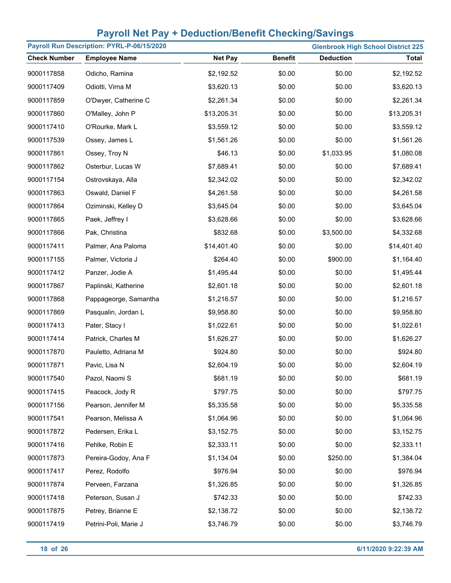| Payroll Run Description: PYRL-P-06/15/2020<br><b>Glenbrook High School District 225</b> |                       |                |                |                  |             |
|-----------------------------------------------------------------------------------------|-----------------------|----------------|----------------|------------------|-------------|
| <b>Check Number</b>                                                                     | <b>Employee Name</b>  | <b>Net Pay</b> | <b>Benefit</b> | <b>Deduction</b> | Total       |
| 9000117858                                                                              | Odicho, Ramina        | \$2,192.52     | \$0.00         | \$0.00           | \$2,192.52  |
| 9000117409                                                                              | Odiotti, Virna M      | \$3,620.13     | \$0.00         | \$0.00           | \$3,620.13  |
| 9000117859                                                                              | O'Dwyer, Catherine C  | \$2,261.34     | \$0.00         | \$0.00           | \$2,261.34  |
| 9000117860                                                                              | O'Malley, John P      | \$13,205.31    | \$0.00         | \$0.00           | \$13,205.31 |
| 9000117410                                                                              | O'Rourke, Mark L      | \$3,559.12     | \$0.00         | \$0.00           | \$3,559.12  |
| 9000117539                                                                              | Ossey, James L        | \$1,561.26     | \$0.00         | \$0.00           | \$1,561.26  |
| 9000117861                                                                              | Ossey, Troy N         | \$46.13        | \$0.00         | \$1,033.95       | \$1,080.08  |
| 9000117862                                                                              | Osterbur, Lucas W     | \$7,689.41     | \$0.00         | \$0.00           | \$7,689.41  |
| 9000117154                                                                              | Ostrovskaya, Alla     | \$2,342.02     | \$0.00         | \$0.00           | \$2,342.02  |
| 9000117863                                                                              | Oswald, Daniel F      | \$4,261.58     | \$0.00         | \$0.00           | \$4,261.58  |
| 9000117864                                                                              | Oziminski, Kelley D   | \$3,645.04     | \$0.00         | \$0.00           | \$3,645.04  |
| 9000117865                                                                              | Paek, Jeffrey I       | \$3,628.66     | \$0.00         | \$0.00           | \$3,628.66  |
| 9000117866                                                                              | Pak, Christina        | \$832.68       | \$0.00         | \$3,500.00       | \$4,332.68  |
| 9000117411                                                                              | Palmer, Ana Paloma    | \$14,401.40    | \$0.00         | \$0.00           | \$14,401.40 |
| 9000117155                                                                              | Palmer, Victoria J    | \$264.40       | \$0.00         | \$900.00         | \$1,164.40  |
| 9000117412                                                                              | Panzer, Jodie A       | \$1,495.44     | \$0.00         | \$0.00           | \$1,495.44  |
| 9000117867                                                                              | Paplinski, Katherine  | \$2,601.18     | \$0.00         | \$0.00           | \$2,601.18  |
| 9000117868                                                                              | Pappageorge, Samantha | \$1,216.57     | \$0.00         | \$0.00           | \$1,216.57  |
| 9000117869                                                                              | Pasqualin, Jordan L   | \$9,958.80     | \$0.00         | \$0.00           | \$9,958.80  |
| 9000117413                                                                              | Pater, Stacy I        | \$1,022.61     | \$0.00         | \$0.00           | \$1,022.61  |
| 9000117414                                                                              | Patrick, Charles M    | \$1,626.27     | \$0.00         | \$0.00           | \$1,626.27  |
| 9000117870                                                                              | Pauletto, Adriana M   | \$924.80       | \$0.00         | \$0.00           | \$924.80    |
| 9000117871                                                                              | Pavic, Lisa N         | \$2,604.19     | \$0.00         | \$0.00           | \$2,604.19  |
| 9000117540                                                                              | Pazol, Naomi S        | \$681.19       | \$0.00         | \$0.00           | \$681.19    |
| 9000117415                                                                              | Peacock, Jody R       | \$797.75       | \$0.00         | \$0.00           | \$797.75    |
| 9000117156                                                                              | Pearson, Jennifer M   | \$5,335.58     | \$0.00         | \$0.00           | \$5,335.58  |
| 9000117541                                                                              | Pearson, Melissa A    | \$1,064.96     | \$0.00         | \$0.00           | \$1,064.96  |
| 9000117872                                                                              | Pedersen, Erika L     | \$3,152.75     | \$0.00         | \$0.00           | \$3,152.75  |
| 9000117416                                                                              | Pehlke, Robin E       | \$2,333.11     | \$0.00         | \$0.00           | \$2,333.11  |
| 9000117873                                                                              | Pereira-Godoy, Ana F  | \$1,134.04     | \$0.00         | \$250.00         | \$1,384.04  |
| 9000117417                                                                              | Perez, Rodolfo        | \$976.94       | \$0.00         | \$0.00           | \$976.94    |
| 9000117874                                                                              | Perveen, Farzana      | \$1,326.85     | \$0.00         | \$0.00           | \$1,326.85  |
| 9000117418                                                                              | Peterson, Susan J     | \$742.33       | \$0.00         | \$0.00           | \$742.33    |
| 9000117875                                                                              | Petrey, Brianne E     | \$2,138.72     | \$0.00         | \$0.00           | \$2,138.72  |
| 9000117419                                                                              | Petrini-Poli, Marie J | \$3,746.79     | \$0.00         | \$0.00           | \$3,746.79  |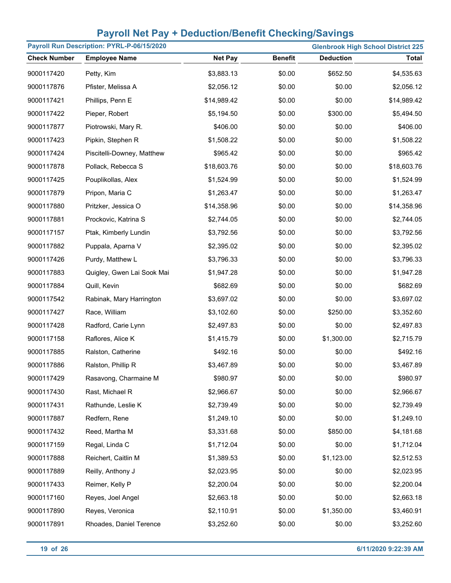| Payroll Run Description: PYRL-P-06/15/2020<br><b>Glenbrook High School District 225</b> |                            |                |                |                  |              |
|-----------------------------------------------------------------------------------------|----------------------------|----------------|----------------|------------------|--------------|
| <b>Check Number</b>                                                                     | <b>Employee Name</b>       | <b>Net Pay</b> | <b>Benefit</b> | <b>Deduction</b> | <b>Total</b> |
| 9000117420                                                                              | Petty, Kim                 | \$3,883.13     | \$0.00         | \$652.50         | \$4,535.63   |
| 9000117876                                                                              | Pfister, Melissa A         | \$2,056.12     | \$0.00         | \$0.00           | \$2,056.12   |
| 9000117421                                                                              | Phillips, Penn E           | \$14,989.42    | \$0.00         | \$0.00           | \$14,989.42  |
| 9000117422                                                                              | Pieper, Robert             | \$5,194.50     | \$0.00         | \$300.00         | \$5,494.50   |
| 9000117877                                                                              | Piotrowski, Mary R.        | \$406.00       | \$0.00         | \$0.00           | \$406.00     |
| 9000117423                                                                              | Pipkin, Stephen R          | \$1,508.22     | \$0.00         | \$0.00           | \$1,508.22   |
| 9000117424                                                                              | Piscitelli-Downey, Matthew | \$965.42       | \$0.00         | \$0.00           | \$965.42     |
| 9000117878                                                                              | Pollack, Rebecca S         | \$18,603.76    | \$0.00         | \$0.00           | \$18,603.76  |
| 9000117425                                                                              | Pouplikollas, Alex         | \$1,524.99     | \$0.00         | \$0.00           | \$1,524.99   |
| 9000117879                                                                              | Pripon, Maria C            | \$1,263.47     | \$0.00         | \$0.00           | \$1,263.47   |
| 9000117880                                                                              | Pritzker, Jessica O        | \$14,358.96    | \$0.00         | \$0.00           | \$14,358.96  |
| 9000117881                                                                              | Prockovic, Katrina S       | \$2,744.05     | \$0.00         | \$0.00           | \$2,744.05   |
| 9000117157                                                                              | Ptak, Kimberly Lundin      | \$3,792.56     | \$0.00         | \$0.00           | \$3,792.56   |
| 9000117882                                                                              | Puppala, Aparna V          | \$2,395.02     | \$0.00         | \$0.00           | \$2,395.02   |
| 9000117426                                                                              | Purdy, Matthew L           | \$3,796.33     | \$0.00         | \$0.00           | \$3,796.33   |
| 9000117883                                                                              | Quigley, Gwen Lai Sook Mai | \$1,947.28     | \$0.00         | \$0.00           | \$1,947.28   |
| 9000117884                                                                              | Quill, Kevin               | \$682.69       | \$0.00         | \$0.00           | \$682.69     |
| 9000117542                                                                              | Rabinak, Mary Harrington   | \$3,697.02     | \$0.00         | \$0.00           | \$3,697.02   |
| 9000117427                                                                              | Race, William              | \$3,102.60     | \$0.00         | \$250.00         | \$3,352.60   |
| 9000117428                                                                              | Radford, Carie Lynn        | \$2,497.83     | \$0.00         | \$0.00           | \$2,497.83   |
| 9000117158                                                                              | Raflores, Alice K          | \$1,415.79     | \$0.00         | \$1,300.00       | \$2,715.79   |
| 9000117885                                                                              | Ralston, Catherine         | \$492.16       | \$0.00         | \$0.00           | \$492.16     |
| 9000117886                                                                              | Ralston, Phillip R         | \$3,467.89     | \$0.00         | \$0.00           | \$3,467.89   |
| 9000117429                                                                              | Rasavong, Charmaine M      | \$980.97       | \$0.00         | \$0.00           | \$980.97     |
| 9000117430                                                                              | Rast, Michael R            | \$2,966.67     | \$0.00         | \$0.00           | \$2,966.67   |
| 9000117431                                                                              | Rathunde, Leslie K         | \$2,739.49     | \$0.00         | \$0.00           | \$2,739.49   |
| 9000117887                                                                              | Redfern, Rene              | \$1,249.10     | \$0.00         | \$0.00           | \$1,249.10   |
| 9000117432                                                                              | Reed, Martha M             | \$3,331.68     | \$0.00         | \$850.00         | \$4,181.68   |
| 9000117159                                                                              | Regal, Linda C             | \$1,712.04     | \$0.00         | \$0.00           | \$1,712.04   |
| 9000117888                                                                              | Reichert, Caitlin M        | \$1,389.53     | \$0.00         | \$1,123.00       | \$2,512.53   |
| 9000117889                                                                              | Reilly, Anthony J          | \$2,023.95     | \$0.00         | \$0.00           | \$2,023.95   |
| 9000117433                                                                              | Reimer, Kelly P            | \$2,200.04     | \$0.00         | \$0.00           | \$2,200.04   |
| 9000117160                                                                              | Reyes, Joel Angel          | \$2,663.18     | \$0.00         | \$0.00           | \$2,663.18   |
| 9000117890                                                                              | Reyes, Veronica            | \$2,110.91     | \$0.00         | \$1,350.00       | \$3,460.91   |
| 9000117891                                                                              | Rhoades, Daniel Terence    | \$3,252.60     | \$0.00         | \$0.00           | \$3,252.60   |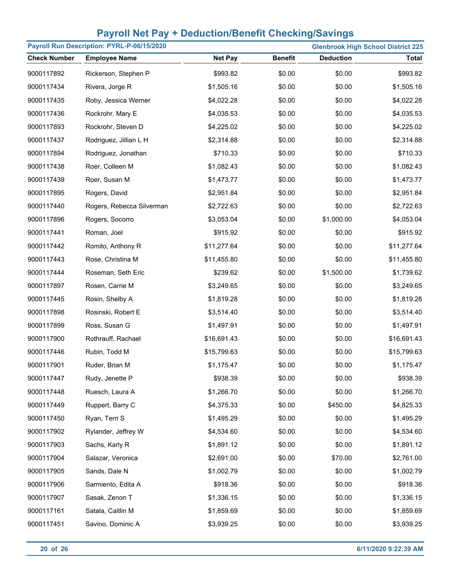| Payroll Run Description: PYRL-P-06/15/2020<br><b>Glenbrook High School District 225</b> |                           |                |                |                  |              |  |
|-----------------------------------------------------------------------------------------|---------------------------|----------------|----------------|------------------|--------------|--|
| <b>Check Number</b>                                                                     | <b>Employee Name</b>      | <b>Net Pay</b> | <b>Benefit</b> | <b>Deduction</b> | <b>Total</b> |  |
| 9000117892                                                                              | Rickerson, Stephen P      | \$993.82       | \$0.00         | \$0.00           | \$993.82     |  |
| 9000117434                                                                              | Rivera, Jorge R           | \$1,505.16     | \$0.00         | \$0.00           | \$1,505.16   |  |
| 9000117435                                                                              | Roby, Jessica Werner      | \$4,022.28     | \$0.00         | \$0.00           | \$4,022.28   |  |
| 9000117436                                                                              | Rockrohr, Mary E          | \$4,035.53     | \$0.00         | \$0.00           | \$4,035.53   |  |
| 9000117893                                                                              | Rockrohr, Steven D        | \$4,225.02     | \$0.00         | \$0.00           | \$4,225.02   |  |
| 9000117437                                                                              | Rodriguez, Jillian L H    | \$2,314.88     | \$0.00         | \$0.00           | \$2,314.88   |  |
| 9000117894                                                                              | Rodriguez, Jonathan       | \$710.33       | \$0.00         | \$0.00           | \$710.33     |  |
| 9000117438                                                                              | Roer, Colleen M           | \$1,082.43     | \$0.00         | \$0.00           | \$1,082.43   |  |
| 9000117439                                                                              | Roer, Susan M             | \$1,473.77     | \$0.00         | \$0.00           | \$1,473.77   |  |
| 9000117895                                                                              | Rogers, David             | \$2,951.84     | \$0.00         | \$0.00           | \$2,951.84   |  |
| 9000117440                                                                              | Rogers, Rebecca Silverman | \$2,722.63     | \$0.00         | \$0.00           | \$2,722.63   |  |
| 9000117896                                                                              | Rogers, Socorro           | \$3,053.04     | \$0.00         | \$1,000.00       | \$4,053.04   |  |
| 9000117441                                                                              | Roman, Joel               | \$915.92       | \$0.00         | \$0.00           | \$915.92     |  |
| 9000117442                                                                              | Romito, Anthony R         | \$11,277.64    | \$0.00         | \$0.00           | \$11,277.64  |  |
| 9000117443                                                                              | Rose, Christina M         | \$11,455.80    | \$0.00         | \$0.00           | \$11,455.80  |  |
| 9000117444                                                                              | Roseman, Seth Eric        | \$239.62       | \$0.00         | \$1,500.00       | \$1,739.62   |  |
| 9000117897                                                                              | Rosen, Carrie M           | \$3,249.65     | \$0.00         | \$0.00           | \$3,249.65   |  |
| 9000117445                                                                              | Rosin, Shelby A           | \$1,819.28     | \$0.00         | \$0.00           | \$1,819.28   |  |
| 9000117898                                                                              | Rosinski, Robert E        | \$3,514.40     | \$0.00         | \$0.00           | \$3,514.40   |  |
| 9000117899                                                                              | Ross, Susan G             | \$1,497.91     | \$0.00         | \$0.00           | \$1,497.91   |  |
| 9000117900                                                                              | Rothrauff, Rachael        | \$16,691.43    | \$0.00         | \$0.00           | \$16,691.43  |  |
| 9000117446                                                                              | Rubin, Todd M             | \$15,799.63    | \$0.00         | \$0.00           | \$15,799.63  |  |
| 9000117901                                                                              | Ruder, Brian M            | \$1,175.47     | \$0.00         | \$0.00           | \$1,175.47   |  |
| 9000117447                                                                              | Rudy, Jenette P           | \$938.39       | \$0.00         | \$0.00           | \$938.39     |  |
| 9000117448                                                                              | Ruesch, Laura A           | \$1,266.70     | \$0.00         | \$0.00           | \$1,266.70   |  |
| 9000117449                                                                              | Ruppert, Barry C          | \$4,375.33     | \$0.00         | \$450.00         | \$4,825.33   |  |
| 9000117450                                                                              | Ryan, Terri S             | \$1,495.29     | \$0.00         | \$0.00           | \$1,495.29   |  |
| 9000117902                                                                              | Rylander, Jeffrey W       | \$4,534.60     | \$0.00         | \$0.00           | \$4,534.60   |  |
| 9000117903                                                                              | Sachs, Karly R            | \$1,891.12     | \$0.00         | \$0.00           | \$1,891.12   |  |
| 9000117904                                                                              | Salazar, Veronica         | \$2,691.00     | \$0.00         | \$70.00          | \$2,761.00   |  |
| 9000117905                                                                              | Sands, Dale N             | \$1,002.79     | \$0.00         | \$0.00           | \$1,002.79   |  |
| 9000117906                                                                              | Sarmiento, Edita A        | \$918.36       | \$0.00         | \$0.00           | \$918.36     |  |
| 9000117907                                                                              | Sasak, Zenon T            | \$1,336.15     | \$0.00         | \$0.00           | \$1,336.15   |  |
| 9000117161                                                                              | Satala, Caitlin M         | \$1,859.69     | \$0.00         | \$0.00           | \$1,859.69   |  |
| 9000117451                                                                              | Savino, Dominic A         | \$3,939.25     | \$0.00         | \$0.00           | \$3,939.25   |  |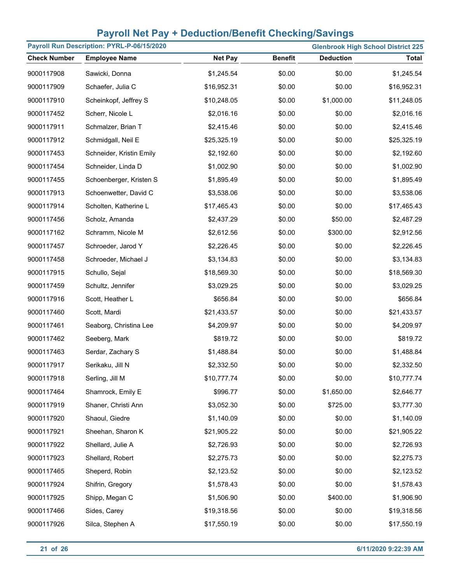| Payroll Run Description: PYRL-P-06/15/2020<br><b>Glenbrook High School District 225</b> |                          |                |                |                  |              |
|-----------------------------------------------------------------------------------------|--------------------------|----------------|----------------|------------------|--------------|
| <b>Check Number</b>                                                                     | <b>Employee Name</b>     | <b>Net Pay</b> | <b>Benefit</b> | <b>Deduction</b> | <b>Total</b> |
| 9000117908                                                                              | Sawicki, Donna           | \$1,245.54     | \$0.00         | \$0.00           | \$1,245.54   |
| 9000117909                                                                              | Schaefer, Julia C        | \$16,952.31    | \$0.00         | \$0.00           | \$16,952.31  |
| 9000117910                                                                              | Scheinkopf, Jeffrey S    | \$10,248.05    | \$0.00         | \$1,000.00       | \$11,248.05  |
| 9000117452                                                                              | Scherr, Nicole L         | \$2,016.16     | \$0.00         | \$0.00           | \$2,016.16   |
| 9000117911                                                                              | Schmalzer, Brian T       | \$2,415.46     | \$0.00         | \$0.00           | \$2,415.46   |
| 9000117912                                                                              | Schmidgall, Neil E       | \$25,325.19    | \$0.00         | \$0.00           | \$25,325.19  |
| 9000117453                                                                              | Schneider, Kristin Emily | \$2,192.60     | \$0.00         | \$0.00           | \$2,192.60   |
| 9000117454                                                                              | Schneider, Linda D       | \$1,002.90     | \$0.00         | \$0.00           | \$1,002.90   |
| 9000117455                                                                              | Schoenberger, Kristen S  | \$1,895.49     | \$0.00         | \$0.00           | \$1,895.49   |
| 9000117913                                                                              | Schoenwetter, David C    | \$3,538.06     | \$0.00         | \$0.00           | \$3,538.06   |
| 9000117914                                                                              | Scholten, Katherine L    | \$17,465.43    | \$0.00         | \$0.00           | \$17,465.43  |
| 9000117456                                                                              | Scholz, Amanda           | \$2,437.29     | \$0.00         | \$50.00          | \$2,487.29   |
| 9000117162                                                                              | Schramm, Nicole M        | \$2,612.56     | \$0.00         | \$300.00         | \$2,912.56   |
| 9000117457                                                                              | Schroeder, Jarod Y       | \$2,226.45     | \$0.00         | \$0.00           | \$2,226.45   |
| 9000117458                                                                              | Schroeder, Michael J     | \$3,134.83     | \$0.00         | \$0.00           | \$3,134.83   |
| 9000117915                                                                              | Schullo, Sejal           | \$18,569.30    | \$0.00         | \$0.00           | \$18,569.30  |
| 9000117459                                                                              | Schultz, Jennifer        | \$3,029.25     | \$0.00         | \$0.00           | \$3,029.25   |
| 9000117916                                                                              | Scott, Heather L         | \$656.84       | \$0.00         | \$0.00           | \$656.84     |
| 9000117460                                                                              | Scott, Mardi             | \$21,433.57    | \$0.00         | \$0.00           | \$21,433.57  |
| 9000117461                                                                              | Seaborg, Christina Lee   | \$4,209.97     | \$0.00         | \$0.00           | \$4,209.97   |
| 9000117462                                                                              | Seeberg, Mark            | \$819.72       | \$0.00         | \$0.00           | \$819.72     |
| 9000117463                                                                              | Serdar, Zachary S        | \$1,488.84     | \$0.00         | \$0.00           | \$1,488.84   |
| 9000117917                                                                              | Serikaku, Jill N         | \$2,332.50     | \$0.00         | \$0.00           | \$2,332.50   |
| 9000117918                                                                              | Serling, Jill M          | \$10,777.74    | \$0.00         | \$0.00           | \$10,777.74  |
| 9000117464                                                                              | Shamrock, Emily E        | \$996.77       | \$0.00         | \$1,650.00       | \$2,646.77   |
| 9000117919                                                                              | Shaner, Christi Ann      | \$3,052.30     | \$0.00         | \$725.00         | \$3,777.30   |
| 9000117920                                                                              | Shaoul, Giedre           | \$1,140.09     | \$0.00         | \$0.00           | \$1,140.09   |
| 9000117921                                                                              | Sheehan, Sharon K        | \$21,905.22    | \$0.00         | \$0.00           | \$21,905.22  |
| 9000117922                                                                              | Shellard, Julie A        | \$2,726.93     | \$0.00         | \$0.00           | \$2,726.93   |
| 9000117923                                                                              | Shellard, Robert         | \$2,275.73     | \$0.00         | \$0.00           | \$2,275.73   |
| 9000117465                                                                              | Sheperd, Robin           | \$2,123.52     | \$0.00         | \$0.00           | \$2,123.52   |
| 9000117924                                                                              | Shifrin, Gregory         | \$1,578.43     | \$0.00         | \$0.00           | \$1,578.43   |
| 9000117925                                                                              | Shipp, Megan C           | \$1,506.90     | \$0.00         | \$400.00         | \$1,906.90   |
| 9000117466                                                                              | Sides, Carey             | \$19,318.56    | \$0.00         | \$0.00           | \$19,318.56  |
| 9000117926                                                                              | Silca, Stephen A         | \$17,550.19    | \$0.00         | \$0.00           | \$17,550.19  |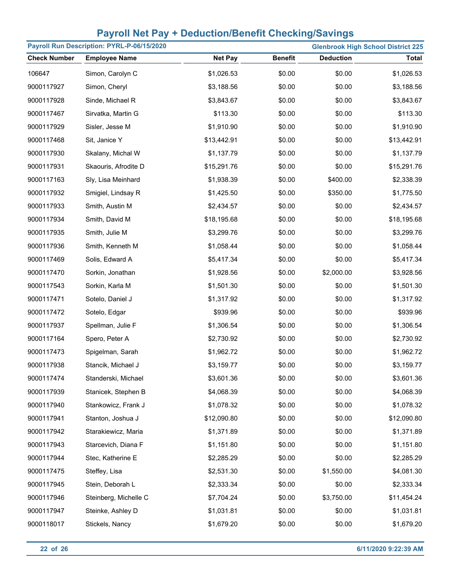| Payroll Run Description: PYRL-P-06/15/2020<br><b>Glenbrook High School District 225</b> |                       |                |                |                  |              |
|-----------------------------------------------------------------------------------------|-----------------------|----------------|----------------|------------------|--------------|
| <b>Check Number</b>                                                                     | <b>Employee Name</b>  | <b>Net Pay</b> | <b>Benefit</b> | <b>Deduction</b> | <b>Total</b> |
| 106647                                                                                  | Simon, Carolyn C      | \$1,026.53     | \$0.00         | \$0.00           | \$1,026.53   |
| 9000117927                                                                              | Simon, Cheryl         | \$3,188.56     | \$0.00         | \$0.00           | \$3,188.56   |
| 9000117928                                                                              | Sinde, Michael R      | \$3,843.67     | \$0.00         | \$0.00           | \$3,843.67   |
| 9000117467                                                                              | Sirvatka, Martin G    | \$113.30       | \$0.00         | \$0.00           | \$113.30     |
| 9000117929                                                                              | Sisler, Jesse M       | \$1,910.90     | \$0.00         | \$0.00           | \$1,910.90   |
| 9000117468                                                                              | Sit, Janice Y         | \$13,442.91    | \$0.00         | \$0.00           | \$13,442.91  |
| 9000117930                                                                              | Skalany, Michal W     | \$1,137.79     | \$0.00         | \$0.00           | \$1,137.79   |
| 9000117931                                                                              | Skaouris, Afrodite D  | \$15,291.76    | \$0.00         | \$0.00           | \$15,291.76  |
| 9000117163                                                                              | Sly, Lisa Meinhard    | \$1,938.39     | \$0.00         | \$400.00         | \$2,338.39   |
| 9000117932                                                                              | Smigiel, Lindsay R    | \$1,425.50     | \$0.00         | \$350.00         | \$1,775.50   |
| 9000117933                                                                              | Smith, Austin M       | \$2,434.57     | \$0.00         | \$0.00           | \$2,434.57   |
| 9000117934                                                                              | Smith, David M        | \$18,195.68    | \$0.00         | \$0.00           | \$18,195.68  |
| 9000117935                                                                              | Smith, Julie M        | \$3,299.76     | \$0.00         | \$0.00           | \$3,299.76   |
| 9000117936                                                                              | Smith, Kenneth M      | \$1,058.44     | \$0.00         | \$0.00           | \$1,058.44   |
| 9000117469                                                                              | Solis, Edward A       | \$5,417.34     | \$0.00         | \$0.00           | \$5,417.34   |
| 9000117470                                                                              | Sorkin, Jonathan      | \$1,928.56     | \$0.00         | \$2,000.00       | \$3,928.56   |
| 9000117543                                                                              | Sorkin, Karla M       | \$1,501.30     | \$0.00         | \$0.00           | \$1,501.30   |
| 9000117471                                                                              | Sotelo, Daniel J      | \$1,317.92     | \$0.00         | \$0.00           | \$1,317.92   |
| 9000117472                                                                              | Sotelo, Edgar         | \$939.96       | \$0.00         | \$0.00           | \$939.96     |
| 9000117937                                                                              | Spellman, Julie F     | \$1,306.54     | \$0.00         | \$0.00           | \$1,306.54   |
| 9000117164                                                                              | Spero, Peter A        | \$2,730.92     | \$0.00         | \$0.00           | \$2,730.92   |
| 9000117473                                                                              | Spigelman, Sarah      | \$1,962.72     | \$0.00         | \$0.00           | \$1,962.72   |
| 9000117938                                                                              | Stancik, Michael J    | \$3,159.77     | \$0.00         | \$0.00           | \$3,159.77   |
| 9000117474                                                                              | Standerski, Michael   | \$3,601.36     | \$0.00         | \$0.00           | \$3,601.36   |
| 9000117939                                                                              | Stanicek, Stephen B   | \$4,068.39     | \$0.00         | \$0.00           | \$4,068.39   |
| 9000117940                                                                              | Stankowicz, Frank J   | \$1,078.32     | \$0.00         | \$0.00           | \$1,078.32   |
| 9000117941                                                                              | Stanton, Joshua J     | \$12,090.80    | \$0.00         | \$0.00           | \$12,090.80  |
| 9000117942                                                                              | Starakiewicz, Maria   | \$1,371.89     | \$0.00         | \$0.00           | \$1,371.89   |
| 9000117943                                                                              | Starcevich, Diana F   | \$1,151.80     | \$0.00         | \$0.00           | \$1,151.80   |
| 9000117944                                                                              | Stec, Katherine E     | \$2,285.29     | \$0.00         | \$0.00           | \$2,285.29   |
| 9000117475                                                                              | Steffey, Lisa         | \$2,531.30     | \$0.00         | \$1,550.00       | \$4,081.30   |
| 9000117945                                                                              | Stein, Deborah L      | \$2,333.34     | \$0.00         | \$0.00           | \$2,333.34   |
| 9000117946                                                                              | Steinberg, Michelle C | \$7,704.24     | \$0.00         | \$3,750.00       | \$11,454.24  |
| 9000117947                                                                              | Steinke, Ashley D     | \$1,031.81     | \$0.00         | \$0.00           | \$1,031.81   |
| 9000118017                                                                              | Stickels, Nancy       | \$1,679.20     | \$0.00         | \$0.00           | \$1,679.20   |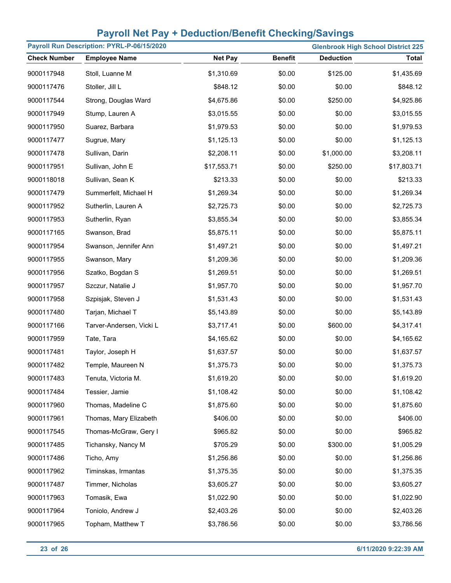| Payroll Run Description: PYRL-P-06/15/2020 |                          |                |                |                  | <b>Glenbrook High School District 225</b> |
|--------------------------------------------|--------------------------|----------------|----------------|------------------|-------------------------------------------|
| <b>Check Number</b>                        | <b>Employee Name</b>     | <b>Net Pay</b> | <b>Benefit</b> | <b>Deduction</b> | <b>Total</b>                              |
| 9000117948                                 | Stoll, Luanne M          | \$1,310.69     | \$0.00         | \$125.00         | \$1,435.69                                |
| 9000117476                                 | Stoller, Jill L          | \$848.12       | \$0.00         | \$0.00           | \$848.12                                  |
| 9000117544                                 | Strong, Douglas Ward     | \$4,675.86     | \$0.00         | \$250.00         | \$4,925.86                                |
| 9000117949                                 | Stump, Lauren A          | \$3,015.55     | \$0.00         | \$0.00           | \$3,015.55                                |
| 9000117950                                 | Suarez, Barbara          | \$1,979.53     | \$0.00         | \$0.00           | \$1,979.53                                |
| 9000117477                                 | Sugrue, Mary             | \$1,125.13     | \$0.00         | \$0.00           | \$1,125.13                                |
| 9000117478                                 | Sullivan, Darin          | \$2,208.11     | \$0.00         | \$1,000.00       | \$3,208.11                                |
| 9000117951                                 | Sullivan, John E         | \$17,553.71    | \$0.00         | \$250.00         | \$17,803.71                               |
| 9000118018                                 | Sullivan, Sean K         | \$213.33       | \$0.00         | \$0.00           | \$213.33                                  |
| 9000117479                                 | Summerfelt, Michael H    | \$1,269.34     | \$0.00         | \$0.00           | \$1,269.34                                |
| 9000117952                                 | Sutherlin, Lauren A      | \$2,725.73     | \$0.00         | \$0.00           | \$2,725.73                                |
| 9000117953                                 | Sutherlin, Ryan          | \$3,855.34     | \$0.00         | \$0.00           | \$3,855.34                                |
| 9000117165                                 | Swanson, Brad            | \$5,875.11     | \$0.00         | \$0.00           | \$5,875.11                                |
| 9000117954                                 | Swanson, Jennifer Ann    | \$1,497.21     | \$0.00         | \$0.00           | \$1,497.21                                |
| 9000117955                                 | Swanson, Mary            | \$1,209.36     | \$0.00         | \$0.00           | \$1,209.36                                |
| 9000117956                                 | Szatko, Bogdan S         | \$1,269.51     | \$0.00         | \$0.00           | \$1,269.51                                |
| 9000117957                                 | Szczur, Natalie J        | \$1,957.70     | \$0.00         | \$0.00           | \$1,957.70                                |
| 9000117958                                 | Szpisjak, Steven J       | \$1,531.43     | \$0.00         | \$0.00           | \$1,531.43                                |
| 9000117480                                 | Tarjan, Michael T        | \$5,143.89     | \$0.00         | \$0.00           | \$5,143.89                                |
| 9000117166                                 | Tarver-Andersen, Vicki L | \$3,717.41     | \$0.00         | \$600.00         | \$4,317.41                                |
| 9000117959                                 | Tate, Tara               | \$4,165.62     | \$0.00         | \$0.00           | \$4,165.62                                |
| 9000117481                                 | Taylor, Joseph H         | \$1,637.57     | \$0.00         | \$0.00           | \$1,637.57                                |
| 9000117482                                 | Temple, Maureen N        | \$1,375.73     | \$0.00         | \$0.00           | \$1,375.73                                |
| 9000117483                                 | Tenuta, Victoria M.      | \$1,619.20     | \$0.00         | \$0.00           | \$1,619.20                                |
| 9000117484                                 | Tessier, Jamie           | \$1,108.42     | \$0.00         | \$0.00           | \$1,108.42                                |
| 9000117960                                 | Thomas, Madeline C       | \$1,875.60     | \$0.00         | \$0.00           | \$1,875.60                                |
| 9000117961                                 | Thomas, Mary Elizabeth   | \$406.00       | \$0.00         | \$0.00           | \$406.00                                  |
| 9000117545                                 | Thomas-McGraw, Gery I    | \$965.82       | \$0.00         | \$0.00           | \$965.82                                  |
| 9000117485                                 | Tichansky, Nancy M       | \$705.29       | \$0.00         | \$300.00         | \$1,005.29                                |
| 9000117486                                 | Ticho, Amy               | \$1,256.86     | \$0.00         | \$0.00           | \$1,256.86                                |
| 9000117962                                 | Timinskas, Irmantas      | \$1,375.35     | \$0.00         | \$0.00           | \$1,375.35                                |
| 9000117487                                 | Timmer, Nicholas         | \$3,605.27     | \$0.00         | \$0.00           | \$3,605.27                                |
| 9000117963                                 | Tomasik, Ewa             | \$1,022.90     | \$0.00         | \$0.00           | \$1,022.90                                |
| 9000117964                                 | Toniolo, Andrew J        | \$2,403.26     | \$0.00         | \$0.00           | \$2,403.26                                |
| 9000117965                                 | Topham, Matthew T        | \$3,786.56     | \$0.00         | \$0.00           | \$3,786.56                                |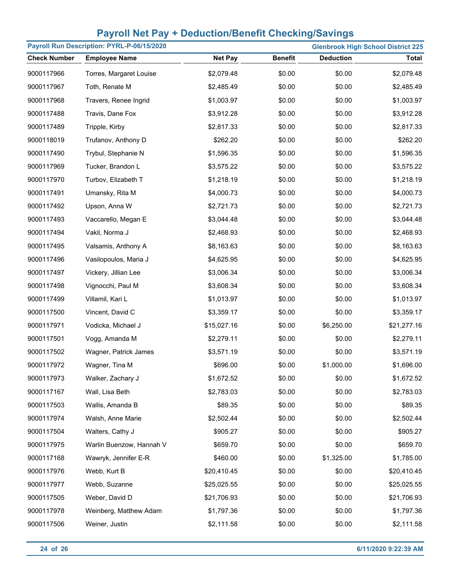| Payroll Run Description: PYRL-P-06/15/2020<br><b>Glenbrook High School District 225</b> |                          |                |                |                  |              |
|-----------------------------------------------------------------------------------------|--------------------------|----------------|----------------|------------------|--------------|
| <b>Check Number</b>                                                                     | <b>Employee Name</b>     | <b>Net Pay</b> | <b>Benefit</b> | <b>Deduction</b> | <b>Total</b> |
| 9000117966                                                                              | Torres, Margaret Louise  | \$2,079.48     | \$0.00         | \$0.00           | \$2,079.48   |
| 9000117967                                                                              | Toth, Renate M           | \$2,485.49     | \$0.00         | \$0.00           | \$2,485.49   |
| 9000117968                                                                              | Travers, Renee Ingrid    | \$1,003.97     | \$0.00         | \$0.00           | \$1,003.97   |
| 9000117488                                                                              | Travis, Dane Fox         | \$3,912.28     | \$0.00         | \$0.00           | \$3,912.28   |
| 9000117489                                                                              | Tripple, Kirby           | \$2,817.33     | \$0.00         | \$0.00           | \$2,817.33   |
| 9000118019                                                                              | Trufanov, Anthony D      | \$262.20       | \$0.00         | \$0.00           | \$262.20     |
| 9000117490                                                                              | Trybul, Stephanie N      | \$1,596.35     | \$0.00         | \$0.00           | \$1,596.35   |
| 9000117969                                                                              | Tucker, Brandon L        | \$3,575.22     | \$0.00         | \$0.00           | \$3,575.22   |
| 9000117970                                                                              | Turbov, Elizabeth T      | \$1,218.19     | \$0.00         | \$0.00           | \$1,218.19   |
| 9000117491                                                                              | Umansky, Rita M          | \$4,000.73     | \$0.00         | \$0.00           | \$4,000.73   |
| 9000117492                                                                              | Upson, Anna W            | \$2,721.73     | \$0.00         | \$0.00           | \$2,721.73   |
| 9000117493                                                                              | Vaccarello, Megan E      | \$3,044.48     | \$0.00         | \$0.00           | \$3,044.48   |
| 9000117494                                                                              | Vakil, Norma J           | \$2,468.93     | \$0.00         | \$0.00           | \$2,468.93   |
| 9000117495                                                                              | Valsamis, Anthony A      | \$8,163.63     | \$0.00         | \$0.00           | \$8,163.63   |
| 9000117496                                                                              | Vasilopoulos, Maria J    | \$4,625.95     | \$0.00         | \$0.00           | \$4,625.95   |
| 9000117497                                                                              | Vickery, Jillian Lee     | \$3,006.34     | \$0.00         | \$0.00           | \$3,006.34   |
| 9000117498                                                                              | Vignocchi, Paul M        | \$3,608.34     | \$0.00         | \$0.00           | \$3,608.34   |
| 9000117499                                                                              | Villamil, Kari L         | \$1,013.97     | \$0.00         | \$0.00           | \$1,013.97   |
| 9000117500                                                                              | Vincent, David C         | \$3,359.17     | \$0.00         | \$0.00           | \$3,359.17   |
| 9000117971                                                                              | Vodicka, Michael J       | \$15,027.16    | \$0.00         | \$6,250.00       | \$21,277.16  |
| 9000117501                                                                              | Vogg, Amanda M           | \$2,279.11     | \$0.00         | \$0.00           | \$2,279.11   |
| 9000117502                                                                              | Wagner, Patrick James    | \$3,571.19     | \$0.00         | \$0.00           | \$3,571.19   |
| 9000117972                                                                              | Wagner, Tina M           | \$696.00       | \$0.00         | \$1,000.00       | \$1,696.00   |
| 9000117973                                                                              | Walker, Zachary J        | \$1,672.52     | \$0.00         | \$0.00           | \$1,672.52   |
| 9000117167                                                                              | Wall, Lisa Beth          | \$2,783.03     | \$0.00         | \$0.00           | \$2,783.03   |
| 9000117503                                                                              | Wallis, Amanda B         | \$89.35        | \$0.00         | \$0.00           | \$89.35      |
| 9000117974                                                                              | Walsh, Anne Marie        | \$2,502.44     | \$0.00         | \$0.00           | \$2,502.44   |
| 9000117504                                                                              | Walters, Cathy J         | \$905.27       | \$0.00         | \$0.00           | \$905.27     |
| 9000117975                                                                              | Warlin Buenzow, Hannah V | \$659.70       | \$0.00         | \$0.00           | \$659.70     |
| 9000117168                                                                              | Wawryk, Jennifer E-R     | \$460.00       | \$0.00         | \$1,325.00       | \$1,785.00   |
| 9000117976                                                                              | Webb, Kurt B             | \$20,410.45    | \$0.00         | \$0.00           | \$20,410.45  |
| 9000117977                                                                              | Webb, Suzanne            | \$25,025.55    | \$0.00         | \$0.00           | \$25,025.55  |
| 9000117505                                                                              | Weber, David D           | \$21,706.93    | \$0.00         | \$0.00           | \$21,706.93  |
| 9000117978                                                                              | Weinberg, Matthew Adam   | \$1,797.36     | \$0.00         | \$0.00           | \$1,797.36   |
| 9000117506                                                                              | Weiner, Justin           | \$2,111.58     | \$0.00         | \$0.00           | \$2,111.58   |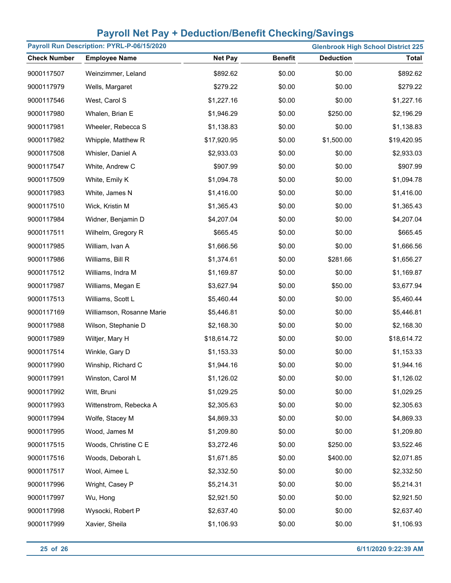| Payroll Run Description: PYRL-P-06/15/2020<br><b>Glenbrook High School District 225</b> |                           |                |                |                  |              |
|-----------------------------------------------------------------------------------------|---------------------------|----------------|----------------|------------------|--------------|
| <b>Check Number</b>                                                                     | <b>Employee Name</b>      | <b>Net Pay</b> | <b>Benefit</b> | <b>Deduction</b> | <b>Total</b> |
| 9000117507                                                                              | Weinzimmer, Leland        | \$892.62       | \$0.00         | \$0.00           | \$892.62     |
| 9000117979                                                                              | Wells, Margaret           | \$279.22       | \$0.00         | \$0.00           | \$279.22     |
| 9000117546                                                                              | West, Carol S             | \$1,227.16     | \$0.00         | \$0.00           | \$1,227.16   |
| 9000117980                                                                              | Whalen, Brian E           | \$1,946.29     | \$0.00         | \$250.00         | \$2,196.29   |
| 9000117981                                                                              | Wheeler, Rebecca S        | \$1,138.83     | \$0.00         | \$0.00           | \$1,138.83   |
| 9000117982                                                                              | Whipple, Matthew R        | \$17,920.95    | \$0.00         | \$1,500.00       | \$19,420.95  |
| 9000117508                                                                              | Whisler, Daniel A         | \$2,933.03     | \$0.00         | \$0.00           | \$2,933.03   |
| 9000117547                                                                              | White, Andrew C           | \$907.99       | \$0.00         | \$0.00           | \$907.99     |
| 9000117509                                                                              | White, Emily K            | \$1,094.78     | \$0.00         | \$0.00           | \$1,094.78   |
| 9000117983                                                                              | White, James N            | \$1,416.00     | \$0.00         | \$0.00           | \$1,416.00   |
| 9000117510                                                                              | Wick, Kristin M           | \$1,365.43     | \$0.00         | \$0.00           | \$1,365.43   |
| 9000117984                                                                              | Widner, Benjamin D        | \$4,207.04     | \$0.00         | \$0.00           | \$4,207.04   |
| 9000117511                                                                              | Wilhelm, Gregory R        | \$665.45       | \$0.00         | \$0.00           | \$665.45     |
| 9000117985                                                                              | William, Ivan A           | \$1,666.56     | \$0.00         | \$0.00           | \$1,666.56   |
| 9000117986                                                                              | Williams, Bill R          | \$1,374.61     | \$0.00         | \$281.66         | \$1,656.27   |
| 9000117512                                                                              | Williams, Indra M         | \$1,169.87     | \$0.00         | \$0.00           | \$1,169.87   |
| 9000117987                                                                              | Williams, Megan E         | \$3,627.94     | \$0.00         | \$50.00          | \$3,677.94   |
| 9000117513                                                                              | Williams, Scott L         | \$5,460.44     | \$0.00         | \$0.00           | \$5,460.44   |
| 9000117169                                                                              | Williamson, Rosanne Marie | \$5,446.81     | \$0.00         | \$0.00           | \$5,446.81   |
| 9000117988                                                                              | Wilson, Stephanie D       | \$2,168.30     | \$0.00         | \$0.00           | \$2,168.30   |
| 9000117989                                                                              | Wiltjer, Mary H           | \$18,614.72    | \$0.00         | \$0.00           | \$18,614.72  |
| 9000117514                                                                              | Winkle, Gary D            | \$1,153.33     | \$0.00         | \$0.00           | \$1,153.33   |
| 9000117990                                                                              | Winship, Richard C        | \$1,944.16     | \$0.00         | \$0.00           | \$1,944.16   |
| 9000117991                                                                              | Winston, Carol M          | \$1,126.02     | \$0.00         | \$0.00           | \$1,126.02   |
| 9000117992                                                                              | Witt, Bruni               | \$1,029.25     | \$0.00         | \$0.00           | \$1,029.25   |
| 9000117993                                                                              | Wittenstrom, Rebecka A    | \$2,305.63     | \$0.00         | \$0.00           | \$2,305.63   |
| 9000117994                                                                              | Wolfe, Stacey M           | \$4,869.33     | \$0.00         | \$0.00           | \$4,869.33   |
| 9000117995                                                                              | Wood, James M             | \$1,209.80     | \$0.00         | \$0.00           | \$1,209.80   |
| 9000117515                                                                              | Woods, Christine C E      | \$3,272.46     | \$0.00         | \$250.00         | \$3,522.46   |
| 9000117516                                                                              | Woods, Deborah L          | \$1,671.85     | \$0.00         | \$400.00         | \$2,071.85   |
| 9000117517                                                                              | Wool, Aimee L             | \$2,332.50     | \$0.00         | \$0.00           | \$2,332.50   |
| 9000117996                                                                              | Wright, Casey P           | \$5,214.31     | \$0.00         | \$0.00           | \$5,214.31   |
| 9000117997                                                                              | Wu, Hong                  | \$2,921.50     | \$0.00         | \$0.00           | \$2,921.50   |
| 9000117998                                                                              | Wysocki, Robert P         | \$2,637.40     | \$0.00         | \$0.00           | \$2,637.40   |
| 9000117999                                                                              | Xavier, Sheila            | \$1,106.93     | \$0.00         | \$0.00           | \$1,106.93   |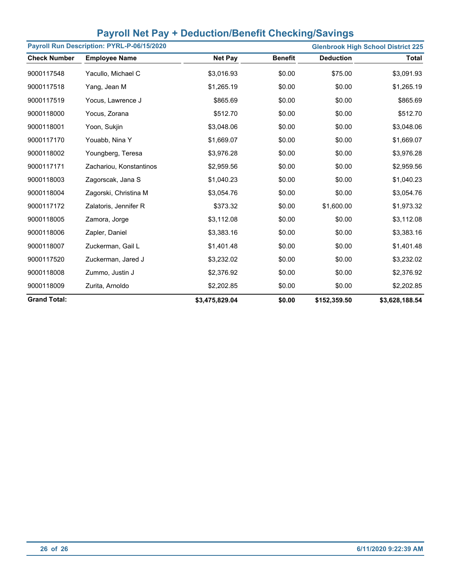|  | <b>Payroll Net Pay + Deduction/Benefit Checking/Savings</b> |
|--|-------------------------------------------------------------|
|  |                                                             |

|                     | Payroll Run Description: PYRL-P-06/15/2020 |                |                |                  | <b>Glenbrook High School District 225</b> |
|---------------------|--------------------------------------------|----------------|----------------|------------------|-------------------------------------------|
| <b>Check Number</b> | <b>Employee Name</b>                       | <b>Net Pay</b> | <b>Benefit</b> | <b>Deduction</b> | <b>Total</b>                              |
| 9000117548          | Yacullo, Michael C                         | \$3,016.93     | \$0.00         | \$75.00          | \$3,091.93                                |
| 9000117518          | Yang, Jean M                               | \$1,265.19     | \$0.00         | \$0.00           | \$1,265.19                                |
| 9000117519          | Yocus, Lawrence J                          | \$865.69       | \$0.00         | \$0.00           | \$865.69                                  |
| 9000118000          | Yocus, Zorana                              | \$512.70       | \$0.00         | \$0.00           | \$512.70                                  |
| 9000118001          | Yoon, Sukjin                               | \$3,048.06     | \$0.00         | \$0.00           | \$3,048.06                                |
| 9000117170          | Youabb, Nina Y                             | \$1,669.07     | \$0.00         | \$0.00           | \$1,669.07                                |
| 9000118002          | Youngberg, Teresa                          | \$3,976.28     | \$0.00         | \$0.00           | \$3,976.28                                |
| 9000117171          | Zachariou, Konstantinos                    | \$2,959.56     | \$0.00         | \$0.00           | \$2,959.56                                |
| 9000118003          | Zagorscak, Jana S                          | \$1,040.23     | \$0.00         | \$0.00           | \$1,040.23                                |
| 9000118004          | Zagorski, Christina M                      | \$3,054.76     | \$0.00         | \$0.00           | \$3,054.76                                |
| 9000117172          | Zalatoris, Jennifer R                      | \$373.32       | \$0.00         | \$1,600.00       | \$1,973.32                                |
| 9000118005          | Zamora, Jorge                              | \$3,112.08     | \$0.00         | \$0.00           | \$3,112.08                                |
| 9000118006          | Zapler, Daniel                             | \$3,383.16     | \$0.00         | \$0.00           | \$3,383.16                                |
| 9000118007          | Zuckerman, Gail L                          | \$1,401.48     | \$0.00         | \$0.00           | \$1,401.48                                |
| 9000117520          | Zuckerman, Jared J                         | \$3,232.02     | \$0.00         | \$0.00           | \$3,232.02                                |
| 9000118008          | Zummo, Justin J                            | \$2,376.92     | \$0.00         | \$0.00           | \$2,376.92                                |
| 9000118009          | Zurita, Arnoldo                            | \$2,202.85     | \$0.00         | \$0.00           | \$2,202.85                                |
| <b>Grand Total:</b> |                                            | \$3,475,829.04 | \$0.00         | \$152,359.50     | \$3,628,188.54                            |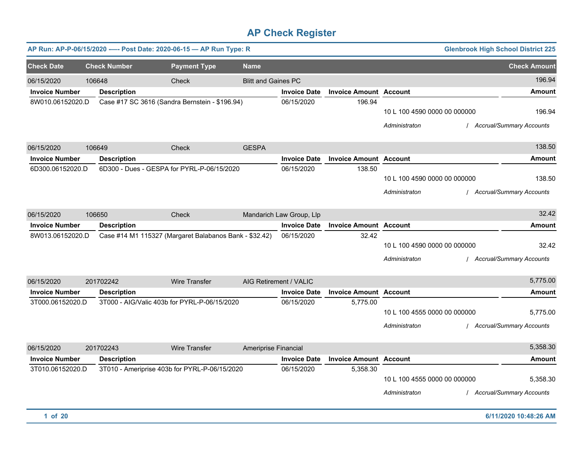|                       |                     | AP Run: AP-P-06/15/2020 ---- Post Date: 2020-06-15 - AP Run Type: R |                            |                          |                               |                                               | <b>Glenbrook High School District 225</b>   |
|-----------------------|---------------------|---------------------------------------------------------------------|----------------------------|--------------------------|-------------------------------|-----------------------------------------------|---------------------------------------------|
| <b>Check Date</b>     | <b>Check Number</b> | <b>Payment Type</b>                                                 | <b>Name</b>                |                          |                               |                                               | <b>Check Amount</b>                         |
| 06/15/2020            | 106648              | Check                                                               | <b>Blitt and Gaines PC</b> |                          |                               |                                               | 196.94                                      |
| <b>Invoice Number</b> | <b>Description</b>  |                                                                     |                            | <b>Invoice Date</b>      | <b>Invoice Amount Account</b> |                                               | <b>Amount</b>                               |
| 8W010.06152020.D      |                     | Case #17 SC 3616 (Sandra Bernstein - \$196.94)                      |                            | 06/15/2020               | 196.94                        | 10 L 100 4590 0000 00 000000<br>Administraton | 196.94<br>/ Accrual/Summary Accounts        |
| 06/15/2020            | 106649              | Check                                                               | <b>GESPA</b>               |                          |                               |                                               | 138.50                                      |
| <b>Invoice Number</b> | <b>Description</b>  |                                                                     |                            | <b>Invoice Date</b>      | <b>Invoice Amount</b>         | <b>Account</b>                                | <b>Amount</b>                               |
| 6D300.06152020.D      |                     | 6D300 - Dues - GESPA for PYRL-P-06/15/2020                          |                            | 06/15/2020               | 138.50                        | 10 L 100 4590 0000 00 000000<br>Administraton | 138.50<br><b>Accrual/Summary Accounts</b>   |
| 06/15/2020            | 106650              | Check                                                               |                            | Mandarich Law Group, Llp |                               |                                               | 32.42                                       |
| <b>Invoice Number</b> | <b>Description</b>  |                                                                     |                            | <b>Invoice Date</b>      | <b>Invoice Amount Account</b> |                                               | <b>Amount</b>                               |
| 8W013.06152020.D      |                     | Case #14 M1 115327 (Margaret Balabanos Bank - \$32.42)              |                            | 06/15/2020               | 32.42                         | 10 L 100 4590 0000 00 000000<br>Administraton | 32.42<br>/ Accrual/Summary Accounts         |
| 06/15/2020            | 201702242           | Wire Transfer                                                       |                            | AIG Retirement / VALIC   |                               |                                               | 5,775.00                                    |
| <b>Invoice Number</b> | <b>Description</b>  |                                                                     |                            | <b>Invoice Date</b>      | <b>Invoice Amount Account</b> |                                               | <b>Amount</b>                               |
| 3T000.06152020.D      |                     | 3T000 - AIG/Valic 403b for PYRL-P-06/15/2020                        |                            | 06/15/2020               | 5,775.00                      | 10 L 100 4555 0000 00 000000<br>Administraton | 5,775.00<br>/ Accrual/Summary Accounts      |
| 06/15/2020            | 201702243           | <b>Wire Transfer</b>                                                | Ameriprise Financial       |                          |                               |                                               | 5,358.30                                    |
| <b>Invoice Number</b> | <b>Description</b>  |                                                                     |                            | <b>Invoice Date</b>      | <b>Invoice Amount Account</b> |                                               | <b>Amount</b>                               |
| 3T010.06152020.D      |                     | 3T010 - Ameriprise 403b for PYRL-P-06/15/2020                       |                            | 06/15/2020               | 5,358.30                      | 10 L 100 4555 0000 00 000000<br>Administraton | 5,358.30<br><b>Accrual/Summary Accounts</b> |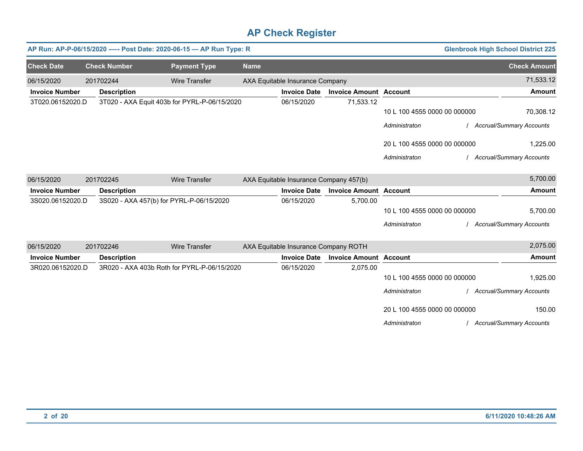|                       |                     | AP Run: AP-P-06/15/2020 ---- Post Date: 2020-06-15 - AP Run Type: R |             |                                        |                               |                              | <b>Glenbrook High School District 225</b> |
|-----------------------|---------------------|---------------------------------------------------------------------|-------------|----------------------------------------|-------------------------------|------------------------------|-------------------------------------------|
| <b>Check Date</b>     | <b>Check Number</b> | <b>Payment Type</b>                                                 | <b>Name</b> |                                        |                               |                              | <b>Check Amount</b>                       |
| 06/15/2020            | 201702244           | <b>Wire Transfer</b>                                                |             | AXA Equitable Insurance Company        |                               |                              | 71,533.12                                 |
| <b>Invoice Number</b> | <b>Description</b>  |                                                                     |             | <b>Invoice Date</b>                    | <b>Invoice Amount Account</b> |                              | <b>Amount</b>                             |
| 3T020.06152020.D      |                     | 3T020 - AXA Equit 403b for PYRL-P-06/15/2020                        |             | 06/15/2020                             | 71,533.12                     |                              |                                           |
|                       |                     |                                                                     |             |                                        |                               | 10 L 100 4555 0000 00 000000 | 70,308.12                                 |
|                       |                     |                                                                     |             |                                        |                               | Administraton                | <b>Accrual/Summary Accounts</b>           |
|                       |                     |                                                                     |             |                                        |                               | 20 L 100 4555 0000 00 000000 | 1,225.00                                  |
|                       |                     |                                                                     |             |                                        |                               | Administraton                | <b>Accrual/Summary Accounts</b>           |
| 06/15/2020            | 201702245           | <b>Wire Transfer</b>                                                |             | AXA Equitable Insurance Company 457(b) |                               |                              | 5,700.00                                  |
| <b>Invoice Number</b> | <b>Description</b>  |                                                                     |             | <b>Invoice Date</b>                    | <b>Invoice Amount Account</b> |                              | <b>Amount</b>                             |
| 3S020.06152020.D      |                     | 3S020 - AXA 457(b) for PYRL-P-06/15/2020                            |             | 06/15/2020                             | 5,700.00                      |                              |                                           |
|                       |                     |                                                                     |             |                                        |                               | 10 L 100 4555 0000 00 000000 | 5,700.00                                  |
|                       |                     |                                                                     |             |                                        |                               | Administraton                | <b>Accrual/Summary Accounts</b>           |
| 06/15/2020            | 201702246           | <b>Wire Transfer</b>                                                |             | AXA Equitable Insurance Company ROTH   |                               |                              | 2,075.00                                  |
| <b>Invoice Number</b> | <b>Description</b>  |                                                                     |             | <b>Invoice Date</b>                    | <b>Invoice Amount Account</b> |                              | <b>Amount</b>                             |
| 3R020.06152020.D      |                     | 3R020 - AXA 403b Roth for PYRL-P-06/15/2020                         |             | 06/15/2020                             | 2,075.00                      |                              |                                           |
|                       |                     |                                                                     |             |                                        |                               | 10 L 100 4555 0000 00 000000 | 1,925.00                                  |
|                       |                     |                                                                     |             |                                        |                               | Administraton                | <b>Accrual/Summary Accounts</b>           |
|                       |                     |                                                                     |             |                                        |                               | 20 L 100 4555 0000 00 000000 | 150.00                                    |
|                       |                     |                                                                     |             |                                        |                               | Administraton                | <b>Accrual/Summary Accounts</b>           |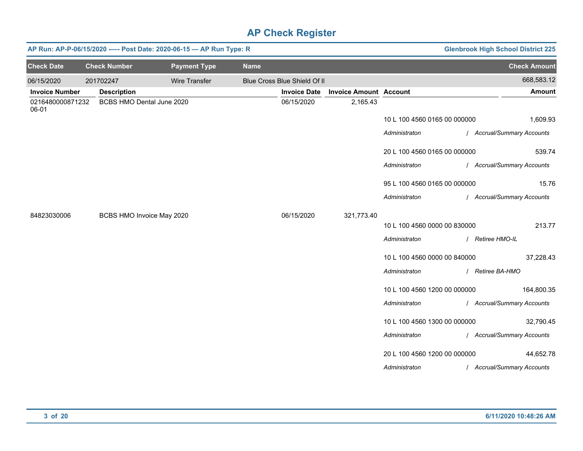|                           |                           | AP Run: AP-P-06/15/2020 ---- Post Date: 2020-06-15 - AP Run Type: R |             |                              |                               |                              | <b>Glenbrook High School District 225</b> |
|---------------------------|---------------------------|---------------------------------------------------------------------|-------------|------------------------------|-------------------------------|------------------------------|-------------------------------------------|
| <b>Check Date</b>         | <b>Check Number</b>       | <b>Payment Type</b>                                                 | <b>Name</b> |                              |                               |                              | <b>Check Amount</b>                       |
| 06/15/2020                | 201702247                 | <b>Wire Transfer</b>                                                |             | Blue Cross Blue Shield Of II |                               |                              | 668,583.12                                |
| <b>Invoice Number</b>     | <b>Description</b>        |                                                                     |             | <b>Invoice Date</b>          | <b>Invoice Amount Account</b> |                              | <b>Amount</b>                             |
| 0216480000871232<br>06-01 | BCBS HMO Dental June 2020 |                                                                     |             | 06/15/2020                   | 2,165.43                      |                              |                                           |
|                           |                           |                                                                     |             |                              |                               | 10 L 100 4560 0165 00 000000 | 1,609.93                                  |
|                           |                           |                                                                     |             |                              |                               | Administraton                | / Accrual/Summary Accounts                |
|                           |                           |                                                                     |             |                              |                               | 20 L 100 4560 0165 00 000000 | 539.74                                    |
|                           |                           |                                                                     |             |                              |                               | Administraton                | / Accrual/Summary Accounts                |
|                           |                           |                                                                     |             |                              |                               | 95 L 100 4560 0165 00 000000 | 15.76                                     |
|                           |                           |                                                                     |             |                              |                               | Administraton                | / Accrual/Summary Accounts                |
| 84823030006               | BCBS HMO Invoice May 2020 |                                                                     |             | 06/15/2020                   | 321,773.40                    |                              |                                           |
|                           |                           |                                                                     |             |                              |                               | 10 L 100 4560 0000 00 830000 | 213.77                                    |
|                           |                           |                                                                     |             |                              |                               | Administraton                | / Retiree HMO-IL                          |
|                           |                           |                                                                     |             |                              |                               | 10 L 100 4560 0000 00 840000 | 37,228.43                                 |
|                           |                           |                                                                     |             |                              |                               | Administraton                | / Retiree BA-HMO                          |
|                           |                           |                                                                     |             |                              |                               | 10 L 100 4560 1200 00 000000 | 164,800.35                                |
|                           |                           |                                                                     |             |                              |                               | Administraton                | / Accrual/Summary Accounts                |
|                           |                           |                                                                     |             |                              |                               | 10 L 100 4560 1300 00 000000 | 32,790.45                                 |
|                           |                           |                                                                     |             |                              |                               | Administraton                | / Accrual/Summary Accounts                |
|                           |                           |                                                                     |             |                              |                               | 20 L 100 4560 1200 00 000000 | 44,652.78                                 |
|                           |                           |                                                                     |             |                              |                               | Administraton                | / Accrual/Summary Accounts                |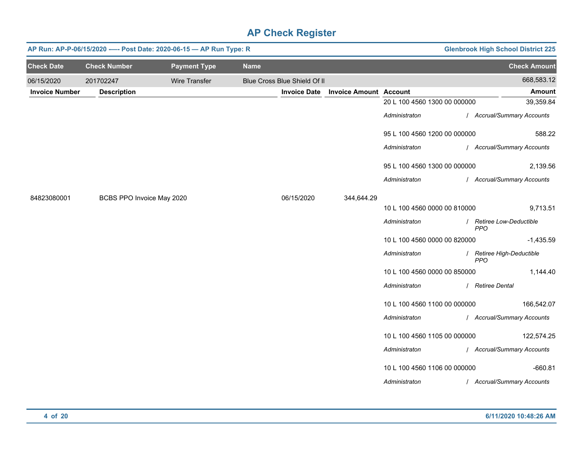|                       |                           | AP Run: AP-P-06/15/2020 ---- Post Date: 2020-06-15 - AP Run Type: R |             |                              |                               |                              | <b>Glenbrook High School District 225</b> |
|-----------------------|---------------------------|---------------------------------------------------------------------|-------------|------------------------------|-------------------------------|------------------------------|-------------------------------------------|
| <b>Check Date</b>     | <b>Check Number</b>       | <b>Payment Type</b>                                                 | <b>Name</b> |                              |                               |                              | <b>Check Amount</b>                       |
| 06/15/2020            | 201702247                 | <b>Wire Transfer</b>                                                |             | Blue Cross Blue Shield Of II |                               |                              | 668,583.12                                |
| <b>Invoice Number</b> | <b>Description</b>        |                                                                     |             | <b>Invoice Date</b>          | <b>Invoice Amount Account</b> |                              | Amount                                    |
|                       |                           |                                                                     |             |                              |                               | 20 L 100 4560 1300 00 000000 | 39,359.84                                 |
|                       |                           |                                                                     |             |                              |                               | Administraton                | / Accrual/Summary Accounts                |
|                       |                           |                                                                     |             |                              |                               | 95 L 100 4560 1200 00 000000 | 588.22                                    |
|                       |                           |                                                                     |             |                              |                               | Administraton                | / Accrual/Summary Accounts                |
|                       |                           |                                                                     |             |                              |                               | 95 L 100 4560 1300 00 000000 | 2,139.56                                  |
|                       |                           |                                                                     |             |                              |                               | Administraton                | / Accrual/Summary Accounts                |
| 84823080001           | BCBS PPO Invoice May 2020 |                                                                     |             | 06/15/2020                   | 344,644.29                    |                              |                                           |
|                       |                           |                                                                     |             |                              |                               | 10 L 100 4560 0000 00 810000 | 9,713.51                                  |
|                       |                           |                                                                     |             |                              |                               | Administraton                | / Retiree Low-Deductible<br><b>PPO</b>    |
|                       |                           |                                                                     |             |                              |                               | 10 L 100 4560 0000 00 820000 | $-1,435.59$                               |
|                       |                           |                                                                     |             |                              |                               | Administraton                | / Retiree High-Deductible<br><b>PPO</b>   |
|                       |                           |                                                                     |             |                              |                               | 10 L 100 4560 0000 00 850000 | 1,144.40                                  |
|                       |                           |                                                                     |             |                              |                               | Administraton                | / Retiree Dental                          |
|                       |                           |                                                                     |             |                              |                               | 10 L 100 4560 1100 00 000000 | 166,542.07                                |
|                       |                           |                                                                     |             |                              |                               | Administraton                | / Accrual/Summary Accounts                |
|                       |                           |                                                                     |             |                              |                               | 10 L 100 4560 1105 00 000000 | 122,574.25                                |
|                       |                           |                                                                     |             |                              |                               | Administraton                | / Accrual/Summary Accounts                |
|                       |                           |                                                                     |             |                              |                               | 10 L 100 4560 1106 00 000000 | $-660.81$                                 |
|                       |                           |                                                                     |             |                              |                               | Administraton                | / Accrual/Summary Accounts                |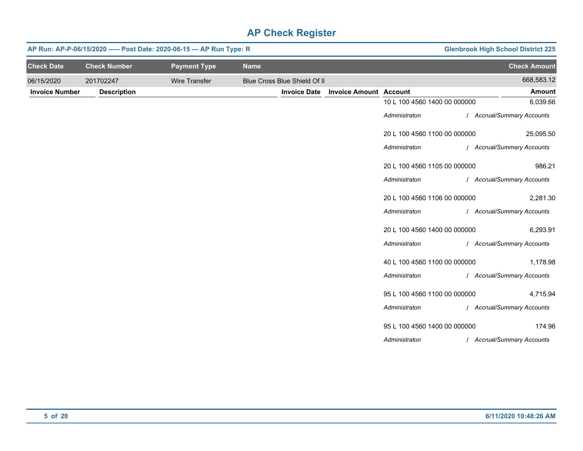|                       |                     | AP Run: AP-P-06/15/2020 ---- Post Date: 2020-06-15 - AP Run Type: R |             | <b>Glenbrook High School District 225</b> |                               |                              |                            |
|-----------------------|---------------------|---------------------------------------------------------------------|-------------|-------------------------------------------|-------------------------------|------------------------------|----------------------------|
| <b>Check Date</b>     | <b>Check Number</b> | <b>Payment Type</b>                                                 | <b>Name</b> |                                           |                               |                              | <b>Check Amount</b>        |
| 06/15/2020            | 201702247           | <b>Wire Transfer</b>                                                |             | Blue Cross Blue Shield Of II              |                               |                              | 668,583.12                 |
| <b>Invoice Number</b> | <b>Description</b>  |                                                                     |             | <b>Invoice Date</b>                       | <b>Invoice Amount Account</b> |                              | <b>Amount</b>              |
|                       |                     |                                                                     |             |                                           |                               | 10 L 100 4560 1400 00 000000 | 6,039.66                   |
|                       |                     |                                                                     |             |                                           |                               | Administraton                | / Accrual/Summary Accounts |
|                       |                     |                                                                     |             |                                           |                               | 20 L 100 4560 1100 00 000000 | 25,095.50                  |
|                       |                     |                                                                     |             |                                           |                               | Administraton                | / Accrual/Summary Accounts |
|                       |                     |                                                                     |             |                                           |                               | 20 L 100 4560 1105 00 000000 | 986.21                     |
|                       |                     |                                                                     |             |                                           |                               | Administraton                | / Accrual/Summary Accounts |
|                       |                     |                                                                     |             |                                           |                               | 20 L 100 4560 1106 00 000000 | 2,281.30                   |
|                       |                     |                                                                     |             |                                           |                               | Administraton                | / Accrual/Summary Accounts |
|                       |                     |                                                                     |             |                                           |                               | 20 L 100 4560 1400 00 000000 | 6,293.91                   |
|                       |                     |                                                                     |             |                                           |                               | Administraton                | / Accrual/Summary Accounts |
|                       |                     |                                                                     |             |                                           |                               | 40 L 100 4560 1100 00 000000 | 1,178.98                   |
|                       |                     |                                                                     |             |                                           |                               | Administraton                | / Accrual/Summary Accounts |
|                       |                     |                                                                     |             |                                           |                               | 95 L 100 4560 1100 00 000000 | 4,715.94                   |
|                       |                     |                                                                     |             |                                           |                               | Administraton                | / Accrual/Summary Accounts |
|                       |                     |                                                                     |             |                                           |                               | 95 L 100 4560 1400 00 000000 | 174.96                     |
|                       |                     |                                                                     |             |                                           |                               | Administraton                | / Accrual/Summary Accounts |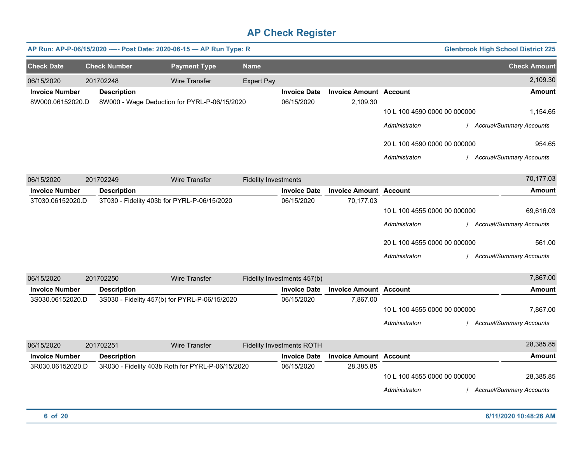|                       |                     | AP Run: AP-P-06/15/2020 ---- Post Date: 2020-06-15 - AP Run Type: R |                             |                                  |                               |                                               | <b>Glenbrook High School District 225</b> |
|-----------------------|---------------------|---------------------------------------------------------------------|-----------------------------|----------------------------------|-------------------------------|-----------------------------------------------|-------------------------------------------|
| <b>Check Date</b>     | <b>Check Number</b> | <b>Payment Type</b>                                                 | <b>Name</b>                 |                                  |                               |                                               | <b>Check Amount</b>                       |
| 06/15/2020            | 201702248           | <b>Wire Transfer</b>                                                | <b>Expert Pay</b>           |                                  |                               |                                               | 2,109.30                                  |
| <b>Invoice Number</b> | <b>Description</b>  |                                                                     |                             | <b>Invoice Date</b>              | <b>Invoice Amount Account</b> |                                               | <b>Amount</b>                             |
| 8W000.06152020.D      |                     | 8W000 - Wage Deduction for PYRL-P-06/15/2020                        |                             | 06/15/2020                       | 2,109.30                      | 10 L 100 4590 0000 00 000000<br>Administraton | 1,154.65<br>/ Accrual/Summary Accounts    |
|                       |                     |                                                                     |                             |                                  |                               | 20 L 100 4590 0000 00 000000                  | 954.65                                    |
|                       |                     |                                                                     |                             |                                  |                               | Administraton                                 | / Accrual/Summary Accounts                |
| 06/15/2020            | 201702249           | <b>Wire Transfer</b>                                                | <b>Fidelity Investments</b> |                                  |                               |                                               | 70,177.03                                 |
| <b>Invoice Number</b> | <b>Description</b>  |                                                                     |                             | <b>Invoice Date</b>              | <b>Invoice Amount</b>         | <b>Account</b>                                | <b>Amount</b>                             |
| 3T030.06152020.D      |                     | 3T030 - Fidelity 403b for PYRL-P-06/15/2020                         |                             | 06/15/2020                       | 70,177.03                     |                                               |                                           |
|                       |                     |                                                                     |                             |                                  |                               | 10 L 100 4555 0000 00 000000                  | 69,616.03                                 |
|                       |                     |                                                                     |                             |                                  |                               | Administraton                                 | / Accrual/Summary Accounts                |
|                       |                     |                                                                     |                             |                                  |                               | 20 L 100 4555 0000 00 000000                  | 561.00                                    |
|                       |                     |                                                                     |                             |                                  |                               | Administraton                                 | / Accrual/Summary Accounts                |
| 06/15/2020            | 201702250           | <b>Wire Transfer</b>                                                |                             | Fidelity Investments 457(b)      |                               |                                               | 7,867.00                                  |
| <b>Invoice Number</b> | <b>Description</b>  |                                                                     |                             | <b>Invoice Date</b>              | <b>Invoice Amount Account</b> |                                               | <b>Amount</b>                             |
| 3S030.06152020.D      |                     | 3S030 - Fidelity 457(b) for PYRL-P-06/15/2020                       |                             | 06/15/2020                       | 7,867.00                      | 10 L 100 4555 0000 00 000000<br>Administraton | 7,867.00<br>/ Accrual/Summary Accounts    |
|                       |                     |                                                                     |                             |                                  |                               |                                               |                                           |
| 06/15/2020            | 201702251           | <b>Wire Transfer</b>                                                |                             | <b>Fidelity Investments ROTH</b> |                               |                                               | 28,385.85                                 |
| <b>Invoice Number</b> | <b>Description</b>  |                                                                     |                             | <b>Invoice Date</b>              | <b>Invoice Amount Account</b> |                                               | <b>Amount</b>                             |
| 3R030.06152020.D      |                     | 3R030 - Fidelity 403b Roth for PYRL-P-06/15/2020                    |                             | 06/15/2020                       | 28,385.85                     | 10 L 100 4555 0000 00 000000                  | 28,385.85                                 |
|                       |                     |                                                                     |                             |                                  |                               | Administraton                                 | <b>Accrual/Summary Accounts</b>           |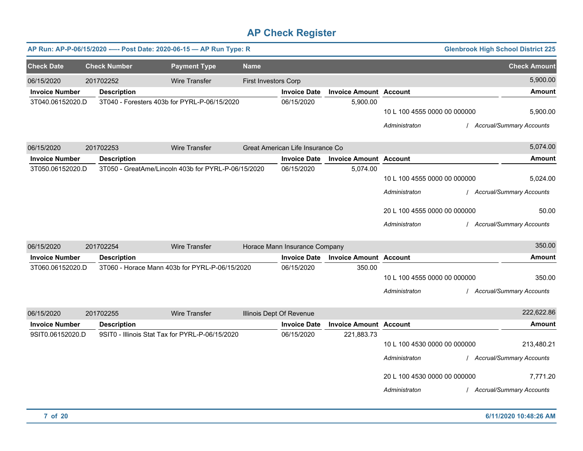|                       |                     | AP Run: AP-P-06/15/2020 ---- Post Date: 2020-06-15 - AP Run Type: R |                             |                                  |                               |                              | <b>Glenbrook High School District 225</b> |
|-----------------------|---------------------|---------------------------------------------------------------------|-----------------------------|----------------------------------|-------------------------------|------------------------------|-------------------------------------------|
| <b>Check Date</b>     | <b>Check Number</b> | <b>Payment Type</b>                                                 | <b>Name</b>                 |                                  |                               |                              | <b>Check Amount</b>                       |
| 06/15/2020            | 201702252           | <b>Wire Transfer</b>                                                | <b>First Investors Corp</b> |                                  |                               |                              | 5,900.00                                  |
| <b>Invoice Number</b> | <b>Description</b>  |                                                                     |                             | <b>Invoice Date</b>              | <b>Invoice Amount Account</b> |                              | <b>Amount</b>                             |
| 3T040.06152020.D      |                     | 3T040 - Foresters 403b for PYRL-P-06/15/2020                        |                             | 06/15/2020                       | 5,900.00                      |                              |                                           |
|                       |                     |                                                                     |                             |                                  |                               | 10 L 100 4555 0000 00 000000 | 5,900.00                                  |
|                       |                     |                                                                     |                             |                                  |                               | Administraton                | / Accrual/Summary Accounts                |
| 06/15/2020            | 201702253           | <b>Wire Transfer</b>                                                |                             | Great American Life Insurance Co |                               |                              | 5,074.00                                  |
| <b>Invoice Number</b> | <b>Description</b>  |                                                                     |                             | <b>Invoice Date</b>              | <b>Invoice Amount Account</b> |                              | <b>Amount</b>                             |
| 3T050.06152020.D      |                     | 3T050 - GreatAme/Lincoln 403b for PYRL-P-06/15/2020                 |                             | 06/15/2020                       | 5,074.00                      |                              |                                           |
|                       |                     |                                                                     |                             |                                  |                               | 10 L 100 4555 0000 00 000000 | 5,024.00                                  |
|                       |                     |                                                                     |                             |                                  |                               | Administraton                | / Accrual/Summary Accounts                |
|                       |                     |                                                                     |                             |                                  |                               | 20 L 100 4555 0000 00 000000 | 50.00                                     |
|                       |                     |                                                                     |                             |                                  |                               | Administraton                | / Accrual/Summary Accounts                |
| 06/15/2020            | 201702254           | <b>Wire Transfer</b>                                                |                             | Horace Mann Insurance Company    |                               |                              | 350.00                                    |
| <b>Invoice Number</b> | <b>Description</b>  |                                                                     |                             | <b>Invoice Date</b>              | <b>Invoice Amount Account</b> |                              | <b>Amount</b>                             |
| 3T060.06152020.D      |                     | 3T060 - Horace Mann 403b for PYRL-P-06/15/2020                      |                             | 06/15/2020                       | 350.00                        |                              |                                           |
|                       |                     |                                                                     |                             |                                  |                               | 10 L 100 4555 0000 00 000000 | 350.00                                    |
|                       |                     |                                                                     |                             |                                  |                               | Administraton                | / Accrual/Summary Accounts                |
| 06/15/2020            | 201702255           | <b>Wire Transfer</b>                                                |                             | Illinois Dept Of Revenue         |                               |                              | 222,622.86                                |
| <b>Invoice Number</b> | <b>Description</b>  |                                                                     |                             | <b>Invoice Date</b>              | <b>Invoice Amount Account</b> |                              | <b>Amount</b>                             |
| 9SIT0.06152020.D      |                     | 9SIT0 - Illinois Stat Tax for PYRL-P-06/15/2020                     |                             | 06/15/2020                       | 221,883.73                    |                              |                                           |
|                       |                     |                                                                     |                             |                                  |                               | 10 L 100 4530 0000 00 000000 | 213,480.21                                |
|                       |                     |                                                                     |                             |                                  |                               | Administraton                | / Accrual/Summary Accounts                |
|                       |                     |                                                                     |                             |                                  |                               | 20 L 100 4530 0000 00 000000 | 7,771.20                                  |
|                       |                     |                                                                     |                             |                                  |                               | Administraton                | / Accrual/Summary Accounts                |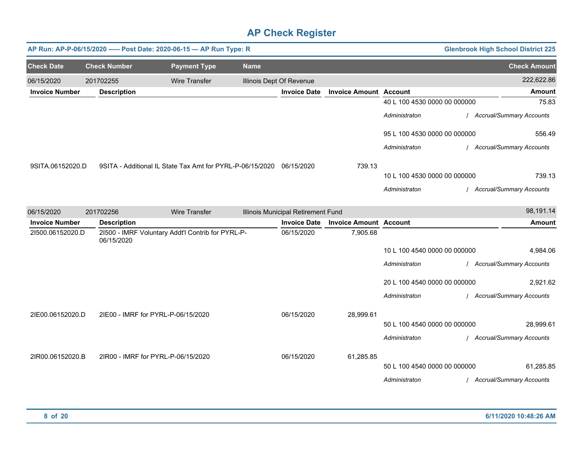|                       |                     | AP Run: AP-P-06/15/2020 ---- Post Date: 2020-06-15 - AP Run Type: R  |             |                                    |                               |                              | <b>Glenbrook High School District 225</b> |
|-----------------------|---------------------|----------------------------------------------------------------------|-------------|------------------------------------|-------------------------------|------------------------------|-------------------------------------------|
| <b>Check Date</b>     | <b>Check Number</b> | <b>Payment Type</b>                                                  | <b>Name</b> |                                    |                               |                              | <b>Check Amount</b>                       |
| 06/15/2020            | 201702255           | <b>Wire Transfer</b>                                                 |             | Illinois Dept Of Revenue           |                               |                              | 222,622.86                                |
| <b>Invoice Number</b> | <b>Description</b>  |                                                                      |             | <b>Invoice Date</b>                | <b>Invoice Amount Account</b> |                              | <b>Amount</b>                             |
|                       |                     |                                                                      |             |                                    |                               | 40 L 100 4530 0000 00 000000 | 75.83                                     |
|                       |                     |                                                                      |             |                                    |                               | Administraton                | / Accrual/Summary Accounts                |
|                       |                     |                                                                      |             |                                    |                               | 95 L 100 4530 0000 00 000000 | 556.49                                    |
|                       |                     |                                                                      |             |                                    |                               | Administraton                | / Accrual/Summary Accounts                |
| 9SITA.06152020.D      |                     | 9SITA - Additional IL State Tax Amt for PYRL-P-06/15/2020 06/15/2020 |             |                                    | 739.13                        |                              |                                           |
|                       |                     |                                                                      |             |                                    |                               | 10 L 100 4530 0000 00 000000 | 739.13                                    |
|                       |                     |                                                                      |             |                                    |                               | Administraton                | / Accrual/Summary Accounts                |
| 06/15/2020            | 201702256           | <b>Wire Transfer</b>                                                 |             | Illinois Municipal Retirement Fund |                               |                              | 98,191.14                                 |
| <b>Invoice Number</b> | <b>Description</b>  |                                                                      |             | <b>Invoice Date</b>                | <b>Invoice Amount Account</b> |                              | <b>Amount</b>                             |
| 21500.06152020.D      | 06/15/2020          | 21500 - IMRF Voluntary Addt'l Contrib for PYRL-P-                    |             | 06/15/2020                         | 7,905.68                      |                              |                                           |
|                       |                     |                                                                      |             |                                    |                               | 10 L 100 4540 0000 00 000000 | 4,984.06                                  |
|                       |                     |                                                                      |             |                                    |                               | Administraton                | / Accrual/Summary Accounts                |
|                       |                     |                                                                      |             |                                    |                               | 20 L 100 4540 0000 00 000000 | 2,921.62                                  |
|                       |                     |                                                                      |             |                                    |                               | Administraton                | / Accrual/Summary Accounts                |
| 2IE00.06152020.D      |                     | 2IE00 - IMRF for PYRL-P-06/15/2020                                   |             | 06/15/2020                         | 28,999.61                     |                              |                                           |
|                       |                     |                                                                      |             |                                    |                               | 50 L 100 4540 0000 00 000000 | 28,999.61                                 |
|                       |                     |                                                                      |             |                                    |                               | Administraton                | / Accrual/Summary Accounts                |
| 2IR00.06152020.B      |                     | 2IR00 - IMRF for PYRL-P-06/15/2020                                   |             | 06/15/2020                         | 61,285.85                     |                              |                                           |
|                       |                     |                                                                      |             |                                    |                               | 50 L 100 4540 0000 00 000000 | 61,285.85                                 |
|                       |                     |                                                                      |             |                                    |                               | Administraton                | / Accrual/Summary Accounts                |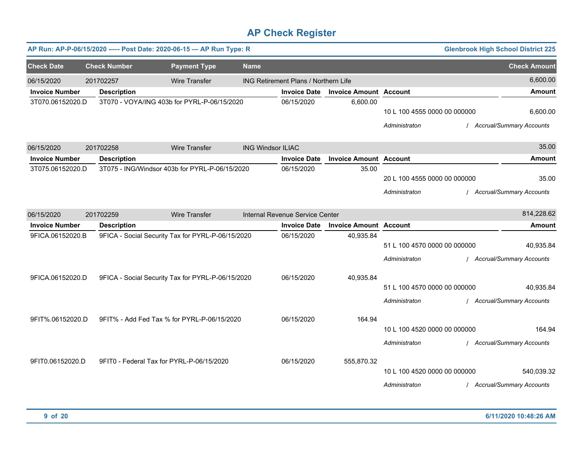|                                     |                                 | AP Run: AP-P-06/15/2020 ---- Post Date: 2020-06-15 - AP Run Type: R |                          |                                      |                               |                              | <b>Glenbrook High School District 225</b> |                                 |
|-------------------------------------|---------------------------------|---------------------------------------------------------------------|--------------------------|--------------------------------------|-------------------------------|------------------------------|-------------------------------------------|---------------------------------|
| <b>Check Date</b>                   | <b>Check Number</b>             | <b>Payment Type</b>                                                 | <b>Name</b>              |                                      |                               |                              |                                           | <b>Check Amount</b>             |
| 06/15/2020                          | 201702257                       | <b>Wire Transfer</b>                                                |                          | ING Retirement Plans / Northern Life |                               |                              |                                           | 6,600.00                        |
| <b>Invoice Number</b>               | <b>Description</b>              |                                                                     |                          | <b>Invoice Date</b>                  | <b>Invoice Amount Account</b> |                              |                                           | <b>Amount</b>                   |
| 3T070.06152020.D                    |                                 | 3T070 - VOYA/ING 403b for PYRL-P-06/15/2020                         |                          | 06/15/2020                           | 6,600.00                      | 10 L 100 4555 0000 00 000000 |                                           | 6,600.00                        |
|                                     |                                 |                                                                     |                          |                                      |                               | Administraton                |                                           | <b>Accrual/Summary Accounts</b> |
| 06/15/2020                          | 201702258                       | <b>Wire Transfer</b>                                                | <b>ING Windsor ILIAC</b> |                                      |                               |                              |                                           | 35.00                           |
| <b>Invoice Number</b>               | <b>Description</b>              |                                                                     |                          | <b>Invoice Date</b>                  | <b>Invoice Amount Account</b> |                              |                                           | <b>Amount</b>                   |
| 3T075.06152020.D                    |                                 | 3T075 - ING/Windsor 403b for PYRL-P-06/15/2020                      |                          | 06/15/2020                           | 35.00                         |                              |                                           |                                 |
|                                     |                                 |                                                                     |                          |                                      |                               | 20 L 100 4555 0000 00 000000 |                                           | 35.00                           |
|                                     |                                 |                                                                     |                          |                                      |                               | Administraton                |                                           | <b>Accrual/Summary Accounts</b> |
|                                     |                                 | <b>Wire Transfer</b>                                                |                          | Internal Revenue Service Center      |                               |                              |                                           | 814,228.62                      |
| 06/15/2020<br><b>Invoice Number</b> | 201702259<br><b>Description</b> |                                                                     |                          | <b>Invoice Date</b>                  | <b>Invoice Amount Account</b> |                              |                                           | <b>Amount</b>                   |
| 9FICA.06152020.B                    |                                 | 9FICA - Social Security Tax for PYRL-P-06/15/2020                   |                          | 06/15/2020                           | 40,935.84                     |                              |                                           |                                 |
|                                     |                                 |                                                                     |                          |                                      |                               | 51 L 100 4570 0000 00 000000 |                                           | 40,935.84                       |
|                                     |                                 |                                                                     |                          |                                      |                               | Administraton                |                                           | / Accrual/Summary Accounts      |
| 9FICA.06152020.D                    |                                 | 9FICA - Social Security Tax for PYRL-P-06/15/2020                   |                          | 06/15/2020                           | 40,935.84                     |                              |                                           |                                 |
|                                     |                                 |                                                                     |                          |                                      |                               | 51 L 100 4570 0000 00 000000 |                                           | 40,935.84                       |
|                                     |                                 |                                                                     |                          |                                      |                               | Administraton                |                                           | <b>Accrual/Summary Accounts</b> |
| 9FIT%.06152020.D                    |                                 | 9FIT% - Add Fed Tax % for PYRL-P-06/15/2020                         |                          | 06/15/2020                           | 164.94                        |                              |                                           |                                 |
|                                     |                                 |                                                                     |                          |                                      |                               | 10 L 100 4520 0000 00 000000 |                                           | 164.94                          |
|                                     |                                 |                                                                     |                          |                                      |                               | Administraton                |                                           | <b>Accrual/Summary Accounts</b> |
| 9FIT0.06152020.D                    |                                 | 9FIT0 - Federal Tax for PYRL-P-06/15/2020                           |                          | 06/15/2020                           | 555,870.32                    |                              |                                           |                                 |
|                                     |                                 |                                                                     |                          |                                      |                               | 10 L 100 4520 0000 00 000000 |                                           | 540,039.32                      |
|                                     |                                 |                                                                     |                          |                                      |                               | Administraton                |                                           | <b>Accrual/Summary Accounts</b> |
|                                     |                                 |                                                                     |                          |                                      |                               |                              |                                           |                                 |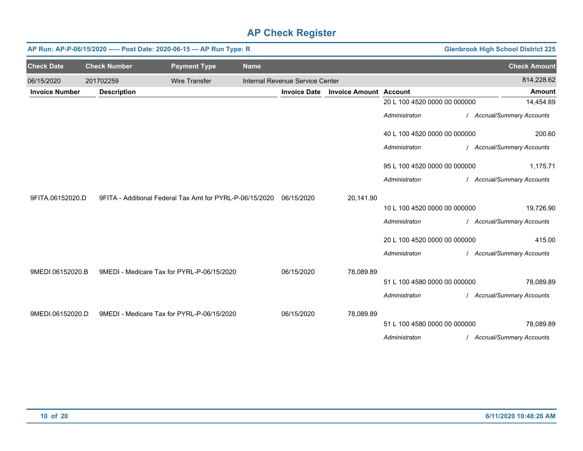|                       |                     | AP Run: AP-P-06/15/2020 ---- Post Date: 2020-06-15 - AP Run Type: R |             |                                 |                               |                              | <b>Glenbrook High School District 225</b> |
|-----------------------|---------------------|---------------------------------------------------------------------|-------------|---------------------------------|-------------------------------|------------------------------|-------------------------------------------|
| <b>Check Date</b>     | <b>Check Number</b> | <b>Payment Type</b>                                                 | <b>Name</b> |                                 |                               |                              | <b>Check Amount</b>                       |
| 06/15/2020            | 201702259           | <b>Wire Transfer</b>                                                |             | Internal Revenue Service Center |                               |                              | 814,228.62                                |
| <b>Invoice Number</b> | <b>Description</b>  |                                                                     |             | <b>Invoice Date</b>             | <b>Invoice Amount Account</b> |                              | <b>Amount</b>                             |
|                       |                     |                                                                     |             |                                 |                               | 20 L 100 4520 0000 00 000000 | 14,454.69                                 |
|                       |                     |                                                                     |             |                                 |                               | Administraton                | / Accrual/Summary Accounts                |
|                       |                     |                                                                     |             |                                 |                               | 40 L 100 4520 0000 00 000000 | 200.60                                    |
|                       |                     |                                                                     |             |                                 |                               | Administraton                | / Accrual/Summary Accounts                |
|                       |                     |                                                                     |             |                                 |                               | 95 L 100 4520 0000 00 000000 | 1,175.71                                  |
|                       |                     |                                                                     |             |                                 |                               | Administraton                | / Accrual/Summary Accounts                |
| 9FITA.06152020.D      |                     | 9FITA - Additional Federal Tax Amt for PYRL-P-06/15/2020            |             | 06/15/2020                      | 20,141.90                     |                              |                                           |
|                       |                     |                                                                     |             |                                 |                               | 10 L 100 4520 0000 00 000000 | 19,726.90                                 |
|                       |                     |                                                                     |             |                                 |                               | Administraton                | / Accrual/Summary Accounts                |
|                       |                     |                                                                     |             |                                 |                               | 20 L 100 4520 0000 00 000000 | 415.00                                    |
|                       |                     |                                                                     |             |                                 |                               | Administraton                | / Accrual/Summary Accounts                |
| 9MEDI.06152020.B      |                     | 9MEDI - Medicare Tax for PYRL-P-06/15/2020                          |             | 06/15/2020                      | 78,089.89                     |                              |                                           |
|                       |                     |                                                                     |             |                                 |                               | 51 L 100 4580 0000 00 000000 | 78,089.89                                 |
|                       |                     |                                                                     |             |                                 |                               | Administraton                | / Accrual/Summary Accounts                |
| 9MEDI.06152020.D      |                     | 9MEDI - Medicare Tax for PYRL-P-06/15/2020                          |             | 06/15/2020                      | 78,089.89                     |                              |                                           |
|                       |                     |                                                                     |             |                                 |                               | 51 L 100 4580 0000 00 000000 | 78,089.89                                 |
|                       |                     |                                                                     |             |                                 |                               | Administraton                | / Accrual/Summary Accounts                |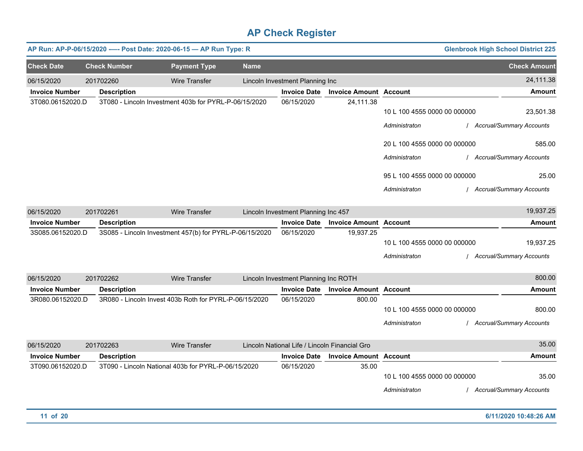|                       |                     | AP Run: AP-P-06/15/2020 ---- Post Date: 2020-06-15 - AP Run Type: R |             |                                               |                               |                              | <b>Glenbrook High School District 225</b> |
|-----------------------|---------------------|---------------------------------------------------------------------|-------------|-----------------------------------------------|-------------------------------|------------------------------|-------------------------------------------|
| <b>Check Date</b>     | <b>Check Number</b> | <b>Payment Type</b>                                                 | <b>Name</b> |                                               |                               |                              | <b>Check Amount</b>                       |
| 06/15/2020            | 201702260           | <b>Wire Transfer</b>                                                |             | Lincoln Investment Planning Inc               |                               |                              | 24,111.38                                 |
| <b>Invoice Number</b> | <b>Description</b>  |                                                                     |             | <b>Invoice Date</b>                           | <b>Invoice Amount Account</b> |                              | <b>Amount</b>                             |
| 3T080.06152020.D      |                     | 3T080 - Lincoln Investment 403b for PYRL-P-06/15/2020               |             | 06/15/2020                                    | 24,111.38                     | 10 L 100 4555 0000 00 000000 | 23,501.38                                 |
|                       |                     |                                                                     |             |                                               |                               | Administraton                | <b>Accrual/Summary Accounts</b>           |
|                       |                     |                                                                     |             |                                               |                               | 20 L 100 4555 0000 00 000000 | 585.00                                    |
|                       |                     |                                                                     |             |                                               |                               | Administraton                | / Accrual/Summary Accounts                |
|                       |                     |                                                                     |             |                                               |                               | 95 L 100 4555 0000 00 000000 | 25.00                                     |
|                       |                     |                                                                     |             |                                               |                               | Administraton                | / Accrual/Summary Accounts                |
| 06/15/2020            | 201702261           | <b>Wire Transfer</b>                                                |             | Lincoln Investment Planning Inc 457           |                               |                              | 19,937.25                                 |
| <b>Invoice Number</b> | <b>Description</b>  |                                                                     |             | <b>Invoice Date</b>                           | <b>Invoice Amount Account</b> |                              | <b>Amount</b>                             |
| 3S085.06152020.D      |                     | 3S085 - Lincoln Investment 457(b) for PYRL-P-06/15/2020             |             | 06/15/2020                                    | 19,937.25                     |                              |                                           |
|                       |                     |                                                                     |             |                                               |                               | 10 L 100 4555 0000 00 000000 | 19,937.25                                 |
|                       |                     |                                                                     |             |                                               |                               | Administraton                | <b>Accrual/Summary Accounts</b>           |
| 06/15/2020            | 201702262           | <b>Wire Transfer</b>                                                |             | Lincoln Investment Planning Inc ROTH          |                               |                              | 800.00                                    |
| <b>Invoice Number</b> | <b>Description</b>  |                                                                     |             | <b>Invoice Date</b>                           | <b>Invoice Amount Account</b> |                              | <b>Amount</b>                             |
| 3R080.06152020.D      |                     | 3R080 - Lincoln Invest 403b Roth for PYRL-P-06/15/2020              |             | 06/15/2020                                    | 800.00                        |                              |                                           |
|                       |                     |                                                                     |             |                                               |                               | 10 L 100 4555 0000 00 000000 | 800.00                                    |
|                       |                     |                                                                     |             |                                               |                               | Administraton                | Accrual/Summary Accounts                  |
| 06/15/2020            | 201702263           | <b>Wire Transfer</b>                                                |             | Lincoln National Life / Lincoln Financial Gro |                               |                              | 35.00                                     |
| <b>Invoice Number</b> | <b>Description</b>  |                                                                     |             | <b>Invoice Date</b>                           | <b>Invoice Amount Account</b> |                              | <b>Amount</b>                             |
| 3T090.06152020.D      |                     | 3T090 - Lincoln National 403b for PYRL-P-06/15/2020                 |             | 06/15/2020                                    | 35.00                         |                              |                                           |
|                       |                     |                                                                     |             |                                               |                               | 10 L 100 4555 0000 00 000000 | 35.00                                     |
|                       |                     |                                                                     |             |                                               |                               | Administraton                | <b>Accrual/Summary Accounts</b>           |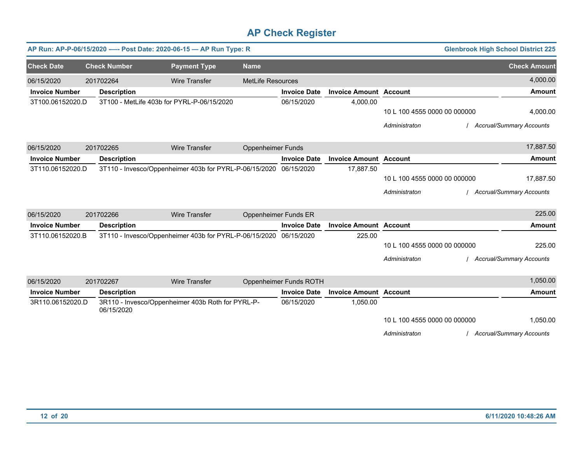|                       |                                            | AP Run: AP-P-06/15/2020 ---- Post Date: 2020-06-15 - AP Run Type: R |                          |                             |                               |                              | <b>Glenbrook High School District 225</b> |
|-----------------------|--------------------------------------------|---------------------------------------------------------------------|--------------------------|-----------------------------|-------------------------------|------------------------------|-------------------------------------------|
| <b>Check Date</b>     | <b>Check Number</b>                        | <b>Payment Type</b>                                                 | <b>Name</b>              |                             |                               |                              | <b>Check Amount</b>                       |
| 06/15/2020            | 201702264                                  | <b>Wire Transfer</b>                                                | <b>MetLife Resources</b> |                             |                               |                              | 4,000.00                                  |
| <b>Invoice Number</b> | <b>Description</b>                         |                                                                     |                          | <b>Invoice Date</b>         | <b>Invoice Amount Account</b> |                              | Amount                                    |
| 3T100.06152020.D      | 3T100 - MetLife 403b for PYRL-P-06/15/2020 |                                                                     |                          | 06/15/2020                  | 4,000.00                      |                              |                                           |
|                       |                                            |                                                                     |                          |                             |                               | 10 L 100 4555 0000 00 000000 | 4,000.00                                  |
|                       |                                            |                                                                     |                          |                             |                               | Administraton                | <b>Accrual/Summary Accounts</b>           |
| 06/15/2020            | 201702265                                  | <b>Wire Transfer</b>                                                | <b>Oppenheimer Funds</b> |                             |                               |                              | 17,887.50                                 |
| <b>Invoice Number</b> | <b>Description</b>                         |                                                                     |                          | <b>Invoice Date</b>         | <b>Invoice Amount Account</b> |                              | <b>Amount</b>                             |
| 3T110.06152020.D      |                                            | 3T110 - Invesco/Oppenheimer 403b for PYRL-P-06/15/2020              |                          | 06/15/2020                  | 17,887.50                     |                              |                                           |
|                       |                                            |                                                                     |                          |                             |                               | 10 L 100 4555 0000 00 000000 | 17,887.50                                 |
|                       |                                            |                                                                     |                          |                             |                               | Administraton                | <b>Accrual/Summary Accounts</b>           |
| 06/15/2020            | 201702266                                  | <b>Wire Transfer</b>                                                |                          | <b>Oppenheimer Funds ER</b> |                               |                              | 225.00                                    |
| <b>Invoice Number</b> | <b>Description</b>                         |                                                                     |                          | <b>Invoice Date</b>         | <b>Invoice Amount Account</b> |                              | <b>Amount</b>                             |
| 3T110.06152020.B      |                                            | 3T110 - Invesco/Oppenheimer 403b for PYRL-P-06/15/2020              |                          | 06/15/2020                  | 225.00                        |                              |                                           |
|                       |                                            |                                                                     |                          |                             |                               | 10 L 100 4555 0000 00 000000 | 225.00                                    |
|                       |                                            |                                                                     |                          |                             |                               | Administraton                | Accrual/Summary Accounts                  |
| 06/15/2020            | 201702267                                  | <b>Wire Transfer</b>                                                |                          | Oppenheimer Funds ROTH      |                               |                              | 1,050.00                                  |
| <b>Invoice Number</b> | <b>Description</b>                         |                                                                     |                          | <b>Invoice Date</b>         | <b>Invoice Amount Account</b> |                              | <b>Amount</b>                             |
| 3R110.06152020.D      | 06/15/2020                                 | 3R110 - Invesco/Oppenheimer 403b Roth for PYRL-P-                   |                          | 06/15/2020                  | 1,050.00                      |                              |                                           |
|                       |                                            |                                                                     |                          |                             |                               | 10 L 100 4555 0000 00 000000 | 1,050.00                                  |
|                       |                                            |                                                                     |                          |                             |                               | Administraton                | <b>Accrual/Summary Accounts</b>           |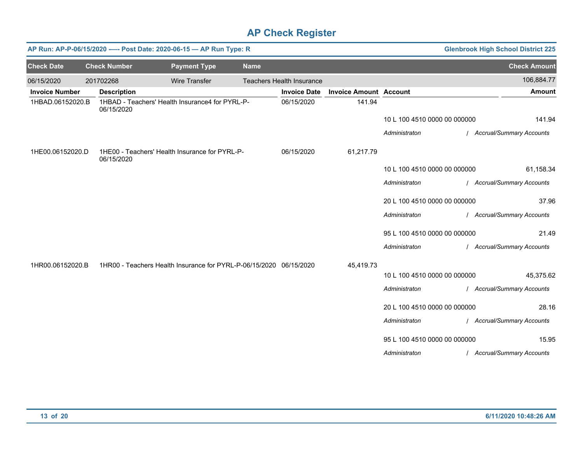|                       |                     | AP Run: AP-P-06/15/2020 ---- Post Date: 2020-06-15 - AP Run Type: R |             |                                  |                               |                              | <b>Glenbrook High School District 225</b> |
|-----------------------|---------------------|---------------------------------------------------------------------|-------------|----------------------------------|-------------------------------|------------------------------|-------------------------------------------|
| <b>Check Date</b>     | <b>Check Number</b> | <b>Payment Type</b>                                                 | <b>Name</b> |                                  |                               |                              | <b>Check Amount</b>                       |
| 06/15/2020            | 201702268           | <b>Wire Transfer</b>                                                |             | <b>Teachers Health Insurance</b> |                               |                              | 106,884.77                                |
| <b>Invoice Number</b> | <b>Description</b>  |                                                                     |             | <b>Invoice Date</b>              | <b>Invoice Amount Account</b> |                              | <b>Amount</b>                             |
| 1HBAD.06152020.B      | 06/15/2020          | 1HBAD - Teachers' Health Insurance4 for PYRL-P-                     |             | 06/15/2020                       | 141.94                        |                              |                                           |
|                       |                     |                                                                     |             |                                  |                               | 10 L 100 4510 0000 00 000000 | 141.94                                    |
|                       |                     |                                                                     |             |                                  |                               | Administraton                | / Accrual/Summary Accounts                |
| 1HE00.06152020.D      | 06/15/2020          | 1HE00 - Teachers' Health Insurance for PYRL-P-                      |             | 06/15/2020                       | 61,217.79                     |                              |                                           |
|                       |                     |                                                                     |             |                                  |                               | 10 L 100 4510 0000 00 000000 | 61,158.34                                 |
|                       |                     |                                                                     |             |                                  |                               | Administraton                | / Accrual/Summary Accounts                |
|                       |                     |                                                                     |             |                                  |                               | 20 L 100 4510 0000 00 000000 | 37.96                                     |
|                       |                     |                                                                     |             |                                  |                               | Administraton                | / Accrual/Summary Accounts                |
|                       |                     |                                                                     |             |                                  |                               | 95 L 100 4510 0000 00 000000 | 21.49                                     |
|                       |                     |                                                                     |             |                                  |                               | Administraton                | / Accrual/Summary Accounts                |
| 1HR00.06152020.B      |                     | 1HR00 - Teachers Health Insurance for PYRL-P-06/15/2020 06/15/2020  |             |                                  | 45,419.73                     |                              |                                           |
|                       |                     |                                                                     |             |                                  |                               | 10 L 100 4510 0000 00 000000 | 45,375.62                                 |
|                       |                     |                                                                     |             |                                  |                               | Administraton                | / Accrual/Summary Accounts                |
|                       |                     |                                                                     |             |                                  |                               | 20 L 100 4510 0000 00 000000 | 28.16                                     |
|                       |                     |                                                                     |             |                                  |                               | Administraton                | / Accrual/Summary Accounts                |
|                       |                     |                                                                     |             |                                  |                               | 95 L 100 4510 0000 00 000000 | 15.95                                     |
|                       |                     |                                                                     |             |                                  |                               | Administraton                | / Accrual/Summary Accounts                |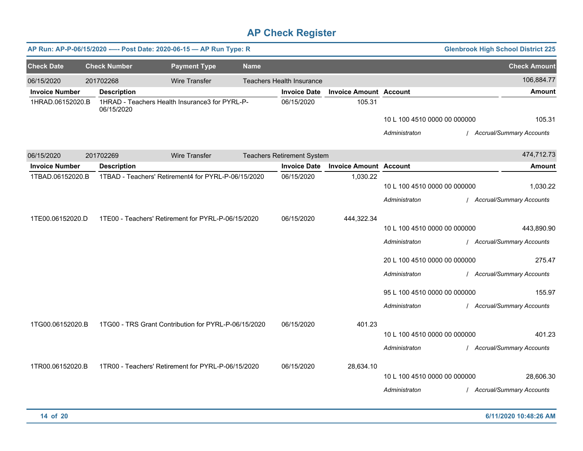|                       | AP Run: AP-P-06/15/2020 ---- Post Date: 2020-06-15 - AP Run Type: R<br><b>Glenbrook High School District 225</b> |  |                                                      |             |                                   |                               |                                                                                                                                                 |                                                                                                                          |
|-----------------------|------------------------------------------------------------------------------------------------------------------|--|------------------------------------------------------|-------------|-----------------------------------|-------------------------------|-------------------------------------------------------------------------------------------------------------------------------------------------|--------------------------------------------------------------------------------------------------------------------------|
| <b>Check Date</b>     | <b>Check Number</b>                                                                                              |  | <b>Payment Type</b>                                  | <b>Name</b> |                                   |                               |                                                                                                                                                 | <b>Check Amount</b>                                                                                                      |
| 06/15/2020            | 201702268                                                                                                        |  | <b>Wire Transfer</b>                                 |             | <b>Teachers Health Insurance</b>  |                               |                                                                                                                                                 | 106,884.77                                                                                                               |
| <b>Invoice Number</b> | <b>Description</b>                                                                                               |  |                                                      |             | <b>Invoice Date</b>               | <b>Invoice Amount Account</b> |                                                                                                                                                 | <b>Amount</b>                                                                                                            |
| 1HRAD.06152020.B      | 06/15/2020                                                                                                       |  | 1HRAD - Teachers Health Insurance3 for PYRL-P-       |             | 06/15/2020                        | 105.31                        | 10 L 100 4510 0000 00 000000<br>Administraton                                                                                                   | 105.31<br>/ Accrual/Summary Accounts                                                                                     |
| 06/15/2020            | 201702269                                                                                                        |  | <b>Wire Transfer</b>                                 |             | <b>Teachers Retirement System</b> |                               |                                                                                                                                                 | 474,712.73                                                                                                               |
| <b>Invoice Number</b> | <b>Description</b>                                                                                               |  |                                                      |             | <b>Invoice Date</b>               | <b>Invoice Amount Account</b> |                                                                                                                                                 | <b>Amount</b>                                                                                                            |
| 1TBAD.06152020.B      |                                                                                                                  |  | 1TBAD - Teachers' Retirement4 for PYRL-P-06/15/2020  |             | 06/15/2020                        | 1,030.22                      | 10 L 100 4510 0000 00 000000<br>Administraton                                                                                                   | 1,030.22<br>/ Accrual/Summary Accounts                                                                                   |
| 1TE00.06152020.D      |                                                                                                                  |  | 1TE00 - Teachers' Retirement for PYRL-P-06/15/2020   |             | 06/15/2020                        | 444,322.34                    | 10 L 100 4510 0000 00 000000<br>Administraton<br>20 L 100 4510 0000 00 000000<br>Administraton<br>95 L 100 4510 0000 00 000000<br>Administraton | 443,890.90<br>/ Accrual/Summary Accounts<br>275.47<br>/ Accrual/Summary Accounts<br>155.97<br>/ Accrual/Summary Accounts |
| 1TG00.06152020.B      |                                                                                                                  |  | 1TG00 - TRS Grant Contribution for PYRL-P-06/15/2020 |             | 06/15/2020                        | 401.23                        | 10 L 100 4510 0000 00 000000<br>Administraton                                                                                                   | 401.23<br>/ Accrual/Summary Accounts                                                                                     |
| 1TR00.06152020.B      |                                                                                                                  |  | 1TR00 - Teachers' Retirement for PYRL-P-06/15/2020   |             | 06/15/2020                        | 28,634.10                     | 10 L 100 4510 0000 00 000000<br>Administraton                                                                                                   | 28,606.30<br><b>Accrual/Summary Accounts</b>                                                                             |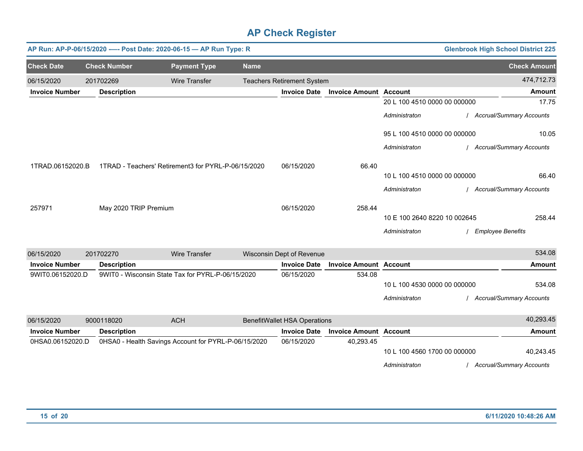|                       |                     | AP Run: AP-P-06/15/2020 ---- Post Date: 2020-06-15 - AP Run Type: R |                                                      |                                     |                               |                              | <b>Glenbrook High School District 225</b> |
|-----------------------|---------------------|---------------------------------------------------------------------|------------------------------------------------------|-------------------------------------|-------------------------------|------------------------------|-------------------------------------------|
| <b>Check Date</b>     | <b>Check Number</b> | <b>Payment Type</b>                                                 | <b>Name</b>                                          |                                     |                               |                              | <b>Check Amount</b>                       |
| 06/15/2020            | 201702269           | <b>Wire Transfer</b>                                                |                                                      | <b>Teachers Retirement System</b>   |                               |                              | 474,712.73                                |
| <b>Invoice Number</b> | <b>Description</b>  |                                                                     |                                                      | <b>Invoice Date</b>                 | <b>Invoice Amount Account</b> |                              | <b>Amount</b>                             |
|                       |                     |                                                                     |                                                      |                                     |                               | 20 L 100 4510 0000 00 000000 | 17.75                                     |
|                       |                     |                                                                     |                                                      |                                     |                               | Administraton                | <b>Accrual/Summary Accounts</b>           |
|                       |                     |                                                                     |                                                      |                                     |                               | 95 L 100 4510 0000 00 000000 | 10.05                                     |
|                       |                     |                                                                     |                                                      |                                     |                               | Administraton                | / Accrual/Summary Accounts                |
| 1TRAD.06152020.B      |                     |                                                                     | 1TRAD - Teachers' Retirement3 for PYRL-P-06/15/2020  | 06/15/2020                          | 66.40                         |                              |                                           |
|                       |                     |                                                                     |                                                      |                                     |                               | 10 L 100 4510 0000 00 000000 | 66.40                                     |
|                       |                     |                                                                     |                                                      |                                     |                               | Administraton                | / Accrual/Summary Accounts                |
| 257971                |                     | May 2020 TRIP Premium                                               |                                                      | 06/15/2020                          | 258.44                        |                              |                                           |
|                       |                     |                                                                     |                                                      |                                     |                               | 10 E 100 2640 8220 10 002645 | 258.44                                    |
|                       |                     |                                                                     |                                                      |                                     |                               | Administraton                | <b>Employee Benefits</b>                  |
| 06/15/2020            | 201702270           | <b>Wire Transfer</b>                                                |                                                      | Wisconsin Dept of Revenue           |                               |                              | 534.08                                    |
| <b>Invoice Number</b> | <b>Description</b>  |                                                                     |                                                      | <b>Invoice Date</b>                 | <b>Invoice Amount Account</b> |                              | <b>Amount</b>                             |
| 9WIT0.06152020.D      |                     | 9WIT0 - Wisconsin State Tax for PYRL-P-06/15/2020                   |                                                      | 06/15/2020                          | 534.08                        | 10 L 100 4530 0000 00 000000 | 534.08                                    |
|                       |                     |                                                                     |                                                      |                                     |                               | Administraton                | <b>Accrual/Summary Accounts</b>           |
| 06/15/2020            | 9000118020          | <b>ACH</b>                                                          |                                                      | <b>BenefitWallet HSA Operations</b> |                               |                              | 40,293.45                                 |
| <b>Invoice Number</b> | <b>Description</b>  |                                                                     |                                                      | <b>Invoice Date</b>                 | <b>Invoice Amount Account</b> |                              | <b>Amount</b>                             |
| 0HSA0.06152020.D      |                     |                                                                     | 0HSA0 - Health Savings Account for PYRL-P-06/15/2020 | 06/15/2020                          | 40,293.45                     | 10 L 100 4560 1700 00 000000 | 40,243.45                                 |
|                       |                     |                                                                     |                                                      |                                     |                               | Administraton                | / Accrual/Summary Accounts                |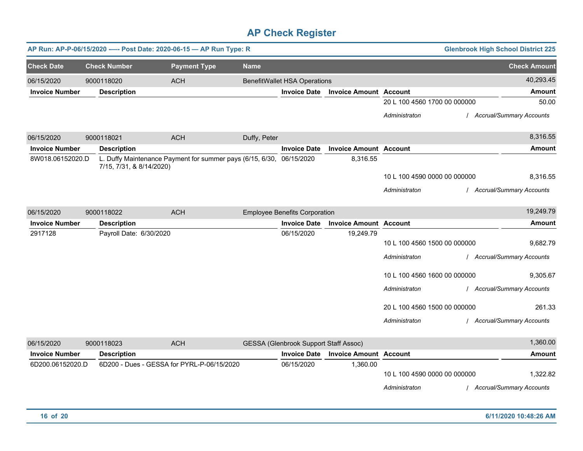|                       |                          | AP Run: AP-P-06/15/2020 ---- Post Date: 2020-06-15 - AP Run Type: R  |              |                                              |                               |                                               | <b>Glenbrook High School District 225</b>   |
|-----------------------|--------------------------|----------------------------------------------------------------------|--------------|----------------------------------------------|-------------------------------|-----------------------------------------------|---------------------------------------------|
| <b>Check Date</b>     | <b>Check Number</b>      | <b>Payment Type</b>                                                  | <b>Name</b>  |                                              |                               |                                               | <b>Check Amount</b>                         |
| 06/15/2020            | 9000118020               | <b>ACH</b>                                                           |              | <b>BenefitWallet HSA Operations</b>          |                               |                                               | 40,293.45                                   |
| <b>Invoice Number</b> | <b>Description</b>       |                                                                      |              | <b>Invoice Date</b>                          | <b>Invoice Amount Account</b> |                                               | Amount                                      |
|                       |                          |                                                                      |              |                                              |                               | 20 L 100 4560 1700 00 000000                  | 50.00                                       |
|                       |                          |                                                                      |              |                                              |                               | Administraton                                 | <b>Accrual/Summary Accounts</b>             |
| 06/15/2020            | 9000118021               | <b>ACH</b>                                                           | Duffy, Peter |                                              |                               |                                               | 8,316.55                                    |
| <b>Invoice Number</b> | <b>Description</b>       |                                                                      |              | <b>Invoice Date</b>                          | <b>Invoice Amount Account</b> |                                               | <b>Amount</b>                               |
| 8W018.06152020.D      | 7/15, 7/31, & 8/14/2020) | L. Duffy Maintenance Payment for summer pays (6/15, 6/30, 06/15/2020 |              |                                              | 8,316.55                      |                                               |                                             |
|                       |                          |                                                                      |              |                                              |                               | 10 L 100 4590 0000 00 000000                  | 8,316.55                                    |
|                       |                          |                                                                      |              |                                              |                               | Administraton                                 | <b>Accrual/Summary Accounts</b>             |
| 06/15/2020            | 9000118022               | <b>ACH</b>                                                           |              | <b>Employee Benefits Corporation</b>         |                               |                                               | 19,249.79                                   |
| <b>Invoice Number</b> | <b>Description</b>       |                                                                      |              | <b>Invoice Date</b>                          | <b>Invoice Amount Account</b> |                                               | <b>Amount</b>                               |
| 2917128               | Payroll Date: 6/30/2020  |                                                                      |              | 06/15/2020                                   | 19,249.79                     |                                               |                                             |
|                       |                          |                                                                      |              |                                              |                               | 10 L 100 4560 1500 00 000000                  | 9,682.79                                    |
|                       |                          |                                                                      |              |                                              |                               | Administraton                                 | <b>Accrual/Summary Accounts</b>             |
|                       |                          |                                                                      |              |                                              |                               | 10 L 100 4560 1600 00 000000                  | 9,305.67                                    |
|                       |                          |                                                                      |              |                                              |                               | Administraton                                 | <b>Accrual/Summary Accounts</b>             |
|                       |                          |                                                                      |              |                                              |                               | 20 L 100 4560 1500 00 000000                  | 261.33                                      |
|                       |                          |                                                                      |              |                                              |                               | Administraton                                 | <b>Accrual/Summary Accounts</b>             |
| 06/15/2020            | 9000118023               | <b>ACH</b>                                                           |              | <b>GESSA (Glenbrook Support Staff Assoc)</b> |                               |                                               | 1,360.00                                    |
| <b>Invoice Number</b> | <b>Description</b>       |                                                                      |              | <b>Invoice Date</b>                          | <b>Invoice Amount Account</b> |                                               | <b>Amount</b>                               |
| 6D200.06152020.D      |                          | 6D200 - Dues - GESSA for PYRL-P-06/15/2020                           |              | 06/15/2020                                   | 1,360.00                      | 10 L 100 4590 0000 00 000000<br>Administraton | 1,322.82<br><b>Accrual/Summary Accounts</b> |
|                       |                          |                                                                      |              |                                              |                               |                                               |                                             |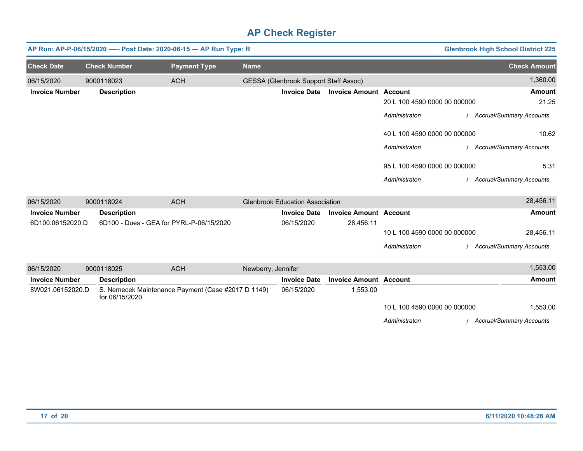|                       |                                          | AP Run: AP-P-06/15/2020 ---- Post Date: 2020-06-15 - AP Run Type: R |                    |                                              |                               |                              | <b>Glenbrook High School District 225</b> |
|-----------------------|------------------------------------------|---------------------------------------------------------------------|--------------------|----------------------------------------------|-------------------------------|------------------------------|-------------------------------------------|
| <b>Check Date</b>     | <b>Check Number</b>                      | <b>Payment Type</b>                                                 | <b>Name</b>        |                                              |                               |                              | <b>Check Amount</b>                       |
| 06/15/2020            | 9000118023                               | <b>ACH</b>                                                          |                    | <b>GESSA (Glenbrook Support Staff Assoc)</b> |                               |                              | 1,360.00                                  |
| <b>Invoice Number</b> | <b>Description</b>                       |                                                                     |                    | <b>Invoice Date</b>                          | <b>Invoice Amount Account</b> |                              | <b>Amount</b>                             |
|                       |                                          |                                                                     |                    |                                              |                               | 20 L 100 4590 0000 00 000000 | 21.25                                     |
|                       |                                          |                                                                     |                    |                                              |                               | Administraton                | <b>Accrual/Summary Accounts</b>           |
|                       |                                          |                                                                     |                    |                                              |                               | 40 L 100 4590 0000 00 000000 | 10.62                                     |
|                       |                                          |                                                                     |                    |                                              |                               | Administraton                | <b>Accrual/Summary Accounts</b>           |
|                       |                                          |                                                                     |                    |                                              |                               | 95 L 100 4590 0000 00 000000 | 5.31                                      |
|                       |                                          |                                                                     |                    |                                              |                               | Administraton                | <b>Accrual/Summary Accounts</b>           |
| 06/15/2020            | 9000118024                               | <b>ACH</b>                                                          |                    | <b>Glenbrook Education Association</b>       |                               |                              | 28,456.11                                 |
| <b>Invoice Number</b> | <b>Description</b>                       |                                                                     |                    | <b>Invoice Date</b>                          | <b>Invoice Amount Account</b> |                              | <b>Amount</b>                             |
| 6D100.06152020.D      | 6D100 - Dues - GEA for PYRL-P-06/15/2020 |                                                                     |                    | 06/15/2020                                   | 28,456.11                     |                              |                                           |
|                       |                                          |                                                                     |                    |                                              |                               | 10 L 100 4590 0000 00 000000 | 28,456.11                                 |
|                       |                                          |                                                                     |                    |                                              |                               | Administraton                | Accrual/Summary Accounts                  |
| 06/15/2020            | 9000118025                               | <b>ACH</b>                                                          | Newberry, Jennifer |                                              |                               |                              | 1,553.00                                  |
| <b>Invoice Number</b> | <b>Description</b>                       |                                                                     |                    | <b>Invoice Date</b>                          | <b>Invoice Amount Account</b> |                              | <b>Amount</b>                             |
| 8W021.06152020.D      | for 06/15/2020                           | S. Nemecek Maintenance Payment (Case #2017 D 1149)                  |                    | 06/15/2020                                   | 1,553.00                      |                              |                                           |
|                       |                                          |                                                                     |                    |                                              |                               | 10 L 100 4590 0000 00 000000 | 1,553.00                                  |
|                       |                                          |                                                                     |                    |                                              |                               | Administraton                | <b>Accrual/Summary Accounts</b>           |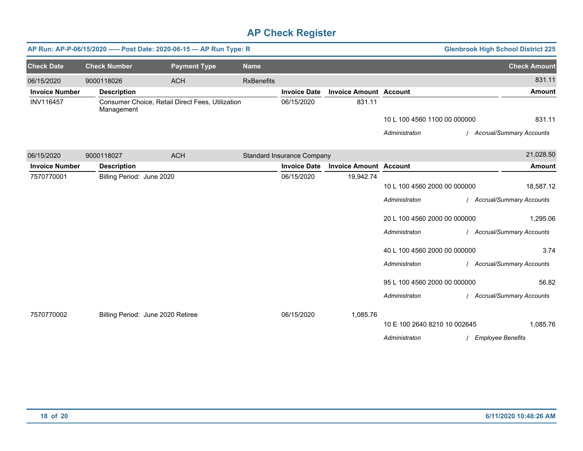|                       | AP Run: AP-P-06/15/2020 ---- Post Date: 2020-06-15 - AP Run Type: R<br><b>Glenbrook High School District 225</b> |                                                  |                   |                                   |                               |                              |  |                            |
|-----------------------|------------------------------------------------------------------------------------------------------------------|--------------------------------------------------|-------------------|-----------------------------------|-------------------------------|------------------------------|--|----------------------------|
| <b>Check Date</b>     | <b>Check Number</b>                                                                                              | <b>Payment Type</b>                              | <b>Name</b>       |                                   |                               |                              |  | <b>Check Amount</b>        |
| 06/15/2020            | 9000118026                                                                                                       | <b>ACH</b>                                       | <b>RxBenefits</b> |                                   |                               |                              |  | 831.11                     |
| <b>Invoice Number</b> | <b>Description</b>                                                                                               |                                                  |                   | <b>Invoice Date</b>               | <b>Invoice Amount Account</b> |                              |  | <b>Amount</b>              |
| <b>INV116457</b>      | Management                                                                                                       | Consumer Choice, Retail Direct Fees, Utilization |                   | 06/15/2020                        | 831.11                        |                              |  |                            |
|                       |                                                                                                                  |                                                  |                   |                                   |                               | 10 L 100 4560 1100 00 000000 |  | 831.11                     |
|                       |                                                                                                                  |                                                  |                   |                                   |                               | Administraton                |  | / Accrual/Summary Accounts |
| 06/15/2020            | 9000118027                                                                                                       | <b>ACH</b>                                       |                   | <b>Standard Insurance Company</b> |                               |                              |  | 21,028.50                  |
| <b>Invoice Number</b> | <b>Description</b>                                                                                               |                                                  |                   | <b>Invoice Date</b>               | <b>Invoice Amount Account</b> |                              |  | <b>Amount</b>              |
| 7570770001            | Billing Period: June 2020                                                                                        |                                                  |                   | 06/15/2020                        | 19,942.74                     |                              |  |                            |
|                       |                                                                                                                  |                                                  |                   |                                   |                               | 10 L 100 4560 2000 00 000000 |  | 18,587.12                  |
|                       |                                                                                                                  |                                                  |                   |                                   |                               | Administraton                |  | / Accrual/Summary Accounts |
|                       |                                                                                                                  |                                                  |                   |                                   |                               | 20 L 100 4560 2000 00 000000 |  | 1,295.06                   |
|                       |                                                                                                                  |                                                  |                   |                                   |                               | Administraton                |  | / Accrual/Summary Accounts |
|                       |                                                                                                                  |                                                  |                   |                                   |                               | 40 L 100 4560 2000 00 000000 |  | 3.74                       |
|                       |                                                                                                                  |                                                  |                   |                                   |                               | Administraton                |  | / Accrual/Summary Accounts |
|                       |                                                                                                                  |                                                  |                   |                                   |                               | 95 L 100 4560 2000 00 000000 |  | 56.82                      |
|                       |                                                                                                                  |                                                  |                   |                                   |                               | Administraton                |  | / Accrual/Summary Accounts |
| 7570770002            |                                                                                                                  | Billing Period: June 2020 Retiree                |                   | 06/15/2020                        | 1,085.76                      |                              |  |                            |
|                       |                                                                                                                  |                                                  |                   |                                   |                               | 10 E 100 2640 8210 10 002645 |  | 1,085.76                   |
|                       |                                                                                                                  |                                                  |                   |                                   |                               | Administraton                |  | / Employee Benefits        |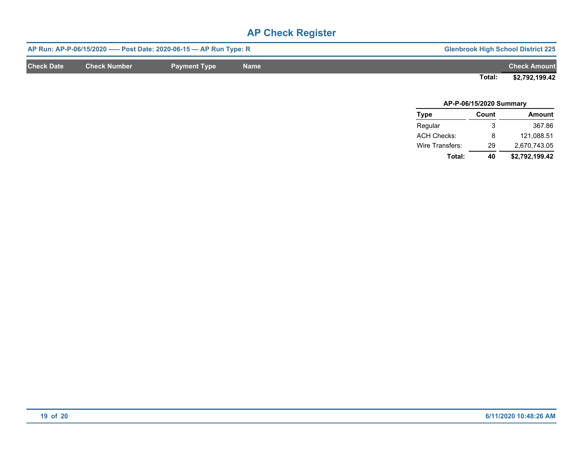|                   |                     | AP Run: AP-P-06/15/2020 ---- Post Date: 2020-06-15 - AP Run Type: R | <b>Glenbrook High School District 225</b> |                     |                |
|-------------------|---------------------|---------------------------------------------------------------------|-------------------------------------------|---------------------|----------------|
| <b>Check Date</b> | <b>Check Number</b> | Payment Type                                                        | <b>Name</b>                               | <b>Check Amount</b> |                |
|                   |                     |                                                                     |                                           | Total:              | \$2,792,199.42 |

| AP-P-06/15/2020 Summary |       |                |  |  |  |  |
|-------------------------|-------|----------------|--|--|--|--|
| <b>Type</b>             | Count | <b>Amount</b>  |  |  |  |  |
| Regular                 | 3     | 367.86         |  |  |  |  |
| <b>ACH Checks:</b>      | 8     | 121.088.51     |  |  |  |  |
| Wire Transfers:         | 29    | 2,670,743.05   |  |  |  |  |
| Total:                  | 40    | \$2,792,199.42 |  |  |  |  |